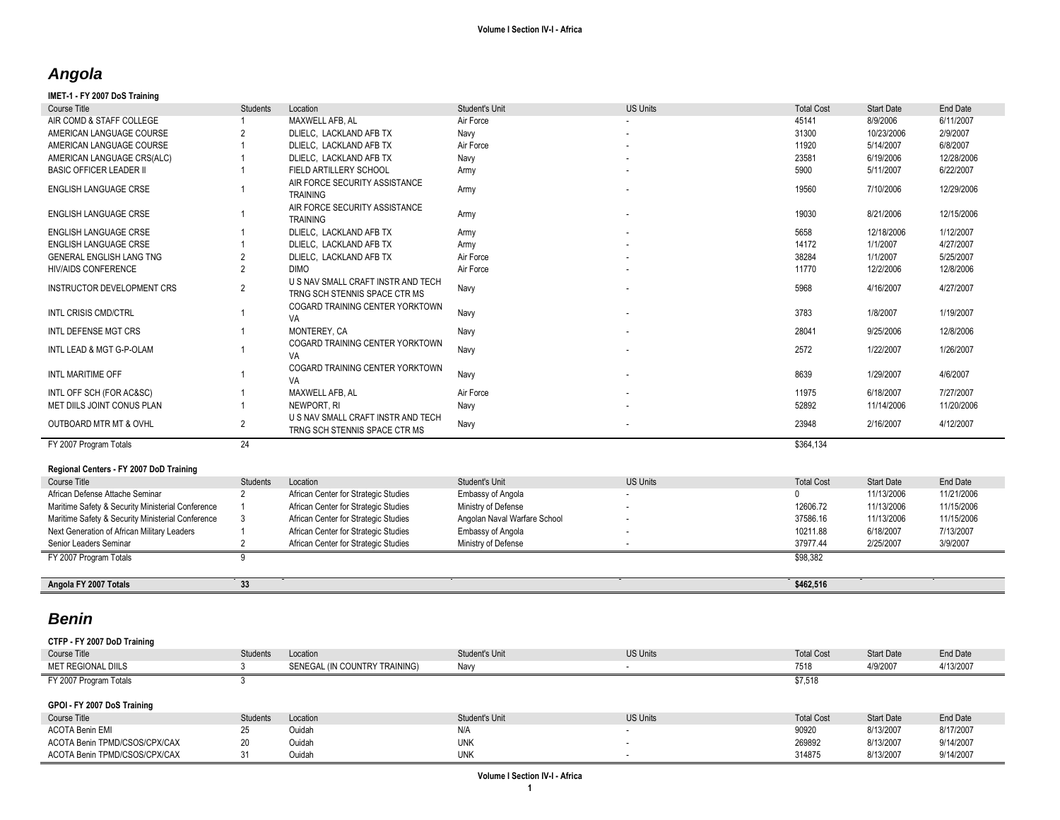## *Angola*

### **IMET-1 - FY 2007 DoS Training**

| Course Title                                      | <b>Students</b> | Location                                                            | Student's Unit               | <b>US Units</b> | <b>Total Cost</b> | <b>Start Date</b> | End Date   |
|---------------------------------------------------|-----------------|---------------------------------------------------------------------|------------------------------|-----------------|-------------------|-------------------|------------|
| AIR COMD & STAFF COLLEGE                          |                 | MAXWELL AFB. AL                                                     | Air Force                    |                 | 45141             | 8/9/2006          | 6/11/2007  |
| AMERICAN LANGUAGE COURSE                          |                 | DLIELC, LACKLAND AFB TX                                             | Navy                         |                 | 31300             | 10/23/2006        | 2/9/2007   |
| AMERICAN LANGUAGE COURSE                          |                 | DLIELC, LACKLAND AFB TX                                             | Air Force                    |                 | 11920             | 5/14/2007         | 6/8/2007   |
| AMERICAN LANGUAGE CRS(ALC)                        |                 | DLIELC, LACKLAND AFB TX                                             | Navy                         |                 | 23581             | 6/19/2006         | 12/28/2006 |
| <b>BASIC OFFICER LEADER II</b>                    |                 | FIELD ARTILLERY SCHOOL                                              | Army                         |                 | 5900              | 5/11/2007         | 6/22/2007  |
| ENGLISH LANGUAGE CRSE                             |                 | AIR FORCE SECURITY ASSISTANCE<br><b>TRAINING</b>                    | Army                         |                 | 19560             | 7/10/2006         | 12/29/2006 |
| <b>ENGLISH LANGUAGE CRSE</b>                      |                 | AIR FORCE SECURITY ASSISTANCE<br><b>TRAINING</b>                    | Army                         |                 | 19030             | 8/21/2006         | 12/15/2006 |
| <b>ENGLISH LANGUAGE CRSE</b>                      |                 | DLIELC, LACKLAND AFB TX                                             | Army                         |                 | 5658              | 12/18/2006        | 1/12/2007  |
| <b>ENGLISH LANGUAGE CRSE</b>                      |                 | DLIELC, LACKLAND AFB TX                                             | Army                         |                 | 14172             | 1/1/2007          | 4/27/2007  |
| <b>GENERAL ENGLISH LANG TNG</b>                   | $\overline{2}$  | DLIELC, LACKLAND AFB TX                                             | Air Force                    |                 | 38284             | 1/1/2007          | 5/25/2007  |
| <b>HIV/AIDS CONFERENCE</b>                        | $\overline{2}$  | <b>DIMO</b>                                                         | Air Force                    |                 | 11770             | 12/2/2006         | 12/8/2006  |
| INSTRUCTOR DEVELOPMENT CRS                        | 2               | U S NAV SMALL CRAFT INSTR AND TECH<br>TRNG SCH STENNIS SPACE CTR MS | Navy                         |                 | 5968              | 4/16/2007         | 4/27/2007  |
| INTL CRISIS CMD/CTRL                              |                 | COGARD TRAINING CENTER YORKTOWN<br>VA                               | Navy                         |                 | 3783              | 1/8/2007          | 1/19/2007  |
| INTL DEFENSE MGT CRS                              |                 | MONTEREY, CA                                                        | Navy                         |                 | 28041             | 9/25/2006         | 12/8/2006  |
| INTL LEAD & MGT G-P-OLAM                          |                 | COGARD TRAINING CENTER YORKTOWN<br>VA                               | Navy                         |                 | 2572              | 1/22/2007         | 1/26/2007  |
| INTL MARITIME OFF                                 |                 | COGARD TRAINING CENTER YORKTOWN<br>VA                               | Navy                         |                 | 8639              | 1/29/2007         | 4/6/2007   |
| INTL OFF SCH (FOR AC&SC)                          |                 | MAXWELL AFB, AL                                                     | Air Force                    |                 | 11975             | 6/18/2007         | 7/27/2007  |
| MET DIILS JOINT CONUS PLAN                        |                 | NEWPORT, RI                                                         | Navy                         |                 | 52892             | 11/14/2006        | 11/20/2006 |
| <b>OUTBOARD MTR MT &amp; OVHL</b>                 | 2               | U S NAV SMALL CRAFT INSTR AND TECH<br>TRNG SCH STENNIS SPACE CTR MS | Navy                         |                 | 23948             | 2/16/2007         | 4/12/2007  |
| FY 2007 Program Totals                            | 24              |                                                                     |                              |                 | \$364,134         |                   |            |
| Regional Centers - FY 2007 DoD Training           |                 |                                                                     |                              |                 |                   |                   |            |
| Course Title                                      | <b>Students</b> | Location                                                            | Student's Unit               | <b>US Units</b> | <b>Total Cost</b> | <b>Start Date</b> | End Date   |
| African Defense Attache Seminar                   | 2               | African Center for Strategic Studies                                | Embassy of Angola            |                 | 0                 | 11/13/2006        | 11/21/2006 |
| Maritime Safety & Security Ministerial Conference |                 | African Center for Strategic Studies                                | Ministry of Defense          |                 | 12606.72          | 11/13/2006        | 11/15/2006 |
| Maritime Safety & Security Ministerial Conference | 3               | African Center for Strategic Studies                                | Angolan Naval Warfare School |                 | 37586.16          | 11/13/2006        | 11/15/2006 |
| Next Generation of African Military Leaders       |                 | African Center for Strategic Studies                                | Embassy of Angola            |                 | 10211.88          | 6/18/2007         | 7/13/2007  |
| Senior Leaders Seminar                            | $\overline{2}$  | African Center for Strategic Studies                                | Ministry of Defense          |                 | 37977.44          | 2/25/2007         | 3/9/2007   |
| FY 2007 Program Totals                            | 9               |                                                                     |                              |                 | \$98,382          |                   |            |
| Angola FY 2007 Totals                             | 33              |                                                                     |                              |                 | \$462,516         |                   |            |
| <b>Benin</b>                                      |                 |                                                                     |                              |                 |                   |                   |            |

**CTFP - FY 2007 DoD Training**

| Course Title                  | <b>Students</b> | Location                      | Student's Unit | <b>US Units</b> | <b>Total Cost</b> | Start Date        | End Date  |
|-------------------------------|-----------------|-------------------------------|----------------|-----------------|-------------------|-------------------|-----------|
| MET REGIONAL DIILS            |                 | SENEGAL (IN COUNTRY TRAINING) | Navy           |                 | 7518              | 4/9/2007          | 4/13/2007 |
| FY 2007 Program Totals        |                 |                               |                |                 | \$7,518           |                   |           |
|                               |                 |                               |                |                 |                   |                   |           |
| GPOI - FY 2007 DoS Training   |                 |                               |                |                 |                   |                   |           |
| Course Title                  | <b>Students</b> | Location                      | Student's Unit | <b>US Units</b> | <b>Total Cost</b> | <b>Start Date</b> | End Date  |
| <b>ACOTA Benin EMI</b>        | 25              | Ouidah                        | N/A            |                 | 90920             | 8/13/2007         | 8/17/2007 |
| ACOTA Benin TPMD/CSOS/CPX/CAX | 20              | Ouidah                        | <b>UNK</b>     |                 | 269892            | 8/13/2007         | 9/14/2007 |
| ACOTA Benin TPMD/CSOS/CPX/CAX | 31              | Ouidah                        | <b>UNK</b>     |                 | 314875            | 8/13/2007         | 9/14/2007 |
|                               |                 |                               |                |                 |                   |                   |           |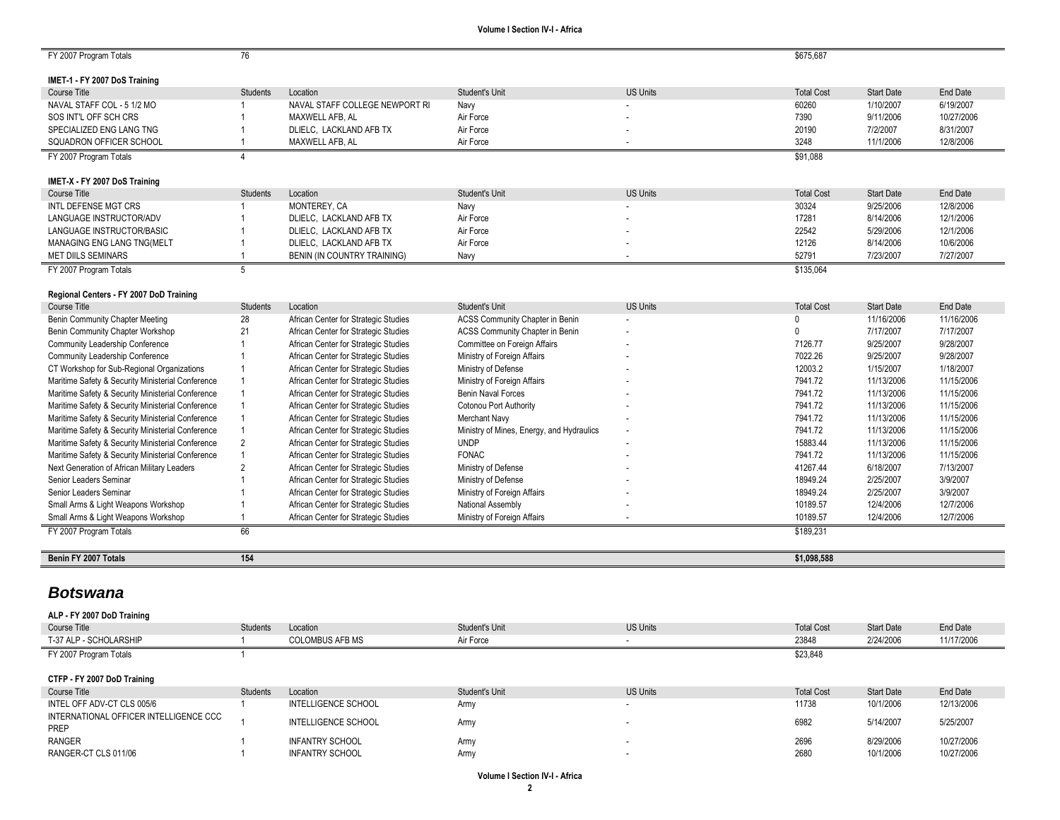| NAVAL STAFF COLLEGE NEWPORT RI<br>MAXWELL AFB. AL<br>DLIELC, LACKLAND AFB TX<br>MAXWELL AFB, AL<br>MONTEREY, CA<br>DLIELC, LACKLAND AFB TX<br>DLIELC, LACKLAND AFB TX<br>DLIELC, LACKLAND AFB TX<br>BENIN (IN COUNTRY TRAINING) | Student's Unit<br>Navy<br>Air Force<br>Air Force<br>Air Force<br>Student's Unit<br>Navy<br>Air Force<br>Air Force<br>Air Force<br>Navy<br>Student's Unit                                             | <b>US Units</b><br><b>US Units</b> | \$675,687<br><b>Total Cost</b><br>60260<br>7390<br>20190<br>3248<br>\$91,088<br><b>Total Cost</b><br>30324<br>17281<br>22542<br>12126<br>52791<br>\$135,064 | <b>Start Date</b><br>1/10/2007<br>9/11/2006<br>7/2/2007<br>11/1/2006<br><b>Start Date</b><br>9/25/2006<br>8/14/2006<br>5/29/2006<br>8/14/2006<br>7/23/2007 | End Date<br>6/19/2007<br>10/27/2006<br>8/31/2007<br>12/8/2006<br>End Date<br>12/8/2006<br>12/1/2006<br>12/1/2006<br>10/6/2006<br>7/27/2007 |
|---------------------------------------------------------------------------------------------------------------------------------------------------------------------------------------------------------------------------------|------------------------------------------------------------------------------------------------------------------------------------------------------------------------------------------------------|------------------------------------|-------------------------------------------------------------------------------------------------------------------------------------------------------------|------------------------------------------------------------------------------------------------------------------------------------------------------------|--------------------------------------------------------------------------------------------------------------------------------------------|
|                                                                                                                                                                                                                                 |                                                                                                                                                                                                      |                                    |                                                                                                                                                             |                                                                                                                                                            |                                                                                                                                            |
|                                                                                                                                                                                                                                 |                                                                                                                                                                                                      |                                    |                                                                                                                                                             |                                                                                                                                                            |                                                                                                                                            |
|                                                                                                                                                                                                                                 |                                                                                                                                                                                                      |                                    |                                                                                                                                                             |                                                                                                                                                            |                                                                                                                                            |
|                                                                                                                                                                                                                                 |                                                                                                                                                                                                      |                                    |                                                                                                                                                             |                                                                                                                                                            |                                                                                                                                            |
|                                                                                                                                                                                                                                 |                                                                                                                                                                                                      |                                    |                                                                                                                                                             |                                                                                                                                                            |                                                                                                                                            |
|                                                                                                                                                                                                                                 |                                                                                                                                                                                                      |                                    |                                                                                                                                                             |                                                                                                                                                            |                                                                                                                                            |
|                                                                                                                                                                                                                                 |                                                                                                                                                                                                      |                                    |                                                                                                                                                             |                                                                                                                                                            |                                                                                                                                            |
|                                                                                                                                                                                                                                 |                                                                                                                                                                                                      |                                    |                                                                                                                                                             |                                                                                                                                                            |                                                                                                                                            |
|                                                                                                                                                                                                                                 |                                                                                                                                                                                                      |                                    |                                                                                                                                                             |                                                                                                                                                            |                                                                                                                                            |
|                                                                                                                                                                                                                                 |                                                                                                                                                                                                      |                                    |                                                                                                                                                             |                                                                                                                                                            |                                                                                                                                            |
|                                                                                                                                                                                                                                 |                                                                                                                                                                                                      |                                    |                                                                                                                                                             |                                                                                                                                                            |                                                                                                                                            |
|                                                                                                                                                                                                                                 |                                                                                                                                                                                                      |                                    |                                                                                                                                                             |                                                                                                                                                            |                                                                                                                                            |
|                                                                                                                                                                                                                                 |                                                                                                                                                                                                      |                                    |                                                                                                                                                             |                                                                                                                                                            |                                                                                                                                            |
|                                                                                                                                                                                                                                 |                                                                                                                                                                                                      |                                    |                                                                                                                                                             |                                                                                                                                                            |                                                                                                                                            |
|                                                                                                                                                                                                                                 |                                                                                                                                                                                                      |                                    |                                                                                                                                                             |                                                                                                                                                            |                                                                                                                                            |
|                                                                                                                                                                                                                                 |                                                                                                                                                                                                      |                                    |                                                                                                                                                             |                                                                                                                                                            |                                                                                                                                            |
|                                                                                                                                                                                                                                 |                                                                                                                                                                                                      |                                    |                                                                                                                                                             |                                                                                                                                                            |                                                                                                                                            |
|                                                                                                                                                                                                                                 |                                                                                                                                                                                                      |                                    |                                                                                                                                                             |                                                                                                                                                            |                                                                                                                                            |
|                                                                                                                                                                                                                                 |                                                                                                                                                                                                      | <b>US Units</b>                    | <b>Total Cost</b>                                                                                                                                           | <b>Start Date</b>                                                                                                                                          | End Date                                                                                                                                   |
| African Center for Strategic Studies                                                                                                                                                                                            | ACSS Community Chapter in Benin                                                                                                                                                                      |                                    | $\mathbf 0$                                                                                                                                                 | 11/16/2006                                                                                                                                                 | 11/16/2006                                                                                                                                 |
| African Center for Strategic Studies                                                                                                                                                                                            | ACSS Community Chapter in Benin                                                                                                                                                                      |                                    | $\mathbf{0}$                                                                                                                                                | 7/17/2007                                                                                                                                                  | 7/17/2007                                                                                                                                  |
| African Center for Strategic Studies                                                                                                                                                                                            | Committee on Foreign Affairs                                                                                                                                                                         |                                    | 7126.77                                                                                                                                                     | 9/25/2007                                                                                                                                                  | 9/28/2007                                                                                                                                  |
| African Center for Strategic Studies                                                                                                                                                                                            | Ministry of Foreign Affairs                                                                                                                                                                          |                                    | 7022.26                                                                                                                                                     | 9/25/2007                                                                                                                                                  | 9/28/2007                                                                                                                                  |
| African Center for Strategic Studies                                                                                                                                                                                            | Ministry of Defense                                                                                                                                                                                  |                                    | 12003.2                                                                                                                                                     | 1/15/2007                                                                                                                                                  | 1/18/2007                                                                                                                                  |
| African Center for Strategic Studies                                                                                                                                                                                            | Ministry of Foreign Affairs                                                                                                                                                                          |                                    | 7941.72                                                                                                                                                     | 11/13/2006                                                                                                                                                 | 11/15/2006                                                                                                                                 |
| African Center for Strategic Studies                                                                                                                                                                                            | <b>Benin Naval Forces</b>                                                                                                                                                                            |                                    | 7941.72                                                                                                                                                     | 11/13/2006                                                                                                                                                 | 11/15/2006                                                                                                                                 |
| African Center for Strategic Studies                                                                                                                                                                                            | Cotonou Port Authority                                                                                                                                                                               |                                    | 7941.72                                                                                                                                                     | 11/13/2006                                                                                                                                                 | 11/15/2006                                                                                                                                 |
| African Center for Strategic Studies                                                                                                                                                                                            | Merchant Navy                                                                                                                                                                                        |                                    | 7941.72                                                                                                                                                     | 11/13/2006                                                                                                                                                 | 11/15/2006                                                                                                                                 |
| African Center for Strategic Studies                                                                                                                                                                                            | Ministry of Mines, Energy, and Hydraulics                                                                                                                                                            |                                    | 7941.72                                                                                                                                                     | 11/13/2006                                                                                                                                                 | 11/15/2006                                                                                                                                 |
| African Center for Strategic Studies                                                                                                                                                                                            | <b>UNDP</b>                                                                                                                                                                                          |                                    | 15883.44                                                                                                                                                    | 11/13/2006                                                                                                                                                 | 11/15/2006                                                                                                                                 |
| African Center for Strategic Studies                                                                                                                                                                                            | <b>FONAC</b>                                                                                                                                                                                         |                                    | 7941.72                                                                                                                                                     | 11/13/2006                                                                                                                                                 | 11/15/2006                                                                                                                                 |
|                                                                                                                                                                                                                                 | Ministry of Defense                                                                                                                                                                                  |                                    | 41267.44                                                                                                                                                    | 6/18/2007                                                                                                                                                  | 7/13/2007                                                                                                                                  |
|                                                                                                                                                                                                                                 | Ministry of Defense                                                                                                                                                                                  |                                    | 18949.24                                                                                                                                                    | 2/25/2007                                                                                                                                                  | 3/9/2007                                                                                                                                   |
|                                                                                                                                                                                                                                 | Ministry of Foreign Affairs                                                                                                                                                                          |                                    | 18949.24                                                                                                                                                    | 2/25/2007                                                                                                                                                  | 3/9/2007                                                                                                                                   |
|                                                                                                                                                                                                                                 | National Assembly                                                                                                                                                                                    |                                    | 10189.57                                                                                                                                                    | 12/4/2006                                                                                                                                                  | 12/7/2006                                                                                                                                  |
|                                                                                                                                                                                                                                 | Ministry of Foreign Affairs                                                                                                                                                                          |                                    | 10189.57                                                                                                                                                    | 12/4/2006                                                                                                                                                  | 12/7/2006                                                                                                                                  |
|                                                                                                                                                                                                                                 |                                                                                                                                                                                                      |                                    | \$189,231                                                                                                                                                   |                                                                                                                                                            |                                                                                                                                            |
|                                                                                                                                                                                                                                 |                                                                                                                                                                                                      |                                    |                                                                                                                                                             |                                                                                                                                                            |                                                                                                                                            |
|                                                                                                                                                                                                                                 | African Center for Strategic Studies<br>African Center for Strategic Studies<br>African Center for Strategic Studies<br>African Center for Strategic Studies<br>African Center for Strategic Studies |                                    |                                                                                                                                                             | \$1,098,588                                                                                                                                                |                                                                                                                                            |

| ALP - FY 2007 DoD Training             |          |                            |                |                          |                   |                   |            |
|----------------------------------------|----------|----------------------------|----------------|--------------------------|-------------------|-------------------|------------|
| Course Title                           | Students | Location                   | Student's Unit | <b>US Units</b>          | <b>Total Cost</b> | <b>Start Date</b> | End Date   |
| T-37 ALP - SCHOLARSHIP                 |          | <b>COLOMBUS AFB MS</b>     | Air Force      |                          | 23848             | 2/24/2006         | 11/17/2006 |
| FY 2007 Program Totals                 |          |                            |                |                          | \$23,848          |                   |            |
|                                        |          |                            |                |                          |                   |                   |            |
| CTFP - FY 2007 DoD Training            |          |                            |                |                          |                   |                   |            |
| Course Title                           | Students | Location                   | Student's Unit | <b>US Units</b>          | <b>Total Cost</b> | <b>Start Date</b> | End Date   |
| INTEL OFF ADV-CT CLS 005/6             |          | <b>INTELLIGENCE SCHOOL</b> | Army           | $\overline{\phantom{a}}$ | 11738             | 10/1/2006         | 12/13/2006 |
| INTERNATIONAL OFFICER INTELLIGENCE CCC |          | <b>INTELLIGENCE SCHOOL</b> | Army           | $\overline{\phantom{a}}$ | 6982              | 5/14/2007         | 5/25/2007  |
| <b>PREP</b>                            |          |                            |                |                          |                   |                   |            |
| <b>RANGER</b>                          |          | <b>INFANTRY SCHOOL</b>     | Army           |                          | 2696              | 8/29/2006         | 10/27/2006 |
| RANGER-CT CLS 011/06                   |          | <b>INFANTRY SCHOOL</b>     | Army           |                          | 2680              | 10/1/2006         | 10/27/2006 |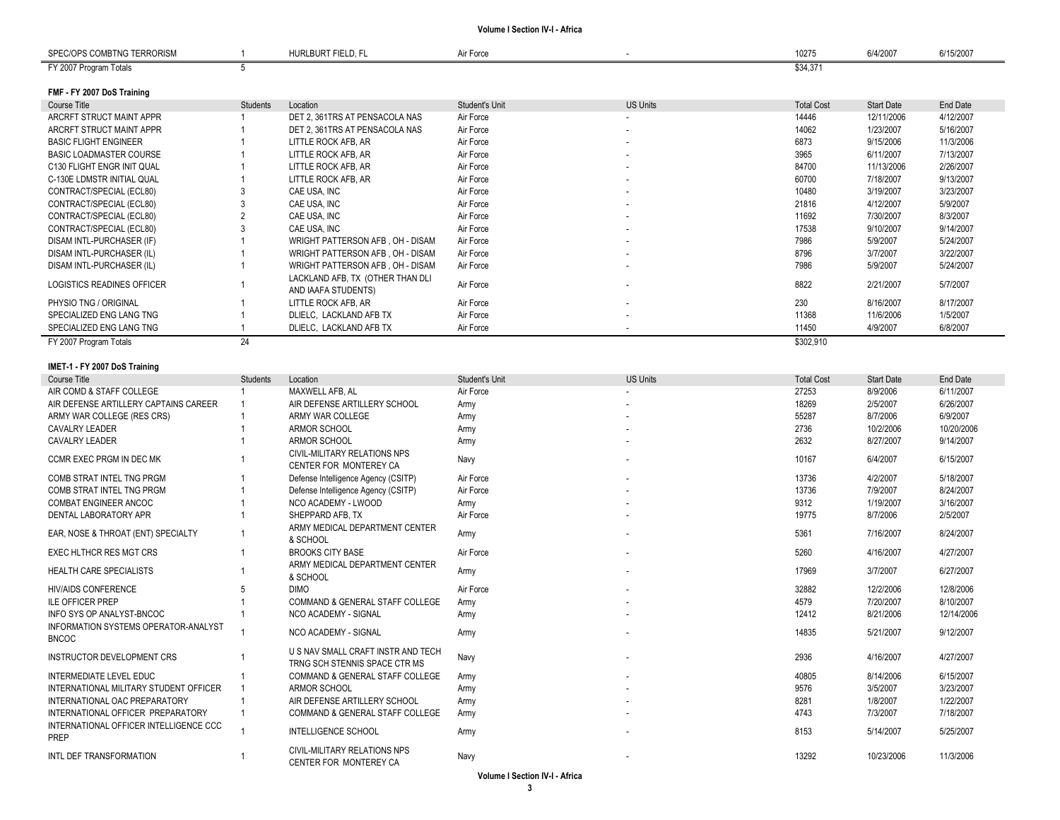| SPEC/OPS COMBTNG TERRORISM     |          | HURLBURT FIELD, FL               | Air Force      |                 | 10275             | 6/4/2007          | 6/15/2007 |
|--------------------------------|----------|----------------------------------|----------------|-----------------|-------------------|-------------------|-----------|
| FY 2007 Program Totals         |          |                                  |                |                 | \$34,371          |                   |           |
|                                |          |                                  |                |                 |                   |                   |           |
| FMF - FY 2007 DoS Training     |          |                                  |                |                 |                   |                   |           |
| Course Title                   | Students | Location                         | Student's Unit | <b>US Units</b> | <b>Total Cost</b> | <b>Start Date</b> | End Date  |
| ARCRET STRUCT MAINT APPR       |          | DET 2, 361TRS AT PENSACOLA NAS   | Air Force      | ٠               | 14446             | 12/11/2006        | 4/12/2007 |
| ARCRET STRUCT MAINT APPR       |          | DET 2.361TRS AT PENSACOLA NAS    | Air Force      |                 | 14062             | 1/23/2007         | 5/16/2007 |
| <b>BASIC FLIGHT ENGINEER</b>   |          | LITTLE ROCK AFB, AR              | Air Force      | ٠               | 6873              | 9/15/2006         | 11/3/2006 |
| <b>BASIC LOADMASTER COURSE</b> |          | LITTLE ROCK AFB, AR              | Air Force      | ٠               | 3965              | 6/11/2007         | 7/13/2007 |
| C130 FLIGHT ENGR INIT QUAL     |          | LITTLE ROCK AFB, AR              | Air Force      |                 | 84700             | 11/13/2006        | 2/26/2007 |
| C-130E LDMSTR INITIAL QUAL     |          | LITTLE ROCK AFB, AR              | Air Force      | ٠               | 60700             | 7/18/2007         | 9/13/2007 |
| CONTRACT/SPECIAL (ECL80)       |          | CAE USA, INC                     | Air Force      | ٠               | 10480             | 3/19/2007         | 3/23/2007 |
| CONTRACT/SPECIAL (ECL80)       |          | CAE USA, INC                     | Air Force      | ٠               | 21816             | 4/12/2007         | 5/9/2007  |
| CONTRACT/SPECIAL (ECL80)       |          | CAE USA, INC                     | Air Force      | ٠               | 11692             | 7/30/2007         | 8/3/2007  |
| CONTRACT/SPECIAL (ECL80)       |          | CAE USA, INC                     | Air Force      |                 | 17538             | 9/10/2007         | 9/14/2007 |
| DISAM INTL-PURCHASER (IF)      |          | WRIGHT PATTERSON AFB, OH - DISAM | Air Force      | ۰.              | 7986              | 5/9/2007          | 5/24/2007 |
| DISAM INTL-PURCHASER (IL)      |          | WRIGHT PATTERSON AFB, OH - DISAM | Air Force      |                 | 8796              | 3/7/2007          | 3/22/2007 |
| DISAM INTL-PURCHASER (IL)      |          | WRIGHT PATTERSON AFB, OH - DISAM | Air Force      |                 | 7986              | 5/9/2007          | 5/24/2007 |
| LOGISTICS READINES OFFICER     |          | LACKLAND AFB, TX (OTHER THAN DLI | Air Force      |                 | 8822              | 2/21/2007         | 5/7/2007  |
|                                |          | AND IAAFA STUDENTS)              |                |                 |                   |                   |           |
| PHYSIO TNG / ORIGINAL          |          | LITTLE ROCK AFB, AR              | Air Force      |                 | 230               | 8/16/2007         | 8/17/2007 |
| SPECIALIZED ENG LANG TNG       |          | DLIELC. LACKLAND AFB TX          | Air Force      | ٠               | 11368             | 11/6/2006         | 1/5/2007  |
| SPECIALIZED ENG LANG TNG       |          | DLIELC, LACKLAND AFB TX          | Air Force      |                 | 11450             | 4/9/2007          | 6/8/2007  |

1 DLIELC, LACKLAND AFB TX Air Force

FY 2007 Program Totals \$302,910

**IMET -1 - FY 2007 DoS Training**

SPECIALIZED ENG LANG TNG

| Course Title                                                | <b>Students</b> | Location                                                            | Student's Unit | <b>US Units</b> | <b>Total Cost</b> | <b>Start Date</b> | End Date   |
|-------------------------------------------------------------|-----------------|---------------------------------------------------------------------|----------------|-----------------|-------------------|-------------------|------------|
| AIR COMD & STAFF COLLEGE                                    |                 | MAXWELL AFB. AL                                                     | Air Force      |                 | 27253             | 8/9/2006          | 6/11/2007  |
| AIR DEFENSE ARTILLERY CAPTAINS CAREER                       |                 | AIR DEFENSE ARTILLERY SCHOOL                                        | Army           |                 | 18269             | 2/5/2007          | 6/26/2007  |
| ARMY WAR COLLEGE (RES CRS)                                  |                 | ARMY WAR COLLEGE                                                    | Army           |                 | 55287             | 8/7/2006          | 6/9/2007   |
| <b>CAVALRY LEADER</b>                                       |                 | ARMOR SCHOOL                                                        | Army           |                 | 2736              | 10/2/2006         | 10/20/2006 |
| <b>CAVALRY LEADER</b>                                       |                 | ARMOR SCHOOL                                                        | Army           |                 | 2632              | 8/27/2007         | 9/14/2007  |
| CCMR EXEC PRGM IN DEC MK                                    |                 | CIVIL-MILITARY RELATIONS NPS<br>CENTER FOR MONTEREY CA              | Navy           |                 | 10167             | 6/4/2007          | 6/15/2007  |
| COMB STRAT INTEL TNG PRGM                                   |                 | Defense Intelligence Agency (CSITP)                                 | Air Force      |                 | 13736             | 4/2/2007          | 5/18/2007  |
| COMB STRAT INTEL TNG PRGM                                   |                 | Defense Intelligence Agency (CSITP)                                 | Air Force      |                 | 13736             | 7/9/2007          | 8/24/2007  |
| <b>COMBAT ENGINEER ANCOC</b>                                |                 | NCO ACADEMY - LWOOD                                                 | Army           |                 | 9312              | 1/19/2007         | 3/16/2007  |
| DENTAL LABORATORY APR                                       |                 | SHEPPARD AFB. TX                                                    | Air Force      |                 | 19775             | 8/7/2006          | 2/5/2007   |
| EAR, NOSE & THROAT (ENT) SPECIALTY                          |                 | ARMY MEDICAL DEPARTMENT CENTER<br>& SCHOOL                          | Army           |                 | 5361              | 7/16/2007         | 8/24/2007  |
| <b>EXEC HLTHCR RES MGT CRS</b>                              |                 | <b>BROOKS CITY BASE</b>                                             | Air Force      |                 | 5260              | 4/16/2007         | 4/27/2007  |
| <b>HEALTH CARE SPECIALISTS</b>                              |                 | ARMY MEDICAL DEPARTMENT CENTER<br>& SCHOOL                          | Army           |                 | 17969             | 3/7/2007          | 6/27/2007  |
| <b>HIV/AIDS CONFERENCE</b>                                  |                 | <b>DIMO</b>                                                         | Air Force      |                 | 32882             | 12/2/2006         | 12/8/2006  |
| <b>ILE OFFICER PREP</b>                                     |                 | <b>COMMAND &amp; GENERAL STAFF COLLEGE</b>                          | Army           |                 | 4579              | 7/20/2007         | 8/10/2007  |
| INFO SYS OP ANALYST-BNCOC                                   |                 | <b>NCO ACADEMY - SIGNAL</b>                                         | Army           |                 | 12412             | 8/21/2006         | 12/14/2006 |
| <b>INFORMATION SYSTEMS OPERATOR-ANALYST</b><br><b>BNCOC</b> |                 | <b>NCO ACADEMY - SIGNAL</b>                                         | Army           |                 | 14835             | 5/21/2007         | 9/12/2007  |
| <b>INSTRUCTOR DEVELOPMENT CRS</b>                           |                 | U S NAV SMALL CRAFT INSTR AND TECH<br>TRNG SCH STENNIS SPACE CTR MS | Navy           |                 | 2936              | 4/16/2007         | 4/27/2007  |
| INTERMEDIATE LEVEL EDUC                                     |                 | COMMAND & GENERAL STAFF COLLEGE                                     | Army           |                 | 40805             | 8/14/2006         | 6/15/2007  |
| INTERNATIONAL MILITARY STUDENT OFFICER                      |                 | <b>ARMOR SCHOOL</b>                                                 | Army           |                 | 9576              | 3/5/2007          | 3/23/2007  |
| INTERNATIONAL OAC PREPARATORY                               |                 | AIR DEFENSE ARTILLERY SCHOOL                                        | Army           |                 | 8281              | 1/8/2007          | 1/22/2007  |
| INTERNATIONAL OFFICER PREPARATORY                           |                 | COMMAND & GENERAL STAFF COLLEGE                                     | Army           |                 | 4743              | 7/3/2007          | 7/18/2007  |
| INTERNATIONAL OFFICER INTELLIGENCE CCC<br><b>PREP</b>       |                 | <b>INTELLIGENCE SCHOOL</b>                                          | Army           |                 | 8153              | 5/14/2007         | 5/25/2007  |
| INTL DEF TRANSFORMATION                                     |                 | CIVIL-MILITARY RELATIONS NPS<br>CENTER FOR MONTEREY CA              | Navy           |                 | 13292             | 10/23/2006        | 11/3/2006  |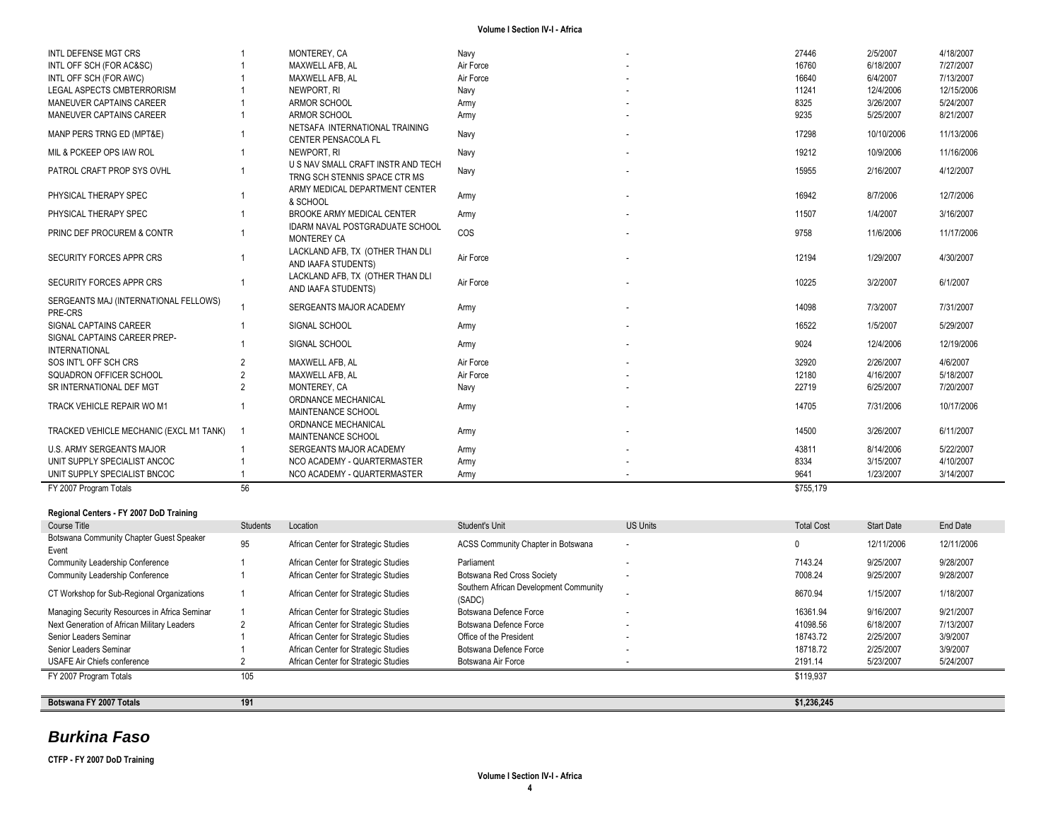| <b>INTL DEFENSE MGT CRS</b>                          |                | MONTEREY, CA                                                        | Navy      | 27446     | 2/5/2007   | 4/18/2007  |
|------------------------------------------------------|----------------|---------------------------------------------------------------------|-----------|-----------|------------|------------|
| INTL OFF SCH (FOR AC&SC)                             |                | MAXWELL AFB. AL                                                     | Air Force | 16760     | 6/18/2007  | 7/27/2007  |
| INTL OFF SCH (FOR AWC)                               |                | MAXWELL AFB, AL                                                     | Air Force | 16640     | 6/4/2007   | 7/13/2007  |
| LEGAL ASPECTS CMBTERRORISM                           |                | NEWPORT, RI                                                         | Navy      | 11241     | 12/4/2006  | 12/15/2006 |
| MANEUVER CAPTAINS CAREER                             |                | <b>ARMOR SCHOOL</b>                                                 | Army      | 8325      | 3/26/2007  | 5/24/2007  |
| MANEUVER CAPTAINS CAREER                             |                | <b>ARMOR SCHOOL</b>                                                 | Army      | 9235      | 5/25/2007  | 8/21/2007  |
| MANP PERS TRNG ED (MPT&E)                            |                | NETSAFA INTERNATIONAL TRAINING<br><b>CENTER PENSACOLA FL</b>        | Navy      | 17298     | 10/10/2006 | 11/13/2006 |
| MIL & PCKEEP OPS IAW ROL                             |                | NEWPORT, RI                                                         | Navy      | 19212     | 10/9/2006  | 11/16/2006 |
| PATROL CRAFT PROP SYS OVHL                           |                | U S NAV SMALL CRAFT INSTR AND TECH<br>TRNG SCH STENNIS SPACE CTR MS | Navy      | 15955     | 2/16/2007  | 4/12/2007  |
| PHYSICAL THERAPY SPEC                                |                | ARMY MEDICAL DEPARTMENT CENTER<br>& SCHOOL                          | Army      | 16942     | 8/7/2006   | 12/7/2006  |
| PHYSICAL THERAPY SPEC                                |                | BROOKE ARMY MEDICAL CENTER                                          | Army      | 11507     | 1/4/2007   | 3/16/2007  |
| PRINC DEF PROCUREM & CONTR                           |                | <b>IDARM NAVAL POSTGRADUATE SCHOOL</b><br><b>MONTEREY CA</b>        | COS       | 9758      | 11/6/2006  | 11/17/2006 |
| SECURITY FORCES APPR CRS                             |                | LACKLAND AFB, TX (OTHER THAN DLI<br>AND IAAFA STUDENTS)             | Air Force | 12194     | 1/29/2007  | 4/30/2007  |
| SECURITY FORCES APPR CRS                             |                | LACKLAND AFB, TX (OTHER THAN DLI<br>AND IAAFA STUDENTS)             | Air Force | 10225     | 3/2/2007   | 6/1/2007   |
| SERGEANTS MAJ (INTERNATIONAL FELLOWS)<br>PRE-CRS     |                | SERGEANTS MAJOR ACADEMY                                             | Army      | 14098     | 7/3/2007   | 7/31/2007  |
| SIGNAL CAPTAINS CAREER                               |                | SIGNAL SCHOOL                                                       | Army      | 16522     | 1/5/2007   | 5/29/2007  |
| SIGNAL CAPTAINS CAREER PREP-<br><b>INTERNATIONAL</b> |                | SIGNAL SCHOOL                                                       | Army      | 9024      | 12/4/2006  | 12/19/2006 |
| SOS INT'L OFF SCH CRS                                | $\mathfrak{p}$ | MAXWELL AFB, AL                                                     | Air Force | 32920     | 2/26/2007  | 4/6/2007   |
| SQUADRON OFFICER SCHOOL                              |                | MAXWELL AFB. AL                                                     | Air Force | 12180     | 4/16/2007  | 5/18/2007  |
| SR INTERNATIONAL DEF MGT                             | $\mathcal{P}$  | MONTEREY, CA                                                        | Navy      | 22719     | 6/25/2007  | 7/20/2007  |
| TRACK VEHICLE REPAIR WO M1                           |                | ORDNANCE MECHANICAL<br>MAINTENANCE SCHOOL                           | Army      | 14705     | 7/31/2006  | 10/17/2006 |
| TRACKED VEHICLE MECHANIC (EXCL M1 TANK)              | -1             | ORDNANCE MECHANICAL<br>MAINTENANCE SCHOOL                           | Army      | 14500     | 3/26/2007  | 6/11/2007  |
| U.S. ARMY SERGEANTS MAJOR                            |                | SERGEANTS MAJOR ACADEMY                                             | Army      | 43811     | 8/14/2006  | 5/22/2007  |
| UNIT SUPPLY SPECIALIST ANCOC                         |                | NCO ACADEMY - QUARTERMASTER                                         | Army      | 8334      | 3/15/2007  | 4/10/2007  |
| UNIT SUPPLY SPECIALIST BNCOC                         |                | NCO ACADEMY - QUARTERMASTER                                         | Army      | 9641      | 1/23/2007  | 3/14/2007  |
| FY 2007 Program Totals                               | 56             |                                                                     |           | \$755.179 |            |            |

#### **Regional Centers - FY 2007 DoD Training**

| Course Title                                      | Students | Location                             | <b>Student's Unit</b>                            | <b>US Units</b>          | <b>Total Cost</b> | <b>Start Date</b> | End Date   |
|---------------------------------------------------|----------|--------------------------------------|--------------------------------------------------|--------------------------|-------------------|-------------------|------------|
| Botswana Community Chapter Guest Speaker<br>Event | 95       | African Center for Strategic Studies | ACSS Community Chapter in Botswana               | $\overline{\phantom{a}}$ |                   | 12/11/2006        | 12/11/2006 |
| Community Leadership Conference                   |          | African Center for Strategic Studies | Parliament                                       |                          | 7143.24           | 9/25/2007         | 9/28/2007  |
| Community Leadership Conference                   |          | African Center for Strategic Studies | Botswana Red Cross Society                       |                          | 7008.24           | 9/25/2007         | 9/28/2007  |
| CT Workshop for Sub-Regional Organizations        |          | African Center for Strategic Studies | Southern African Development Community<br>(SADC) |                          | 8670.94           | 1/15/2007         | 1/18/2007  |
| Managing Security Resources in Africa Seminar     |          | African Center for Strategic Studies | Botswana Defence Force                           |                          | 16361.94          | 9/16/2007         | 9/21/2007  |
| Next Generation of African Military Leaders       |          | African Center for Strategic Studies | Botswana Defence Force                           | ۰.                       | 41098.56          | 6/18/2007         | 7/13/2007  |
| Senior Leaders Seminar                            |          | African Center for Strategic Studies | Office of the President                          |                          | 18743.72          | 2/25/2007         | 3/9/2007   |
| Senior Leaders Seminar                            |          | African Center for Strategic Studies | Botswana Defence Force                           | $\sim$                   | 18718.72          | 2/25/2007         | 3/9/2007   |
| USAFE Air Chiefs conference                       |          | African Center for Strategic Studies | Botswana Air Force                               |                          | 2191.14           | 5/23/2007         | 5/24/2007  |
| FY 2007 Program Totals                            | 105      |                                      |                                                  |                          | \$119,937         |                   |            |
|                                                   |          |                                      |                                                  |                          |                   |                   |            |
| Botswana FY 2007 Totals                           | 191      |                                      |                                                  |                          | \$1,236,245       |                   |            |

## *Burkina Faso*

### **CTFP - FY 2007 DoD Training**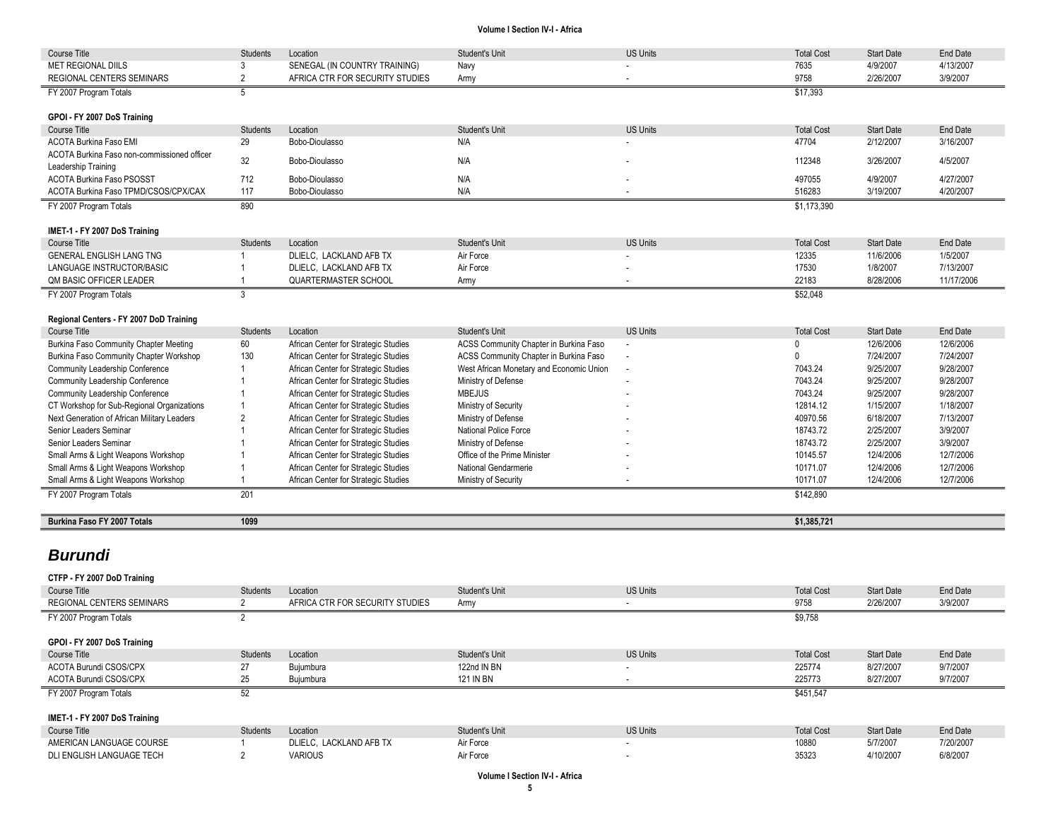| <b>Course Title</b>                                                | <b>Students</b> | Location                             | Student's Unit                           | <b>US Units</b> | <b>Total Cost</b> | <b>Start Date</b> | <b>End Date</b> |
|--------------------------------------------------------------------|-----------------|--------------------------------------|------------------------------------------|-----------------|-------------------|-------------------|-----------------|
| <b>MET REGIONAL DIILS</b>                                          | 3               | SENEGAL (IN COUNTRY TRAINING)        | Navy                                     |                 | 7635              | 4/9/2007          | 4/13/2007       |
| REGIONAL CENTERS SEMINARS                                          | $\overline{2}$  | AFRICA CTR FOR SECURITY STUDIES      | Army                                     |                 | 9758              | 2/26/2007         | 3/9/2007        |
| FY 2007 Program Totals                                             | 5               |                                      |                                          |                 | \$17,393          |                   |                 |
| GPOI - FY 2007 DoS Training                                        |                 |                                      |                                          |                 |                   |                   |                 |
| Course Title                                                       | <b>Students</b> | Location                             | Student's Unit                           | <b>US Units</b> | <b>Total Cost</b> | <b>Start Date</b> | <b>End Date</b> |
| <b>ACOTA Burkina Faso EMI</b>                                      | 29              | Bobo-Dioulasso                       | N/A                                      |                 | 47704             | 2/12/2007         | 3/16/2007       |
| ACOTA Burkina Faso non-commissioned officer<br>Leadership Training | 32              | Bobo-Dioulasso                       | N/A                                      |                 | 112348            | 3/26/2007         | 4/5/2007        |
| <b>ACOTA Burkina Faso PSOSST</b>                                   | 712             | Bobo-Dioulasso                       | N/A                                      |                 | 497055            | 4/9/2007          | 4/27/2007       |
| ACOTA Burkina Faso TPMD/CSOS/CPX/CAX                               | 117             | Bobo-Dioulasso                       | N/A                                      |                 | 516283            | 3/19/2007         | 4/20/2007       |
| FY 2007 Program Totals                                             | 890             |                                      |                                          |                 | \$1,173,390       |                   |                 |
| IMET-1 - FY 2007 DoS Training                                      |                 |                                      |                                          |                 |                   |                   |                 |
| <b>Course Title</b>                                                | <b>Students</b> | Location                             | Student's Unit                           | <b>US Units</b> | <b>Total Cost</b> | <b>Start Date</b> | <b>End Date</b> |
| GENERAL ENGLISH LANG TNG                                           |                 | DLIELC, LACKLAND AFB TX              | Air Force                                |                 | 12335             | 11/6/2006         | 1/5/2007        |
| LANGUAGE INSTRUCTOR/BASIC                                          |                 | DLIELC, LACKLAND AFB TX              | Air Force                                |                 | 17530             | 1/8/2007          | 7/13/2007       |
| QM BASIC OFFICER LEADER                                            |                 | QUARTERMASTER SCHOOL                 | Army                                     | ٠               | 22183             | 8/28/2006         | 11/17/2006      |
| FY 2007 Program Totals                                             | 3               |                                      |                                          |                 | \$52,048          |                   |                 |
|                                                                    |                 |                                      |                                          |                 |                   |                   |                 |
| Regional Centers - FY 2007 DoD Training                            |                 |                                      |                                          |                 |                   |                   |                 |
| <b>Course Title</b>                                                | <b>Students</b> | Location                             | Student's Unit                           | <b>US Units</b> | <b>Total Cost</b> | <b>Start Date</b> | <b>End Date</b> |
| Burkina Faso Community Chapter Meeting                             | 60              | African Center for Strategic Studies | ACSS Community Chapter in Burkina Faso   |                 | $\mathbf{0}$      | 12/6/2006         | 12/6/2006       |
| Burkina Faso Community Chapter Workshop                            | 130             | African Center for Strategic Studies | ACSS Community Chapter in Burkina Faso   |                 | $\mathbf{0}$      | 7/24/2007         | 7/24/2007       |
| Community Leadership Conference                                    |                 | African Center for Strategic Studies | West African Monetary and Economic Union |                 | 7043.24           | 9/25/2007         | 9/28/2007       |
| Community Leadership Conference                                    |                 | African Center for Strategic Studies | Ministry of Defense                      |                 | 7043.24           | 9/25/2007         | 9/28/2007       |
| Community Leadership Conference                                    | $\overline{1}$  | African Center for Strategic Studies | <b>MBEJUS</b>                            |                 | 7043.24           | 9/25/2007         | 9/28/2007       |
| CT Workshop for Sub-Regional Organizations                         |                 | African Center for Strategic Studies | Ministry of Security                     |                 | 12814.12          | 1/15/2007         | 1/18/2007       |
| Next Generation of African Military Leaders                        | $\overline{2}$  | African Center for Strategic Studies | Ministry of Defense                      |                 | 40970.56          | 6/18/2007         | 7/13/2007       |
| Senior Leaders Seminar                                             |                 | African Center for Strategic Studies | National Police Force                    |                 | 18743.72          | 2/25/2007         | 3/9/2007        |
| Senior Leaders Seminar                                             |                 | African Center for Strategic Studies | Ministry of Defense                      |                 | 18743.72          | 2/25/2007         | 3/9/2007        |
| Small Arms & Light Weapons Workshop                                |                 | African Center for Strategic Studies | Office of the Prime Minister             |                 | 10145.57          | 12/4/2006         | 12/7/2006       |
| Small Arms & Light Weapons Workshop                                |                 | African Center for Strategic Studies | National Gendarmerie                     |                 | 10171.07          | 12/4/2006         | 12/7/2006       |
| Small Arms & Light Weapons Workshop                                |                 | African Center for Strategic Studies | Ministry of Security                     | ÷               | 10171.07          | 12/4/2006         | 12/7/2006       |
| FY 2007 Program Totals                                             | 201             |                                      |                                          |                 | \$142,890         |                   |                 |
| Burkina Faso FY 2007 Totals                                        | 1099            |                                      |                                          |                 | \$1,385,721       |                   |                 |
|                                                                    |                 |                                      |                                          |                 |                   |                   |                 |
| <b>Burundi</b>                                                     |                 |                                      |                                          |                 |                   |                   |                 |
| CTFP - FY 2007 DoD Training                                        |                 |                                      |                                          |                 |                   |                   |                 |
| <b>Course Title</b>                                                | <b>Students</b> | Location                             | Student's Unit                           | <b>US Units</b> | <b>Total Cost</b> | <b>Start Date</b> | <b>End Date</b> |
| REGIONAL CENTERS SEMINARS                                          | $\overline{2}$  | AFRICA CTR FOR SECURITY STUDIES      | Army                                     |                 | 9758              | 2/26/2007         | 3/9/2007        |
| FY 2007 Program Totals                                             | $\overline{2}$  |                                      |                                          |                 | \$9,758           |                   |                 |
| CDOL. EV 2007 Dos Training                                         |                 |                                      |                                          |                 |                   |                   |                 |

|  |  | GPOI - FY 2007 DoS Training |
|--|--|-----------------------------|
|  |  |                             |

| Course Title                      | <b>Students</b>                                                                                                                                                                                                             | Location  | Student's Unit   | <b>US Units</b> | <b>Total Cost</b>   | <b>Start Date</b>   | <b>End Date</b>         |
|-----------------------------------|-----------------------------------------------------------------------------------------------------------------------------------------------------------------------------------------------------------------------------|-----------|------------------|-----------------|---------------------|---------------------|-------------------------|
| ACOTA Burundi CSOS/CPX            |                                                                                                                                                                                                                             | Bujumbura | 122nd IN BN      |                 | 225774              | 8/27/2007           | 9/7/2007                |
| <b>ACOTA Burundi CSOS/CPX</b>     | 25                                                                                                                                                                                                                          | Buiumbura | <b>121 IN BN</b> |                 | 225773              | 8/27/2007           | 9/7/2007                |
| FY 2007 Program Totals            |                                                                                                                                                                                                                             |           |                  |                 | \$451,547           |                     |                         |
|                                   |                                                                                                                                                                                                                             |           |                  |                 |                     |                     |                         |
| IMET-1 - FY 2007 DoS Training     |                                                                                                                                                                                                                             |           |                  |                 |                     |                     |                         |
| $Q_{\text{max}} = T_{\text{max}}$ | $Q_1$ and $Q_2$ and $Q_3$ are $Q_4$ and $Q_5$ are $Q_5$ and $Q_6$ are $Q_7$ and $Q_8$ are $Q_7$ and $Q_8$ are $Q_7$ and $Q_8$ are $Q_7$ and $Q_8$ are $Q_7$ and $Q_8$ are $Q_7$ are $Q_8$ are $Q_7$ and $Q_8$ are $Q_7$ are |           |                  | $110.11 - 14$   | $T - 1 - 1$ $Q - 1$ | $Q_{t-1}$ $Q_{t-1}$ | $F = H \cdot H \cdot H$ |

| Course Title              | 3tudents | Location        | dent's Unit | <b>US Units</b> | <b>Total Cost</b> | <b>Start Date</b> | <b>End Date</b> |
|---------------------------|----------|-----------------|-------------|-----------------|-------------------|-------------------|-----------------|
| AMERICAN LANGUAGE COURSE  |          | LACKLAND AFB TX | Air Force   |                 | 10880             | 5/7/2007          | 7/20/2007       |
| DLI ENGLISH LANGUAGE TECH |          | <b>VARIOUS</b>  | Air Force   |                 | 35323             | 4/10/2007         | 6/8/2007        |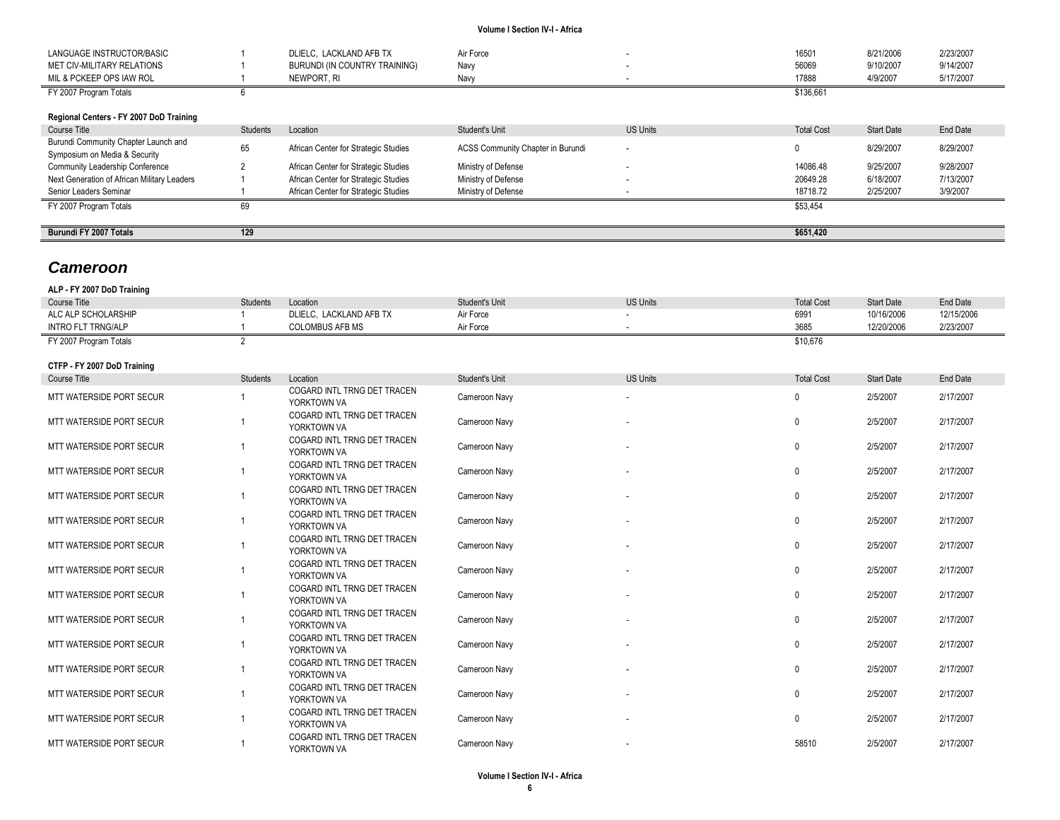| Regional Centers - FY 2007 DoD Training |                               |           |           |           |           |
|-----------------------------------------|-------------------------------|-----------|-----------|-----------|-----------|
| FY 2007 Program Totals                  |                               |           | \$136,661 |           |           |
| MIL & PCKEEP OPS IAW ROL                | NEWPORT. RI                   | Navy      | 17888     | 4/9/2007  | 5/17/2007 |
| MET CIV-MILITARY RELATIONS              | BURUNDI (IN COUNTRY TRAINING) | Navy      | 56069     | 9/10/2007 | 9/14/2007 |
| LANGUAGE INSTRUCTOR/BASIC               | DLIELC. LACKLAND AFB TX       | Air Force | 16501     | 8/21/2006 | 2/23/2007 |

| Course Title                                                          | <b>Students</b> | Location                             | Student's Unit                    | US Units | <b>Total Cost</b> | <b>Start Date</b> | End Date  |
|-----------------------------------------------------------------------|-----------------|--------------------------------------|-----------------------------------|----------|-------------------|-------------------|-----------|
| Burundi Community Chapter Launch and<br>Symposium on Media & Security | 65              | African Center for Strategic Studies | ACSS Community Chapter in Burundi |          |                   | 8/29/2007         | 8/29/2007 |
| Community Leadership Conference                                       |                 | African Center for Strategic Studies | Ministry of Defense               |          | 14086.48          | 9/25/2007         | 9/28/2007 |
| Next Generation of African Military Leaders                           |                 | African Center for Strategic Studies | Ministry of Defense               |          | 20649.28          | 6/18/2007         | 7/13/2007 |
| Senior Leaders Seminar                                                |                 | African Center for Strategic Studies | Ministry of Defense               |          | 18718.72          | 2/25/2007         | 3/9/2007  |
| FY 2007 Program Totals                                                | 69              |                                      |                                   |          | \$53,454          |                   |           |
| Burundi FY 2007 Totals                                                | 129             |                                      |                                   |          | \$651.420         |                   |           |

## *Cameroon*

| ALP - FY 2007 DoD Training  |                 |                                            |                       |                          |                   |                   |                 |
|-----------------------------|-----------------|--------------------------------------------|-----------------------|--------------------------|-------------------|-------------------|-----------------|
| Course Title                | <b>Students</b> | Location                                   | <b>Student's Unit</b> | <b>US Units</b>          | <b>Total Cost</b> | <b>Start Date</b> | <b>End Date</b> |
| ALC ALP SCHOLARSHIP         |                 | DLIELC. LACKLAND AFB TX                    | Air Force             |                          | 6991              | 10/16/2006        | 12/15/2006      |
| <b>INTRO FLT TRNG/ALP</b>   |                 | <b>COLOMBUS AFB MS</b>                     | Air Force             |                          | 3685              | 12/20/2006        | 2/23/2007       |
| FY 2007 Program Totals      | $\overline{2}$  |                                            |                       |                          | \$10,676          |                   |                 |
| CTFP - FY 2007 DoD Training |                 |                                            |                       |                          |                   |                   |                 |
| <b>Course Title</b>         | <b>Students</b> | Location                                   | Student's Unit        | <b>US Units</b>          | <b>Total Cost</b> | <b>Start Date</b> | <b>End Date</b> |
| MTT WATERSIDE PORT SECUR    |                 | COGARD INTL TRNG DET TRACEN<br>YORKTOWN VA | Cameroon Navy         | $\overline{\phantom{a}}$ | 0                 | 2/5/2007          | 2/17/2007       |
| MTT WATERSIDE PORT SECUR    |                 | COGARD INTL TRNG DET TRACEN<br>YORKTOWN VA | Cameroon Navy         |                          | 0                 | 2/5/2007          | 2/17/2007       |
| MTT WATERSIDE PORT SECUR    |                 | COGARD INTL TRNG DET TRACEN<br>YORKTOWN VA | Cameroon Navy         |                          | 0                 | 2/5/2007          | 2/17/2007       |
| MTT WATERSIDE PORT SECUR    |                 | COGARD INTL TRNG DET TRACEN<br>YORKTOWN VA | Cameroon Navy         |                          | 0                 | 2/5/2007          | 2/17/2007       |
| MTT WATERSIDE PORT SECUR    |                 | COGARD INTL TRNG DET TRACEN<br>YORKTOWN VA | Cameroon Navy         |                          | $\mathbf{0}$      | 2/5/2007          | 2/17/2007       |
| MTT WATERSIDE PORT SECUR    |                 | COGARD INTL TRNG DET TRACEN<br>YORKTOWN VA | Cameroon Navy         |                          | 0                 | 2/5/2007          | 2/17/2007       |
| MTT WATERSIDE PORT SECUR    |                 | COGARD INTL TRNG DET TRACEN<br>YORKTOWN VA | Cameroon Navy         |                          | $\mathbf{0}$      | 2/5/2007          | 2/17/2007       |
| MTT WATERSIDE PORT SECUR    |                 | COGARD INTL TRNG DET TRACEN<br>YORKTOWN VA | Cameroon Navy         |                          | $\mathbf{0}$      | 2/5/2007          | 2/17/2007       |
| MTT WATERSIDE PORT SECUR    |                 | COGARD INTL TRNG DET TRACEN<br>YORKTOWN VA | Cameroon Navy         |                          | $\mathbf{0}$      | 2/5/2007          | 2/17/2007       |
| MTT WATERSIDE PORT SECUR    |                 | COGARD INTL TRNG DET TRACEN<br>YORKTOWN VA | Cameroon Navy         |                          | $\mathbf{0}$      | 2/5/2007          | 2/17/2007       |
| MTT WATERSIDE PORT SECUR    |                 | COGARD INTL TRNG DET TRACEN<br>YORKTOWN VA | Cameroon Navy         |                          | $\mathbf{0}$      | 2/5/2007          | 2/17/2007       |
| MTT WATERSIDE PORT SECUR    |                 | COGARD INTL TRNG DET TRACEN<br>YORKTOWN VA | Cameroon Navy         |                          | $\mathbf{0}$      | 2/5/2007          | 2/17/2007       |
| MTT WATERSIDE PORT SECUR    |                 | COGARD INTL TRNG DET TRACEN<br>YORKTOWN VA | Cameroon Navy         |                          | $\mathbf{0}$      | 2/5/2007          | 2/17/2007       |
| MTT WATERSIDE PORT SECUR    |                 | COGARD INTL TRNG DET TRACEN<br>YORKTOWN VA | Cameroon Navy         |                          | $\mathbf{0}$      | 2/5/2007          | 2/17/2007       |
| MTT WATERSIDE PORT SECUR    |                 | COGARD INTL TRNG DET TRACEN<br>YORKTOWN VA | Cameroon Navy         |                          | 58510             | 2/5/2007          | 2/17/2007       |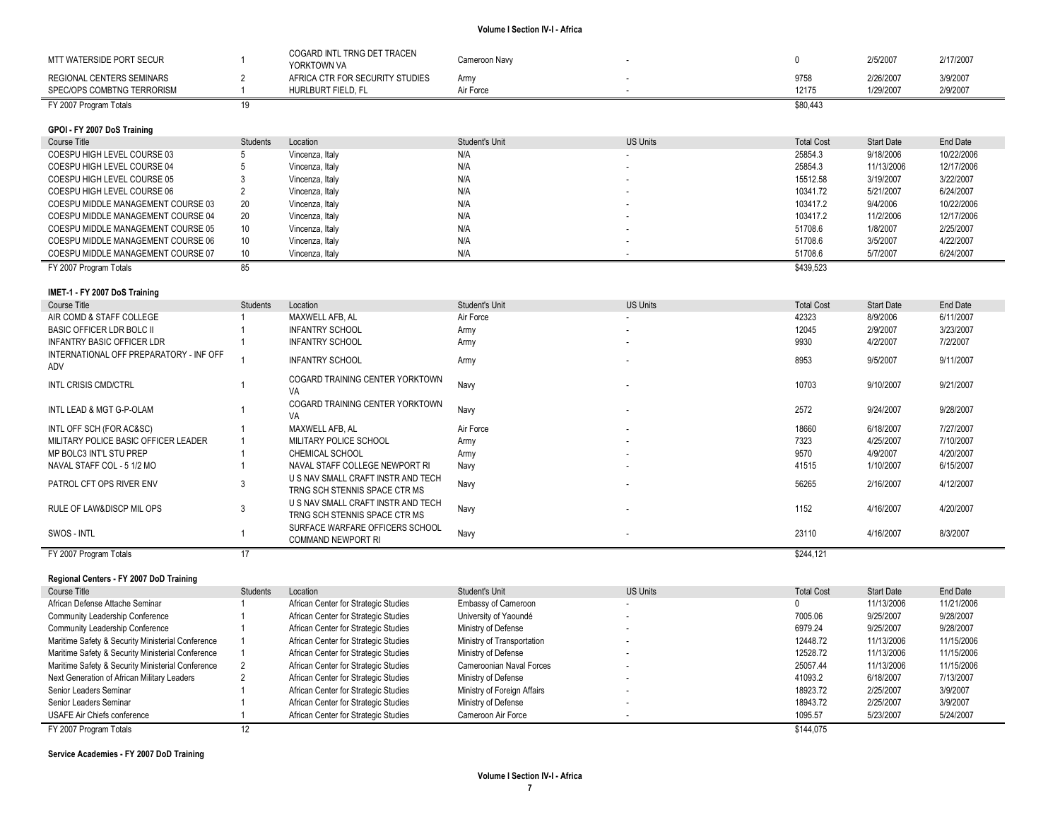| MTT WATERSIDE PORT SECUR                |                 | COGARD INTL TRNG DET TRACEN<br>YORKTOWN VA | Cameroon Navy       |                 | $\Omega$          | 2/5/2007          | 2/17/2007       |
|-----------------------------------------|-----------------|--------------------------------------------|---------------------|-----------------|-------------------|-------------------|-----------------|
| <b>REGIONAL CENTERS SEMINARS</b>        | $\overline{2}$  | AFRICA CTR FOR SECURITY STUDIES            | Army                |                 | 9758              | 2/26/2007         | 3/9/2007        |
| SPEC/OPS COMBTNG TERRORISM              | $\overline{1}$  | HURLBURT FIELD, FL                         | Air Force           |                 | 12175             | 1/29/2007         | 2/9/2007        |
| FY 2007 Program Totals                  | 19              |                                            |                     |                 | \$80,443          |                   |                 |
|                                         |                 |                                            |                     |                 |                   |                   |                 |
| GPOI - FY 2007 DoS Training             |                 |                                            |                     |                 |                   |                   |                 |
| Course Title                            | <b>Students</b> | Location                                   | Student's Unit      | <b>US Units</b> | <b>Total Cost</b> | <b>Start Date</b> | End Date        |
| COESPU HIGH LEVEL COURSE 03             | 5               | Vincenza, Italy                            | N/A                 |                 | 25854.3           | 9/18/2006         | 10/22/2006      |
| COESPU HIGH LEVEL COURSE 04             | 5               | Vincenza, Italy                            | N/A                 |                 | 25854.3           | 11/13/2006        | 12/17/2006      |
| COESPU HIGH LEVEL COURSE 05             | $\mathcal{S}$   | Vincenza, Italy                            | N/A                 |                 | 15512.58          | 3/19/2007         | 3/22/2007       |
| COESPU HIGH LEVEL COURSE 06             | $\overline{2}$  | Vincenza, Italy                            | N/A                 |                 | 10341.72          | 5/21/2007         | 6/24/2007       |
| COESPU MIDDLE MANAGEMENT COURSE 03      | 20              | Vincenza, Italy                            | N/A                 |                 | 103417.2          | 9/4/2006          | 10/22/2006      |
| COESPU MIDDLE MANAGEMENT COURSE 04      | 20              | Vincenza, Italy                            | N/A                 |                 | 103417.2          | 11/2/2006         | 12/17/2006      |
| COESPU MIDDLE MANAGEMENT COURSE 05      | 10              | Vincenza, Italy                            | N/A                 |                 | 51708.6           | 1/8/2007          | 2/25/2007       |
| COESPU MIDDLE MANAGEMENT COURSE 06      | 10              | Vincenza, Italy                            | N/A                 |                 | 51708.6           | 3/5/2007          | 4/22/2007       |
| COESPU MIDDLE MANAGEMENT COURSE 07      | 10              | Vincenza, Italy                            | N/A                 |                 | 51708.6           | 5/7/2007          | 6/24/2007       |
| FY 2007 Program Totals                  | 85              |                                            |                     |                 | \$439.523         |                   |                 |
|                                         |                 |                                            |                     |                 |                   |                   |                 |
| IMET-1 - FY 2007 DoS Training           |                 |                                            |                     |                 |                   |                   |                 |
| Course Title                            | <b>Students</b> | Location                                   | Student's Unit      | <b>US Units</b> | <b>Total Cost</b> | <b>Start Date</b> | <b>End Date</b> |
| AIR COMD & STAFF COLLEGE                |                 | MAXWELL AFB, AL                            | Air Force           |                 | 42323             | 8/9/2006          | 6/11/2007       |
| <b>BASIC OFFICER LDR BOLC II</b>        |                 | <b>INFANTRY SCHOOL</b>                     | Army                |                 | 12045             | 2/9/2007          | 3/23/2007       |
| <b>INFANTRY BASIC OFFICER LDR</b>       | $\overline{1}$  | <b>INFANTRY SCHOOL</b>                     | Army                |                 | 9930              | 4/2/2007          | 7/2/2007        |
| INTERNATIONAL OFF PREPARATORY - INF OFF |                 | <b>INFANTRY SCHOOL</b>                     | Army                |                 | 8953              | 9/5/2007          | 9/11/2007       |
| ADV                                     |                 |                                            |                     |                 |                   |                   |                 |
| <b>INTL CRISIS CMD/CTRL</b>             |                 | COGARD TRAINING CENTER YORKTOWN            | Navy                |                 | 10703             | 9/10/2007         | 9/21/2007       |
|                                         |                 | VA                                         |                     |                 |                   |                   |                 |
| INTL LEAD & MGT G-P-OLAM                |                 | COGARD TRAINING CENTER YORKTOWN            | Navy                |                 | 2572              | 9/24/2007         | 9/28/2007       |
|                                         |                 | VA                                         |                     |                 |                   |                   |                 |
| INTL OFF SCH (FOR AC&SC)                |                 | MAXWELL AFB. AL                            | Air Force           |                 | 18660             | 6/18/2007         | 7/27/2007       |
| MILITARY POLICE BASIC OFFICER LEADER    | $\overline{1}$  | MILITARY POLICE SCHOOL                     | Army                |                 | 7323              | 4/25/2007         | 7/10/2007       |
| MP BOLC3 INT'L STU PREP                 |                 | <b>CHEMICAL SCHOOL</b>                     | Army                |                 | 9570              | 4/9/2007          | 4/20/2007       |
| NAVAL STAFF COL - 5 1/2 MO              |                 | NAVAL STAFF COLLEGE NEWPORT RI             | Navy                |                 | 41515             | 1/10/2007         | 6/15/2007       |
| PATROL CFT OPS RIVER ENV                | 3               | U S NAV SMALL CRAFT INSTR AND TECH         | Navy                |                 | 56265             | 2/16/2007         | 4/12/2007       |
|                                         |                 | TRNG SCH STENNIS SPACE CTR MS              |                     |                 |                   |                   |                 |
| RULE OF LAW&DISCP MIL OPS               | 3               | U S NAV SMALL CRAFT INSTR AND TECH         | Navy                |                 | 1152              | 4/16/2007         | 4/20/2007       |
|                                         |                 | TRNG SCH STENNIS SPACE CTR MS              |                     |                 |                   |                   |                 |
| SWOS - INTL                             | $\overline{1}$  | SURFACE WARFARE OFFICERS SCHOOL            | Navy                |                 | 23110             | 4/16/2007         | 8/3/2007        |
|                                         |                 | <b>COMMAND NEWPORT RI</b>                  |                     |                 |                   |                   |                 |
| FY 2007 Program Totals                  | 17              |                                            |                     |                 | \$244,121         |                   |                 |
|                                         |                 |                                            |                     |                 |                   |                   |                 |
| Regional Centers - FY 2007 DoD Training |                 |                                            |                     |                 |                   |                   |                 |
| Course Title                            | <b>Students</b> | Location                                   | Student's Unit      | <b>US Units</b> | <b>Total Cost</b> | <b>Start Date</b> | <b>End Date</b> |
| African Defense Attache Seminar         |                 | African Center for Strategic Studies       | Embassy of Cameroon |                 | $\Omega$          | 11/13/2006        | 11/21/2006      |

| Course Title                                      | <b>Students</b> | Location                             | Student's Unit              | US Units | <b>Total Cost</b> | <b>Start Date</b> | End Date   |
|---------------------------------------------------|-----------------|--------------------------------------|-----------------------------|----------|-------------------|-------------------|------------|
| African Defense Attache Seminar                   |                 | African Center for Strategic Studies | Embassy of Cameroon         |          |                   | 11/13/2006        | 11/21/2006 |
| Community Leadership Conference                   |                 | African Center for Strategic Studies | University of Yaoundé       |          | 7005.06           | 9/25/2007         | 9/28/2007  |
| Community Leadership Conference                   |                 | African Center for Strategic Studies | Ministry of Defense         |          | 6979.24           | 9/25/2007         | 9/28/2007  |
| Maritime Safety & Security Ministerial Conference |                 | African Center for Strategic Studies | Ministry of Transportation  |          | 12448.72          | 11/13/2006        | 11/15/2006 |
| Maritime Safety & Security Ministerial Conference |                 | African Center for Strategic Studies | Ministry of Defense         |          | 12528.72          | 11/13/2006        | 11/15/2006 |
| Maritime Safety & Security Ministerial Conference |                 | African Center for Strategic Studies | Cameroonian Naval Forces    |          | 25057.44          | 11/13/2006        | 11/15/2006 |
| Next Generation of African Military Leaders       |                 | African Center for Strategic Studies | Ministry of Defense         |          | 41093.2           | 6/18/2007         | 7/13/2007  |
| Senior Leaders Seminar                            |                 | African Center for Strategic Studies | Ministry of Foreign Affairs |          | 18923.72          | 2/25/2007         | 3/9/2007   |
| Senior Leaders Seminar                            |                 | African Center for Strategic Studies | Ministry of Defense         |          | 18943.72          | 2/25/2007         | 3/9/2007   |
| USAFE Air Chiefs conference                       |                 | African Center for Strategic Studies | Cameroon Air Force          |          | 1095.57           | 5/23/2007         | 5/24/2007  |
| FY 2007 Program Totals                            |                 |                                      |                             |          | \$144,075         |                   |            |

**Service Academies - FY 2007 DoD Training**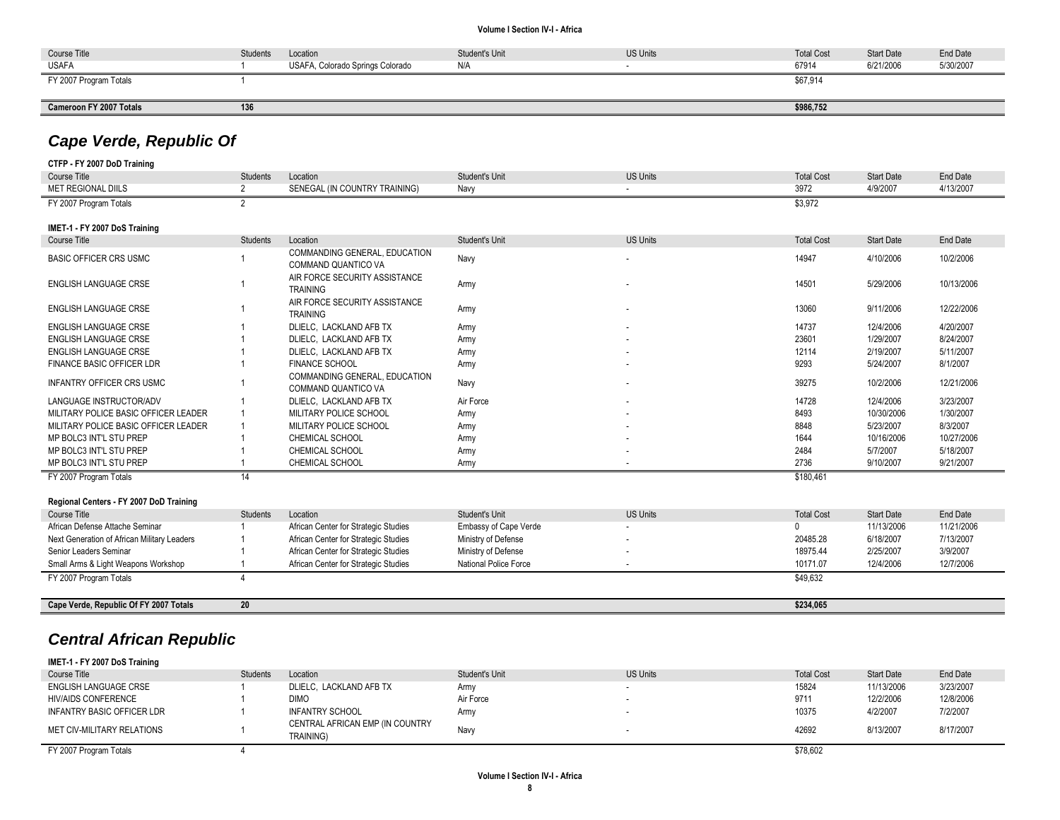| Course Title                   | Students | Location                         | Student's Unit | <b>US Units</b> | <b>Total Cost</b> | <b>Start Date</b> | End Date  |
|--------------------------------|----------|----------------------------------|----------------|-----------------|-------------------|-------------------|-----------|
| <b>USAFA</b>                   |          | USAFA, Colorado Springs Colorado | N/A            |                 | 67914             | 6/21/2006         | 5/30/2007 |
| FY 2007 Program Totals         |          |                                  |                |                 | \$67,914          |                   |           |
|                                |          |                                  |                |                 |                   |                   |           |
| <b>Cameroon FY 2007 Totals</b> | 136      |                                  |                |                 | \$986,752         |                   |           |

# *Cape Verde, Republic Of*

| CTFP - FY 2007 DoD Training             |                 |                                      |                       |                 |                   |                   |                 |
|-----------------------------------------|-----------------|--------------------------------------|-----------------------|-----------------|-------------------|-------------------|-----------------|
| Course Title                            | <b>Students</b> | Location                             | Student's Unit        | <b>US Units</b> | <b>Total Cost</b> | <b>Start Date</b> | End Date        |
| <b>MET REGIONAL DIILS</b>               |                 | SENEGAL (IN COUNTRY TRAINING)        | Navy                  |                 | 3972              | 4/9/2007          | 4/13/2007       |
| FY 2007 Program Totals                  | $\mathcal{P}$   |                                      |                       |                 | \$3,972           |                   |                 |
|                                         |                 |                                      |                       |                 |                   |                   |                 |
| IMET-1 - FY 2007 DoS Training           |                 |                                      |                       |                 |                   |                   |                 |
| Course Title                            | Students        | Location                             | Student's Unit        | <b>US Units</b> | <b>Total Cost</b> | <b>Start Date</b> | End Date        |
| <b>BASIC OFFICER CRS USMC</b>           |                 | COMMANDING GENERAL, EDUCATION        | Navy                  |                 | 14947             | 4/10/2006         | 10/2/2006       |
|                                         |                 | COMMAND QUANTICO VA                  |                       |                 |                   |                   |                 |
| <b>ENGLISH LANGUAGE CRSE</b>            |                 | AIR FORCE SECURITY ASSISTANCE        | Army                  |                 | 14501             | 5/29/2006         | 10/13/2006      |
|                                         |                 | <b>TRAINING</b>                      |                       |                 |                   |                   |                 |
| <b>ENGLISH LANGUAGE CRSE</b>            |                 | AIR FORCE SECURITY ASSISTANCE        | Army                  |                 | 13060             | 9/11/2006         | 12/22/2006      |
|                                         |                 | <b>TRAINING</b>                      |                       |                 |                   |                   |                 |
| <b>ENGLISH LANGUAGE CRSE</b>            |                 | DLIELC. LACKLAND AFB TX              | Army                  |                 | 14737             | 12/4/2006         | 4/20/2007       |
| <b>ENGLISH LANGUAGE CRSE</b>            |                 | DLIELC, LACKLAND AFB TX              | Army                  |                 | 23601             | 1/29/2007         | 8/24/2007       |
| ENGLISH LANGUAGE CRSE                   |                 | DLIELC, LACKLAND AFB TX              | Army                  |                 | 12114             | 2/19/2007         | 5/11/2007       |
| FINANCE BASIC OFFICER LDR               |                 | <b>FINANCE SCHOOL</b>                | Army                  |                 | 9293              | 5/24/2007         | 8/1/2007        |
| <b>INFANTRY OFFICER CRS USMC</b>        |                 | COMMANDING GENERAL, EDUCATION        | Navy                  |                 | 39275             | 10/2/2006         | 12/21/2006      |
|                                         |                 | COMMAND QUANTICO VA                  |                       |                 |                   |                   |                 |
| LANGUAGE INSTRUCTOR/ADV                 |                 | DLIELC. LACKLAND AFB TX              | Air Force             |                 | 14728             | 12/4/2006         | 3/23/2007       |
| MILITARY POLICE BASIC OFFICER LEADER    |                 | MILITARY POLICE SCHOOL               | Army                  |                 | 8493              | 10/30/2006        | 1/30/2007       |
| MILITARY POLICE BASIC OFFICER LEADER    |                 | MILITARY POLICE SCHOOL               | Army                  |                 | 8848              | 5/23/2007         | 8/3/2007        |
| MP BOLC3 INT'L STU PREP                 |                 | <b>CHEMICAL SCHOOL</b>               | Army                  |                 | 1644              | 10/16/2006        | 10/27/2006      |
| MP BOLC3 INT'L STU PREP                 |                 | <b>CHEMICAL SCHOOL</b>               | Army                  |                 | 2484              | 5/7/2007          | 5/18/2007       |
| MP BOLC3 INT'L STU PREP                 |                 | <b>CHEMICAL SCHOOL</b>               | Army                  |                 | 2736              | 9/10/2007         | 9/21/2007       |
| FY 2007 Program Totals                  | 14              |                                      |                       |                 | \$180,461         |                   |                 |
|                                         |                 |                                      |                       |                 |                   |                   |                 |
| Regional Centers - FY 2007 DoD Training |                 |                                      |                       |                 |                   |                   |                 |
| Course Title                            | <b>Students</b> | Location                             | Student's Unit        | <b>US Units</b> | <b>Total Cost</b> | <b>Start Date</b> | <b>End Date</b> |
| African Defense Attache Cominar         |                 | African Contar for Ctratogic Ctudios | Embaccu of Cano Vordo |                 | $\cap$            | 11/12/2006        | 11/21/2006      |

| Cape Verde, Republic Of FY 2007 Totals      | 20 |                                      |                       | \$234,065 |            |            |
|---------------------------------------------|----|--------------------------------------|-----------------------|-----------|------------|------------|
|                                             |    |                                      |                       |           |            |            |
| FY 2007 Program Totals                      |    |                                      |                       | \$49,632  |            |            |
| Small Arms & Light Weapons Workshop         |    | African Center for Strategic Studies | National Police Force | 10171.07  | 12/4/2006  | 12/7/2006  |
| Senior Leaders Seminar                      |    | African Center for Strategic Studies | Ministry of Defense   | 18975.44  | 2/25/2007  | 3/9/2007   |
| Next Generation of African Military Leaders |    | African Center for Strategic Studies | Ministry of Defense   | 20485.28  | 6/18/2007  | 7/13/2007  |
| African Defense Attache Seminar             |    | African Center for Strategic Studies | Embassy of Cape Verde |           | 11/13/2006 | 11/21/2006 |

# *Central African Republic*

| IMET-1 - FY 2007 DoS Training |          |                                                     |                |                 |                   |                   |           |
|-------------------------------|----------|-----------------------------------------------------|----------------|-----------------|-------------------|-------------------|-----------|
| Course Title                  | Students | Location                                            | Student's Unit | <b>US Units</b> | <b>Total Cost</b> | <b>Start Date</b> | End Date  |
| ENGLISH LANGUAGE CRSE         |          | DLIELC. LACKLAND AFB TX                             | Army           |                 | 15824             | 11/13/2006        | 3/23/2007 |
| HIV/AIDS CONFERENCE           |          | <b>DIMO</b>                                         | Air Force      |                 | 9711              | 12/2/2006         | 12/8/2006 |
| INFANTRY BASIC OFFICER LDR    |          | <b>INFANTRY SCHOOL</b>                              | Army           |                 | 10375             | 4/2/2007          | 7/2/2007  |
| MET CIV-MILITARY RELATIONS    |          | CENTRAL AFRICAN EMP (IN COUNTRY<br><b>TRAINING)</b> | Navy           |                 | 42692             | 8/13/2007         | 8/17/2007 |
| FY 2007 Program Totals        |          |                                                     |                |                 | \$78,602          |                   |           |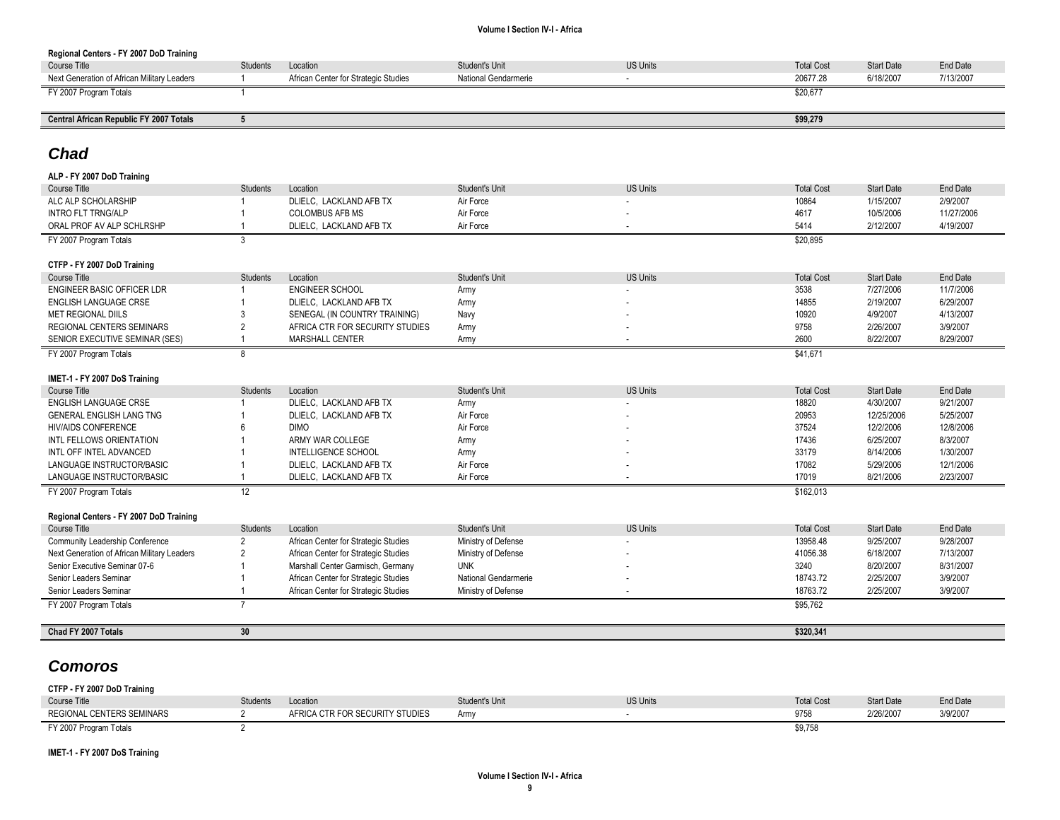| Regional Centers - FY 2007 DoD Training                |                 |                                                |                       |                          |                   |                        |                       |
|--------------------------------------------------------|-----------------|------------------------------------------------|-----------------------|--------------------------|-------------------|------------------------|-----------------------|
| Course Title                                           | <b>Students</b> | Location                                       | Student's Unit        | <b>US Units</b>          | <b>Total Cost</b> | <b>Start Date</b>      | End Date              |
| Next Generation of African Military Leaders            | -1              | African Center for Strategic Studies           | National Gendarmerie  | $\sim$                   | 20677.28          | 6/18/2007              | 7/13/2007             |
| FY 2007 Program Totals                                 | -1              |                                                |                       |                          | \$20.677          |                        |                       |
|                                                        |                 |                                                |                       |                          |                   |                        |                       |
| Central African Republic FY 2007 Totals                | $5\phantom{.0}$ |                                                |                       |                          | \$99,279          |                        |                       |
|                                                        |                 |                                                |                       |                          |                   |                        |                       |
| <b>Chad</b>                                            |                 |                                                |                       |                          |                   |                        |                       |
| ALP - FY 2007 DoD Training                             |                 |                                                |                       |                          |                   |                        |                       |
| <b>Course Title</b>                                    | Students        | Location                                       | <b>Student's Unit</b> | <b>US Units</b>          | <b>Total Cost</b> | <b>Start Date</b>      | End Date              |
| ALC ALP SCHOLARSHIP                                    | -1              | DLIELC, LACKLAND AFB TX                        | Air Force             |                          | 10864             | 1/15/2007              | 2/9/2007              |
| <b>INTRO FLT TRNG/ALP</b>                              |                 | <b>COLOMBUS AFB MS</b>                         | Air Force             |                          | 4617              | 10/5/2006              | 11/27/2006            |
| ORAL PROF AV ALP SCHLRSHP                              | -1              | DLIELC, LACKLAND AFB TX                        | Air Force             |                          | 5414              | 2/12/2007              | 4/19/2007             |
| FY 2007 Program Totals                                 | 3               |                                                |                       |                          | \$20,895          |                        |                       |
|                                                        |                 |                                                |                       |                          |                   |                        |                       |
| CTFP - FY 2007 DoD Training                            |                 |                                                |                       |                          |                   |                        |                       |
| <b>Course Title</b>                                    | <b>Students</b> | Location                                       | Student's Unit        | <b>US Units</b>          | <b>Total Cost</b> | <b>Start Date</b>      | End Date              |
| <b>ENGINEER BASIC OFFICER LDR</b>                      | $\overline{1}$  | <b>ENGINEER SCHOOL</b>                         | Army                  |                          | 3538              | 7/27/2006              | 11/7/2006             |
| <b>ENGLISH LANGUAGE CRSE</b>                           |                 | DLIELC, LACKLAND AFB TX                        | Army                  |                          | 14855             | 2/19/2007              | 6/29/2007             |
| <b>MET REGIONAL DIILS</b>                              | 3               | SENEGAL (IN COUNTRY TRAINING)                  | Navy                  |                          | 10920             | 4/9/2007               | 4/13/2007             |
| <b>REGIONAL CENTERS SEMINARS</b>                       | $\overline{2}$  | AFRICA CTR FOR SECURITY STUDIES                | Army                  |                          | 9758              | 2/26/2007              | 3/9/2007              |
| SENIOR EXECUTIVE SEMINAR (SES)                         | $\overline{1}$  | MARSHALL CENTER                                | Army                  | $\sim$                   | 2600              | 8/22/2007              | 8/29/2007             |
| FY 2007 Program Totals                                 | 8               |                                                |                       |                          | \$41,671          |                        |                       |
|                                                        |                 |                                                |                       |                          |                   |                        |                       |
| IMET-1 - FY 2007 DoS Training                          |                 |                                                |                       |                          |                   |                        |                       |
| Course Title                                           | <b>Students</b> | Location                                       | Student's Unit        | <b>US Units</b>          | <b>Total Cost</b> | <b>Start Date</b>      | <b>End Date</b>       |
| <b>ENGLISH LANGUAGE CRSE</b>                           |                 | DLIELC, LACKLAND AFB TX                        | Army                  |                          | 18820             | 4/30/2007              | 9/21/2007             |
| GENERAL ENGLISH LANG TNG                               |                 | DLIELC, LACKLAND AFB TX                        | Air Force             |                          | 20953             | 12/25/2006             | 5/25/2007             |
| <b>HIV/AIDS CONFERENCE</b><br>INTL FELLOWS ORIENTATION | 6               | <b>DIMO</b>                                    | Air Force             |                          | 37524<br>17436    | 12/2/2006<br>6/25/2007 | 12/8/2006<br>8/3/2007 |
| INTL OFF INTEL ADVANCED                                |                 | ARMY WAR COLLEGE<br><b>INTELLIGENCE SCHOOL</b> | Army                  |                          | 33179             | 8/14/2006              | 1/30/2007             |
| LANGUAGE INSTRUCTOR/BASIC                              |                 | DLIELC, LACKLAND AFB TX                        | Army<br>Air Force     |                          | 17082             | 5/29/2006              | 12/1/2006             |
| LANGUAGE INSTRUCTOR/BASIC                              |                 | DLIELC, LACKLAND AFB TX                        | Air Force             |                          | 17019             | 8/21/2006              | 2/23/2007             |
| FY 2007 Program Totals                                 | 12              |                                                |                       |                          | \$162.013         |                        |                       |
|                                                        |                 |                                                |                       |                          |                   |                        |                       |
| Regional Centers - FY 2007 DoD Training                |                 |                                                |                       |                          |                   |                        |                       |
| <b>Course Title</b>                                    | <b>Students</b> | Location                                       | <b>Student's Unit</b> | <b>US Units</b>          | <b>Total Cost</b> | <b>Start Date</b>      | <b>End Date</b>       |
| Community Leadership Conference                        | $\overline{2}$  | African Center for Strategic Studies           | Ministry of Defense   |                          | 13958.48          | 9/25/2007              | 9/28/2007             |
| Next Generation of African Military Leaders            | $\overline{2}$  | African Center for Strategic Studies           | Ministry of Defense   |                          | 41056.38          | 6/18/2007              | 7/13/2007             |
| Senior Executive Seminar 07-6                          |                 | Marshall Center Garmisch, Germany              | <b>UNK</b>            |                          | 3240              | 8/20/2007              | 8/31/2007             |
| Senior Leaders Seminar                                 | -1              | African Center for Strategic Studies           | National Gendarmerie  |                          | 18743.72          | 2/25/2007              | 3/9/2007              |
| Senior Leaders Seminar                                 | -1              | African Center for Strategic Studies           | Ministry of Defense   | $\overline{\phantom{a}}$ | 18763.72          | 2/25/2007              | 3/9/2007              |
| FY 2007 Program Totals                                 | $\overline{7}$  |                                                |                       |                          | \$95,762          |                        |                       |
| Chad FY 2007 Totals                                    | 30              |                                                |                       |                          | \$320,341         |                        |                       |
|                                                        |                 |                                                |                       |                          |                   |                        |                       |
| <b>Comoros</b>                                         |                 |                                                |                       |                          |                   |                        |                       |
|                                                        |                 |                                                |                       |                          |                   |                        |                       |
| CTFP - FY 2007 DoD Training                            |                 |                                                |                       |                          |                   |                        |                       |

| <b>Course Title</b>       | <b>Students</b> | Location                        | Student's Unit | <b>US Units</b> | <b>Total Cost</b> | <b>Start Date</b> | End Date |
|---------------------------|-----------------|---------------------------------|----------------|-----------------|-------------------|-------------------|----------|
| REGIONAL CENTERS SEMINARS |                 | AFRICA CTR FOR SECURITY STUDIES | Army           |                 | 9758              | 2/26/2007         | 3/9/2007 |
| FY 2007 Program Totals    |                 |                                 |                |                 | 0075<br>ຸລລ' ເລດ  |                   |          |

**IMET-1 - FY 2007 DoS Training**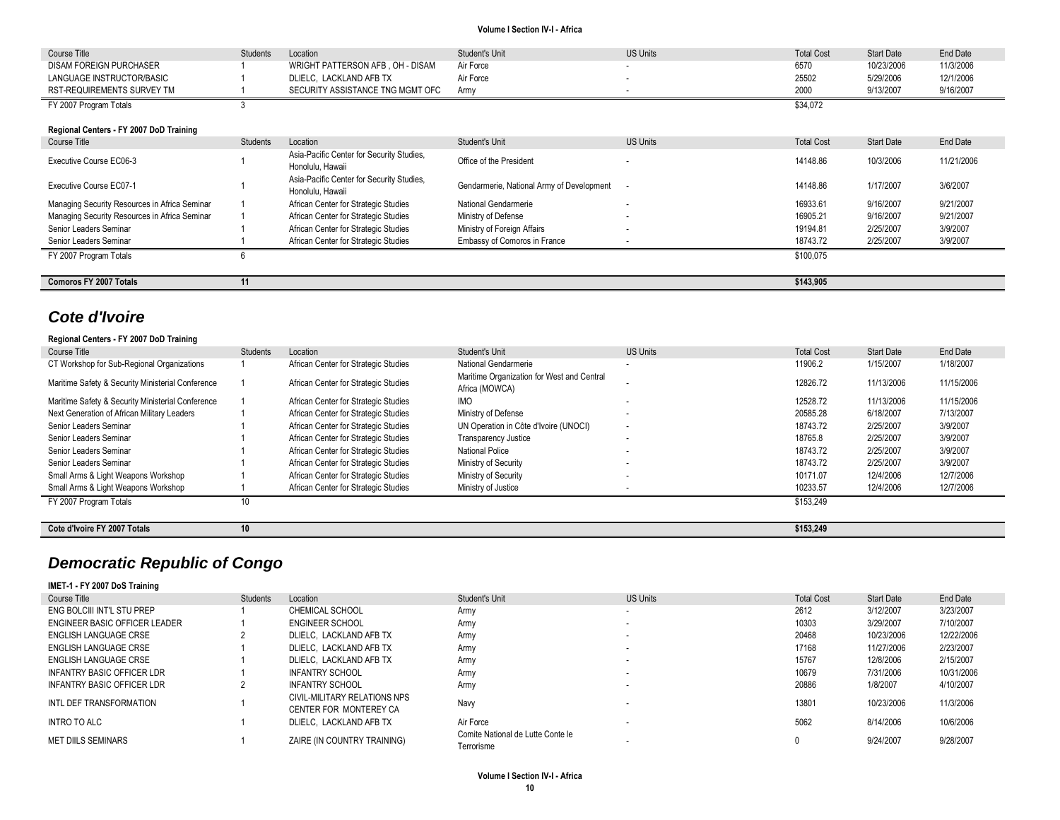| Course Title                                  | <b>Students</b> | Location                                                      | Student's Unit                            | <b>US Units</b>          | <b>Total Cost</b> | <b>Start Date</b> | End Date   |
|-----------------------------------------------|-----------------|---------------------------------------------------------------|-------------------------------------------|--------------------------|-------------------|-------------------|------------|
| <b>DISAM FOREIGN PURCHASER</b>                |                 | WRIGHT PATTERSON AFB, OH - DISAM                              | Air Force                                 | $\overline{\phantom{a}}$ | 6570              | 10/23/2006        | 11/3/2006  |
| LANGUAGE INSTRUCTOR/BASIC                     |                 | DLIELC. LACKLAND AFB TX                                       | Air Force                                 | $\blacksquare$           | 25502             | 5/29/2006         | 12/1/2006  |
| <b>RST-REQUIREMENTS SURVEY TM</b>             |                 | SECURITY ASSISTANCE TNG MGMT OFC                              | Army                                      |                          | 2000              | 9/13/2007         | 9/16/2007  |
| FY 2007 Program Totals                        |                 |                                                               |                                           |                          | \$34,072          |                   |            |
|                                               |                 |                                                               |                                           |                          |                   |                   |            |
| Regional Centers - FY 2007 DoD Training       |                 |                                                               |                                           |                          |                   |                   |            |
| Course Title                                  | Students        | Location                                                      | Student's Unit                            | <b>US Units</b>          | <b>Total Cost</b> | <b>Start Date</b> | End Date   |
| Executive Course EC06-3                       |                 | Asia-Pacific Center for Security Studies,<br>Honolulu, Hawaii | Office of the President                   |                          | 14148.86          | 10/3/2006         | 11/21/2006 |
| Executive Course EC07-1                       |                 | Asia-Pacific Center for Security Studies,<br>Honolulu, Hawaii | Gendarmerie, National Army of Development |                          | 14148.86          | 1/17/2007         | 3/6/2007   |
| Managing Security Resources in Africa Seminar |                 | African Center for Strategic Studies                          | National Gendarmerie                      |                          | 16933.61          | 9/16/2007         | 9/21/2007  |
| Managing Security Resources in Africa Seminar |                 | African Center for Strategic Studies                          | Ministry of Defense                       | $\overline{\phantom{a}}$ | 16905.21          | 9/16/2007         | 9/21/2007  |
| Senior Leaders Seminar                        |                 | African Center for Strategic Studies                          | Ministry of Foreign Affairs               | $\overline{\phantom{a}}$ | 19194.81          | 2/25/2007         | 3/9/2007   |
| Senior Leaders Seminar                        |                 | African Center for Strategic Studies                          | Embassy of Comoros in France              |                          | 18743.72          | 2/25/2007         | 3/9/2007   |
| FY 2007 Program Totals                        |                 |                                                               |                                           |                          | \$100,075         |                   |            |
|                                               |                 |                                                               |                                           |                          |                   |                   |            |
| <b>Comoros FY 2007 Totals</b>                 | 11              |                                                               |                                           |                          | \$143,905         |                   |            |

## *Cote d'Ivoire*

| Regional Centers - FY 2007 DoD Training           |                 |                                      |                                                              |                          |                   |                   |            |
|---------------------------------------------------|-----------------|--------------------------------------|--------------------------------------------------------------|--------------------------|-------------------|-------------------|------------|
| Course Title                                      | <b>Students</b> | Location                             | Student's Unit                                               | <b>US Units</b>          | <b>Total Cost</b> | <b>Start Date</b> | End Date   |
| CT Workshop for Sub-Regional Organizations        |                 | African Center for Strategic Studies | National Gendarmerie                                         |                          | 11906.2           | 1/15/2007         | 1/18/2007  |
| Maritime Safety & Security Ministerial Conference |                 | African Center for Strategic Studies | Maritime Organization for West and Central<br>Africa (MOWCA) |                          | 12826.72          | 11/13/2006        | 11/15/2006 |
| Maritime Safety & Security Ministerial Conference |                 | African Center for Strategic Studies | <b>IMO</b>                                                   | ۰.                       | 12528.72          | 11/13/2006        | 11/15/2006 |
| Next Generation of African Military Leaders       |                 | African Center for Strategic Studies | Ministry of Defense                                          | . .                      | 20585.28          | 6/18/2007         | 7/13/2007  |
| Senior Leaders Seminar                            |                 | African Center for Strategic Studies | UN Operation in Côte d'Ivoire (UNOCI)                        | $\overline{\phantom{a}}$ | 18743.72          | 2/25/2007         | 3/9/2007   |
| Senior Leaders Seminar                            |                 | African Center for Strategic Studies | <b>Transparency Justice</b>                                  | ۰.                       | 18765.8           | 2/25/2007         | 3/9/2007   |
| Senior Leaders Seminar                            |                 | African Center for Strategic Studies | National Police                                              | . .                      | 18743.72          | 2/25/2007         | 3/9/2007   |
| Senior Leaders Seminar                            |                 | African Center for Strategic Studies | Ministry of Security                                         |                          | 18743.72          | 2/25/2007         | 3/9/2007   |
| Small Arms & Light Weapons Workshop               |                 | African Center for Strategic Studies | Ministry of Security                                         | . .                      | 10171.07          | 12/4/2006         | 12/7/2006  |
| Small Arms & Light Weapons Workshop               |                 | African Center for Strategic Studies | Ministry of Justice                                          |                          | 10233.57          | 12/4/2006         | 12/7/2006  |
| FY 2007 Program Totals                            |                 |                                      |                                                              |                          | \$153,249         |                   |            |
|                                                   |                 |                                      |                                                              |                          |                   |                   |            |
| Cote d'Ivoire FY 2007 Totals                      |                 |                                      |                                                              |                          | \$153,249         |                   |            |

# *Democratic Republic of Congo*

| IMET-1 - FY 2007 DoS Training |          |                                                        |                                                 |                          |                   |                   |            |
|-------------------------------|----------|--------------------------------------------------------|-------------------------------------------------|--------------------------|-------------------|-------------------|------------|
| Course Title                  | Students | Location                                               | Student's Unit                                  | <b>US Units</b>          | <b>Total Cost</b> | <b>Start Date</b> | End Date   |
| ENG BOLCIII INT'L STU PREP    |          | <b>CHEMICAL SCHOOL</b>                                 | Army                                            | $\overline{\phantom{a}}$ | 2612              | 3/12/2007         | 3/23/2007  |
| ENGINEER BASIC OFFICER LEADER |          | <b>ENGINEER SCHOOL</b>                                 | Army                                            | $\sim$                   | 10303             | 3/29/2007         | 7/10/2007  |
| ENGLISH LANGUAGE CRSE         |          | DLIELC. LACKLAND AFB TX                                | Army                                            |                          | 20468             | 10/23/2006        | 12/22/2006 |
| ENGLISH LANGUAGE CRSE         |          | DLIELC. LACKLAND AFB TX                                | Army                                            |                          | 17168             | 11/27/2006        | 2/23/2007  |
| ENGLISH LANGUAGE CRSE         |          | DLIELC. LACKLAND AFB TX                                | Army                                            | $\sim$                   | 15767             | 12/8/2006         | 2/15/2007  |
| INFANTRY BASIC OFFICER LDR    |          | <b>INFANTRY SCHOOL</b>                                 | Army                                            | $\sim$                   | 10679             | 7/31/2006         | 10/31/2006 |
| INFANTRY BASIC OFFICER LDR    |          | <b>INFANTRY SCHOOL</b>                                 | Army                                            |                          | 20886             | 1/8/2007          | 4/10/2007  |
| INTL DEF TRANSFORMATION       |          | CIVIL-MILITARY RELATIONS NPS<br>CENTER FOR MONTEREY CA | Navy                                            |                          | 13801             | 10/23/2006        | 11/3/2006  |
| INTRO TO ALC                  |          | DLIELC. LACKLAND AFB TX                                | Air Force                                       | ۰.                       | 5062              | 8/14/2006         | 10/6/2006  |
| MET DIILS SEMINARS            |          | ZAIRE (IN COUNTRY TRAINING)                            | Comite National de Lutte Conte le<br>Terrorisme |                          |                   | 9/24/2007         | 9/28/2007  |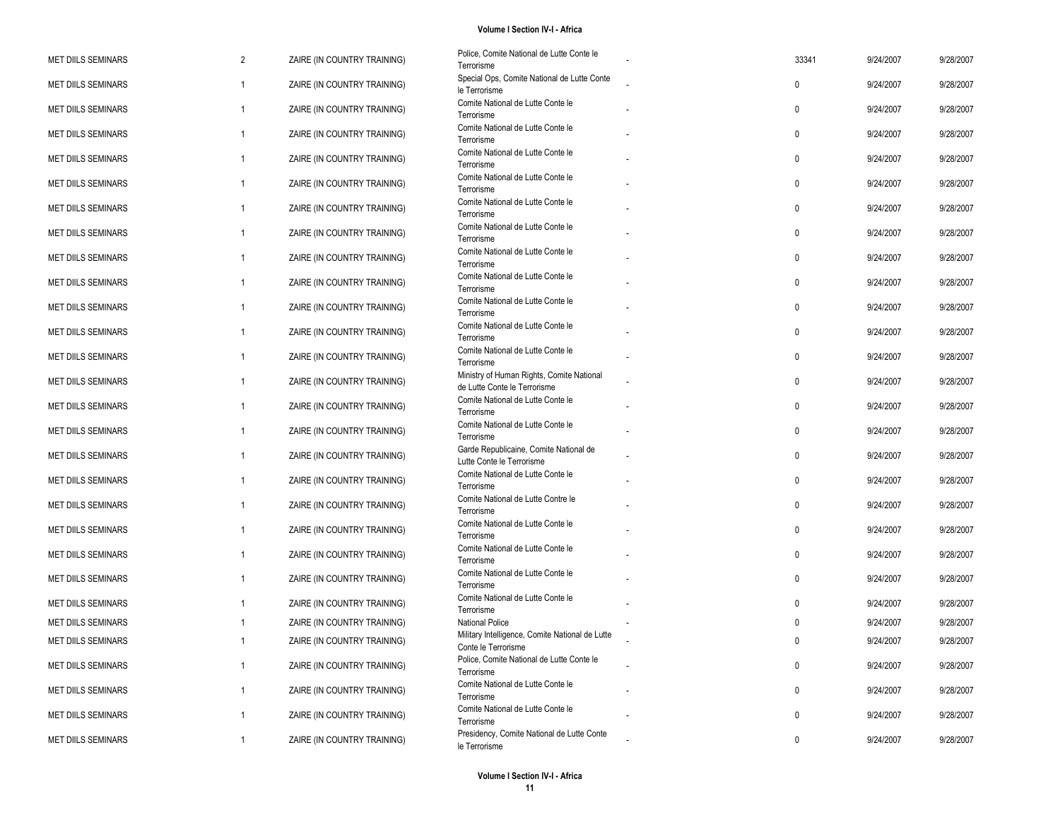| <b>MET DIILS SEMINARS</b> | $\overline{2}$ | ZAIRE (IN COUNTRY TRAINING) | Police, Comite National de Lutte Conte le<br>Terrorisme                   | 33341       | 9/24/2007 | 9/28/2007 |
|---------------------------|----------------|-----------------------------|---------------------------------------------------------------------------|-------------|-----------|-----------|
| <b>MET DIILS SEMINARS</b> | $\mathbf{1}$   | ZAIRE (IN COUNTRY TRAINING) | Special Ops, Comite National de Lutte Conte<br>le Terrorisme              | 0           | 9/24/2007 | 9/28/2007 |
| <b>MET DIILS SEMINARS</b> | $\mathbf{1}$   | ZAIRE (IN COUNTRY TRAINING) | Comite National de Lutte Conte le<br>Terrorisme                           | $\mathbf 0$ | 9/24/2007 | 9/28/2007 |
| <b>MET DIILS SEMINARS</b> | $\mathbf{1}$   | ZAIRE (IN COUNTRY TRAINING) | Comite National de Lutte Conte le<br>Terrorisme                           | $\mathbf 0$ | 9/24/2007 | 9/28/2007 |
| <b>MET DIILS SEMINARS</b> | $\mathbf{1}$   | ZAIRE (IN COUNTRY TRAINING) | Comite National de Lutte Conte le<br>Terrorisme                           | $\mathbf 0$ | 9/24/2007 | 9/28/2007 |
| <b>MET DIILS SEMINARS</b> | $\mathbf{1}$   | ZAIRE (IN COUNTRY TRAINING) | Comite National de Lutte Conte le<br>Terrorisme                           | $\mathbf 0$ | 9/24/2007 | 9/28/2007 |
| <b>MET DIILS SEMINARS</b> | $\mathbf{1}$   | ZAIRE (IN COUNTRY TRAINING) | Comite National de Lutte Conte le<br>Terrorisme                           | $\mathbf 0$ | 9/24/2007 | 9/28/2007 |
| <b>MET DIILS SEMINARS</b> | 1              | ZAIRE (IN COUNTRY TRAINING) | Comite National de Lutte Conte le                                         | $\mathbf 0$ | 9/24/2007 | 9/28/2007 |
| <b>MET DIILS SEMINARS</b> | $\mathbf{1}$   | ZAIRE (IN COUNTRY TRAINING) | Terrorisme<br>Comite National de Lutte Conte le                           | $\mathbf 0$ | 9/24/2007 | 9/28/2007 |
| <b>MET DIILS SEMINARS</b> | $\mathbf{1}$   | ZAIRE (IN COUNTRY TRAINING) | Terrorisme<br>Comite National de Lutte Conte le                           | $\mathbf 0$ | 9/24/2007 | 9/28/2007 |
| <b>MET DIILS SEMINARS</b> | $\mathbf{1}$   | ZAIRE (IN COUNTRY TRAINING) | Terrorisme<br>Comite National de Lutte Conte le                           | $\mathbf 0$ | 9/24/2007 | 9/28/2007 |
| <b>MET DIILS SEMINARS</b> | $\mathbf{1}$   |                             | Terrorisme<br>Comite National de Lutte Conte le                           | $\mathbf 0$ | 9/24/2007 | 9/28/2007 |
|                           |                | ZAIRE (IN COUNTRY TRAINING) | Terrorisme<br>Comite National de Lutte Conte le                           |             |           |           |
| <b>MET DIILS SEMINARS</b> | 1              | ZAIRE (IN COUNTRY TRAINING) | Terrorisme                                                                | $\mathbf 0$ | 9/24/2007 | 9/28/2007 |
| <b>MET DIILS SEMINARS</b> | 1              | ZAIRE (IN COUNTRY TRAINING) | Ministry of Human Rights, Comite National<br>de Lutte Conte le Terrorisme | $\mathbf 0$ | 9/24/2007 | 9/28/2007 |
| <b>MET DIILS SEMINARS</b> | $\mathbf{1}$   | ZAIRE (IN COUNTRY TRAINING) | Comite National de Lutte Conte le<br>Terrorisme                           | $\mathbf 0$ | 9/24/2007 | 9/28/2007 |
| <b>MET DIILS SEMINARS</b> | $\mathbf{1}$   | ZAIRE (IN COUNTRY TRAINING) | Comite National de Lutte Conte le<br>Terrorisme                           | $\mathbf 0$ | 9/24/2007 | 9/28/2007 |
| <b>MET DIILS SEMINARS</b> | $\mathbf{1}$   | ZAIRE (IN COUNTRY TRAINING) | Garde Republicaine, Comite National de<br>Lutte Conte le Terrorisme       | $\mathbf 0$ | 9/24/2007 | 9/28/2007 |
| <b>MET DIILS SEMINARS</b> | $\mathbf{1}$   | ZAIRE (IN COUNTRY TRAINING) | Comite National de Lutte Conte le<br>Terrorisme                           | 0           | 9/24/2007 | 9/28/2007 |
| <b>MET DIILS SEMINARS</b> | $\mathbf{1}$   | ZAIRE (IN COUNTRY TRAINING) | Comite National de Lutte Contre le<br>Terrorisme                          | $\mathbf 0$ | 9/24/2007 | 9/28/2007 |
| <b>MET DIILS SEMINARS</b> | $\mathbf{1}$   | ZAIRE (IN COUNTRY TRAINING) | Comite National de Lutte Conte le<br>Terrorisme                           | $\mathbf 0$ | 9/24/2007 | 9/28/2007 |
| <b>MET DIILS SEMINARS</b> | $\mathbf{1}$   | ZAIRE (IN COUNTRY TRAINING) | Comite National de Lutte Conte le<br>Terrorisme                           | $\mathbf 0$ | 9/24/2007 | 9/28/2007 |
| <b>MET DIILS SEMINARS</b> | $\mathbf{1}$   | ZAIRE (IN COUNTRY TRAINING) | Comite National de Lutte Conte le<br>Terrorisme                           | $\mathbf 0$ | 9/24/2007 | 9/28/2007 |
| <b>MET DIILS SEMINARS</b> | 1              | ZAIRE (IN COUNTRY TRAINING) | Comite National de Lutte Conte le<br>Terrorisme                           | $\mathbf 0$ | 9/24/2007 | 9/28/2007 |
| <b>MET DIILS SEMINARS</b> |                | ZAIRE (IN COUNTRY TRAINING) | National Police                                                           | $\Omega$    | 9/24/2007 | 9/28/2007 |
| <b>MET DIILS SEMINARS</b> | 1              | ZAIRE (IN COUNTRY TRAINING) | Military Intelligence, Comite National de Lutte                           | $\Omega$    | 9/24/2007 | 9/28/2007 |
| <b>MET DIILS SEMINARS</b> | $\mathbf{1}$   | ZAIRE (IN COUNTRY TRAINING) | Conte le Terrorisme<br>Police, Comite National de Lutte Conte le          | $\mathbf 0$ | 9/24/2007 | 9/28/2007 |
|                           |                |                             | Terrorisme<br>Comite National de Lutte Conte le                           |             |           |           |
| <b>MET DIILS SEMINARS</b> | $\mathbf{1}$   | ZAIRE (IN COUNTRY TRAINING) | Terrorisme                                                                | $\mathbf 0$ | 9/24/2007 | 9/28/2007 |
| <b>MET DIILS SEMINARS</b> | $\mathbf{1}$   | ZAIRE (IN COUNTRY TRAINING) | Comite National de Lutte Conte le<br>Terrorisme                           | $\mathbf 0$ | 9/24/2007 | 9/28/2007 |
| <b>MET DIILS SEMINARS</b> | $\mathbf{1}$   | ZAIRE (IN COUNTRY TRAINING) | Presidency, Comite National de Lutte Conte<br>le Terrorisme               | $\mathbf 0$ | 9/24/2007 | 9/28/2007 |
|                           |                |                             |                                                                           |             |           |           |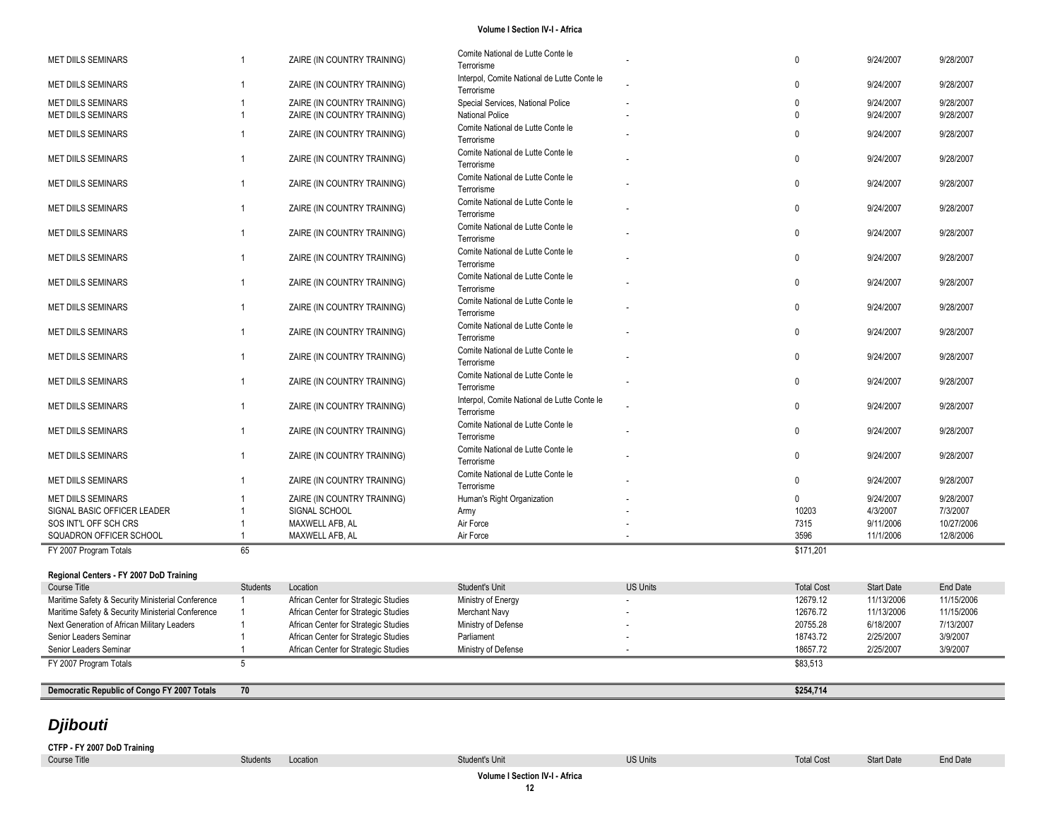| <b>MET DIILS SEMINARS</b>                         | $\overline{1}$ | ZAIRE (IN COUNTRY TRAINING)          | Comite National de Lutte Conte le<br>Terrorisme           |                 | 0                 | 9/24/2007         | 9/28/2007  |
|---------------------------------------------------|----------------|--------------------------------------|-----------------------------------------------------------|-----------------|-------------------|-------------------|------------|
| <b>MET DIILS SEMINARS</b>                         | $\overline{1}$ | ZAIRE (IN COUNTRY TRAINING)          | Interpol, Comite National de Lutte Conte le<br>Terrorisme |                 | 0                 | 9/24/2007         | 9/28/2007  |
| <b>MET DIILS SEMINARS</b>                         | $\overline{1}$ | ZAIRE (IN COUNTRY TRAINING)          | Special Services, National Police                         |                 | 0                 | 9/24/2007         | 9/28/2007  |
| <b>MET DIILS SEMINARS</b>                         | $\overline{1}$ | ZAIRE (IN COUNTRY TRAINING)          | <b>National Police</b>                                    |                 | $\mathbf{0}$      | 9/24/2007         | 9/28/2007  |
| <b>MET DIILS SEMINARS</b>                         | $\overline{1}$ | ZAIRE (IN COUNTRY TRAINING)          | Comite National de Lutte Conte le<br>Terrorisme           |                 | $\mathbf{0}$      | 9/24/2007         | 9/28/2007  |
| <b>MET DIILS SEMINARS</b>                         | $\mathbf{1}$   | ZAIRE (IN COUNTRY TRAINING)          | Comite National de Lutte Conte le<br>Terrorisme           |                 | 0                 | 9/24/2007         | 9/28/2007  |
| <b>MET DIILS SEMINARS</b>                         | $\overline{1}$ | ZAIRE (IN COUNTRY TRAINING)          | Comite National de Lutte Conte le<br>Terrorisme           |                 | 0                 | 9/24/2007         | 9/28/2007  |
| <b>MET DIILS SEMINARS</b>                         | $\mathbf{1}$   | ZAIRE (IN COUNTRY TRAINING)          | Comite National de Lutte Conte le<br>Terrorisme           |                 | 0                 | 9/24/2007         | 9/28/2007  |
| <b>MET DIILS SEMINARS</b>                         | $\overline{1}$ | ZAIRE (IN COUNTRY TRAINING)          | Comite National de Lutte Conte le<br>Terrorisme           |                 | 0                 | 9/24/2007         | 9/28/2007  |
| <b>MET DIILS SEMINARS</b>                         | $\mathbf{1}$   | ZAIRE (IN COUNTRY TRAINING)          | Comite National de Lutte Conte le<br>Terrorisme           |                 | 0                 | 9/24/2007         | 9/28/2007  |
| <b>MET DIILS SEMINARS</b>                         | $\mathbf{1}$   | ZAIRE (IN COUNTRY TRAINING)          | Comite National de Lutte Conte le<br>Terrorisme           |                 | 0                 | 9/24/2007         | 9/28/2007  |
| <b>MET DIILS SEMINARS</b>                         | $\overline{1}$ | ZAIRE (IN COUNTRY TRAINING)          | Comite National de Lutte Conte le<br>Terrorisme           |                 | 0                 | 9/24/2007         | 9/28/2007  |
| <b>MET DIILS SEMINARS</b>                         | $\overline{1}$ | ZAIRE (IN COUNTRY TRAINING)          | Comite National de Lutte Conte le<br>Terrorisme           |                 | 0                 | 9/24/2007         | 9/28/2007  |
| <b>MET DIILS SEMINARS</b>                         | $\overline{1}$ | ZAIRE (IN COUNTRY TRAINING)          | Comite National de Lutte Conte le<br>Terrorisme           |                 | 0                 | 9/24/2007         | 9/28/2007  |
| <b>MET DIILS SEMINARS</b>                         | $\overline{1}$ | ZAIRE (IN COUNTRY TRAINING)          | Comite National de Lutte Conte le<br>Terrorisme           |                 | 0                 | 9/24/2007         | 9/28/2007  |
| <b>MET DIILS SEMINARS</b>                         | $\mathbf{1}$   | ZAIRE (IN COUNTRY TRAINING)          | Interpol, Comite National de Lutte Conte le<br>Terrorisme |                 | 0                 | 9/24/2007         | 9/28/2007  |
| <b>MET DIILS SEMINARS</b>                         | $\overline{1}$ | ZAIRE (IN COUNTRY TRAINING)          | Comite National de Lutte Conte le<br>Terrorisme           |                 | 0                 | 9/24/2007         | 9/28/2007  |
| <b>MET DIILS SEMINARS</b>                         | $\overline{1}$ | ZAIRE (IN COUNTRY TRAINING)          | Comite National de Lutte Conte le<br>Terrorisme           |                 | 0                 | 9/24/2007         | 9/28/2007  |
| <b>MET DIILS SEMINARS</b>                         | $\mathbf{1}$   | ZAIRE (IN COUNTRY TRAINING)          | Comite National de Lutte Conte le<br>Terrorisme           |                 | 0                 | 9/24/2007         | 9/28/2007  |
| <b>MET DIILS SEMINARS</b>                         |                | ZAIRE (IN COUNTRY TRAINING)          | Human's Right Organization                                |                 | 0                 | 9/24/2007         | 9/28/2007  |
| SIGNAL BASIC OFFICER LEADER                       |                | SIGNAL SCHOOL                        | Army                                                      |                 | 10203             | 4/3/2007          | 7/3/2007   |
| SOS INT'L OFF SCH CRS                             |                | MAXWELL AFB, AL                      | Air Force                                                 |                 | 7315              | 9/11/2006         | 10/27/2006 |
| SQUADRON OFFICER SCHOOL                           | $\overline{1}$ | MAXWELL AFB, AL                      | Air Force                                                 |                 | 3596              | 11/1/2006         | 12/8/2006  |
| FY 2007 Program Totals                            | 65             |                                      |                                                           |                 | \$171,201         |                   |            |
| Regional Centers - FY 2007 DoD Training           |                |                                      |                                                           |                 |                   |                   |            |
| <b>Course Title</b>                               | Students       | Location                             | Student's Unit                                            | <b>US Units</b> | <b>Total Cost</b> | <b>Start Date</b> | End Date   |
| Maritime Safety & Security Ministerial Conference | -1             | African Center for Strategic Studies | Ministry of Energy                                        |                 | 12679.12          | 11/13/2006        | 11/15/2006 |
| Maritime Safety & Security Ministerial Conference | $\mathbf{1}$   | African Center for Strategic Studies | Merchant Navy                                             |                 | 12676.72          | 11/13/2006        | 11/15/2006 |
| Next Generation of African Military Leaders       | $\mathbf{1}$   | African Center for Strategic Studies | Ministry of Defense                                       |                 | 20755.28          | 6/18/2007         | 7/13/2007  |
| Senior Leaders Seminar                            | $\overline{1}$ | African Center for Strategic Studies | Parliament                                                |                 | 18743.72          | 2/25/2007         | 3/9/2007   |
| Senior Leaders Seminar                            |                | African Center for Strategic Studies | Ministry of Defense                                       |                 | 18657.72          | 2/25/2007         | 3/9/2007   |
| FY 2007 Program Totals                            | 5              |                                      |                                                           |                 | \$83,513          |                   |            |
| Democratic Republic of Congo FY 2007 Totals       | 70             |                                      |                                                           |                 | \$254,714         |                   |            |
| <b>Djibouti</b>                                   |                |                                      |                                                           |                 |                   |                   |            |
| CTFP - FY 2007 DoD Training                       |                |                                      |                                                           |                 |                   |                   |            |

Course Title Students Students Location Students Unit Student's Unit US Units Unit US Units Total Cost Start Date End Date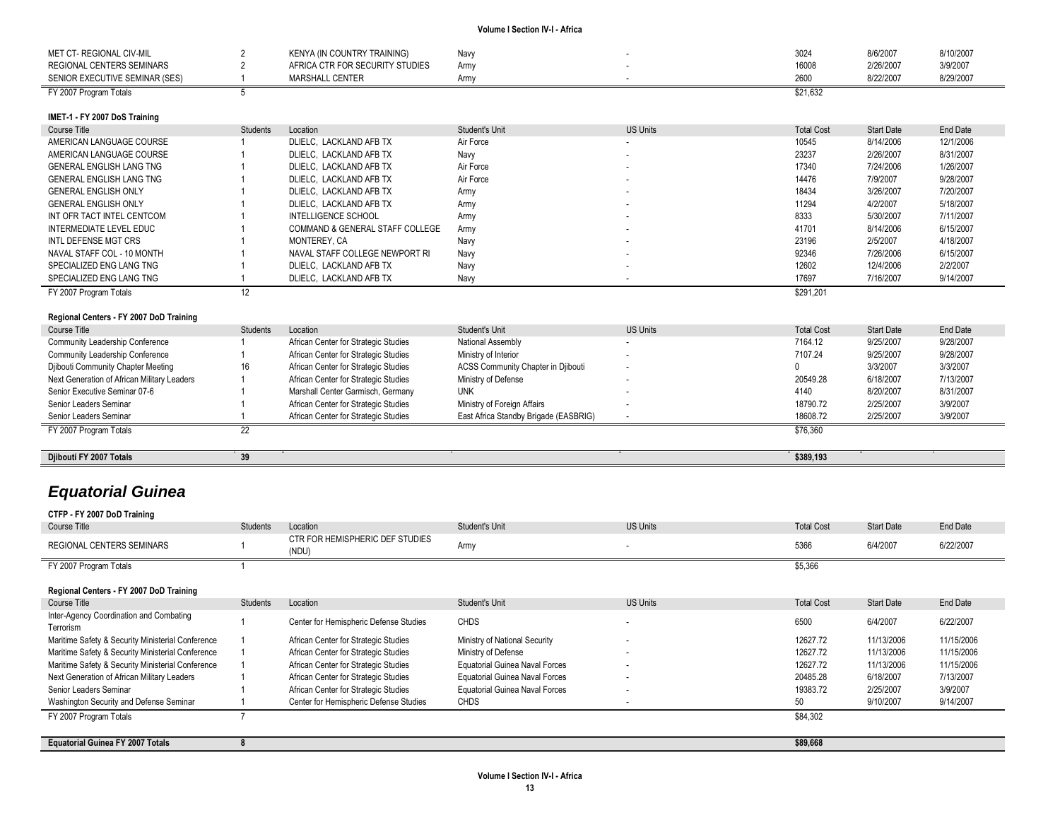| MET CT- REGIONAL CIV-MIL       | (ENYA (IN COUNTRY TRAINING)     | Navy        | 3024     | 8/6/2007  | 8/10/2007 |
|--------------------------------|---------------------------------|-------------|----------|-----------|-----------|
| REGIONAL CENTERS SEMINARS      | AFRICA CTR FOR SECURITY STUDIES | <b>Army</b> | 16008    | 2/26/2007 | 3/9/2007  |
| SENIOR EXECUTIVE SEMINAR (SES) | <b>MARSHALL CENTER</b>          | Arm         | 2600     | 8/22/2007 | 8/29/2007 |
| FY 2007 Program Totals         |                                 |             | \$21,632 |           |           |

#### **IMET-1 - FY 2007 DoS Training**

| Course Title                                | <b>Students</b> | Location                             | <b>Student's Unit</b>                 | <b>US Units</b> | <b>Total Cost</b> | <b>Start Date</b> | End Date  |
|---------------------------------------------|-----------------|--------------------------------------|---------------------------------------|-----------------|-------------------|-------------------|-----------|
| AMERICAN LANGUAGE COURSE                    |                 | DLIELC. LACKLAND AFB TX              | Air Force                             |                 | 10545             | 8/14/2006         | 12/1/2006 |
| AMERICAN LANGUAGE COURSE                    |                 | DLIELC, LACKLAND AFB TX              | Navy                                  |                 | 23237             | 2/26/2007         | 8/31/2007 |
| <b>GENERAL ENGLISH LANG TNG</b>             |                 | DLIELC. LACKLAND AFB TX              | Air Force                             |                 | 17340             | 7/24/2006         | 1/26/2007 |
| <b>GENERAL ENGLISH LANG TNG</b>             |                 | DLIELC, LACKLAND AFB TX              | Air Force                             |                 | 14476             | 7/9/2007          | 9/28/2007 |
| <b>GENERAL ENGLISH ONLY</b>                 |                 | DLIELC, LACKLAND AFB TX              | Army                                  |                 | 18434             | 3/26/2007         | 7/20/2007 |
| <b>GENERAL ENGLISH ONLY</b>                 |                 | DLIELC. LACKLAND AFB TX              | Army                                  |                 | 11294             | 4/2/2007          | 5/18/2007 |
| INT OFR TACT INTEL CENTCOM                  |                 | <b>INTELLIGENCE SCHOOL</b>           | Army                                  |                 | 8333              | 5/30/2007         | 7/11/2007 |
| INTERMEDIATE LEVEL EDUC                     |                 | COMMAND & GENERAL STAFF COLLEGE      | Army                                  |                 | 41701             | 8/14/2006         | 6/15/2007 |
| INTL DEFENSE MGT CRS                        |                 | MONTEREY, CA                         | Navy                                  |                 | 23196             | 2/5/2007          | 4/18/2007 |
| NAVAL STAFF COL - 10 MONTH                  |                 | NAVAL STAFF COLLEGE NEWPORT RI       | Navy                                  |                 | 92346             | 7/26/2006         | 6/15/2007 |
| SPECIALIZED ENG LANG TNG                    |                 | DLIELC. LACKLAND AFB TX              | Navy                                  |                 | 12602             | 12/4/2006         | 2/2/2007  |
| SPECIALIZED ENG LANG TNG                    |                 | DLIELC, LACKLAND AFB TX              | Navy                                  |                 | 17697             | 7/16/2007         | 9/14/2007 |
| FY 2007 Program Totals                      | 12              |                                      |                                       |                 | \$291,201         |                   |           |
|                                             |                 |                                      |                                       |                 |                   |                   |           |
| Regional Centers - FY 2007 DoD Training     |                 |                                      |                                       |                 |                   |                   |           |
| Course Title                                | <b>Students</b> | Location                             | Student's Unit                        | <b>US Units</b> | <b>Total Cost</b> | <b>Start Date</b> | End Date  |
| Community Leadership Conference             |                 | African Center for Strategic Studies | National Assembly                     |                 | 7164.12           | 9/25/2007         | 9/28/2007 |
| Community Leadership Conference             |                 | African Center for Strategic Studies | Ministry of Interior                  |                 | 7107.24           | 9/25/2007         | 9/28/2007 |
| Djibouti Community Chapter Meeting          | 16              | African Center for Strategic Studies | ACSS Community Chapter in Djibouti    |                 |                   | 3/3/2007          | 3/3/2007  |
| Next Generation of African Military Leaders |                 | African Center for Strategic Studies | Ministry of Defense                   |                 | 20549.28          | 6/18/2007         | 7/13/2007 |
| Senior Executive Seminar 07-6               |                 | Marshall Center Garmisch, Germany    | <b>UNK</b>                            |                 | 4140              | 8/20/2007         | 8/31/2007 |
| Senior Leaders Seminar                      |                 | African Center for Strategic Studies | Ministry of Foreign Affairs           |                 | 18790.72          | 2/25/2007         | 3/9/2007  |
| Senior Leaders Seminar                      |                 | African Center for Strategic Studies | East Africa Standby Brigade (EASBRIG) |                 | 18608.72          | 2/25/2007         | 3/9/2007  |
| FY 2007 Program Totals                      | 22              |                                      |                                       |                 | \$76,360          |                   |           |
| Djibouti FY 2007 Totals                     | 39              |                                      |                                       |                 | \$389,193         |                   |           |

# *Equatorial Guinea*

| CTFP - FY 2007 DoD Training                          |                 |                                          |                                |                          |                   |                   |            |
|------------------------------------------------------|-----------------|------------------------------------------|--------------------------------|--------------------------|-------------------|-------------------|------------|
| Course Title                                         | <b>Students</b> | Location                                 | Student's Unit                 | <b>US Units</b>          | <b>Total Cost</b> | <b>Start Date</b> | End Date   |
| <b>REGIONAL CENTERS SEMINARS</b>                     |                 | CTR FOR HEMISPHERIC DEF STUDIES<br>(NDU) | Army                           | ۰.                       | 5366              | 6/4/2007          | 6/22/2007  |
| FY 2007 Program Totals                               |                 |                                          |                                |                          | \$5,366           |                   |            |
| Regional Centers - FY 2007 DoD Training              |                 |                                          |                                |                          |                   |                   |            |
| Course Title                                         | <b>Students</b> | Location                                 | Student's Unit                 | <b>US Units</b>          | <b>Total Cost</b> | <b>Start Date</b> | End Date   |
| Inter-Agency Coordination and Combating<br>Terrorism |                 | Center for Hemispheric Defense Studies   | <b>CHDS</b>                    | $\overline{\phantom{a}}$ | 6500              | 6/4/2007          | 6/22/2007  |
| Maritime Safety & Security Ministerial Conference    |                 | African Center for Strategic Studies     | Ministry of National Security  | $\overline{\phantom{a}}$ | 12627.72          | 11/13/2006        | 11/15/2006 |
| Maritime Safety & Security Ministerial Conference    |                 | African Center for Strategic Studies     | Ministry of Defense            | $\overline{\phantom{a}}$ | 12627.72          | 11/13/2006        | 11/15/2006 |
| Maritime Safety & Security Ministerial Conference    |                 | African Center for Strategic Studies     | Equatorial Guinea Naval Forces | ۰.                       | 12627.72          | 11/13/2006        | 11/15/2006 |
| Next Generation of African Military Leaders          |                 | African Center for Strategic Studies     | Equatorial Guinea Naval Forces | $\overline{\phantom{a}}$ | 20485.28          | 6/18/2007         | 7/13/2007  |
| Senior Leaders Seminar                               |                 | African Center for Strategic Studies     | Equatorial Guinea Naval Forces | $\overline{\phantom{a}}$ | 19383.72          | 2/25/2007         | 3/9/2007   |
| Washington Security and Defense Seminar              |                 | Center for Hemispheric Defense Studies   | <b>CHDS</b>                    |                          | 50                | 9/10/2007         | 9/14/2007  |
| FY 2007 Program Totals                               |                 |                                          |                                |                          | \$84,302          |                   |            |
| <b>Equatorial Guinea FY 2007 Totals</b>              |                 |                                          |                                |                          | \$89,668          |                   |            |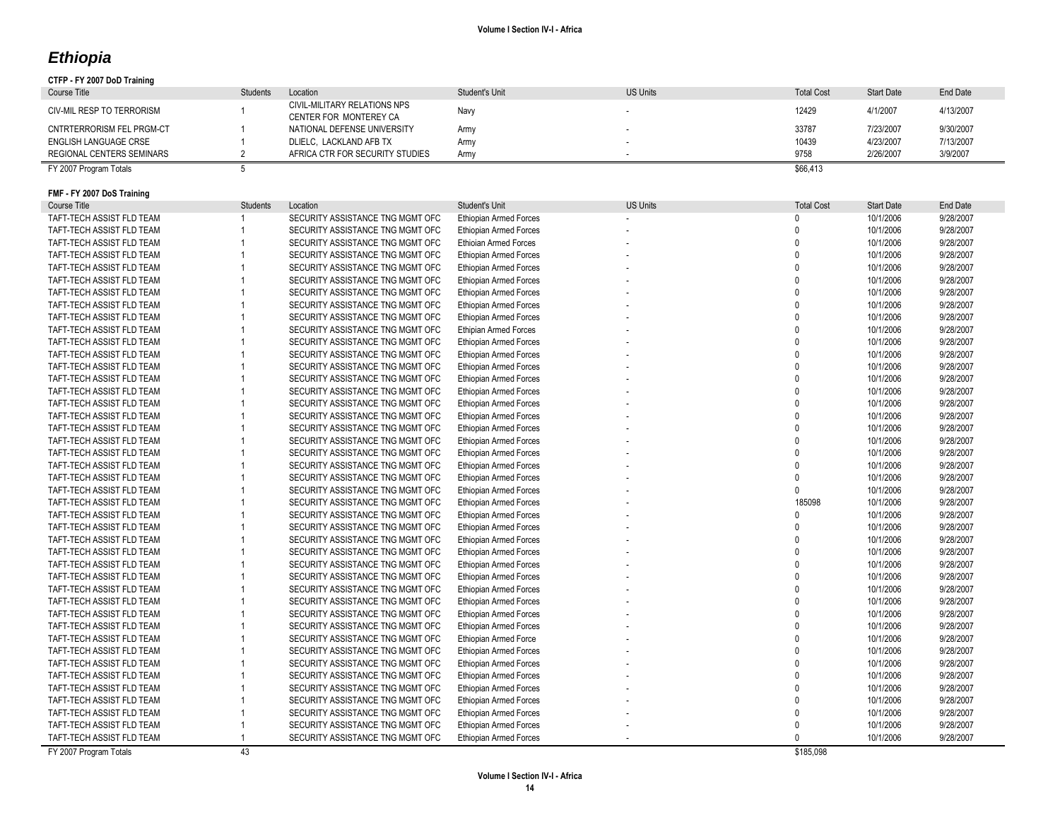## *Ethiopia*

#### **CTFP - FY 2007 DoD Training**

| Course Title              | <b>Students</b> | Location                                               | Student's Unit | <b>US Units</b> | <b>Total Cost</b> | <b>Start Date</b> | End Date  |
|---------------------------|-----------------|--------------------------------------------------------|----------------|-----------------|-------------------|-------------------|-----------|
| CIV-MIL RESP TO TERRORISM |                 | CIVIL-MILITARY RELATIONS NPS<br>CENTER FOR MONTEREY CA | Navy           |                 | 12429             | 4/1/2007          | 4/13/2007 |
| CNTRTERRORISM FEL PRGM-CT |                 | NATIONAL DEFENSE UNIVERSITY                            | Army           |                 | 33787             | 7/23/2007         | 9/30/2007 |
| ENGLISH LANGUAGE CRSE     |                 | DLIELC. LACKLAND AFB TX                                | Army           |                 | 10439             | 4/23/2007         | 7/13/2007 |
| REGIONAL CENTERS SEMINARS |                 | AFRICA CTR FOR SECURITY STUDIES                        | Army           |                 | 9758              | 2/26/2007         | 3/9/2007  |
| FY 2007 Program Totals    |                 |                                                        |                |                 | \$66,413          |                   |           |

### **FMF - FY 2007 DoS Training**

| Course Title              | <b>Students</b> | Location                         | Student's Unit                | <b>US Units</b> | <b>Total Cost</b> | <b>Start Date</b> | <b>End Date</b> |
|---------------------------|-----------------|----------------------------------|-------------------------------|-----------------|-------------------|-------------------|-----------------|
| TAFT-TECH ASSIST FLD TEAM |                 | SECURITY ASSISTANCE TNG MGMT OFC | Ethiopian Armed Forces        |                 |                   | 10/1/2006         | 9/28/2007       |
| TAFT-TECH ASSIST FLD TEAM |                 | SECURITY ASSISTANCE TNG MGMT OFC | <b>Ethiopian Armed Forces</b> |                 | $\Omega$          | 10/1/2006         | 9/28/2007       |
| TAFT-TECH ASSIST FLD TEAM |                 | SECURITY ASSISTANCE TNG MGMT OFC | <b>Ethioian Armed Forces</b>  |                 | $\Omega$          | 10/1/2006         | 9/28/2007       |
| TAFT-TECH ASSIST FLD TEAM |                 | SECURITY ASSISTANCE TNG MGMT OFC | <b>Ethiopian Armed Forces</b> |                 | $\Omega$          | 10/1/2006         | 9/28/2007       |
| TAFT-TECH ASSIST FLD TEAM |                 | SECURITY ASSISTANCE TNG MGMT OFC | <b>Ethiopian Armed Forces</b> |                 | $\Omega$          | 10/1/2006         | 9/28/2007       |
| TAFT-TECH ASSIST FLD TEAM |                 | SECURITY ASSISTANCE TNG MGMT OFC | <b>Ethiopian Armed Forces</b> |                 | $\Omega$          | 10/1/2006         | 9/28/2007       |
| TAFT-TECH ASSIST FLD TEAM |                 | SECURITY ASSISTANCE TNG MGMT OFC | <b>Ethiopian Armed Forces</b> |                 | $\Omega$          | 10/1/2006         | 9/28/2007       |
| TAFT-TECH ASSIST FLD TEAM |                 | SECURITY ASSISTANCE TNG MGMT OFC | <b>Ethiopian Armed Forces</b> |                 | $\Omega$          | 10/1/2006         | 9/28/2007       |
| TAFT-TECH ASSIST FLD TEAM |                 | SECURITY ASSISTANCE TNG MGMT OFC | <b>Ethiopian Armed Forces</b> |                 | $\Omega$          | 10/1/2006         | 9/28/2007       |
| TAFT-TECH ASSIST FLD TEAM |                 | SECURITY ASSISTANCE TNG MGMT OFC | <b>Ethipian Armed Forces</b>  |                 | $\Omega$          | 10/1/2006         | 9/28/2007       |
| TAFT-TECH ASSIST FLD TEAM |                 | SECURITY ASSISTANCE TNG MGMT OFC | <b>Ethiopian Armed Forces</b> |                 | $\Omega$          | 10/1/2006         | 9/28/2007       |
| TAFT-TECH ASSIST FLD TEAM |                 | SECURITY ASSISTANCE TNG MGMT OFC | <b>Ethiopian Armed Forces</b> |                 | $\Omega$          | 10/1/2006         | 9/28/2007       |
| TAFT-TECH ASSIST FLD TEAM |                 | SECURITY ASSISTANCE TNG MGMT OFC | <b>Ethiopian Armed Forces</b> |                 | $\Omega$          | 10/1/2006         | 9/28/2007       |
| TAFT-TECH ASSIST FLD TEAM |                 | SECURITY ASSISTANCE TNG MGMT OFC | <b>Ethiopian Armed Forces</b> |                 | $\Omega$          | 10/1/2006         | 9/28/2007       |
| TAFT-TECH ASSIST FLD TEAM |                 | SECURITY ASSISTANCE TNG MGMT OFC | Ethiopian Armed Forces        |                 | $\Omega$          | 10/1/2006         | 9/28/2007       |
| TAFT-TECH ASSIST FLD TEAM |                 | SECURITY ASSISTANCE TNG MGMT OFC | <b>Ethiopian Armed Forces</b> |                 | $\Omega$          | 10/1/2006         | 9/28/2007       |
| TAFT-TECH ASSIST FLD TEAM |                 | SECURITY ASSISTANCE TNG MGMT OFC | <b>Ethiopian Armed Forces</b> |                 | $\Omega$          | 10/1/2006         | 9/28/2007       |
| TAFT-TECH ASSIST FLD TEAM |                 | SECURITY ASSISTANCE TNG MGMT OFC | Ethiopian Armed Forces        |                 | $\Omega$          | 10/1/2006         | 9/28/2007       |
| TAFT-TECH ASSIST FLD TEAM |                 | SECURITY ASSISTANCE TNG MGMT OFC | <b>Ethiopian Armed Forces</b> |                 | $\Omega$          | 10/1/2006         | 9/28/2007       |
| TAFT-TECH ASSIST FLD TEAM |                 | SECURITY ASSISTANCE TNG MGMT OFC | <b>Ethiopian Armed Forces</b> |                 | $\Omega$          | 10/1/2006         | 9/28/2007       |
| TAFT-TECH ASSIST FLD TEAM |                 | SECURITY ASSISTANCE TNG MGMT OFC | <b>Ethiopian Armed Forces</b> |                 | $\Omega$          | 10/1/2006         | 9/28/2007       |
| TAFT-TECH ASSIST FLD TEAM |                 | SECURITY ASSISTANCE TNG MGMT OFC | <b>Ethiopian Armed Forces</b> |                 | $\Omega$          | 10/1/2006         | 9/28/2007       |
| TAFT-TECH ASSIST FLD TEAM |                 | SECURITY ASSISTANCE TNG MGMT OFC | <b>Ethiopian Armed Forces</b> |                 | $\Omega$          | 10/1/2006         | 9/28/2007       |
| TAFT-TECH ASSIST FLD TEAM |                 | SECURITY ASSISTANCE TNG MGMT OFC | <b>Ethiopian Armed Forces</b> |                 | 185098            | 10/1/2006         | 9/28/2007       |
| TAFT-TECH ASSIST FLD TEAM |                 | SECURITY ASSISTANCE TNG MGMT OFC | <b>Ethiopian Armed Forces</b> |                 | $\Omega$          | 10/1/2006         | 9/28/2007       |
| TAFT-TECH ASSIST FLD TEAM |                 | SECURITY ASSISTANCE TNG MGMT OFC | <b>Ethiopian Armed Forces</b> |                 | $\Omega$          | 10/1/2006         | 9/28/2007       |
| TAFT-TECH ASSIST FLD TEAM |                 | SECURITY ASSISTANCE TNG MGMT OFC | <b>Ethiopian Armed Forces</b> |                 | $\Omega$          | 10/1/2006         | 9/28/2007       |
| TAFT-TECH ASSIST FLD TEAM |                 | SECURITY ASSISTANCE TNG MGMT OFC | <b>Ethiopian Armed Forces</b> |                 | $\Omega$          | 10/1/2006         | 9/28/2007       |
| TAFT-TECH ASSIST FLD TEAM |                 | SECURITY ASSISTANCE TNG MGMT OFC | <b>Ethiopian Armed Forces</b> |                 | $\Omega$          | 10/1/2006         | 9/28/2007       |
| TAFT-TECH ASSIST FLD TEAM |                 | SECURITY ASSISTANCE TNG MGMT OFC | <b>Ethiopian Armed Forces</b> |                 | $\Omega$          | 10/1/2006         | 9/28/2007       |
| TAFT-TECH ASSIST FLD TEAM |                 | SECURITY ASSISTANCE TNG MGMT OFC | <b>Ethiopian Armed Forces</b> |                 | $\Omega$          | 10/1/2006         | 9/28/2007       |
| TAFT-TECH ASSIST FLD TEAM |                 | SECURITY ASSISTANCE TNG MGMT OFC | <b>Ethiopian Armed Forces</b> |                 | $\Omega$          | 10/1/2006         | 9/28/2007       |
| TAFT-TECH ASSIST FLD TEAM |                 | SECURITY ASSISTANCE TNG MGMT OFC | <b>Ethiopian Armed Forces</b> |                 | $\Omega$          | 10/1/2006         | 9/28/2007       |
| TAFT-TECH ASSIST FLD TEAM |                 | SECURITY ASSISTANCE TNG MGMT OFC | Ethiopian Armed Forces        |                 | $\Omega$          | 10/1/2006         | 9/28/2007       |
| TAFT-TECH ASSIST FLD TEAM |                 | SECURITY ASSISTANCE TNG MGMT OFC | Ethiopian Armed Force         |                 | $\Omega$          | 10/1/2006         | 9/28/2007       |
| TAFT-TECH ASSIST FLD TEAM |                 | SECURITY ASSISTANCE TNG MGMT OFC | <b>Ethiopian Armed Forces</b> |                 | $\Omega$          | 10/1/2006         | 9/28/2007       |
| TAFT-TECH ASSIST FLD TEAM |                 | SECURITY ASSISTANCE TNG MGMT OFC | Ethiopian Armed Forces        |                 | $\Omega$          | 10/1/2006         | 9/28/2007       |
| TAFT-TECH ASSIST FLD TEAM |                 | SECURITY ASSISTANCE TNG MGMT OFC | <b>Ethiopian Armed Forces</b> |                 | $\Omega$          | 10/1/2006         | 9/28/2007       |
| TAFT-TECH ASSIST FLD TEAM |                 | SECURITY ASSISTANCE TNG MGMT OFC | <b>Ethiopian Armed Forces</b> |                 | $\Omega$          | 10/1/2006         | 9/28/2007       |
| TAFT-TECH ASSIST FLD TEAM |                 | SECURITY ASSISTANCE TNG MGMT OFC | Ethiopian Armed Forces        |                 | $\Omega$          | 10/1/2006         | 9/28/2007       |
| TAFT-TECH ASSIST FLD TEAM |                 | SECURITY ASSISTANCE TNG MGMT OFC | Ethiopian Armed Forces        |                 |                   | 10/1/2006         | 9/28/2007       |
| TAFT-TECH ASSIST FLD TEAM |                 | SECURITY ASSISTANCE TNG MGMT OFC | <b>Ethiopian Armed Forces</b> |                 |                   | 10/1/2006         | 9/28/2007       |
| TAFT-TECH ASSIST FLD TEAM |                 | SECURITY ASSISTANCE TNG MGMT OFC | <b>Ethiopian Armed Forces</b> |                 | $\Omega$          | 10/1/2006         | 9/28/2007       |
| FY 2007 Program Totals    | 43              |                                  |                               |                 | \$185.098         |                   |                 |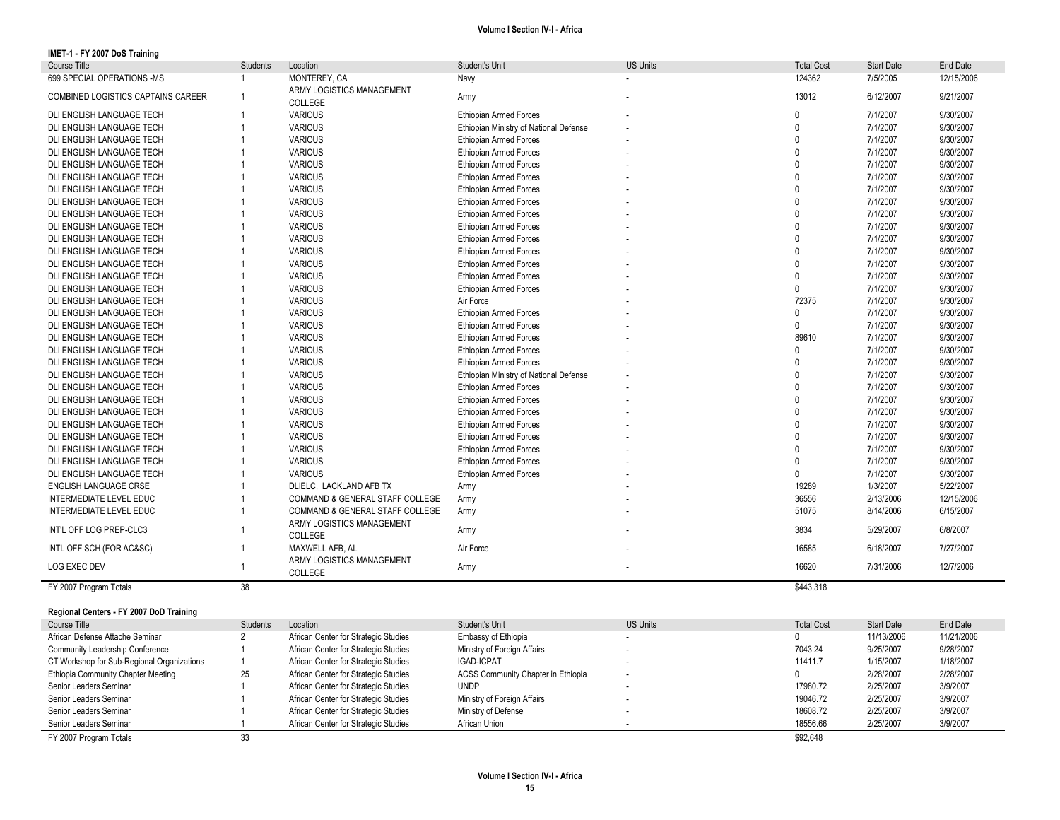### **IMET-1 - FY 2007 DoS Training**

| Course Title                               | <b>Students</b> | Location                             | Student's Unit                         | <b>US Units</b> | <b>Total Cost</b> | <b>Start Date</b> | End Date   |
|--------------------------------------------|-----------------|--------------------------------------|----------------------------------------|-----------------|-------------------|-------------------|------------|
| 699 SPECIAL OPERATIONS -MS                 | $\mathbf{1}$    | MONTEREY, CA                         | Navy                                   |                 | 124362            | 7/5/2005          | 12/15/2006 |
| COMBINED LOGISTICS CAPTAINS CAREER         |                 | ARMY LOGISTICS MANAGEMENT            | Army                                   |                 | 13012             | 6/12/2007         | 9/21/2007  |
|                                            |                 | COLLEGE                              |                                        |                 |                   |                   |            |
| DLI ENGLISH LANGUAGE TECH                  | 1               | <b>VARIOUS</b>                       | <b>Ethiopian Armed Forces</b>          |                 | $\pmb{0}$         | 7/1/2007          | 9/30/2007  |
| DLI ENGLISH LANGUAGE TECH                  | 1               | <b>VARIOUS</b>                       | Ethiopian Ministry of National Defense |                 | $\mathbf{0}$      | 7/1/2007          | 9/30/2007  |
| DLI ENGLISH LANGUAGE TECH                  |                 | <b>VARIOUS</b>                       | <b>Ethiopian Armed Forces</b>          |                 | $\mathbf{0}$      | 7/1/2007          | 9/30/2007  |
| DLI ENGLISH LANGUAGE TECH                  |                 | <b>VARIOUS</b>                       | <b>Ethiopian Armed Forces</b>          |                 | $\Omega$          | 7/1/2007          | 9/30/2007  |
| DLI ENGLISH LANGUAGE TECH                  |                 | <b>VARIOUS</b>                       | <b>Ethiopian Armed Forces</b>          |                 | $\mathbf{0}$      | 7/1/2007          | 9/30/2007  |
| <b>DLI ENGLISH LANGUAGE TECH</b>           |                 | <b>VARIOUS</b>                       | Ethiopian Armed Forces                 |                 | $\mathbf{0}$      | 7/1/2007          | 9/30/2007  |
| DLI ENGLISH LANGUAGE TECH                  |                 | <b>VARIOUS</b>                       | <b>Ethiopian Armed Forces</b>          |                 | $\mathbf{0}$      | 7/1/2007          | 9/30/2007  |
| DLI ENGLISH LANGUAGE TECH                  |                 | <b>VARIOUS</b>                       | <b>Ethiopian Armed Forces</b>          |                 | $\mathbf{0}$      | 7/1/2007          | 9/30/2007  |
| <b>DLI ENGLISH LANGUAGE TECH</b>           |                 | <b>VARIOUS</b>                       | <b>Ethiopian Armed Forces</b>          |                 | $\mathbf{0}$      | 7/1/2007          | 9/30/2007  |
| DLI ENGLISH LANGUAGE TECH                  |                 | <b>VARIOUS</b>                       | <b>Ethiopian Armed Forces</b>          |                 | $\mathbf{0}$      | 7/1/2007          | 9/30/2007  |
| DLI ENGLISH LANGUAGE TECH                  |                 | <b>VARIOUS</b>                       | <b>Ethiopian Armed Forces</b>          |                 | $\mathbf{0}$      | 7/1/2007          | 9/30/2007  |
| <b>DLI ENGLISH LANGUAGE TECH</b>           |                 | <b>VARIOUS</b>                       | <b>Ethiopian Armed Forces</b>          |                 | $\Omega$          | 7/1/2007          | 9/30/2007  |
| DLI ENGLISH LANGUAGE TECH                  |                 | <b>VARIOUS</b>                       | <b>Ethiopian Armed Forces</b>          |                 | $\Omega$          | 7/1/2007          | 9/30/2007  |
| DLI ENGLISH LANGUAGE TECH                  |                 | <b>VARIOUS</b>                       | <b>Ethiopian Armed Forces</b>          |                 | $\mathbf{0}$      | 7/1/2007          | 9/30/2007  |
| <b>DLI ENGLISH LANGUAGE TECH</b>           |                 | <b>VARIOUS</b>                       | <b>Ethiopian Armed Forces</b>          |                 | $\mathbf{0}$      | 7/1/2007          | 9/30/2007  |
| DLI ENGLISH LANGUAGE TECH                  |                 | <b>VARIOUS</b>                       | Air Force                              |                 | 72375             | 7/1/2007          | 9/30/2007  |
|                                            |                 |                                      |                                        |                 |                   |                   |            |
| DLI ENGLISH LANGUAGE TECH                  |                 | <b>VARIOUS</b>                       | <b>Ethiopian Armed Forces</b>          |                 | $\mathbf{0}$      | 7/1/2007          | 9/30/2007  |
| DLI ENGLISH LANGUAGE TECH                  |                 | <b>VARIOUS</b>                       | <b>Ethiopian Armed Forces</b>          |                 | $\mathbf{0}$      | 7/1/2007          | 9/30/2007  |
| DLI ENGLISH LANGUAGE TECH                  |                 | <b>VARIOUS</b>                       | Ethiopian Armed Forces                 |                 | 89610             | 7/1/2007          | 9/30/2007  |
| DLI ENGLISH LANGUAGE TECH                  |                 | <b>VARIOUS</b>                       | Ethiopian Armed Forces                 |                 | $\mathbf{0}$      | 7/1/2007          | 9/30/2007  |
| DLI ENGLISH LANGUAGE TECH                  |                 | <b>VARIOUS</b>                       | <b>Ethiopian Armed Forces</b>          |                 | $\mathbf{0}$      | 7/1/2007          | 9/30/2007  |
| DLI ENGLISH LANGUAGE TECH                  |                 | <b>VARIOUS</b>                       | Ethiopian Ministry of National Defense |                 | $\mathbf{0}$      | 7/1/2007          | 9/30/2007  |
| DLI ENGLISH LANGUAGE TECH                  |                 | <b>VARIOUS</b>                       | Ethiopian Armed Forces                 |                 | $\pmb{0}$         | 7/1/2007          | 9/30/2007  |
| DLI ENGLISH LANGUAGE TECH                  |                 | <b>VARIOUS</b>                       | <b>Ethiopian Armed Forces</b>          |                 | $\mathbf{0}$      | 7/1/2007          | 9/30/2007  |
| DLI ENGLISH LANGUAGE TECH                  |                 | <b>VARIOUS</b>                       | <b>Ethiopian Armed Forces</b>          |                 | $\Omega$          | 7/1/2007          | 9/30/2007  |
| DLI ENGLISH LANGUAGE TECH                  |                 | <b>VARIOUS</b>                       | Ethiopian Armed Forces                 |                 | $\mathbf{0}$      | 7/1/2007          | 9/30/2007  |
| DLI ENGLISH LANGUAGE TECH                  |                 | <b>VARIOUS</b>                       | <b>Ethiopian Armed Forces</b>          |                 | $\mathbf{0}$      | 7/1/2007          | 9/30/2007  |
| DLI ENGLISH LANGUAGE TECH                  |                 | <b>VARIOUS</b>                       | <b>Ethiopian Armed Forces</b>          |                 | $\Omega$          | 7/1/2007          | 9/30/2007  |
| DLI ENGLISH LANGUAGE TECH                  |                 | <b>VARIOUS</b>                       | Ethiopian Armed Forces                 |                 | $\theta$          | 7/1/2007          | 9/30/2007  |
| DLI ENGLISH LANGUAGE TECH                  |                 | <b>VARIOUS</b>                       | <b>Ethiopian Armed Forces</b>          |                 | $\Omega$          | 7/1/2007          | 9/30/2007  |
| <b>ENGLISH LANGUAGE CRSE</b>               |                 | DLIELC, LACKLAND AFB TX              | Army                                   |                 | 19289             | 1/3/2007          | 5/22/2007  |
| INTERMEDIATE LEVEL EDUC                    |                 | COMMAND & GENERAL STAFF COLLEGE      | Army                                   |                 | 36556             | 2/13/2006         | 12/15/2006 |
| INTERMEDIATE LEVEL EDUC                    |                 | COMMAND & GENERAL STAFF COLLEGE      | Army                                   |                 | 51075             | 8/14/2006         | 6/15/2007  |
|                                            |                 | ARMY LOGISTICS MANAGEMENT            |                                        |                 |                   |                   |            |
| INT'L OFF LOG PREP-CLC3                    | 1               | COLLEGE                              | Army                                   |                 | 3834              | 5/29/2007         | 6/8/2007   |
| INTL OFF SCH (FOR AC&SC)                   | $\mathbf{1}$    | MAXWELL AFB, AL                      | Air Force                              |                 | 16585             | 6/18/2007         | 7/27/2007  |
|                                            |                 | ARMY LOGISTICS MANAGEMENT            |                                        |                 |                   |                   |            |
| LOG EXEC DEV                               | $\mathbf{1}$    | COLLEGE                              | Army                                   |                 | 16620             | 7/31/2006         | 12/7/2006  |
| FY 2007 Program Totals                     | 38              |                                      |                                        |                 | \$443.318         |                   |            |
| Regional Centers - FY 2007 DoD Training    |                 |                                      |                                        |                 |                   |                   |            |
| Course Title                               | <b>Students</b> | Location                             | Student's Unit                         | <b>US Units</b> | <b>Total Cost</b> | <b>Start Date</b> | End Date   |
| African Defense Attache Seminar            | $\overline{2}$  | African Center for Strategic Studies | Embassy of Ethiopia                    |                 | $\overline{0}$    | 11/13/2006        | 11/21/2006 |
| Community Leadership Conference            | $\mathbf{1}$    | African Center for Strategic Studies | Ministry of Foreign Affairs            |                 | 7043.24           | 9/25/2007         | 9/28/2007  |
| CT Workshop for Sub-Regional Organizations | $\mathbf{1}$    | African Center for Strategic Studies | <b>IGAD-ICPAT</b>                      |                 | 11411.7           | 1/15/2007         | 1/18/2007  |
| Ethiopia Community Chapter Meeting         | 25              | African Center for Strategic Studies | ACSS Community Chapter in Ethiopia     |                 | $\Omega$          | 2/28/2007         | 2/28/2007  |
| Senior Leaders Seminar                     | 1               | African Center for Strategic Studies | <b>UNDP</b>                            |                 | 17980.72          | 2/25/2007         | 3/9/2007   |
| Senior Leaders Seminar                     | 1               | African Center for Strategic Studies |                                        |                 | 19046.72          | 2/25/2007         | 3/9/2007   |
|                                            | $\mathbf{1}$    |                                      | Ministry of Foreign Affairs            |                 |                   |                   |            |
| Senior Leaders Seminar                     |                 | African Center for Strategic Studies | Ministry of Defense                    |                 | 18608.72          | 2/25/2007         | 3/9/2007   |
| Senior Leaders Seminar                     | $\overline{1}$  | African Center for Strategic Studies | African Union                          |                 | 18556.66          | 2/25/2007         | 3/9/2007   |
| FY 2007 Program Totals                     | 33              |                                      |                                        |                 | \$92,648          |                   |            |
|                                            |                 |                                      |                                        |                 |                   |                   |            |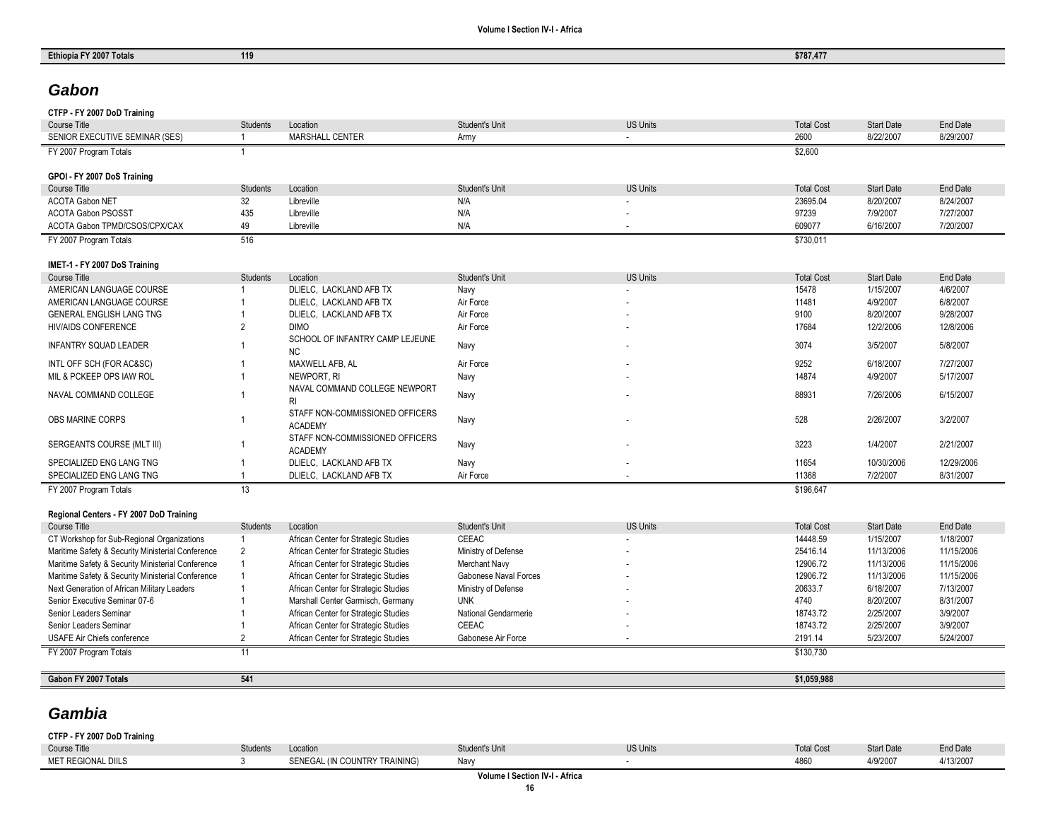| <b>Ethiopi</b><br><b>TOTAL</b><br>- | 4 4 M<br>____ | \$787.47<br>$\mathbf{r}$<br>. . |
|-------------------------------------|---------------|---------------------------------|
|                                     |               |                                 |

## *Gabon*

### **CTFP - FY 2007 DoD Training**

| Course Title                   | <b>Students</b> | Location               | Student's Unit | <b>US Units</b> | <b>Total Cost</b> | <b>Start Date</b> | End Date  |
|--------------------------------|-----------------|------------------------|----------------|-----------------|-------------------|-------------------|-----------|
| SENIOR EXECUTIVE SEMINAR (SES) |                 | <b>MARSHALL CENTER</b> | Army           |                 | 2600              | 8/22/2007         | 8/29/2007 |
| FY 2007 Program Totals         |                 |                        |                |                 | \$2,600           |                   |           |
|                                |                 |                        |                |                 |                   |                   |           |
| GPOI - FY 2007 DoS Training    |                 |                        |                |                 |                   |                   |           |
| Course Title                   | <b>Students</b> | Location               | Student's Unit | <b>US Units</b> | <b>Total Cost</b> | <b>Start Date</b> | End Date  |
| <b>ACOTA Gabon NET</b>         | 32              | Libreville             | N/A            |                 | 23695.04          | 8/20/2007         | 8/24/2007 |
| <b>ACOTA Gabon PSOSST</b>      | 435             | Libreville             | N/A            |                 | 97239             | 7/9/2007          | 7/27/2007 |
| ACOTA Gabon TPMD/CSOS/CPX/CAX  | 49              | Libreville             | N/A            |                 | 609077            | 6/16/2007         | 7/20/2007 |
| FY 2007 Program Totals         | 516             |                        |                |                 | \$730,011         |                   |           |

#### **IMET-1 - FY 2007 DoS Training**

| Course Title                    | Students | Location                                          | Student's Unit | <b>US Units</b>          | <b>Total Cost</b> | <b>Start Date</b> | End Date   |
|---------------------------------|----------|---------------------------------------------------|----------------|--------------------------|-------------------|-------------------|------------|
| AMERICAN LANGUAGE COURSE        |          | DLIELC. LACKLAND AFB TX                           | Navv           | $\overline{\phantom{a}}$ | 15478             | 1/15/2007         | 4/6/2007   |
| AMERICAN LANGUAGE COURSE        |          | DLIELC, LACKLAND AFB TX                           | Air Force      | $\sim$                   | 11481             | 4/9/2007          | 6/8/2007   |
| <b>GENERAL ENGLISH LANG TNG</b> |          | DLIELC. LACKLAND AFB TX                           | Air Force      | . .                      | 9100              | 8/20/2007         | 9/28/2007  |
| <b>HIV/AIDS CONFERENCE</b>      |          | <b>DIMO</b>                                       | Air Force      |                          | 17684             | 12/2/2006         | 12/8/2006  |
| INFANTRY SQUAD LEADER           |          | SCHOOL OF INFANTRY CAMP LEJEUNE<br>NC.            | Navy           |                          | 3074              | 3/5/2007          | 5/8/2007   |
| INTL OFF SCH (FOR AC&SC)        |          | MAXWELL AFB. AL                                   | Air Force      | $\sim$                   | 9252              | 6/18/2007         | 7/27/2007  |
| MIL & PCKEEP OPS IAW ROL        |          | NEWPORT, RI                                       | Navy           |                          | 14874             | 4/9/2007          | 5/17/2007  |
| NAVAL COMMAND COLLEGE           |          | NAVAL COMMAND COLLEGE NEWPORT<br>RI               | Navy           |                          | 88931             | 7/26/2006         | 6/15/2007  |
| OBS MARINE CORPS                |          | STAFF NON-COMMISSIONED OFFICERS<br><b>ACADEMY</b> | Navy           |                          | 528               | 2/26/2007         | 3/2/2007   |
| SERGEANTS COURSE (MLT III)      |          | STAFF NON-COMMISSIONED OFFICERS<br><b>ACADEMY</b> | Navv           |                          | 3223              | 1/4/2007          | 2/21/2007  |
| SPECIALIZED ENG LANG TNG        |          | DLIELC, LACKLAND AFB TX                           | Navv           | $\sim$                   | 11654             | 10/30/2006        | 12/29/2006 |
| SPECIALIZED ENG LANG TNG        |          | DLIELC, LACKLAND AFB TX                           | Air Force      |                          | 11368             | 7/2/2007          | 8/31/2007  |
| FY 2007 Program Totals          |          |                                                   |                |                          | \$196,647         |                   |            |

#### **Regional Centers - FY 2007 DoD Training**

| Course Title                                      | <b>Students</b> | Location                             | Student's Unit        | <b>US Units</b> | <b>Total Cost</b> | <b>Start Date</b> | End Date   |
|---------------------------------------------------|-----------------|--------------------------------------|-----------------------|-----------------|-------------------|-------------------|------------|
| CT Workshop for Sub-Regional Organizations        |                 | African Center for Strategic Studies | CEEAC                 |                 | 14448.59          | 1/15/2007         | 1/18/2007  |
| Maritime Safety & Security Ministerial Conference |                 | African Center for Strategic Studies | Ministry of Defense   |                 | 25416.14          | 11/13/2006        | 11/15/2006 |
| Maritime Safety & Security Ministerial Conference |                 | African Center for Strategic Studies | Merchant Navv         |                 | 12906.72          | 11/13/2006        | 11/15/2006 |
| Maritime Safety & Security Ministerial Conference |                 | African Center for Strategic Studies | Gabonese Naval Forces |                 | 12906.72          | 11/13/2006        | 11/15/2006 |
| Next Generation of African Military Leaders       |                 | African Center for Strategic Studies | Ministry of Defense   |                 | 20633.7           | 6/18/2007         | 7/13/2007  |
| Senior Executive Seminar 07-6                     |                 | Marshall Center Garmisch, Germany    | <b>UNK</b>            |                 | 4740              | 8/20/2007         | 8/31/2007  |
| Senior Leaders Seminar                            |                 | African Center for Strategic Studies | National Gendarmerie  |                 | 18743.72          | 2/25/2007         | 3/9/2007   |
| Senior Leaders Seminar                            |                 | African Center for Strategic Studies | CEEAC                 |                 | 18743.72          | 2/25/2007         | 3/9/2007   |
| USAFE Air Chiefs conference                       |                 | African Center for Strategic Studies | Gabonese Air Force    |                 | 2191.14           | 5/23/2007         | 5/24/2007  |
| FY 2007 Program Totals                            |                 |                                      |                       |                 | \$130.730         |                   |            |
| Gabon FY 2007 Totals                              | 541             |                                      |                       |                 | \$1,059,988       |                   |            |

## *Gambia*

| CTFP - FY 2007 DoD Training |          |                               |                |                 |                   |                   |           |  |
|-----------------------------|----------|-------------------------------|----------------|-----------------|-------------------|-------------------|-----------|--|
| Course Title                | Students | Location                      | Student's Unit | <b>US Units</b> | <b>Total Cost</b> | <b>Start Date</b> | End Date  |  |
| MET REGIONAL DIILS          |          | SENEGAL (IN COUNTRY TRAINING) | Navv           |                 | 1860              | 4/9/2007          | 4/13/2007 |  |
|                             |          |                               |                |                 |                   |                   |           |  |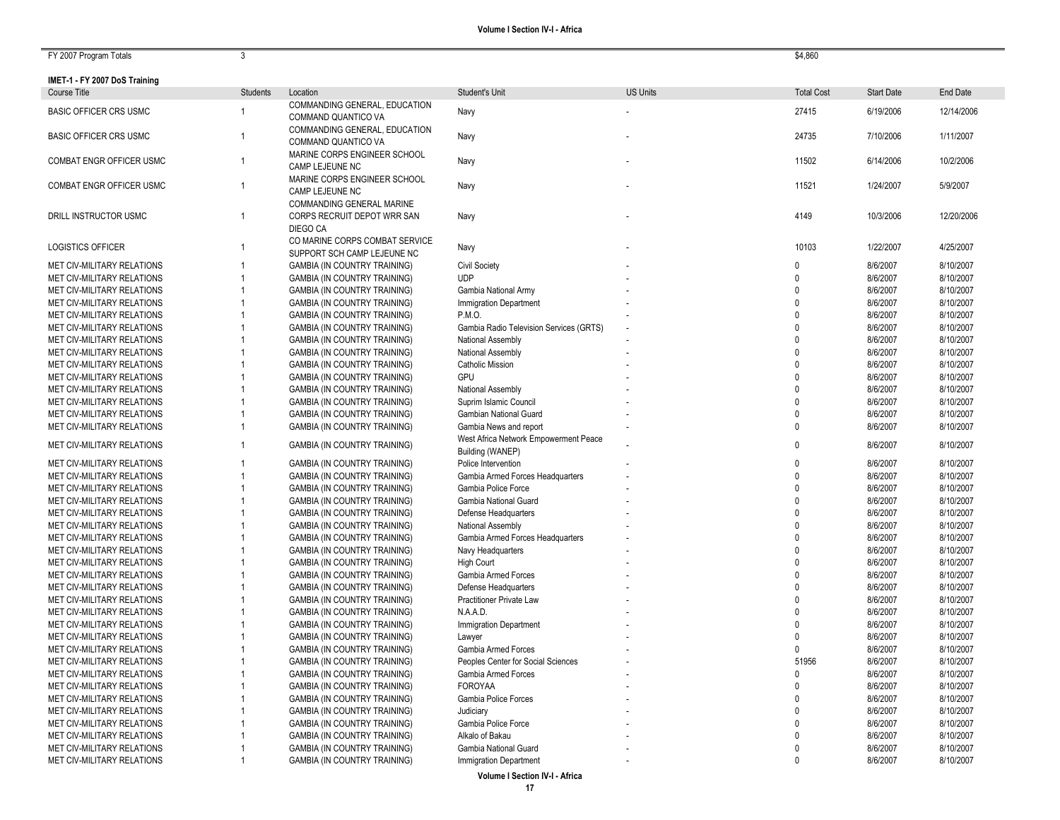| FY 2007 Program Totals          | 3               |                                                                             |                                                           |                 | \$4,860           |                   |            |
|---------------------------------|-----------------|-----------------------------------------------------------------------------|-----------------------------------------------------------|-----------------|-------------------|-------------------|------------|
| IMET-1 - FY 2007 DoS Training   |                 |                                                                             |                                                           |                 |                   |                   |            |
| Course Title                    | <b>Students</b> | Location                                                                    | Student's Unit                                            | <b>US Units</b> | <b>Total Cost</b> | <b>Start Date</b> | End Date   |
| <b>BASIC OFFICER CRS USMC</b>   | -1              | COMMANDING GENERAL, EDUCATION<br>COMMAND QUANTICO VA                        | Navy                                                      |                 | 27415             | 6/19/2006         | 12/14/2006 |
| <b>BASIC OFFICER CRS USMC</b>   | $\overline{1}$  | COMMANDING GENERAL, EDUCATION<br>COMMAND QUANTICO VA                        | Navy                                                      |                 | 24735             | 7/10/2006         | 1/11/2007  |
| <b>COMBAT ENGR OFFICER USMC</b> | $\mathbf{1}$    | MARINE CORPS ENGINEER SCHOOL<br>CAMP LEJEUNE NC                             | Navy                                                      |                 | 11502             | 6/14/2006         | 10/2/2006  |
| <b>COMBAT ENGR OFFICER USMC</b> | -1              | MARINE CORPS ENGINEER SCHOOL<br>CAMP LEJEUNE NC                             | Navy                                                      |                 | 11521             | 1/24/2007         | 5/9/2007   |
| DRILL INSTRUCTOR USMC           | $\mathbf{1}$    | <b>COMMANDING GENERAL MARINE</b><br>CORPS RECRUIT DEPOT WRR SAN<br>DIEGO CA | Navy                                                      |                 | 4149              | 10/3/2006         | 12/20/2006 |
| LOGISTICS OFFICER               | $\mathbf{1}$    | CO MARINE CORPS COMBAT SERVICE<br>SUPPORT SCH CAMP LEJEUNE NC               | Navy                                                      |                 | 10103             | 1/22/2007         | 4/25/2007  |
| MET CIV-MILITARY RELATIONS      | $\mathbf{1}$    | <b>GAMBIA (IN COUNTRY TRAINING)</b>                                         | <b>Civil Society</b>                                      |                 | $\Omega$          | 8/6/2007          | 8/10/2007  |
| MET CIV-MILITARY RELATIONS      |                 | <b>GAMBIA (IN COUNTRY TRAINING)</b>                                         | <b>UDP</b>                                                |                 | $\Omega$          | 8/6/2007          | 8/10/2007  |
| MET CIV-MILITARY RELATIONS      |                 | <b>GAMBIA (IN COUNTRY TRAINING)</b>                                         | Gambia National Army                                      |                 | $\Omega$          | 8/6/2007          | 8/10/2007  |
| MET CIV-MILITARY RELATIONS      |                 | <b>GAMBIA (IN COUNTRY TRAINING)</b>                                         | <b>Immigration Department</b>                             |                 | $\Omega$          | 8/6/2007          | 8/10/2007  |
| MET CIV-MILITARY RELATIONS      |                 | <b>GAMBIA (IN COUNTRY TRAINING)</b>                                         | P.M.O.                                                    |                 | $\Omega$          | 8/6/2007          | 8/10/2007  |
| MET CIV-MILITARY RELATIONS      |                 | <b>GAMBIA (IN COUNTRY TRAINING)</b>                                         | Gambia Radio Television Services (GRTS)                   |                 | $\Omega$          | 8/6/2007          | 8/10/2007  |
| MET CIV-MILITARY RELATIONS      |                 | <b>GAMBIA (IN COUNTRY TRAINING)</b>                                         | National Assembly                                         |                 | $\Omega$          | 8/6/2007          | 8/10/2007  |
| MET CIV-MILITARY RELATIONS      |                 | <b>GAMBIA (IN COUNTRY TRAINING)</b>                                         | National Assembly                                         |                 | $\Omega$          | 8/6/2007          | 8/10/2007  |
| MET CIV-MILITARY RELATIONS      |                 | <b>GAMBIA (IN COUNTRY TRAINING)</b>                                         | <b>Catholic Mission</b>                                   |                 | $\Omega$          | 8/6/2007          | 8/10/2007  |
| MET CIV-MILITARY RELATIONS      |                 | <b>GAMBIA (IN COUNTRY TRAINING)</b>                                         | <b>GPU</b>                                                |                 | U                 | 8/6/2007          | 8/10/2007  |
| MET CIV-MILITARY RELATIONS      |                 | <b>GAMBIA (IN COUNTRY TRAINING)</b>                                         | National Assembly                                         |                 | $\Omega$          | 8/6/2007          | 8/10/2007  |
| MET CIV-MILITARY RELATIONS      |                 | <b>GAMBIA (IN COUNTRY TRAINING)</b>                                         | Suprim Islamic Council                                    |                 | $\Omega$          | 8/6/2007          | 8/10/2007  |
| MET CIV-MILITARY RELATIONS      |                 | <b>GAMBIA (IN COUNTRY TRAINING)</b>                                         | <b>Gambian National Guard</b>                             |                 | $\Omega$          | 8/6/2007          | 8/10/2007  |
| MET CIV-MILITARY RELATIONS      | $\mathbf{1}$    | <b>GAMBIA (IN COUNTRY TRAINING)</b>                                         | Gambia News and report                                    |                 | $\Omega$          | 8/6/2007          | 8/10/2007  |
| MET CIV-MILITARY RELATIONS      | $\overline{1}$  | <b>GAMBIA (IN COUNTRY TRAINING)</b>                                         | West Africa Network Empowerment Peace<br>Building (WANEP) |                 | $\Omega$          | 8/6/2007          | 8/10/2007  |
| MET CIV-MILITARY RELATIONS      | -1              | <b>GAMBIA (IN COUNTRY TRAINING)</b>                                         | Police Intervention                                       |                 | $\Omega$          | 8/6/2007          | 8/10/2007  |
| MET CIV-MILITARY RELATIONS      | $\mathbf{1}$    | <b>GAMBIA (IN COUNTRY TRAINING)</b>                                         | Gambia Armed Forces Headquarters                          |                 | $\Omega$          | 8/6/2007          | 8/10/2007  |
| MET CIV-MILITARY RELATIONS      |                 | <b>GAMBIA (IN COUNTRY TRAINING)</b>                                         | Gambia Police Force                                       |                 | $\Omega$          | 8/6/2007          | 8/10/2007  |
| MET CIV-MILITARY RELATIONS      |                 | <b>GAMBIA (IN COUNTRY TRAINING)</b>                                         | Gambia National Guard                                     |                 | $\Omega$          | 8/6/2007          | 8/10/2007  |
| MET CIV-MILITARY RELATIONS      |                 | <b>GAMBIA (IN COUNTRY TRAINING)</b>                                         | Defense Headquarters                                      |                 | $\Omega$          | 8/6/2007          | 8/10/2007  |
| MET CIV-MILITARY RELATIONS      |                 | <b>GAMBIA (IN COUNTRY TRAINING)</b>                                         | National Assembly                                         |                 |                   | 8/6/2007          | 8/10/2007  |
| MET CIV-MILITARY RELATIONS      |                 | <b>GAMBIA (IN COUNTRY TRAINING)</b>                                         | Gambia Armed Forces Headquarters                          |                 | $\Omega$          | 8/6/2007          | 8/10/2007  |
| MET CIV-MILITARY RELATIONS      |                 | <b>GAMBIA (IN COUNTRY TRAINING)</b>                                         | Navy Headquarters                                         |                 |                   | 8/6/2007          | 8/10/2007  |
| MET CIV-MILITARY RELATIONS      |                 | <b>GAMBIA (IN COUNTRY TRAINING)</b>                                         | <b>High Court</b>                                         |                 |                   | 8/6/2007          | 8/10/2007  |
| MET CIV-MILITARY RELATIONS      |                 | <b>GAMBIA (IN COUNTRY TRAINING)</b>                                         | Gambia Armed Forces                                       |                 | $\Omega$          | 8/6/2007          | 8/10/2007  |

**Volume I Section IV -I - Africa** 1 GAMBIA (IN COUNTRY TRAINING) Immigration Department

1 GAMBIA (IN COUNTRY TRAINING) Defense Headquarters

1 GAMBIA (IN COUNTRY TRAINING) Practitioner Private Law

1 GAMBIA (IN COUNTRY TRAINING) Immigration Department

1 GAMBIA (IN COUNTRY TRAINING) Gambia Armed Forces

1 GAMBIA (IN COUNTRY TRAINING) Gambia Armed Forces

1 GAMBIA (IN COUNTRY TRAINING) Gambia Police Forces

1 GAMBIA (IN COUNTRY TRAINING) Gambia Police Force

1 GAMBIA (IN COUNTRY TRAINING) Gambia National Guard

1 GAMBIA (IN COUNTRY TRAINING) Alkalo of Bakau

1 GAMBIA (IN COUNTRY TRAINING) Peoples Center for Social Sciences

1 GAMBIA (IN COUNTRY TRAINING) N.A.A.D.

1 GAMBIA (IN COUNTRY TRAINING) Lawyer

1 GAMBIA (IN COUNTRY TRAINING) FOROYAA

1 GAMBIA (IN COUNTRY TRAINING) Judiciary

MET CIV -MILITARY RELATIONS

MET CIV -MILITARY RELATIONS

MET CI V -MILITARY RELATIONS

MET CIV -MILITARY RELATIONS

MET CIV -MILITARY RELATIONS

MET CIV -MILITARY RELATIONS

MET CIV -MILITARY RELATIONS

MET CIV -MILITARY RELATIONS

MET CIV -MILITARY RELATIONS

MET CIV -MILITARY RELATIONS

MET CIV -MILITARY RELATIONS

MET CIV -MILITARY RELATIONS

MET CIV -MILITARY RELATIONS

MET CIV -MILITARY RELATIONS

MET CIV -MILITARY RELATIONS

MET CIV -MILITARY RELATIONS

-

-

-

-

-

-

-

-

-

-

-

-

-

-

0 8/6/2007 8/10/2007

0 8/6/2007 8/10/2007

0 8/6/2007 8/10/2007

0 8/6/2007 8/10/2007

0 8/6/2007 8/10/2007

0 8/6/2007 8/10/2007

0 8/6/2007 8/10/2007

0 8/6/2007 8/10/2007

0 8/6/2007 8/10/2007

0 8/6/2007 8/10/2007

0 8/6/2007 8/10/2007

0 8/6/2007 8/10/2007

0 8/6/2007 8/10/2007

0 8/6/2007 8/10/2007

- 51956 8/6/2007 8/10/2007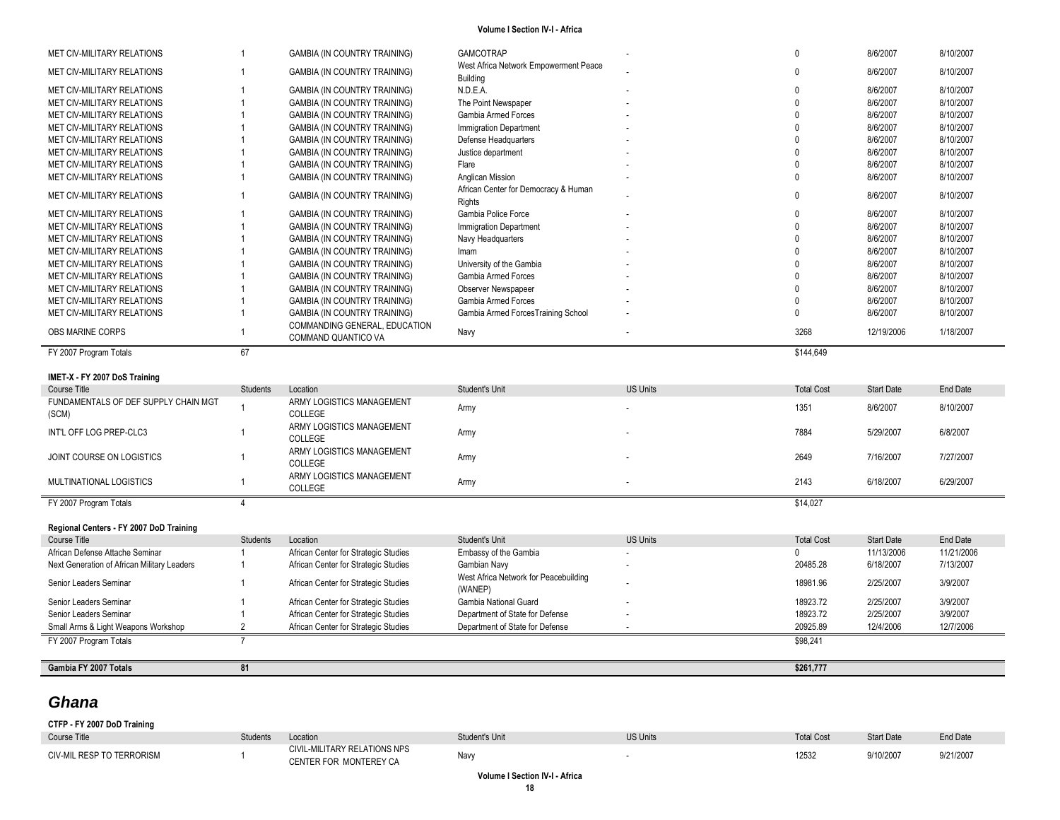| West Africa Network Empowerment Peace<br>8/6/2007<br>MET CIV-MILITARY RELATIONS<br><b>GAMBIA (IN COUNTRY TRAINING)</b><br>8/10/2007<br>Building<br>N.D.E.A.<br>8/6/2007<br>8/10/2007<br>MET CIV-MILITARY RELATIONS<br><b>GAMBIA (IN COUNTRY TRAINING)</b><br>8/6/2007<br>8/10/2007<br>MET CIV-MILITARY RELATIONS<br><b>GAMBIA (IN COUNTRY TRAINING)</b><br>The Point Newspaper<br>$\Omega$<br>8/6/2007<br>8/10/2007<br>MET CIV-MILITARY RELATIONS<br><b>GAMBIA (IN COUNTRY TRAINING)</b><br>$\Omega$<br>Gambia Armed Forces<br>8/6/2007<br>MET CIV-MILITARY RELATIONS<br><b>GAMBIA (IN COUNTRY TRAINING)</b><br><b>Immigration Department</b><br>$\Omega$<br>8/10/2007<br>8/6/2007<br>MET CIV-MILITARY RELATIONS<br><b>GAMBIA (IN COUNTRY TRAINING)</b><br>8/10/2007<br>Defense Headquarters<br><sup>n</sup><br>$\Omega$<br>8/6/2007<br>8/10/2007<br>MET CIV-MILITARY RELATIONS<br><b>GAMBIA (IN COUNTRY TRAINING)</b><br>Justice department<br>8/6/2007<br>Flare<br>$\Omega$<br>8/10/2007<br>MET CIV-MILITARY RELATIONS<br><b>GAMBIA (IN COUNTRY TRAINING)</b><br>8/6/2007<br>Anglican Mission<br>$\Omega$<br>8/10/2007<br>MET CIV-MILITARY RELATIONS<br>GAMBIA (IN COUNTRY TRAINING)<br>African Center for Democracy & Human<br>8/6/2007<br>MET CIV-MILITARY RELATIONS<br><b>GAMBIA (IN COUNTRY TRAINING)</b><br>8/10/2007<br>$\Omega$<br>Rights<br>Gambia Police Force<br>8/6/2007<br>8/10/2007<br>MET CIV-MILITARY RELATIONS<br><b>GAMBIA (IN COUNTRY TRAINING)</b><br>$\Omega$<br>8/6/2007<br>MET CIV-MILITARY RELATIONS<br><b>GAMBIA (IN COUNTRY TRAINING)</b><br>$\Omega$<br>8/10/2007<br><b>Immigration Department</b><br>8/6/2007<br>8/10/2007<br>MET CIV-MILITARY RELATIONS<br><b>GAMBIA (IN COUNTRY TRAINING)</b><br>Navy Headquarters<br>$\Omega$<br>8/6/2007<br><b>GAMBIA (IN COUNTRY TRAINING)</b><br>8/10/2007<br>MET CIV-MILITARY RELATIONS<br>Imam<br>$\Omega$<br>8/6/2007<br>8/10/2007<br>MET CIV-MILITARY RELATIONS<br>GAMBIA (IN COUNTRY TRAINING)<br>University of the Gambia<br>8/6/2007<br>MET CIV-MILITARY RELATIONS<br>Gambia Armed Forces<br>$\Omega$<br>8/10/2007<br><b>GAMBIA (IN COUNTRY TRAINING)</b><br>8/6/2007<br>$\Omega$<br>8/10/2007<br>MET CIV-MILITARY RELATIONS<br><b>GAMBIA (IN COUNTRY TRAINING)</b><br>Observer Newspapeer<br>8/6/2007<br>MET CIV-MILITARY RELATIONS<br><b>GAMBIA (IN COUNTRY TRAINING)</b><br>Gambia Armed Forces<br>8/10/2007<br>$\Omega$<br>8/6/2007<br>Gambia Armed ForcesTraining School<br>$\Omega$<br>8/10/2007<br>MET CIV-MILITARY RELATIONS<br><b>GAMBIA (IN COUNTRY TRAINING)</b><br>COMMANDING GENERAL, EDUCATION<br>3268<br>12/19/2006<br>1/18/2007<br><b>OBS MARINE CORPS</b><br>1<br>Navy<br>COMMAND QUANTICO VA<br>67<br>FY 2007 Program Totals<br>\$144.649<br>IMET-X - FY 2007 DoS Training<br>Student's Unit<br><b>US Units</b><br><b>Total Cost</b><br><b>End Date</b><br><b>Students</b><br><b>Start Date</b><br><b>Course Title</b><br>Location<br>FUNDAMENTALS OF DEF SUPPLY CHAIN MGT<br>ARMY LOGISTICS MANAGEMENT<br>1351<br>8/6/2007<br>8/10/2007<br>Army<br>COLLEGE<br>(SCM)<br>ARMY LOGISTICS MANAGEMENT<br>INT'L OFF LOG PREP-CLC3<br>7884<br>5/29/2007<br>6/8/2007<br>Army<br>COLLEGE<br>ARMY LOGISTICS MANAGEMENT<br>JOINT COURSE ON LOGISTICS<br>2649<br>7/16/2007<br>7/27/2007<br>Army<br>COLLEGE<br>ARMY LOGISTICS MANAGEMENT<br>2143<br>6/18/2007<br>MULTINATIONAL LOGISTICS<br>6/29/2007<br>1<br>Army<br>COLLEGE<br>FY 2007 Program Totals<br>\$14,027<br>$\overline{4}$<br>Regional Centers - FY 2007 DoD Training<br><b>US Units</b><br><b>Total Cost</b><br><b>Start Date</b><br><b>End Date</b><br>Course Title<br><b>Students</b><br>Location<br>Student's Unit<br>African Defense Attache Seminar<br>$\mathbf{1}$<br>African Center for Strategic Studies<br>Embassy of the Gambia<br>$\Omega$<br>11/13/2006<br>11/21/2006<br>20485.28<br>6/18/2007<br>7/13/2007<br>African Center for Strategic Studies<br>Next Generation of African Military Leaders<br>$\mathbf{1}$<br><b>Gambian Navy</b><br>West Africa Network for Peacebuilding<br>3/9/2007<br>Senior Leaders Seminar<br>18981.96<br>2/25/2007<br>African Center for Strategic Studies<br>1<br>(WANEP)<br>2/25/2007<br>3/9/2007<br>Senior Leaders Seminar<br>African Center for Strategic Studies<br>Gambia National Guard<br>18923.72<br>1<br>Senior Leaders Seminar<br>African Center for Strategic Studies<br>Department of State for Defense<br>18923.72<br>2/25/2007<br>3/9/2007<br>1<br>2<br>20925.89<br>12/4/2006<br>Small Arms & Light Weapons Workshop<br>African Center for Strategic Studies<br>Department of State for Defense<br>12/7/2006<br>$\sim$<br>\$98,241<br>FY 2007 Program Totals<br>$\overline{7}$<br>81<br>Gambia FY 2007 Totals<br>\$261,777 | MET CIV-MILITARY RELATIONS | GAMBIA (IN COUNTRY TRAINING) | <b>GAMCOTRAP</b> | $\mathbf{0}$ | 8/6/2007 | 8/10/2007 |
|----------------------------------------------------------------------------------------------------------------------------------------------------------------------------------------------------------------------------------------------------------------------------------------------------------------------------------------------------------------------------------------------------------------------------------------------------------------------------------------------------------------------------------------------------------------------------------------------------------------------------------------------------------------------------------------------------------------------------------------------------------------------------------------------------------------------------------------------------------------------------------------------------------------------------------------------------------------------------------------------------------------------------------------------------------------------------------------------------------------------------------------------------------------------------------------------------------------------------------------------------------------------------------------------------------------------------------------------------------------------------------------------------------------------------------------------------------------------------------------------------------------------------------------------------------------------------------------------------------------------------------------------------------------------------------------------------------------------------------------------------------------------------------------------------------------------------------------------------------------------------------------------------------------------------------------------------------------------------------------------------------------------------------------------------------------------------------------------------------------------------------------------------------------------------------------------------------------------------------------------------------------------------------------------------------------------------------------------------------------------------------------------------------------------------------------------------------------------------------------------------------------------------------------------------------------------------------------------------------------------------------------------------------------------------------------------------------------------------------------------------------------------------------------------------------------------------------------------------------------------------------------------------------------------------------------------------------------------------------------------------------------------------------------------------------------------------------------------------------------------------------------------------------------------------------------------------------------------------------------------------------------------------------------------------------------------------------------------------------------------------------------------------------------------------------------------------------------------------------------------------------------------------------------------------------------------------------------------------------------------------------------------------------------------------------------------------------------------------------------------------------------------------------------------------------------------------------------------------------------------------------------------------------------------------------------------------------------------------------------------------------------------------------------------------------------------------------------------------------------------------------------------------------------------------------------------------------------------------------------------------------------------------------------------------------------------------------------------------------------------------------------------------------------------------------------------------------------------------------------------------------------------------------------------------------------------------------------------------------------------------------------------------------------------------------------------------------------------------------|----------------------------|------------------------------|------------------|--------------|----------|-----------|
|                                                                                                                                                                                                                                                                                                                                                                                                                                                                                                                                                                                                                                                                                                                                                                                                                                                                                                                                                                                                                                                                                                                                                                                                                                                                                                                                                                                                                                                                                                                                                                                                                                                                                                                                                                                                                                                                                                                                                                                                                                                                                                                                                                                                                                                                                                                                                                                                                                                                                                                                                                                                                                                                                                                                                                                                                                                                                                                                                                                                                                                                                                                                                                                                                                                                                                                                                                                                                                                                                                                                                                                                                                                                                                                                                                                                                                                                                                                                                                                                                                                                                                                                                                                                                                                                                                                                                                                                                                                                                                                                                                                                                                                                                                                                  |                            |                              |                  |              |          |           |
|                                                                                                                                                                                                                                                                                                                                                                                                                                                                                                                                                                                                                                                                                                                                                                                                                                                                                                                                                                                                                                                                                                                                                                                                                                                                                                                                                                                                                                                                                                                                                                                                                                                                                                                                                                                                                                                                                                                                                                                                                                                                                                                                                                                                                                                                                                                                                                                                                                                                                                                                                                                                                                                                                                                                                                                                                                                                                                                                                                                                                                                                                                                                                                                                                                                                                                                                                                                                                                                                                                                                                                                                                                                                                                                                                                                                                                                                                                                                                                                                                                                                                                                                                                                                                                                                                                                                                                                                                                                                                                                                                                                                                                                                                                                                  |                            |                              |                  |              |          |           |
|                                                                                                                                                                                                                                                                                                                                                                                                                                                                                                                                                                                                                                                                                                                                                                                                                                                                                                                                                                                                                                                                                                                                                                                                                                                                                                                                                                                                                                                                                                                                                                                                                                                                                                                                                                                                                                                                                                                                                                                                                                                                                                                                                                                                                                                                                                                                                                                                                                                                                                                                                                                                                                                                                                                                                                                                                                                                                                                                                                                                                                                                                                                                                                                                                                                                                                                                                                                                                                                                                                                                                                                                                                                                                                                                                                                                                                                                                                                                                                                                                                                                                                                                                                                                                                                                                                                                                                                                                                                                                                                                                                                                                                                                                                                                  |                            |                              |                  |              |          |           |
|                                                                                                                                                                                                                                                                                                                                                                                                                                                                                                                                                                                                                                                                                                                                                                                                                                                                                                                                                                                                                                                                                                                                                                                                                                                                                                                                                                                                                                                                                                                                                                                                                                                                                                                                                                                                                                                                                                                                                                                                                                                                                                                                                                                                                                                                                                                                                                                                                                                                                                                                                                                                                                                                                                                                                                                                                                                                                                                                                                                                                                                                                                                                                                                                                                                                                                                                                                                                                                                                                                                                                                                                                                                                                                                                                                                                                                                                                                                                                                                                                                                                                                                                                                                                                                                                                                                                                                                                                                                                                                                                                                                                                                                                                                                                  |                            |                              |                  |              |          |           |
|                                                                                                                                                                                                                                                                                                                                                                                                                                                                                                                                                                                                                                                                                                                                                                                                                                                                                                                                                                                                                                                                                                                                                                                                                                                                                                                                                                                                                                                                                                                                                                                                                                                                                                                                                                                                                                                                                                                                                                                                                                                                                                                                                                                                                                                                                                                                                                                                                                                                                                                                                                                                                                                                                                                                                                                                                                                                                                                                                                                                                                                                                                                                                                                                                                                                                                                                                                                                                                                                                                                                                                                                                                                                                                                                                                                                                                                                                                                                                                                                                                                                                                                                                                                                                                                                                                                                                                                                                                                                                                                                                                                                                                                                                                                                  |                            |                              |                  |              |          |           |
|                                                                                                                                                                                                                                                                                                                                                                                                                                                                                                                                                                                                                                                                                                                                                                                                                                                                                                                                                                                                                                                                                                                                                                                                                                                                                                                                                                                                                                                                                                                                                                                                                                                                                                                                                                                                                                                                                                                                                                                                                                                                                                                                                                                                                                                                                                                                                                                                                                                                                                                                                                                                                                                                                                                                                                                                                                                                                                                                                                                                                                                                                                                                                                                                                                                                                                                                                                                                                                                                                                                                                                                                                                                                                                                                                                                                                                                                                                                                                                                                                                                                                                                                                                                                                                                                                                                                                                                                                                                                                                                                                                                                                                                                                                                                  |                            |                              |                  |              |          |           |
|                                                                                                                                                                                                                                                                                                                                                                                                                                                                                                                                                                                                                                                                                                                                                                                                                                                                                                                                                                                                                                                                                                                                                                                                                                                                                                                                                                                                                                                                                                                                                                                                                                                                                                                                                                                                                                                                                                                                                                                                                                                                                                                                                                                                                                                                                                                                                                                                                                                                                                                                                                                                                                                                                                                                                                                                                                                                                                                                                                                                                                                                                                                                                                                                                                                                                                                                                                                                                                                                                                                                                                                                                                                                                                                                                                                                                                                                                                                                                                                                                                                                                                                                                                                                                                                                                                                                                                                                                                                                                                                                                                                                                                                                                                                                  |                            |                              |                  |              |          |           |
|                                                                                                                                                                                                                                                                                                                                                                                                                                                                                                                                                                                                                                                                                                                                                                                                                                                                                                                                                                                                                                                                                                                                                                                                                                                                                                                                                                                                                                                                                                                                                                                                                                                                                                                                                                                                                                                                                                                                                                                                                                                                                                                                                                                                                                                                                                                                                                                                                                                                                                                                                                                                                                                                                                                                                                                                                                                                                                                                                                                                                                                                                                                                                                                                                                                                                                                                                                                                                                                                                                                                                                                                                                                                                                                                                                                                                                                                                                                                                                                                                                                                                                                                                                                                                                                                                                                                                                                                                                                                                                                                                                                                                                                                                                                                  |                            |                              |                  |              |          |           |
|                                                                                                                                                                                                                                                                                                                                                                                                                                                                                                                                                                                                                                                                                                                                                                                                                                                                                                                                                                                                                                                                                                                                                                                                                                                                                                                                                                                                                                                                                                                                                                                                                                                                                                                                                                                                                                                                                                                                                                                                                                                                                                                                                                                                                                                                                                                                                                                                                                                                                                                                                                                                                                                                                                                                                                                                                                                                                                                                                                                                                                                                                                                                                                                                                                                                                                                                                                                                                                                                                                                                                                                                                                                                                                                                                                                                                                                                                                                                                                                                                                                                                                                                                                                                                                                                                                                                                                                                                                                                                                                                                                                                                                                                                                                                  |                            |                              |                  |              |          |           |
|                                                                                                                                                                                                                                                                                                                                                                                                                                                                                                                                                                                                                                                                                                                                                                                                                                                                                                                                                                                                                                                                                                                                                                                                                                                                                                                                                                                                                                                                                                                                                                                                                                                                                                                                                                                                                                                                                                                                                                                                                                                                                                                                                                                                                                                                                                                                                                                                                                                                                                                                                                                                                                                                                                                                                                                                                                                                                                                                                                                                                                                                                                                                                                                                                                                                                                                                                                                                                                                                                                                                                                                                                                                                                                                                                                                                                                                                                                                                                                                                                                                                                                                                                                                                                                                                                                                                                                                                                                                                                                                                                                                                                                                                                                                                  |                            |                              |                  |              |          |           |
|                                                                                                                                                                                                                                                                                                                                                                                                                                                                                                                                                                                                                                                                                                                                                                                                                                                                                                                                                                                                                                                                                                                                                                                                                                                                                                                                                                                                                                                                                                                                                                                                                                                                                                                                                                                                                                                                                                                                                                                                                                                                                                                                                                                                                                                                                                                                                                                                                                                                                                                                                                                                                                                                                                                                                                                                                                                                                                                                                                                                                                                                                                                                                                                                                                                                                                                                                                                                                                                                                                                                                                                                                                                                                                                                                                                                                                                                                                                                                                                                                                                                                                                                                                                                                                                                                                                                                                                                                                                                                                                                                                                                                                                                                                                                  |                            |                              |                  |              |          |           |
|                                                                                                                                                                                                                                                                                                                                                                                                                                                                                                                                                                                                                                                                                                                                                                                                                                                                                                                                                                                                                                                                                                                                                                                                                                                                                                                                                                                                                                                                                                                                                                                                                                                                                                                                                                                                                                                                                                                                                                                                                                                                                                                                                                                                                                                                                                                                                                                                                                                                                                                                                                                                                                                                                                                                                                                                                                                                                                                                                                                                                                                                                                                                                                                                                                                                                                                                                                                                                                                                                                                                                                                                                                                                                                                                                                                                                                                                                                                                                                                                                                                                                                                                                                                                                                                                                                                                                                                                                                                                                                                                                                                                                                                                                                                                  |                            |                              |                  |              |          |           |
|                                                                                                                                                                                                                                                                                                                                                                                                                                                                                                                                                                                                                                                                                                                                                                                                                                                                                                                                                                                                                                                                                                                                                                                                                                                                                                                                                                                                                                                                                                                                                                                                                                                                                                                                                                                                                                                                                                                                                                                                                                                                                                                                                                                                                                                                                                                                                                                                                                                                                                                                                                                                                                                                                                                                                                                                                                                                                                                                                                                                                                                                                                                                                                                                                                                                                                                                                                                                                                                                                                                                                                                                                                                                                                                                                                                                                                                                                                                                                                                                                                                                                                                                                                                                                                                                                                                                                                                                                                                                                                                                                                                                                                                                                                                                  |                            |                              |                  |              |          |           |
|                                                                                                                                                                                                                                                                                                                                                                                                                                                                                                                                                                                                                                                                                                                                                                                                                                                                                                                                                                                                                                                                                                                                                                                                                                                                                                                                                                                                                                                                                                                                                                                                                                                                                                                                                                                                                                                                                                                                                                                                                                                                                                                                                                                                                                                                                                                                                                                                                                                                                                                                                                                                                                                                                                                                                                                                                                                                                                                                                                                                                                                                                                                                                                                                                                                                                                                                                                                                                                                                                                                                                                                                                                                                                                                                                                                                                                                                                                                                                                                                                                                                                                                                                                                                                                                                                                                                                                                                                                                                                                                                                                                                                                                                                                                                  |                            |                              |                  |              |          |           |
|                                                                                                                                                                                                                                                                                                                                                                                                                                                                                                                                                                                                                                                                                                                                                                                                                                                                                                                                                                                                                                                                                                                                                                                                                                                                                                                                                                                                                                                                                                                                                                                                                                                                                                                                                                                                                                                                                                                                                                                                                                                                                                                                                                                                                                                                                                                                                                                                                                                                                                                                                                                                                                                                                                                                                                                                                                                                                                                                                                                                                                                                                                                                                                                                                                                                                                                                                                                                                                                                                                                                                                                                                                                                                                                                                                                                                                                                                                                                                                                                                                                                                                                                                                                                                                                                                                                                                                                                                                                                                                                                                                                                                                                                                                                                  |                            |                              |                  |              |          |           |
|                                                                                                                                                                                                                                                                                                                                                                                                                                                                                                                                                                                                                                                                                                                                                                                                                                                                                                                                                                                                                                                                                                                                                                                                                                                                                                                                                                                                                                                                                                                                                                                                                                                                                                                                                                                                                                                                                                                                                                                                                                                                                                                                                                                                                                                                                                                                                                                                                                                                                                                                                                                                                                                                                                                                                                                                                                                                                                                                                                                                                                                                                                                                                                                                                                                                                                                                                                                                                                                                                                                                                                                                                                                                                                                                                                                                                                                                                                                                                                                                                                                                                                                                                                                                                                                                                                                                                                                                                                                                                                                                                                                                                                                                                                                                  |                            |                              |                  |              |          |           |
|                                                                                                                                                                                                                                                                                                                                                                                                                                                                                                                                                                                                                                                                                                                                                                                                                                                                                                                                                                                                                                                                                                                                                                                                                                                                                                                                                                                                                                                                                                                                                                                                                                                                                                                                                                                                                                                                                                                                                                                                                                                                                                                                                                                                                                                                                                                                                                                                                                                                                                                                                                                                                                                                                                                                                                                                                                                                                                                                                                                                                                                                                                                                                                                                                                                                                                                                                                                                                                                                                                                                                                                                                                                                                                                                                                                                                                                                                                                                                                                                                                                                                                                                                                                                                                                                                                                                                                                                                                                                                                                                                                                                                                                                                                                                  |                            |                              |                  |              |          |           |
|                                                                                                                                                                                                                                                                                                                                                                                                                                                                                                                                                                                                                                                                                                                                                                                                                                                                                                                                                                                                                                                                                                                                                                                                                                                                                                                                                                                                                                                                                                                                                                                                                                                                                                                                                                                                                                                                                                                                                                                                                                                                                                                                                                                                                                                                                                                                                                                                                                                                                                                                                                                                                                                                                                                                                                                                                                                                                                                                                                                                                                                                                                                                                                                                                                                                                                                                                                                                                                                                                                                                                                                                                                                                                                                                                                                                                                                                                                                                                                                                                                                                                                                                                                                                                                                                                                                                                                                                                                                                                                                                                                                                                                                                                                                                  |                            |                              |                  |              |          |           |
|                                                                                                                                                                                                                                                                                                                                                                                                                                                                                                                                                                                                                                                                                                                                                                                                                                                                                                                                                                                                                                                                                                                                                                                                                                                                                                                                                                                                                                                                                                                                                                                                                                                                                                                                                                                                                                                                                                                                                                                                                                                                                                                                                                                                                                                                                                                                                                                                                                                                                                                                                                                                                                                                                                                                                                                                                                                                                                                                                                                                                                                                                                                                                                                                                                                                                                                                                                                                                                                                                                                                                                                                                                                                                                                                                                                                                                                                                                                                                                                                                                                                                                                                                                                                                                                                                                                                                                                                                                                                                                                                                                                                                                                                                                                                  |                            |                              |                  |              |          |           |
|                                                                                                                                                                                                                                                                                                                                                                                                                                                                                                                                                                                                                                                                                                                                                                                                                                                                                                                                                                                                                                                                                                                                                                                                                                                                                                                                                                                                                                                                                                                                                                                                                                                                                                                                                                                                                                                                                                                                                                                                                                                                                                                                                                                                                                                                                                                                                                                                                                                                                                                                                                                                                                                                                                                                                                                                                                                                                                                                                                                                                                                                                                                                                                                                                                                                                                                                                                                                                                                                                                                                                                                                                                                                                                                                                                                                                                                                                                                                                                                                                                                                                                                                                                                                                                                                                                                                                                                                                                                                                                                                                                                                                                                                                                                                  |                            |                              |                  |              |          |           |
|                                                                                                                                                                                                                                                                                                                                                                                                                                                                                                                                                                                                                                                                                                                                                                                                                                                                                                                                                                                                                                                                                                                                                                                                                                                                                                                                                                                                                                                                                                                                                                                                                                                                                                                                                                                                                                                                                                                                                                                                                                                                                                                                                                                                                                                                                                                                                                                                                                                                                                                                                                                                                                                                                                                                                                                                                                                                                                                                                                                                                                                                                                                                                                                                                                                                                                                                                                                                                                                                                                                                                                                                                                                                                                                                                                                                                                                                                                                                                                                                                                                                                                                                                                                                                                                                                                                                                                                                                                                                                                                                                                                                                                                                                                                                  |                            |                              |                  |              |          |           |
|                                                                                                                                                                                                                                                                                                                                                                                                                                                                                                                                                                                                                                                                                                                                                                                                                                                                                                                                                                                                                                                                                                                                                                                                                                                                                                                                                                                                                                                                                                                                                                                                                                                                                                                                                                                                                                                                                                                                                                                                                                                                                                                                                                                                                                                                                                                                                                                                                                                                                                                                                                                                                                                                                                                                                                                                                                                                                                                                                                                                                                                                                                                                                                                                                                                                                                                                                                                                                                                                                                                                                                                                                                                                                                                                                                                                                                                                                                                                                                                                                                                                                                                                                                                                                                                                                                                                                                                                                                                                                                                                                                                                                                                                                                                                  |                            |                              |                  |              |          |           |
|                                                                                                                                                                                                                                                                                                                                                                                                                                                                                                                                                                                                                                                                                                                                                                                                                                                                                                                                                                                                                                                                                                                                                                                                                                                                                                                                                                                                                                                                                                                                                                                                                                                                                                                                                                                                                                                                                                                                                                                                                                                                                                                                                                                                                                                                                                                                                                                                                                                                                                                                                                                                                                                                                                                                                                                                                                                                                                                                                                                                                                                                                                                                                                                                                                                                                                                                                                                                                                                                                                                                                                                                                                                                                                                                                                                                                                                                                                                                                                                                                                                                                                                                                                                                                                                                                                                                                                                                                                                                                                                                                                                                                                                                                                                                  |                            |                              |                  |              |          |           |
|                                                                                                                                                                                                                                                                                                                                                                                                                                                                                                                                                                                                                                                                                                                                                                                                                                                                                                                                                                                                                                                                                                                                                                                                                                                                                                                                                                                                                                                                                                                                                                                                                                                                                                                                                                                                                                                                                                                                                                                                                                                                                                                                                                                                                                                                                                                                                                                                                                                                                                                                                                                                                                                                                                                                                                                                                                                                                                                                                                                                                                                                                                                                                                                                                                                                                                                                                                                                                                                                                                                                                                                                                                                                                                                                                                                                                                                                                                                                                                                                                                                                                                                                                                                                                                                                                                                                                                                                                                                                                                                                                                                                                                                                                                                                  |                            |                              |                  |              |          |           |
|                                                                                                                                                                                                                                                                                                                                                                                                                                                                                                                                                                                                                                                                                                                                                                                                                                                                                                                                                                                                                                                                                                                                                                                                                                                                                                                                                                                                                                                                                                                                                                                                                                                                                                                                                                                                                                                                                                                                                                                                                                                                                                                                                                                                                                                                                                                                                                                                                                                                                                                                                                                                                                                                                                                                                                                                                                                                                                                                                                                                                                                                                                                                                                                                                                                                                                                                                                                                                                                                                                                                                                                                                                                                                                                                                                                                                                                                                                                                                                                                                                                                                                                                                                                                                                                                                                                                                                                                                                                                                                                                                                                                                                                                                                                                  |                            |                              |                  |              |          |           |
|                                                                                                                                                                                                                                                                                                                                                                                                                                                                                                                                                                                                                                                                                                                                                                                                                                                                                                                                                                                                                                                                                                                                                                                                                                                                                                                                                                                                                                                                                                                                                                                                                                                                                                                                                                                                                                                                                                                                                                                                                                                                                                                                                                                                                                                                                                                                                                                                                                                                                                                                                                                                                                                                                                                                                                                                                                                                                                                                                                                                                                                                                                                                                                                                                                                                                                                                                                                                                                                                                                                                                                                                                                                                                                                                                                                                                                                                                                                                                                                                                                                                                                                                                                                                                                                                                                                                                                                                                                                                                                                                                                                                                                                                                                                                  |                            |                              |                  |              |          |           |
|                                                                                                                                                                                                                                                                                                                                                                                                                                                                                                                                                                                                                                                                                                                                                                                                                                                                                                                                                                                                                                                                                                                                                                                                                                                                                                                                                                                                                                                                                                                                                                                                                                                                                                                                                                                                                                                                                                                                                                                                                                                                                                                                                                                                                                                                                                                                                                                                                                                                                                                                                                                                                                                                                                                                                                                                                                                                                                                                                                                                                                                                                                                                                                                                                                                                                                                                                                                                                                                                                                                                                                                                                                                                                                                                                                                                                                                                                                                                                                                                                                                                                                                                                                                                                                                                                                                                                                                                                                                                                                                                                                                                                                                                                                                                  |                            |                              |                  |              |          |           |
|                                                                                                                                                                                                                                                                                                                                                                                                                                                                                                                                                                                                                                                                                                                                                                                                                                                                                                                                                                                                                                                                                                                                                                                                                                                                                                                                                                                                                                                                                                                                                                                                                                                                                                                                                                                                                                                                                                                                                                                                                                                                                                                                                                                                                                                                                                                                                                                                                                                                                                                                                                                                                                                                                                                                                                                                                                                                                                                                                                                                                                                                                                                                                                                                                                                                                                                                                                                                                                                                                                                                                                                                                                                                                                                                                                                                                                                                                                                                                                                                                                                                                                                                                                                                                                                                                                                                                                                                                                                                                                                                                                                                                                                                                                                                  |                            |                              |                  |              |          |           |
|                                                                                                                                                                                                                                                                                                                                                                                                                                                                                                                                                                                                                                                                                                                                                                                                                                                                                                                                                                                                                                                                                                                                                                                                                                                                                                                                                                                                                                                                                                                                                                                                                                                                                                                                                                                                                                                                                                                                                                                                                                                                                                                                                                                                                                                                                                                                                                                                                                                                                                                                                                                                                                                                                                                                                                                                                                                                                                                                                                                                                                                                                                                                                                                                                                                                                                                                                                                                                                                                                                                                                                                                                                                                                                                                                                                                                                                                                                                                                                                                                                                                                                                                                                                                                                                                                                                                                                                                                                                                                                                                                                                                                                                                                                                                  |                            |                              |                  |              |          |           |
|                                                                                                                                                                                                                                                                                                                                                                                                                                                                                                                                                                                                                                                                                                                                                                                                                                                                                                                                                                                                                                                                                                                                                                                                                                                                                                                                                                                                                                                                                                                                                                                                                                                                                                                                                                                                                                                                                                                                                                                                                                                                                                                                                                                                                                                                                                                                                                                                                                                                                                                                                                                                                                                                                                                                                                                                                                                                                                                                                                                                                                                                                                                                                                                                                                                                                                                                                                                                                                                                                                                                                                                                                                                                                                                                                                                                                                                                                                                                                                                                                                                                                                                                                                                                                                                                                                                                                                                                                                                                                                                                                                                                                                                                                                                                  |                            |                              |                  |              |          |           |
|                                                                                                                                                                                                                                                                                                                                                                                                                                                                                                                                                                                                                                                                                                                                                                                                                                                                                                                                                                                                                                                                                                                                                                                                                                                                                                                                                                                                                                                                                                                                                                                                                                                                                                                                                                                                                                                                                                                                                                                                                                                                                                                                                                                                                                                                                                                                                                                                                                                                                                                                                                                                                                                                                                                                                                                                                                                                                                                                                                                                                                                                                                                                                                                                                                                                                                                                                                                                                                                                                                                                                                                                                                                                                                                                                                                                                                                                                                                                                                                                                                                                                                                                                                                                                                                                                                                                                                                                                                                                                                                                                                                                                                                                                                                                  |                            |                              |                  |              |          |           |
|                                                                                                                                                                                                                                                                                                                                                                                                                                                                                                                                                                                                                                                                                                                                                                                                                                                                                                                                                                                                                                                                                                                                                                                                                                                                                                                                                                                                                                                                                                                                                                                                                                                                                                                                                                                                                                                                                                                                                                                                                                                                                                                                                                                                                                                                                                                                                                                                                                                                                                                                                                                                                                                                                                                                                                                                                                                                                                                                                                                                                                                                                                                                                                                                                                                                                                                                                                                                                                                                                                                                                                                                                                                                                                                                                                                                                                                                                                                                                                                                                                                                                                                                                                                                                                                                                                                                                                                                                                                                                                                                                                                                                                                                                                                                  |                            |                              |                  |              |          |           |
|                                                                                                                                                                                                                                                                                                                                                                                                                                                                                                                                                                                                                                                                                                                                                                                                                                                                                                                                                                                                                                                                                                                                                                                                                                                                                                                                                                                                                                                                                                                                                                                                                                                                                                                                                                                                                                                                                                                                                                                                                                                                                                                                                                                                                                                                                                                                                                                                                                                                                                                                                                                                                                                                                                                                                                                                                                                                                                                                                                                                                                                                                                                                                                                                                                                                                                                                                                                                                                                                                                                                                                                                                                                                                                                                                                                                                                                                                                                                                                                                                                                                                                                                                                                                                                                                                                                                                                                                                                                                                                                                                                                                                                                                                                                                  |                            |                              |                  |              |          |           |
|                                                                                                                                                                                                                                                                                                                                                                                                                                                                                                                                                                                                                                                                                                                                                                                                                                                                                                                                                                                                                                                                                                                                                                                                                                                                                                                                                                                                                                                                                                                                                                                                                                                                                                                                                                                                                                                                                                                                                                                                                                                                                                                                                                                                                                                                                                                                                                                                                                                                                                                                                                                                                                                                                                                                                                                                                                                                                                                                                                                                                                                                                                                                                                                                                                                                                                                                                                                                                                                                                                                                                                                                                                                                                                                                                                                                                                                                                                                                                                                                                                                                                                                                                                                                                                                                                                                                                                                                                                                                                                                                                                                                                                                                                                                                  |                            |                              |                  |              |          |           |
|                                                                                                                                                                                                                                                                                                                                                                                                                                                                                                                                                                                                                                                                                                                                                                                                                                                                                                                                                                                                                                                                                                                                                                                                                                                                                                                                                                                                                                                                                                                                                                                                                                                                                                                                                                                                                                                                                                                                                                                                                                                                                                                                                                                                                                                                                                                                                                                                                                                                                                                                                                                                                                                                                                                                                                                                                                                                                                                                                                                                                                                                                                                                                                                                                                                                                                                                                                                                                                                                                                                                                                                                                                                                                                                                                                                                                                                                                                                                                                                                                                                                                                                                                                                                                                                                                                                                                                                                                                                                                                                                                                                                                                                                                                                                  |                            |                              |                  |              |          |           |
|                                                                                                                                                                                                                                                                                                                                                                                                                                                                                                                                                                                                                                                                                                                                                                                                                                                                                                                                                                                                                                                                                                                                                                                                                                                                                                                                                                                                                                                                                                                                                                                                                                                                                                                                                                                                                                                                                                                                                                                                                                                                                                                                                                                                                                                                                                                                                                                                                                                                                                                                                                                                                                                                                                                                                                                                                                                                                                                                                                                                                                                                                                                                                                                                                                                                                                                                                                                                                                                                                                                                                                                                                                                                                                                                                                                                                                                                                                                                                                                                                                                                                                                                                                                                                                                                                                                                                                                                                                                                                                                                                                                                                                                                                                                                  |                            |                              |                  |              |          |           |
|                                                                                                                                                                                                                                                                                                                                                                                                                                                                                                                                                                                                                                                                                                                                                                                                                                                                                                                                                                                                                                                                                                                                                                                                                                                                                                                                                                                                                                                                                                                                                                                                                                                                                                                                                                                                                                                                                                                                                                                                                                                                                                                                                                                                                                                                                                                                                                                                                                                                                                                                                                                                                                                                                                                                                                                                                                                                                                                                                                                                                                                                                                                                                                                                                                                                                                                                                                                                                                                                                                                                                                                                                                                                                                                                                                                                                                                                                                                                                                                                                                                                                                                                                                                                                                                                                                                                                                                                                                                                                                                                                                                                                                                                                                                                  |                            |                              |                  |              |          |           |
|                                                                                                                                                                                                                                                                                                                                                                                                                                                                                                                                                                                                                                                                                                                                                                                                                                                                                                                                                                                                                                                                                                                                                                                                                                                                                                                                                                                                                                                                                                                                                                                                                                                                                                                                                                                                                                                                                                                                                                                                                                                                                                                                                                                                                                                                                                                                                                                                                                                                                                                                                                                                                                                                                                                                                                                                                                                                                                                                                                                                                                                                                                                                                                                                                                                                                                                                                                                                                                                                                                                                                                                                                                                                                                                                                                                                                                                                                                                                                                                                                                                                                                                                                                                                                                                                                                                                                                                                                                                                                                                                                                                                                                                                                                                                  |                            |                              |                  |              |          |           |
|                                                                                                                                                                                                                                                                                                                                                                                                                                                                                                                                                                                                                                                                                                                                                                                                                                                                                                                                                                                                                                                                                                                                                                                                                                                                                                                                                                                                                                                                                                                                                                                                                                                                                                                                                                                                                                                                                                                                                                                                                                                                                                                                                                                                                                                                                                                                                                                                                                                                                                                                                                                                                                                                                                                                                                                                                                                                                                                                                                                                                                                                                                                                                                                                                                                                                                                                                                                                                                                                                                                                                                                                                                                                                                                                                                                                                                                                                                                                                                                                                                                                                                                                                                                                                                                                                                                                                                                                                                                                                                                                                                                                                                                                                                                                  |                            |                              |                  |              |          |           |
|                                                                                                                                                                                                                                                                                                                                                                                                                                                                                                                                                                                                                                                                                                                                                                                                                                                                                                                                                                                                                                                                                                                                                                                                                                                                                                                                                                                                                                                                                                                                                                                                                                                                                                                                                                                                                                                                                                                                                                                                                                                                                                                                                                                                                                                                                                                                                                                                                                                                                                                                                                                                                                                                                                                                                                                                                                                                                                                                                                                                                                                                                                                                                                                                                                                                                                                                                                                                                                                                                                                                                                                                                                                                                                                                                                                                                                                                                                                                                                                                                                                                                                                                                                                                                                                                                                                                                                                                                                                                                                                                                                                                                                                                                                                                  |                            |                              |                  |              |          |           |
|                                                                                                                                                                                                                                                                                                                                                                                                                                                                                                                                                                                                                                                                                                                                                                                                                                                                                                                                                                                                                                                                                                                                                                                                                                                                                                                                                                                                                                                                                                                                                                                                                                                                                                                                                                                                                                                                                                                                                                                                                                                                                                                                                                                                                                                                                                                                                                                                                                                                                                                                                                                                                                                                                                                                                                                                                                                                                                                                                                                                                                                                                                                                                                                                                                                                                                                                                                                                                                                                                                                                                                                                                                                                                                                                                                                                                                                                                                                                                                                                                                                                                                                                                                                                                                                                                                                                                                                                                                                                                                                                                                                                                                                                                                                                  |                            |                              |                  |              |          |           |
|                                                                                                                                                                                                                                                                                                                                                                                                                                                                                                                                                                                                                                                                                                                                                                                                                                                                                                                                                                                                                                                                                                                                                                                                                                                                                                                                                                                                                                                                                                                                                                                                                                                                                                                                                                                                                                                                                                                                                                                                                                                                                                                                                                                                                                                                                                                                                                                                                                                                                                                                                                                                                                                                                                                                                                                                                                                                                                                                                                                                                                                                                                                                                                                                                                                                                                                                                                                                                                                                                                                                                                                                                                                                                                                                                                                                                                                                                                                                                                                                                                                                                                                                                                                                                                                                                                                                                                                                                                                                                                                                                                                                                                                                                                                                  |                            |                              |                  |              |          |           |

## *Ghana*

| CTFP - FY 2007 DoD Training |          |                                                        |                |                 |                   |                   |           |  |  |
|-----------------------------|----------|--------------------------------------------------------|----------------|-----------------|-------------------|-------------------|-----------|--|--|
| Course Title                | Students | Location                                               | Student's Unit | <b>US Units</b> | <b>Total Cost</b> | <b>Start Date</b> | End Date  |  |  |
| CIV-MIL RESP TO TERRORISM   |          | CIVIL-MILITARY RELATIONS NPS<br>CENTER FOR MONTEREY CA | Navy           |                 | 12532             | 9/10/2007         | 9/21/2007 |  |  |
| Volumn Continu N/L Africa   |          |                                                        |                |                 |                   |                   |           |  |  |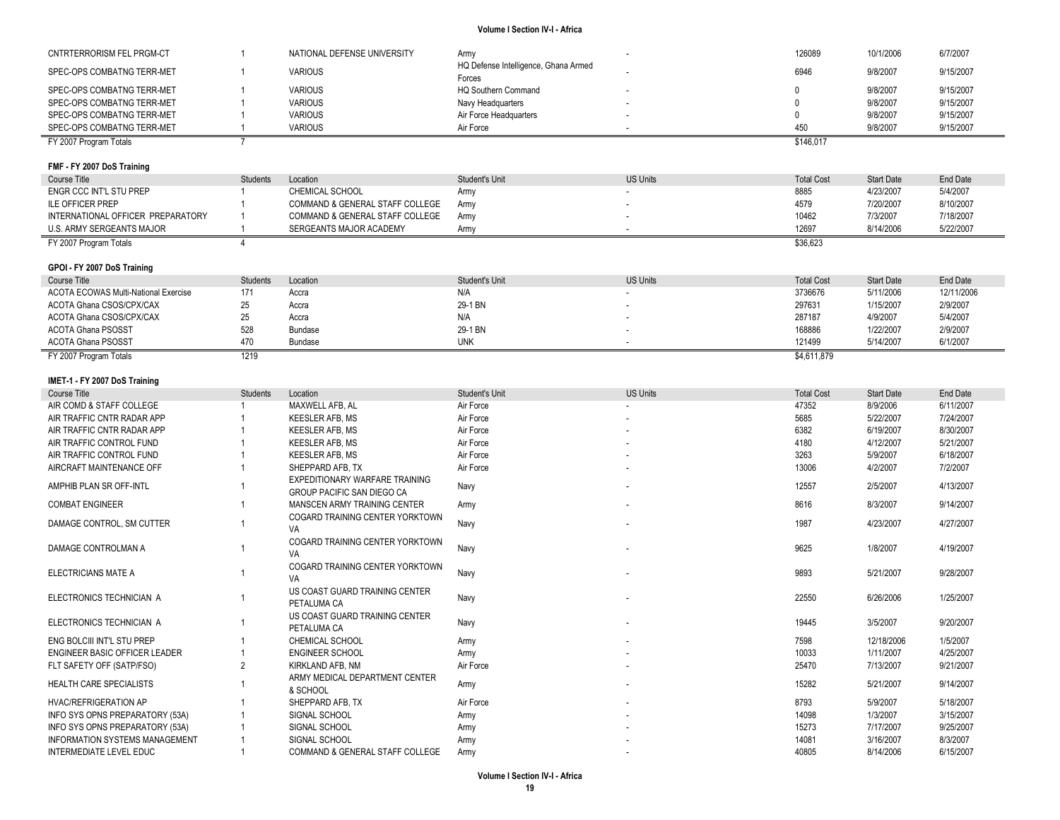| CNTRTERRORISM FEL PRGM-CT<br>NATIONAL DEFENSE UNIVERSITY<br>126089<br>10/1/2006<br>6/7/2007<br>$\overline{1}$<br>Army<br>HQ Defense Intelligence, Ghana Armed<br>6946<br>9/8/2007<br>9/15/2007<br>SPEC-OPS COMBATNG TERR-MET<br>$\overline{1}$<br><b>VARIOUS</b><br>Forces<br><b>VARIOUS</b><br>$\mathbf 0$<br>9/8/2007<br>9/15/2007<br>SPEC-OPS COMBATNG TERR-MET<br>$\overline{1}$<br><b>HQ Southern Command</b><br><b>VARIOUS</b><br>$\mathbf 0$<br>9/8/2007<br>9/15/2007<br>SPEC-OPS COMBATNG TERR-MET<br>$\overline{1}$<br>Navy Headquarters<br>$\mathbf 0$<br>SPEC-OPS COMBATNG TERR-MET<br>$\overline{1}$<br><b>VARIOUS</b><br>9/8/2007<br>9/15/2007<br>Air Force Headquarters<br>SPEC-OPS COMBATNG TERR-MET<br><b>VARIOUS</b><br>Air Force<br>450<br>9/8/2007<br>9/15/2007<br>$\overline{1}$<br>FY 2007 Program Totals<br>\$146,017<br>$\overline{7}$<br>FMF - FY 2007 DoS Training |  |
|---------------------------------------------------------------------------------------------------------------------------------------------------------------------------------------------------------------------------------------------------------------------------------------------------------------------------------------------------------------------------------------------------------------------------------------------------------------------------------------------------------------------------------------------------------------------------------------------------------------------------------------------------------------------------------------------------------------------------------------------------------------------------------------------------------------------------------------------------------------------------------------------|--|
|                                                                                                                                                                                                                                                                                                                                                                                                                                                                                                                                                                                                                                                                                                                                                                                                                                                                                             |  |
|                                                                                                                                                                                                                                                                                                                                                                                                                                                                                                                                                                                                                                                                                                                                                                                                                                                                                             |  |
|                                                                                                                                                                                                                                                                                                                                                                                                                                                                                                                                                                                                                                                                                                                                                                                                                                                                                             |  |
|                                                                                                                                                                                                                                                                                                                                                                                                                                                                                                                                                                                                                                                                                                                                                                                                                                                                                             |  |
|                                                                                                                                                                                                                                                                                                                                                                                                                                                                                                                                                                                                                                                                                                                                                                                                                                                                                             |  |
|                                                                                                                                                                                                                                                                                                                                                                                                                                                                                                                                                                                                                                                                                                                                                                                                                                                                                             |  |
|                                                                                                                                                                                                                                                                                                                                                                                                                                                                                                                                                                                                                                                                                                                                                                                                                                                                                             |  |
|                                                                                                                                                                                                                                                                                                                                                                                                                                                                                                                                                                                                                                                                                                                                                                                                                                                                                             |  |
| Student's Unit<br><b>US Units</b><br><b>Total Cost</b><br><b>Start Date</b><br><b>End Date</b><br><b>Course Title</b><br><b>Students</b><br>Location                                                                                                                                                                                                                                                                                                                                                                                                                                                                                                                                                                                                                                                                                                                                        |  |
| ENGR CCC INT'L STU PREP<br>CHEMICAL SCHOOL<br>8885<br>4/23/2007<br>5/4/2007<br>Army                                                                                                                                                                                                                                                                                                                                                                                                                                                                                                                                                                                                                                                                                                                                                                                                         |  |
| ILE OFFICER PREP<br>4579<br>7/20/2007<br>$\overline{1}$<br>COMMAND & GENERAL STAFF COLLEGE<br>8/10/2007<br>Army                                                                                                                                                                                                                                                                                                                                                                                                                                                                                                                                                                                                                                                                                                                                                                             |  |
| 10462<br>INTERNATIONAL OFFICER PREPARATORY<br>$\overline{1}$<br>COMMAND & GENERAL STAFF COLLEGE<br>Army<br>7/3/2007<br>7/18/2007                                                                                                                                                                                                                                                                                                                                                                                                                                                                                                                                                                                                                                                                                                                                                            |  |
| SERGEANTS MAJOR ACADEMY<br>12697<br>8/14/2006<br>5/22/2007<br>U.S. ARMY SERGEANTS MAJOR<br>$\overline{1}$<br>Army<br>Ĭ.                                                                                                                                                                                                                                                                                                                                                                                                                                                                                                                                                                                                                                                                                                                                                                     |  |
| FY 2007 Program Totals<br>\$36,623<br>$\Delta$                                                                                                                                                                                                                                                                                                                                                                                                                                                                                                                                                                                                                                                                                                                                                                                                                                              |  |
| GPOI - FY 2007 DoS Training                                                                                                                                                                                                                                                                                                                                                                                                                                                                                                                                                                                                                                                                                                                                                                                                                                                                 |  |
| Location<br>Student's Unit<br><b>US Units</b><br><b>Total Cost</b><br><b>Start Date</b><br>End Date<br>Course Title<br><b>Students</b>                                                                                                                                                                                                                                                                                                                                                                                                                                                                                                                                                                                                                                                                                                                                                      |  |
| 3736676<br>12/11/2006<br><b>ACOTA ECOWAS Multi-National Exercise</b><br>171<br>Accra<br>N/A<br>5/11/2006                                                                                                                                                                                                                                                                                                                                                                                                                                                                                                                                                                                                                                                                                                                                                                                    |  |
| 25<br>297631<br>ACOTA Ghana CSOS/CPX/CAX<br>29-1 BN<br>1/15/2007<br>2/9/2007<br>Accra                                                                                                                                                                                                                                                                                                                                                                                                                                                                                                                                                                                                                                                                                                                                                                                                       |  |
| ACOTA Ghana CSOS/CPX/CAX<br>25<br>N/A<br>287187<br>4/9/2007<br>5/4/2007<br>Accra                                                                                                                                                                                                                                                                                                                                                                                                                                                                                                                                                                                                                                                                                                                                                                                                            |  |
| 528<br><b>ACOTA Ghana PSOSST</b><br>29-1 BN<br>168886<br>2/9/2007<br><b>Bundase</b><br>1/22/2007                                                                                                                                                                                                                                                                                                                                                                                                                                                                                                                                                                                                                                                                                                                                                                                            |  |
| 470<br>121499<br><b>ACOTA Ghana PSOSST</b><br><b>UNK</b><br>5/14/2007<br>6/1/2007<br><b>Bundase</b><br>÷.                                                                                                                                                                                                                                                                                                                                                                                                                                                                                                                                                                                                                                                                                                                                                                                   |  |
| 1219<br>FY 2007 Program Totals<br>\$4,611,879                                                                                                                                                                                                                                                                                                                                                                                                                                                                                                                                                                                                                                                                                                                                                                                                                                               |  |
| IMET-1 - FY 2007 DoS Training                                                                                                                                                                                                                                                                                                                                                                                                                                                                                                                                                                                                                                                                                                                                                                                                                                                               |  |
| <b>Students</b><br>Student's Unit<br><b>US Units</b><br><b>Total Cost</b><br><b>Start Date</b><br>End Date<br>Course Title<br>Location                                                                                                                                                                                                                                                                                                                                                                                                                                                                                                                                                                                                                                                                                                                                                      |  |
| AIR COMD & STAFF COLLEGE<br>MAXWELL AFB, AL<br>Air Force<br>47352<br>8/9/2006<br>6/11/2007<br>-1                                                                                                                                                                                                                                                                                                                                                                                                                                                                                                                                                                                                                                                                                                                                                                                            |  |
| Air Force<br>5685<br>5/22/2007<br>7/24/2007<br>AIR TRAFFIC CNTR RADAR APP<br><b>KEESLER AFB, MS</b>                                                                                                                                                                                                                                                                                                                                                                                                                                                                                                                                                                                                                                                                                                                                                                                         |  |
| 6382<br>6/19/2007<br>8/30/2007<br>AIR TRAFFIC CNTR RADAR APP<br>$\overline{1}$<br><b>KEESLER AFB, MS</b><br>Air Force                                                                                                                                                                                                                                                                                                                                                                                                                                                                                                                                                                                                                                                                                                                                                                       |  |
| 4180<br>AIR TRAFFIC CONTROL FUND<br>$\overline{1}$<br>Air Force<br>4/12/2007<br>5/21/2007<br><b>KEESLER AFB, MS</b>                                                                                                                                                                                                                                                                                                                                                                                                                                                                                                                                                                                                                                                                                                                                                                         |  |
| 3263<br>5/9/2007<br>6/18/2007<br>AIR TRAFFIC CONTROL FUND<br>KEESLER AFB, MS<br>Air Force<br>$\overline{1}$                                                                                                                                                                                                                                                                                                                                                                                                                                                                                                                                                                                                                                                                                                                                                                                 |  |
| 13006<br>7/2/2007<br>AIRCRAFT MAINTENANCE OFF<br>$\overline{1}$<br>4/2/2007<br>SHEPPARD AFB, TX<br>Air Force                                                                                                                                                                                                                                                                                                                                                                                                                                                                                                                                                                                                                                                                                                                                                                                |  |
| EXPEDITIONARY WARFARE TRAINING<br>12557<br>AMPHIB PLAN SR OFF-INTL<br>2/5/2007<br>4/13/2007<br>Navy<br><b>GROUP PACIFIC SAN DIEGO CA</b>                                                                                                                                                                                                                                                                                                                                                                                                                                                                                                                                                                                                                                                                                                                                                    |  |
| 8/3/2007<br><b>COMBAT ENGINEER</b><br>MANSCEN ARMY TRAINING CENTER<br>8616<br>9/14/2007<br>Army                                                                                                                                                                                                                                                                                                                                                                                                                                                                                                                                                                                                                                                                                                                                                                                             |  |
| COGARD TRAINING CENTER YORKTOWN<br>DAMAGE CONTROL, SM CUTTER<br>1987<br>4/23/2007<br>4/27/2007<br>Navy<br>VA                                                                                                                                                                                                                                                                                                                                                                                                                                                                                                                                                                                                                                                                                                                                                                                |  |
| COGARD TRAINING CENTER YORKTOWN<br>9625<br>DAMAGE CONTROLMAN A<br>$\overline{1}$<br>Navy<br>1/8/2007<br>4/19/2007<br>VA                                                                                                                                                                                                                                                                                                                                                                                                                                                                                                                                                                                                                                                                                                                                                                     |  |
| COGARD TRAINING CENTER YORKTOWN<br>9893<br>9/28/2007<br>ELECTRICIANS MATE A<br>Navy<br>5/21/2007                                                                                                                                                                                                                                                                                                                                                                                                                                                                                                                                                                                                                                                                                                                                                                                            |  |
| VA<br>US COAST GUARD TRAINING CENTER                                                                                                                                                                                                                                                                                                                                                                                                                                                                                                                                                                                                                                                                                                                                                                                                                                                        |  |
| 22550<br>6/26/2006<br>1/25/2007<br>ELECTRONICS TECHNICIAN A<br>$\overline{1}$<br>Navy<br>PETALUMA CA                                                                                                                                                                                                                                                                                                                                                                                                                                                                                                                                                                                                                                                                                                                                                                                        |  |
| US COAST GUARD TRAINING CENTER<br>19445<br>3/5/2007<br>9/20/2007<br>ELECTRONICS TECHNICIAN A<br>Navy<br>-1<br>PETALUMA CA                                                                                                                                                                                                                                                                                                                                                                                                                                                                                                                                                                                                                                                                                                                                                                   |  |
| 7598<br>ENG BOLCIII INT'L STU PREP<br>CHEMICAL SCHOOL<br>12/18/2006<br>1/5/2007<br>Army<br>-1                                                                                                                                                                                                                                                                                                                                                                                                                                                                                                                                                                                                                                                                                                                                                                                               |  |
| ENGINEER BASIC OFFICER LEADER<br><b>ENGINEER SCHOOL</b><br>10033<br>1/11/2007<br>4/25/2007<br>$\overline{1}$<br>Army                                                                                                                                                                                                                                                                                                                                                                                                                                                                                                                                                                                                                                                                                                                                                                        |  |
| $\overline{2}$<br>FLT SAFETY OFF (SATP/FSO)<br>KIRKLAND AFB, NM<br>Air Force<br>25470<br>7/13/2007<br>9/21/2007                                                                                                                                                                                                                                                                                                                                                                                                                                                                                                                                                                                                                                                                                                                                                                             |  |
| ARMY MEDICAL DEPARTMENT CENTER<br><b>HEALTH CARE SPECIALISTS</b><br>15282<br>5/21/2007<br>9/14/2007<br>$\overline{1}$<br>Army<br>& SCHOOL                                                                                                                                                                                                                                                                                                                                                                                                                                                                                                                                                                                                                                                                                                                                                   |  |

HVAC/REFRIGERATION AP 1 SHEPPARD AFB, TX Air Force - 8793 5/9/2007 5/18/2007 INFO SYS OPNS PREPARATORY (53A) 1 SIGNAL SCHOOL Army - 14098 1/3/2007 3/15/2007 INFO SYS OPNS PREPARATORY (53A) 1 SIGNAL SCHOOL 1 Army 1925/2007 Army 15273 7/17/2007 9/25/2007 9/25/2007 INFORMATION SYSTEMS MANAGEMENT 1 SIGNAL SCHOOL Army and the state of the state of the state of the state of the state of the state of the state of the state of the state of the state of the state of the state of the state INTERMEDIATE LEVEL EDUC 1 COMMAND & GENERAL STAFF COLLEGE Army **- 1 COMMAND AGENERAL STAFF COLLEGE Army** - 40805 8/14/2006 8/14/2006 6/15/2007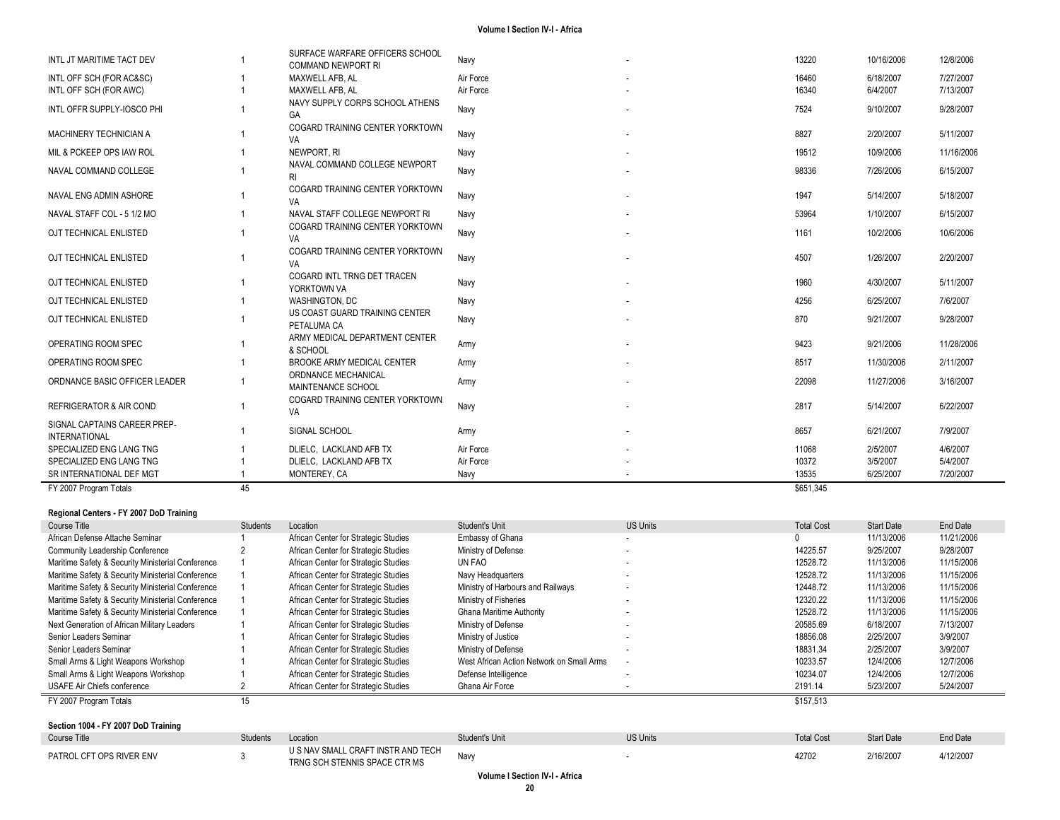| INTL JT MARITIME TACT DEV                            |    | SURFACE WARFARE OFFICERS SCHOOL               | Navy      | 13220     | 10/16/2006 | 12/8/2006  |
|------------------------------------------------------|----|-----------------------------------------------|-----------|-----------|------------|------------|
|                                                      |    | <b>COMMAND NEWPORT RI</b>                     |           |           |            |            |
| INTL OFF SCH (FOR AC&SC)                             |    | MAXWELL AFB, AL                               | Air Force | 16460     | 6/18/2007  | 7/27/2007  |
| INTL OFF SCH (FOR AWC)                               |    | MAXWELL AFB, AL                               | Air Force | 16340     | 6/4/2007   | 7/13/2007  |
| INTL OFFR SUPPLY-IOSCO PHI                           |    | NAVY SUPPLY CORPS SCHOOL ATHENS<br>GA         | Navy      | 7524      | 9/10/2007  | 9/28/2007  |
| <b>MACHINERY TECHNICIAN A</b>                        |    | COGARD TRAINING CENTER YORKTOWN<br>VA         | Navy      | 8827      | 2/20/2007  | 5/11/2007  |
| MIL & PCKEEP OPS IAW ROL                             |    | NEWPORT, RI                                   | Navy      | 19512     | 10/9/2006  | 11/16/2006 |
| NAVAL COMMAND COLLEGE                                |    | NAVAL COMMAND COLLEGE NEWPORT<br>RI           | Navy      | 98336     | 7/26/2006  | 6/15/2007  |
| NAVAL ENG ADMIN ASHORE                               |    | COGARD TRAINING CENTER YORKTOWN<br>VA         | Navy      | 1947      | 5/14/2007  | 5/18/2007  |
| NAVAL STAFF COL - 5 1/2 MO                           |    | NAVAL STAFF COLLEGE NEWPORT RI                | Navy      | 53964     | 1/10/2007  | 6/15/2007  |
| OJT TECHNICAL ENLISTED                               |    | COGARD TRAINING CENTER YORKTOWN<br>VA         | Navy      | 1161      | 10/2/2006  | 10/6/2006  |
| OJT TECHNICAL ENLISTED                               |    | COGARD TRAINING CENTER YORKTOWN<br>VA         | Navy      | 4507      | 1/26/2007  | 2/20/2007  |
| OJT TECHNICAL ENLISTED                               |    | COGARD INTL TRNG DET TRACEN<br>YORKTOWN VA    | Navy      | 1960      | 4/30/2007  | 5/11/2007  |
| OJT TECHNICAL ENLISTED                               |    | <b>WASHINGTON, DC</b>                         | Navy      | 4256      | 6/25/2007  | 7/6/2007   |
| OJT TECHNICAL ENLISTED                               |    | US COAST GUARD TRAINING CENTER<br>PETALUMA CA | Navy      | 870       | 9/21/2007  | 9/28/2007  |
| OPERATING ROOM SPEC                                  |    | ARMY MEDICAL DEPARTMENT CENTER<br>& SCHOOL    | Army      | 9423      | 9/21/2006  | 11/28/2006 |
| OPERATING ROOM SPEC                                  |    | <b>BROOKE ARMY MEDICAL CENTER</b>             | Army      | 8517      | 11/30/2006 | 2/11/2007  |
| ORDNANCE BASIC OFFICER LEADER                        |    | ORDNANCE MECHANICAL<br>MAINTENANCE SCHOOL     | Army      | 22098     | 11/27/2006 | 3/16/2007  |
| REFRIGERATOR & AIR COND                              |    | COGARD TRAINING CENTER YORKTOWN<br>VA         | Navy      | 2817      | 5/14/2007  | 6/22/2007  |
| SIGNAL CAPTAINS CAREER PREP-<br><b>INTERNATIONAL</b> |    | SIGNAL SCHOOL                                 | Army      | 8657      | 6/21/2007  | 7/9/2007   |
| SPECIALIZED ENG LANG TNG                             |    | DLIELC. LACKLAND AFB TX                       | Air Force | 11068     | 2/5/2007   | 4/6/2007   |
| SPECIALIZED ENG LANG TNG                             |    | DLIELC. LACKLAND AFB TX                       | Air Force | 10372     | 3/5/2007   | 5/4/2007   |
| SR INTERNATIONAL DEF MGT                             |    | MONTEREY, CA                                  | Navy      | 13535     | 6/25/2007  | 7/20/2007  |
| FY 2007 Program Totals                               | 45 |                                               |           | \$651,345 |            |            |

#### **Regional Centers - FY 2007 DoD Training**

| Course Title                                      | Students | Location                             | Student's Unit                            | <b>US Units</b> | <b>Total Cost</b> | <b>Start Date</b> | End Date   |
|---------------------------------------------------|----------|--------------------------------------|-------------------------------------------|-----------------|-------------------|-------------------|------------|
| African Defense Attache Seminar                   |          | African Center for Strategic Studies | Embassy of Ghana                          | $\sim$          |                   | 11/13/2006        | 11/21/2006 |
| Community Leadership Conference                   |          | African Center for Strategic Studies | Ministry of Defense                       |                 | 14225.57          | 9/25/2007         | 9/28/2007  |
| Maritime Safety & Security Ministerial Conference |          | African Center for Strategic Studies | UN FAO                                    |                 | 12528.72          | 11/13/2006        | 11/15/2006 |
| Maritime Safety & Security Ministerial Conference |          | African Center for Strategic Studies | Navy Headquarters                         | $\sim$          | 12528.72          | 11/13/2006        | 11/15/2006 |
| Maritime Safety & Security Ministerial Conference |          | African Center for Strategic Studies | Ministry of Harbours and Railways         | . .             | 12448.72          | 11/13/2006        | 11/15/2006 |
| Maritime Safety & Security Ministerial Conference |          | African Center for Strategic Studies | Ministry of Fisheries                     |                 | 12320.22          | 11/13/2006        | 11/15/2006 |
| Maritime Safety & Security Ministerial Conference |          | African Center for Strategic Studies | <b>Ghana Maritime Authority</b>           |                 | 12528.72          | 11/13/2006        | 11/15/2006 |
| Next Generation of African Military Leaders       |          | African Center for Strategic Studies | Ministry of Defense                       |                 | 20585.69          | 6/18/2007         | 7/13/2007  |
| Senior Leaders Seminar                            |          | African Center for Strategic Studies | Ministry of Justice                       | $\sim$          | 18856.08          | 2/25/2007         | 3/9/2007   |
| Senior Leaders Seminar                            |          | African Center for Strategic Studies | Ministry of Defense                       |                 | 18831.34          | 2/25/2007         | 3/9/2007   |
| Small Arms & Light Weapons Workshop               |          | African Center for Strategic Studies | West African Action Network on Small Arms |                 | 10233.57          | 12/4/2006         | 12/7/2006  |
| Small Arms & Light Weapons Workshop               |          | African Center for Strategic Studies | Defense Intelligence                      |                 | 10234.07          | 12/4/2006         | 12/7/2006  |
| USAFE Air Chiefs conference                       |          | African Center for Strategic Studies | Ghana Air Force                           |                 | 2191.14           | 5/23/2007         | 5/24/2007  |
| FY 2007 Program Totals                            |          |                                      |                                           |                 | \$157,513         |                   |            |

#### **Section 1004 - FY 2007 DoD Training**

| <b>Course Title</b>      | Students | Location                                                            | Student's Unit | <b>US Units</b> | <b>Total Cost</b> | <b>Start Date</b> | End Date  |
|--------------------------|----------|---------------------------------------------------------------------|----------------|-----------------|-------------------|-------------------|-----------|
| PATROL CFT OPS RIVER ENV |          | U S NAV SMALL CRAFT INSTR AND TECH<br>TRNG SCH STENNIS SPACE CTR MS | Navy           |                 | 42702             | 2/16/2007         | 4/12/2007 |
|                          |          |                                                                     |                |                 |                   |                   |           |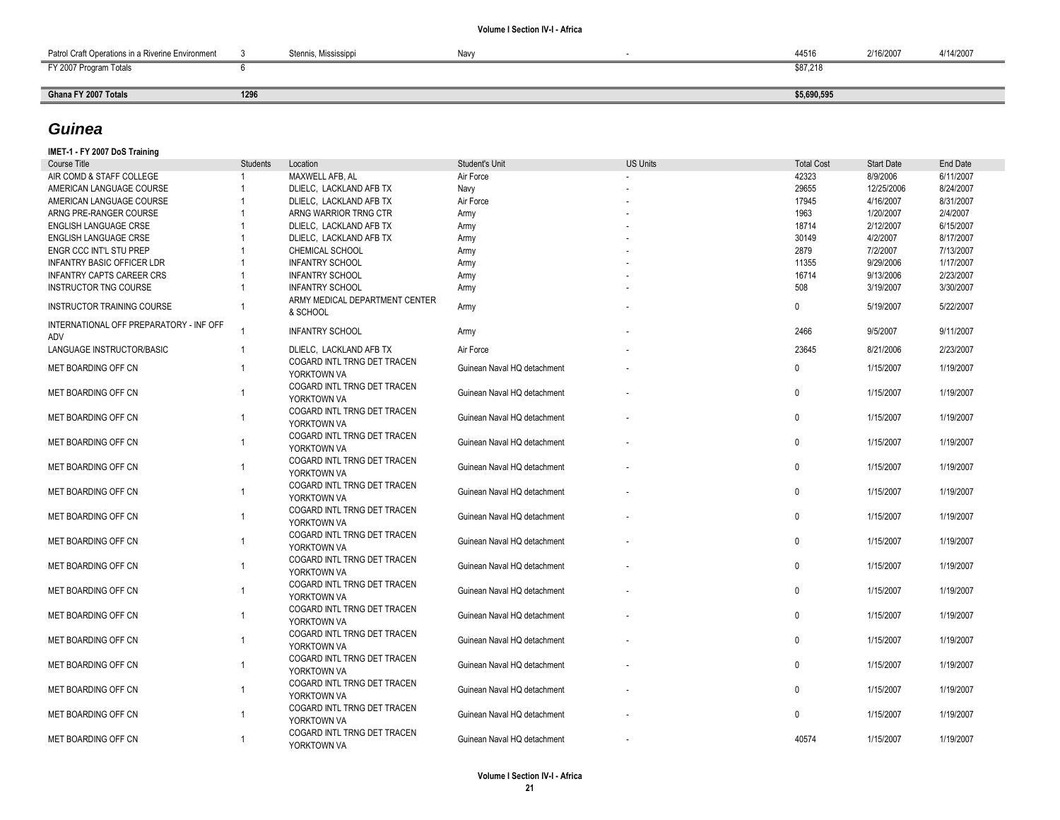| Patrol Craft Operations in a Riverine Environment |      | Stennis, Mississippi | Navv | 44516       | 2/16/2007 | 4/14/2007 |
|---------------------------------------------------|------|----------------------|------|-------------|-----------|-----------|
| FY 2007 Program Totals                            |      |                      |      | \$87,218    |           |           |
|                                                   |      |                      |      |             |           |           |
| Ghana FY 2007 Totals                              | 1296 |                      |      | \$5,690,595 |           |           |

## *Guinea*

#### **IMET -1 - FY 2007 DoS Training**

| <b>Course Title</b>                            | Students       | Location                                   | Student's Unit              | <b>US Units</b> | <b>Total Cost</b> | <b>Start Date</b> | End Date  |
|------------------------------------------------|----------------|--------------------------------------------|-----------------------------|-----------------|-------------------|-------------------|-----------|
| AIR COMD & STAFF COLLEGE                       |                | MAXWELL AFB, AL                            | Air Force                   |                 | 42323             | 8/9/2006          | 6/11/2007 |
| AMERICAN LANGUAGE COURSE                       |                | DLIELC, LACKLAND AFB TX                    | Navy                        |                 | 29655             | 12/25/2006        | 8/24/2007 |
| AMERICAN LANGUAGE COURSE                       |                | DLIELC. LACKLAND AFB TX                    | Air Force                   |                 | 17945             | 4/16/2007         | 8/31/2007 |
| ARNG PRE-RANGER COURSE                         |                | ARNG WARRIOR TRNG CTR                      | Army                        |                 | 1963              | 1/20/2007         | 2/4/2007  |
| ENGLISH LANGUAGE CRSE                          |                | DLIELC, LACKLAND AFB TX                    | Army                        |                 | 18714             | 2/12/2007         | 6/15/2007 |
| ENGLISH LANGUAGE CRSE                          |                | DLIELC, LACKLAND AFB TX                    | Army                        |                 | 30149             | 4/2/2007          | 8/17/2007 |
| ENGR CCC INT'L STU PREP                        |                | <b>CHEMICAL SCHOOL</b>                     | Army                        |                 | 2879              | 7/2/2007          | 7/13/2007 |
| <b>INFANTRY BASIC OFFICER LDR</b>              |                | <b>INFANTRY SCHOOL</b>                     | Army                        |                 | 11355             | 9/29/2006         | 1/17/2007 |
| INFANTRY CAPTS CAREER CRS                      |                | <b>INFANTRY SCHOOL</b>                     | Army                        |                 | 16714             | 9/13/2006         | 2/23/2007 |
| <b>INSTRUCTOR TNG COURSE</b>                   |                | <b>INFANTRY SCHOOL</b>                     | Army                        |                 | 508               | 3/19/2007         | 3/30/2007 |
| <b>INSTRUCTOR TRAINING COURSE</b>              |                | ARMY MEDICAL DEPARTMENT CENTER<br>& SCHOOL | Army                        |                 | $\Omega$          | 5/19/2007         | 5/22/2007 |
| INTERNATIONAL OFF PREPARATORY - INF OFF<br>ADV |                | <b>INFANTRY SCHOOL</b>                     | Army                        |                 | 2466              | 9/5/2007          | 9/11/2007 |
| LANGUAGE INSTRUCTOR/BASIC                      | $\overline{1}$ | DLIELC, LACKLAND AFB TX                    | Air Force                   |                 | 23645             | 8/21/2006         | 2/23/2007 |
| MET BOARDING OFF CN                            | $\overline{1}$ | COGARD INTL TRNG DET TRACEN<br>YORKTOWN VA | Guinean Naval HQ detachment |                 | 0                 | 1/15/2007         | 1/19/2007 |
| MET BOARDING OFF CN                            |                | COGARD INTL TRNG DET TRACEN<br>YORKTOWN VA | Guinean Naval HQ detachment |                 | 0                 | 1/15/2007         | 1/19/2007 |
| MET BOARDING OFF CN                            |                | COGARD INTL TRNG DET TRACEN<br>YORKTOWN VA | Guinean Naval HQ detachment |                 | $\mathbf 0$       | 1/15/2007         | 1/19/2007 |
| MET BOARDING OFF CN                            | -1             | COGARD INTL TRNG DET TRACEN<br>YORKTOWN VA | Guinean Naval HQ detachment |                 | 0                 | 1/15/2007         | 1/19/2007 |
| MET BOARDING OFF CN                            | $\overline{1}$ | COGARD INTL TRNG DET TRACEN<br>YORKTOWN VA | Guinean Naval HQ detachment |                 | $\mathbf 0$       | 1/15/2007         | 1/19/2007 |
| MET BOARDING OFF CN                            | $\overline{1}$ | COGARD INTL TRNG DET TRACEN<br>YORKTOWN VA | Guinean Naval HQ detachment |                 | $\mathbf 0$       | 1/15/2007         | 1/19/2007 |
| MET BOARDING OFF CN                            |                | COGARD INTL TRNG DET TRACEN<br>YORKTOWN VA | Guinean Naval HQ detachment |                 | $\mathbf 0$       | 1/15/2007         | 1/19/2007 |
| MET BOARDING OFF CN                            |                | COGARD INTL TRNG DET TRACEN<br>YORKTOWN VA | Guinean Naval HQ detachment |                 | $\mathbf{0}$      | 1/15/2007         | 1/19/2007 |
| MET BOARDING OFF CN                            | -1             | COGARD INTL TRNG DET TRACEN<br>YORKTOWN VA | Guinean Naval HQ detachment |                 | $\mathbf{0}$      | 1/15/2007         | 1/19/2007 |
| MET BOARDING OFF CN                            | $\overline{1}$ | COGARD INTL TRNG DET TRACEN<br>YORKTOWN VA | Guinean Naval HQ detachment |                 | $\mathbf 0$       | 1/15/2007         | 1/19/2007 |
| MET BOARDING OFF CN                            | $\overline{1}$ | COGARD INTL TRNG DET TRACEN<br>YORKTOWN VA | Guinean Naval HQ detachment |                 | 0                 | 1/15/2007         | 1/19/2007 |
| MET BOARDING OFF CN                            | $\mathbf{1}$   | COGARD INTL TRNG DET TRACEN<br>YORKTOWN VA | Guinean Naval HQ detachment |                 | $\mathbf{0}$      | 1/15/2007         | 1/19/2007 |
| MET BOARDING OFF CN                            |                | COGARD INTL TRNG DET TRACEN<br>YORKTOWN VA | Guinean Naval HQ detachment |                 | $\mathbf 0$       | 1/15/2007         | 1/19/2007 |
| MET BOARDING OFF CN                            | $\overline{1}$ | COGARD INTL TRNG DET TRACEN<br>YORKTOWN VA | Guinean Naval HQ detachment |                 | $\mathbf 0$       | 1/15/2007         | 1/19/2007 |
| MET BOARDING OFF CN                            |                | COGARD INTL TRNG DET TRACEN<br>YORKTOWN VA | Guinean Naval HQ detachment |                 | 0                 | 1/15/2007         | 1/19/2007 |
| MET BOARDING OFF CN                            |                | COGARD INTL TRNG DET TRACEN<br>YORKTOWN VA | Guinean Naval HQ detachment |                 | 40574             | 1/15/2007         | 1/19/2007 |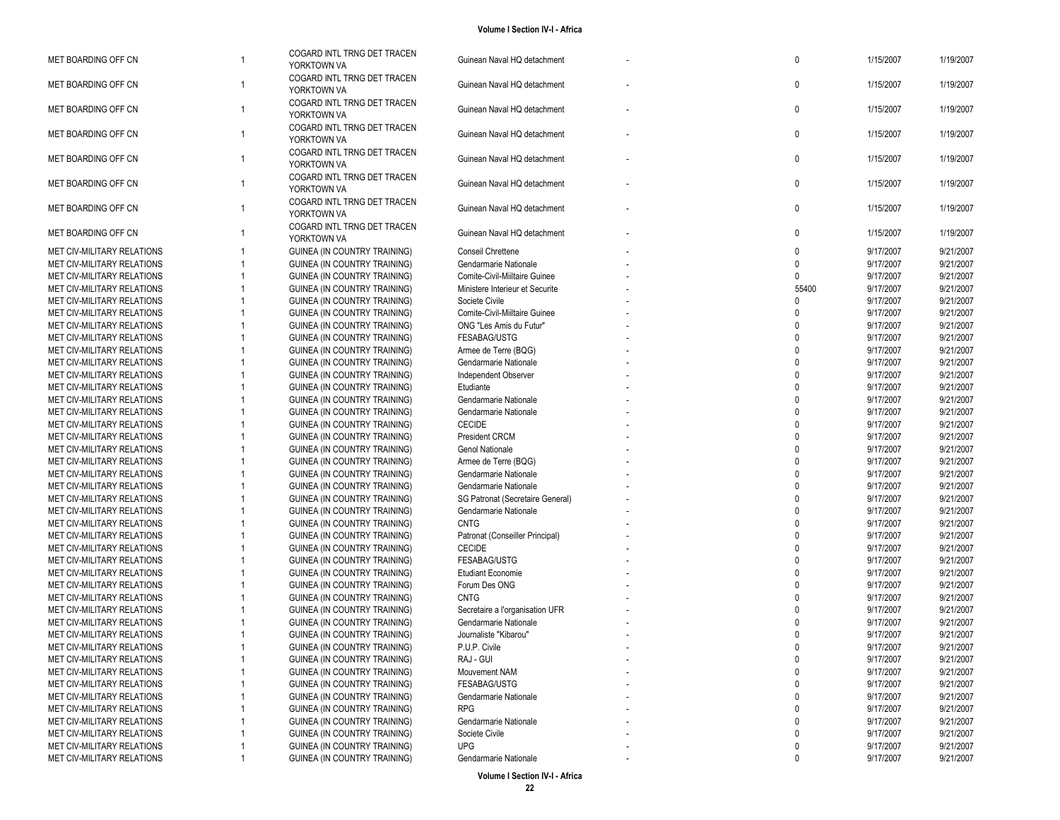| MET BOARDING OFF CN        |   | COGARD INTL TRNG DET TRACEN<br>YORKTOWN VA | Guinean Naval HQ detachment      | $\mathbf 0$  | 1/15/2007 | 1/19/2007 |
|----------------------------|---|--------------------------------------------|----------------------------------|--------------|-----------|-----------|
| MET BOARDING OFF CN        |   | COGARD INTL TRNG DET TRACEN                | Guinean Naval HQ detachment      | $\mathbf 0$  | 1/15/2007 | 1/19/2007 |
|                            |   | YORKTOWN VA<br>COGARD INTL TRNG DET TRACEN |                                  |              |           |           |
| MET BOARDING OFF CN        | 1 | YORKTOWN VA                                | Guinean Naval HQ detachment      | $\mathbf 0$  | 1/15/2007 | 1/19/2007 |
| MET BOARDING OFF CN        | 1 | COGARD INTL TRNG DET TRACEN<br>YORKTOWN VA | Guinean Naval HQ detachment      | $\mathbf 0$  | 1/15/2007 | 1/19/2007 |
| MET BOARDING OFF CN        | 1 | COGARD INTL TRNG DET TRACEN<br>YORKTOWN VA | Guinean Naval HQ detachment      | $\mathbf 0$  | 1/15/2007 | 1/19/2007 |
| MET BOARDING OFF CN        | 1 | COGARD INTL TRNG DET TRACEN<br>YORKTOWN VA | Guinean Naval HQ detachment      | $\mathbf 0$  | 1/15/2007 | 1/19/2007 |
| MET BOARDING OFF CN        | 1 | COGARD INTL TRNG DET TRACEN<br>YORKTOWN VA | Guinean Naval HQ detachment      | $\mathbf 0$  | 1/15/2007 | 1/19/2007 |
| MET BOARDING OFF CN        |   | COGARD INTL TRNG DET TRACEN<br>YORKTOWN VA | Guinean Naval HQ detachment      | $\mathbf{0}$ | 1/15/2007 | 1/19/2007 |
| MET CIV-MILITARY RELATIONS |   | GUINEA (IN COUNTRY TRAINING)               | Conseil Chrettene                | $\Omega$     | 9/17/2007 | 9/21/2007 |
| MET CIV-MILITARY RELATIONS |   | GUINEA (IN COUNTRY TRAINING)               | Gendarmarie Nationale            | $\Omega$     | 9/17/2007 | 9/21/2007 |
| MET CIV-MILITARY RELATIONS |   | GUINEA (IN COUNTRY TRAINING)               | Comite-Civil-Miiltaire Guinee    | $\Omega$     | 9/17/2007 | 9/21/2007 |
| MET CIV-MILITARY RELATIONS |   | GUINEA (IN COUNTRY TRAINING)               | Ministere Interieur et Securite  | 55400        | 9/17/2007 | 9/21/2007 |
| MET CIV-MILITARY RELATIONS |   | GUINEA (IN COUNTRY TRAINING)               | Societe Civile                   | $\Omega$     | 9/17/2007 | 9/21/2007 |
| MET CIV-MILITARY RELATIONS |   | GUINEA (IN COUNTRY TRAINING)               | Comite-Civil-Miiltaire Guinee    | $\Omega$     | 9/17/2007 | 9/21/2007 |
| MET CIV-MILITARY RELATIONS |   | GUINEA (IN COUNTRY TRAINING)               | ONG "Les Amis du Futur"          | $\Omega$     | 9/17/2007 | 9/21/2007 |
|                            |   |                                            |                                  | $\Omega$     |           |           |
| MET CIV-MILITARY RELATIONS |   | GUINEA (IN COUNTRY TRAINING)               | <b>FESABAG/USTG</b>              | $\Omega$     | 9/17/2007 | 9/21/2007 |
| MET CIV-MILITARY RELATIONS |   | GUINEA (IN COUNTRY TRAINING)               | Armee de Terre (BQG)             | $\Omega$     | 9/17/2007 | 9/21/2007 |
| MET CIV-MILITARY RELATIONS |   | GUINEA (IN COUNTRY TRAINING)               | Gendarmarie Nationale            |              | 9/17/2007 | 9/21/2007 |
| MET CIV-MILITARY RELATIONS |   | GUINEA (IN COUNTRY TRAINING)               | Independent Observer             | $\Omega$     | 9/17/2007 | 9/21/2007 |
| MET CIV-MILITARY RELATIONS |   | GUINEA (IN COUNTRY TRAINING)               | Etudiante                        | $\Omega$     | 9/17/2007 | 9/21/2007 |
| MET CIV-MILITARY RELATIONS |   | GUINEA (IN COUNTRY TRAINING)               | Gendarmarie Nationale            | $\Omega$     | 9/17/2007 | 9/21/2007 |
| MET CIV-MILITARY RELATIONS |   | GUINEA (IN COUNTRY TRAINING)               | Gendarmarie Nationale            | $\Omega$     | 9/17/2007 | 9/21/2007 |
| MET CIV-MILITARY RELATIONS |   | GUINEA (IN COUNTRY TRAINING)               | <b>CECIDE</b>                    | $\Omega$     | 9/17/2007 | 9/21/2007 |
| MET CIV-MILITARY RELATIONS |   | GUINEA (IN COUNTRY TRAINING)               | President CRCM                   | $\Omega$     | 9/17/2007 | 9/21/2007 |
| MET CIV-MILITARY RELATIONS |   | GUINEA (IN COUNTRY TRAINING)               | <b>Genol Nationale</b>           | $\Omega$     | 9/17/2007 | 9/21/2007 |
| MET CIV-MILITARY RELATIONS |   | GUINEA (IN COUNTRY TRAINING)               | Armee de Terre (BQG)             | $\Omega$     | 9/17/2007 | 9/21/2007 |
| MET CIV-MILITARY RELATIONS |   | GUINEA (IN COUNTRY TRAINING)               | Gendarmarie Nationale            | $\Omega$     | 9/17/2007 | 9/21/2007 |
| MET CIV-MILITARY RELATIONS |   | GUINEA (IN COUNTRY TRAINING)               | Gendarmarie Nationale            | $\Omega$     | 9/17/2007 | 9/21/2007 |
| MET CIV-MILITARY RELATIONS |   | GUINEA (IN COUNTRY TRAINING)               | SG Patronat (Secretaire General) | $\Omega$     | 9/17/2007 | 9/21/2007 |
| MET CIV-MILITARY RELATIONS |   | GUINEA (IN COUNTRY TRAINING)               | Gendarmarie Nationale            | $\Omega$     | 9/17/2007 | 9/21/2007 |
| MET CIV-MILITARY RELATIONS |   | GUINEA (IN COUNTRY TRAINING)               | <b>CNTG</b>                      | $\Omega$     | 9/17/2007 | 9/21/2007 |
| MET CIV-MILITARY RELATIONS |   | GUINEA (IN COUNTRY TRAINING)               | Patronat (Conseiller Principal)  | $\Omega$     | 9/17/2007 | 9/21/2007 |
| MET CIV-MILITARY RELATIONS |   | GUINEA (IN COUNTRY TRAINING)               | <b>CECIDE</b>                    | $\Omega$     | 9/17/2007 | 9/21/2007 |
| MET CIV-MILITARY RELATIONS |   | GUINEA (IN COUNTRY TRAINING)               | <b>FESABAG/USTG</b>              | $\Omega$     | 9/17/2007 | 9/21/2007 |
| MET CIV-MILITARY RELATIONS |   | GUINEA (IN COUNTRY TRAINING)               | <b>Etudiant Economie</b>         | $\Omega$     | 9/17/2007 | 9/21/2007 |
| MET CIV-MILITARY RELATIONS |   | GUINEA (IN COUNTRY TRAINING)               | Forum Des ONG                    | $\Omega$     | 9/17/2007 | 9/21/2007 |
| MET CIV-MILITARY RELATIONS |   | GUINEA (IN COUNTRY TRAINING)               | <b>CNTG</b>                      | $\Omega$     | 9/17/2007 | 9/21/2007 |
| MET CIV-MILITARY RELATIONS |   | GUINEA (IN COUNTRY TRAINING)               |                                  | $\Omega$     | 9/17/2007 | 9/21/2007 |
|                            |   |                                            | Secretaire a l'organisation UFR  |              |           |           |
| MET CIV-MILITARY RELATIONS |   | GUINEA (IN COUNTRY TRAINING)               | Gendarmarie Nationale            | $\Omega$     | 9/17/2007 | 9/21/2007 |
| MET CIV-MILITARY RELATIONS |   | GUINEA (IN COUNTRY TRAINING)               | Journaliste "Kibarou"            |              | 9/17/2007 | 9/21/2007 |
| MET CIV-MILITARY RELATIONS |   | GUINEA (IN COUNTRY TRAINING)               | P.U.P. Civile                    |              | 9/17/2007 | 9/21/2007 |
| MET CIV-MILITARY RELATIONS |   | GUINEA (IN COUNTRY TRAINING)               | RAJ - GUI                        | 0            | 9/17/2007 | 9/21/2007 |
| MET CIV-MILITARY RELATIONS |   | GUINEA (IN COUNTRY TRAINING)               | Mouvement NAM                    | $\mathbf{0}$ | 9/17/2007 | 9/21/2007 |
| MET CIV-MILITARY RELATIONS |   | GUINEA (IN COUNTRY TRAINING)               | FESABAG/USTG                     | $\mathbf{0}$ | 9/17/2007 | 9/21/2007 |
| MET CIV-MILITARY RELATIONS |   | GUINEA (IN COUNTRY TRAINING)               | Gendarmarie Nationale            | $\mathbf{0}$ | 9/17/2007 | 9/21/2007 |
| MET CIV-MILITARY RELATIONS |   | GUINEA (IN COUNTRY TRAINING)               | <b>RPG</b>                       | $\theta$     | 9/17/2007 | 9/21/2007 |
| MET CIV-MILITARY RELATIONS |   | GUINEA (IN COUNTRY TRAINING)               | Gendarmarie Nationale            | $\mathbf{0}$ | 9/17/2007 | 9/21/2007 |
| MET CIV-MILITARY RELATIONS |   | GUINEA (IN COUNTRY TRAINING)               | Societe Civile                   | $\mathbf{0}$ | 9/17/2007 | 9/21/2007 |
| MET CIV-MILITARY RELATIONS |   | GUINEA (IN COUNTRY TRAINING)               | <b>UPG</b>                       | 0            | 9/17/2007 | 9/21/2007 |
| MET CIV-MILITARY RELATIONS |   | GUINEA (IN COUNTRY TRAINING)               | Gendarmarie Nationale            | $\mathbf 0$  | 9/17/2007 | 9/21/2007 |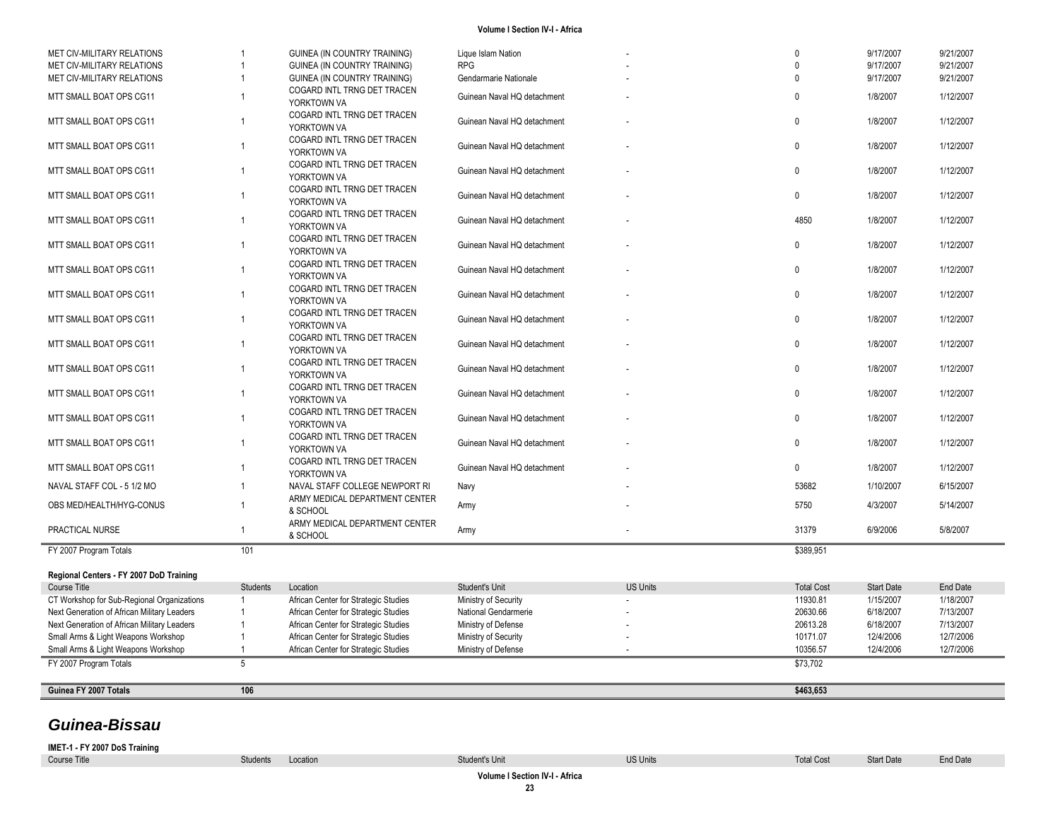| MET CIV-MILITARY RELATIONS                                    | $\overline{1}$                   | GUINEA (IN COUNTRY TRAINING)                                | Lique Islam Nation          |                 | 0                    | 9/17/2007              | 9/21/2007              |
|---------------------------------------------------------------|----------------------------------|-------------------------------------------------------------|-----------------------------|-----------------|----------------------|------------------------|------------------------|
| MET CIV-MILITARY RELATIONS                                    |                                  | GUINEA (IN COUNTRY TRAINING)                                | <b>RPG</b>                  |                 | $\Omega$             | 9/17/2007              | 9/21/2007              |
| MET CIV-MILITARY RELATIONS                                    | $\overline{1}$                   | GUINEA (IN COUNTRY TRAINING)<br>COGARD INTL TRNG DET TRACEN | Gendarmarie Nationale       |                 | $\Omega$             | 9/17/2007              | 9/21/2007              |
| MTT SMALL BOAT OPS CG11                                       | $\overline{1}$                   | YORKTOWN VA                                                 | Guinean Naval HQ detachment |                 | 0                    | 1/8/2007               | 1/12/2007              |
| MTT SMALL BOAT OPS CG11                                       | $\overline{1}$                   | COGARD INTL TRNG DET TRACEN<br>YORKTOWN VA                  | Guinean Naval HQ detachment |                 | $\mathbf 0$          | 1/8/2007               | 1/12/2007              |
| MTT SMALL BOAT OPS CG11                                       | $\overline{1}$                   | COGARD INTL TRNG DET TRACEN<br>YORKTOWN VA                  | Guinean Naval HQ detachment |                 | $\mathbf 0$          | 1/8/2007               | 1/12/2007              |
| MTT SMALL BOAT OPS CG11                                       | $\overline{1}$                   | COGARD INTL TRNG DET TRACEN<br>YORKTOWN VA                  | Guinean Naval HQ detachment |                 | $\mathbf 0$          | 1/8/2007               | 1/12/2007              |
| MTT SMALL BOAT OPS CG11                                       | $\overline{1}$                   | COGARD INTL TRNG DET TRACEN<br>YORKTOWN VA                  | Guinean Naval HQ detachment |                 | $\mathbf 0$          | 1/8/2007               | 1/12/2007              |
| MTT SMALL BOAT OPS CG11                                       | $\overline{1}$                   | COGARD INTL TRNG DET TRACEN<br>YORKTOWN VA                  | Guinean Naval HQ detachment |                 | 4850                 | 1/8/2007               | 1/12/2007              |
| MTT SMALL BOAT OPS CG11                                       | $\overline{1}$                   | COGARD INTL TRNG DET TRACEN<br>YORKTOWN VA                  | Guinean Naval HQ detachment |                 | 0                    | 1/8/2007               | 1/12/2007              |
| MTT SMALL BOAT OPS CG11                                       | $\overline{1}$                   | COGARD INTL TRNG DET TRACEN<br>YORKTOWN VA                  | Guinean Naval HQ detachment |                 | 0                    | 1/8/2007               | 1/12/2007              |
| MTT SMALL BOAT OPS CG11                                       | $\overline{1}$                   | COGARD INTL TRNG DET TRACEN<br>YORKTOWN VA                  | Guinean Naval HQ detachment |                 | $\mathbf 0$          | 1/8/2007               | 1/12/2007              |
| MTT SMALL BOAT OPS CG11                                       | $\overline{1}$                   | COGARD INTL TRNG DET TRACEN<br>YORKTOWN VA                  | Guinean Naval HQ detachment |                 | $\mathbf 0$          | 1/8/2007               | 1/12/2007              |
| MTT SMALL BOAT OPS CG11                                       | $\overline{1}$                   | COGARD INTL TRNG DET TRACEN<br>YORKTOWN VA                  | Guinean Naval HQ detachment |                 | 0                    | 1/8/2007               | 1/12/2007              |
| MTT SMALL BOAT OPS CG11                                       | $\overline{1}$                   | COGARD INTL TRNG DET TRACEN<br>YORKTOWN VA                  | Guinean Naval HQ detachment |                 | $\mathbf 0$          | 1/8/2007               | 1/12/2007              |
| MTT SMALL BOAT OPS CG11                                       | $\overline{1}$                   | COGARD INTL TRNG DET TRACEN<br>YORKTOWN VA                  | Guinean Naval HQ detachment |                 | $\mathbf 0$          | 1/8/2007               | 1/12/2007              |
| MTT SMALL BOAT OPS CG11                                       | $\overline{1}$                   | COGARD INTL TRNG DET TRACEN<br>YORKTOWN VA                  | Guinean Naval HQ detachment |                 | $\mathbf 0$          | 1/8/2007               | 1/12/2007              |
| MTT SMALL BOAT OPS CG11                                       | $\overline{1}$                   | COGARD INTL TRNG DET TRACEN<br>YORKTOWN VA                  | Guinean Naval HQ detachment |                 | $\mathbf 0$          | 1/8/2007               | 1/12/2007              |
| MTT SMALL BOAT OPS CG11                                       | $\overline{1}$                   | COGARD INTL TRNG DET TRACEN<br>YORKTOWN VA                  | Guinean Naval HQ detachment |                 | $\Omega$             | 1/8/2007               | 1/12/2007              |
| NAVAL STAFF COL - 5 1/2 MO                                    | $\overline{1}$                   | NAVAL STAFF COLLEGE NEWPORT RI                              | Navy                        |                 | 53682                | 1/10/2007              | 6/15/2007              |
| OBS MED/HEALTH/HYG-CONUS                                      | $\overline{1}$                   | ARMY MEDICAL DEPARTMENT CENTER<br>& SCHOOL                  | Army                        |                 | 5750                 | 4/3/2007               | 5/14/2007              |
| PRACTICAL NURSE                                               | $\overline{1}$                   | ARMY MEDICAL DEPARTMENT CENTER<br>& SCHOOL                  | Army                        |                 | 31379                | 6/9/2006               | 5/8/2007               |
| FY 2007 Program Totals                                        | 101                              |                                                             |                             |                 | \$389,951            |                        |                        |
| Regional Centers - FY 2007 DoD Training                       |                                  |                                                             |                             |                 |                      |                        |                        |
| Course Title                                                  | <b>Students</b>                  | Location                                                    | Student's Unit              | <b>US Units</b> | <b>Total Cost</b>    | <b>Start Date</b>      | End Date               |
| CT Workshop for Sub-Regional Organizations                    | $\mathbf{1}$                     | African Center for Strategic Studies                        | Ministry of Security        |                 | 11930.81             | 1/15/2007              | 1/18/2007              |
| Next Generation of African Military Leaders                   | $\overline{1}$                   | African Center for Strategic Studies                        | National Gendarmerie        |                 | 20630.66             | 6/18/2007              | 7/13/2007              |
| Next Generation of African Military Leaders                   | $\overline{1}$<br>$\overline{1}$ | African Center for Strategic Studies                        | Ministry of Defense         |                 | 20613.28             | 6/18/2007<br>12/4/2006 | 7/13/2007<br>12/7/2006 |
| Small Arms & Light Weapons Workshop                           |                                  | African Center for Strategic Studies                        | Ministry of Security        |                 | 10171.07             |                        |                        |
| Small Arms & Light Weapons Workshop<br>FY 2007 Program Totals | -1<br>5                          | African Center for Strategic Studies                        | Ministry of Defense         |                 | 10356.57<br>\$73,702 | 12/4/2006              | 12/7/2006              |
|                                                               |                                  |                                                             |                             |                 |                      |                        |                        |
| Guinea FY 2007 Totals                                         | $106$                            |                                                             |                             |                 | \$463,653            |                        |                        |
| Guinea-Bissau                                                 |                                  |                                                             |                             |                 |                      |                        |                        |
| IMET-1 - FY 2007 DoS Training                                 |                                  |                                                             |                             |                 |                      |                        |                        |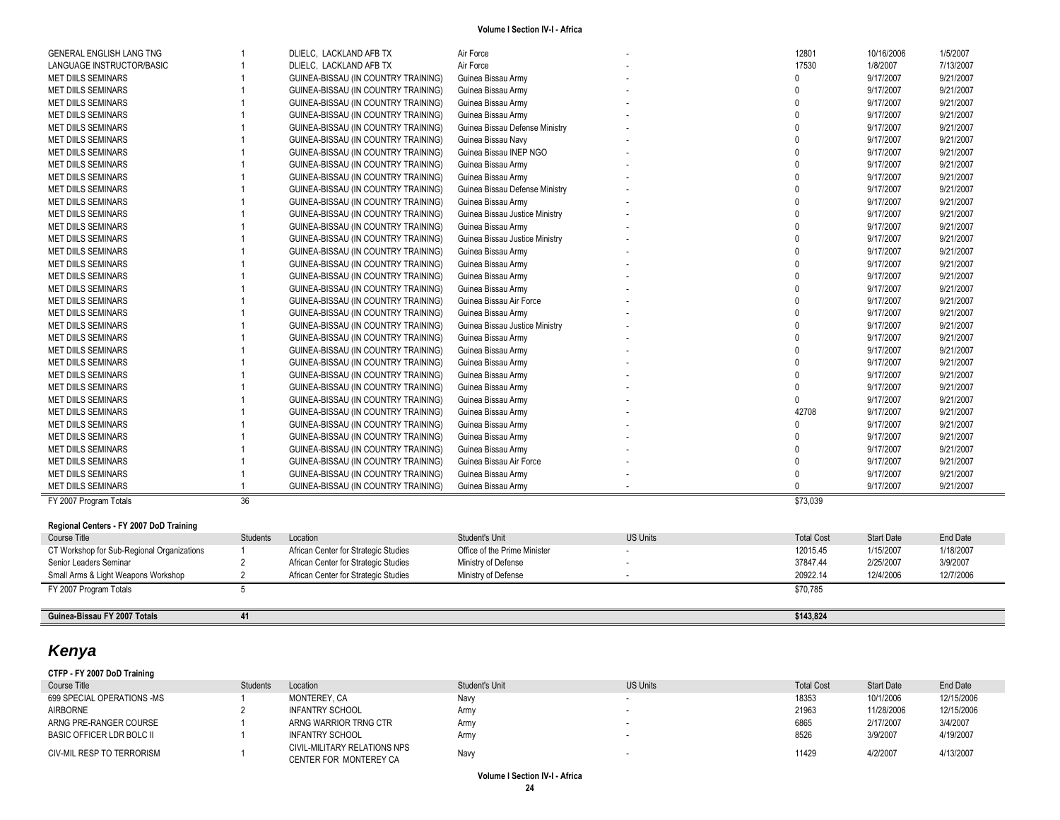| GENERAL ENGLISH LANG TNG                   |                | DLIELC, LACKLAND AFB TX              | Air Force                      |                 | 12801             | 10/16/2006        | 1/5/2007        |
|--------------------------------------------|----------------|--------------------------------------|--------------------------------|-----------------|-------------------|-------------------|-----------------|
| LANGUAGE INSTRUCTOR/BASIC                  |                | DLIELC, LACKLAND AFB TX              | Air Force                      |                 | 17530             | 1/8/2007          | 7/13/2007       |
| <b>MET DIILS SEMINARS</b>                  |                | GUINEA-BISSAU (IN COUNTRY TRAINING)  | Guinea Bissau Army             |                 | $\mathbf{0}$      | 9/17/2007         | 9/21/2007       |
| <b>MET DIILS SEMINARS</b>                  |                | GUINEA-BISSAU (IN COUNTRY TRAINING)  | Guinea Bissau Army             |                 | $\Omega$          | 9/17/2007         | 9/21/2007       |
| <b>MET DIILS SEMINARS</b>                  |                | GUINEA-BISSAU (IN COUNTRY TRAINING)  | Guinea Bissau Army             |                 | $\mathbf{0}$      | 9/17/2007         | 9/21/2007       |
| <b>MET DIILS SEMINARS</b>                  |                | GUINEA-BISSAU (IN COUNTRY TRAINING)  | Guinea Bissau Army             |                 | $\Omega$          | 9/17/2007         | 9/21/2007       |
| <b>MET DIILS SEMINARS</b>                  |                | GUINEA-BISSAU (IN COUNTRY TRAINING)  | Guinea Bissau Defense Ministry |                 | $\Omega$          | 9/17/2007         | 9/21/2007       |
| <b>MET DIILS SEMINARS</b>                  |                | GUINEA-BISSAU (IN COUNTRY TRAINING)  | Guinea Bissau Navy             |                 | $\Omega$          | 9/17/2007         | 9/21/2007       |
| <b>MET DIILS SEMINARS</b>                  |                | GUINEA-BISSAU (IN COUNTRY TRAINING)  | Guinea Bissau INEP NGO         |                 | $\Omega$          | 9/17/2007         | 9/21/2007       |
| <b>MET DIILS SEMINARS</b>                  |                | GUINEA-BISSAU (IN COUNTRY TRAINING)  | Guinea Bissau Army             |                 | $\mathbf{0}$      | 9/17/2007         | 9/21/2007       |
| <b>MET DIILS SEMINARS</b>                  |                | GUINEA-BISSAU (IN COUNTRY TRAINING)  | Guinea Bissau Army             |                 | $\Omega$          | 9/17/2007         | 9/21/2007       |
| <b>MET DIILS SEMINARS</b>                  |                | GUINEA-BISSAU (IN COUNTRY TRAINING)  | Guinea Bissau Defense Ministry |                 | $\Omega$          | 9/17/2007         | 9/21/2007       |
| <b>MET DIILS SEMINARS</b>                  |                | GUINEA-BISSAU (IN COUNTRY TRAINING)  | Guinea Bissau Army             |                 | $\Omega$          | 9/17/2007         | 9/21/2007       |
| <b>MET DIILS SEMINARS</b>                  |                | GUINEA-BISSAU (IN COUNTRY TRAINING)  | Guinea Bissau Justice Ministry |                 | $\Omega$          | 9/17/2007         | 9/21/2007       |
| <b>MET DIILS SEMINARS</b>                  |                | GUINEA-BISSAU (IN COUNTRY TRAINING)  | Guinea Bissau Army             |                 | $\Omega$          | 9/17/2007         | 9/21/2007       |
| <b>MET DIILS SEMINARS</b>                  |                | GUINEA-BISSAU (IN COUNTRY TRAINING)  | Guinea Bissau Justice Ministry |                 | $\Omega$          | 9/17/2007         | 9/21/2007       |
| <b>MET DIILS SEMINARS</b>                  |                | GUINEA-BISSAU (IN COUNTRY TRAINING)  | Guinea Bissau Army             |                 | $\Omega$          | 9/17/2007         | 9/21/2007       |
| <b>MET DIILS SEMINARS</b>                  |                | GUINEA-BISSAU (IN COUNTRY TRAINING)  | Guinea Bissau Army             |                 | $\Omega$          | 9/17/2007         | 9/21/2007       |
| <b>MET DIILS SEMINARS</b>                  |                | GUINEA-BISSAU (IN COUNTRY TRAINING)  | Guinea Bissau Army             |                 | $\Omega$          | 9/17/2007         | 9/21/2007       |
| <b>MET DIILS SEMINARS</b>                  |                | GUINEA-BISSAU (IN COUNTRY TRAINING)  | Guinea Bissau Army             |                 | $\Omega$          | 9/17/2007         | 9/21/2007       |
| <b>MET DIILS SEMINARS</b>                  |                | GUINEA-BISSAU (IN COUNTRY TRAINING)  | Guinea Bissau Air Force        |                 | $\Omega$          | 9/17/2007         | 9/21/2007       |
| <b>MET DIILS SEMINARS</b>                  |                | GUINEA-BISSAU (IN COUNTRY TRAINING)  | Guinea Bissau Army             |                 | $\Omega$          | 9/17/2007         | 9/21/2007       |
| <b>MET DIILS SEMINARS</b>                  |                | GUINEA-BISSAU (IN COUNTRY TRAINING)  | Guinea Bissau Justice Ministry |                 | $\mathbf{0}$      | 9/17/2007         | 9/21/2007       |
| <b>MET DIILS SEMINARS</b>                  |                | GUINEA-BISSAU (IN COUNTRY TRAINING)  | Guinea Bissau Army             |                 | $\Omega$          | 9/17/2007         | 9/21/2007       |
| <b>MET DIILS SEMINARS</b>                  |                | GUINEA-BISSAU (IN COUNTRY TRAINING)  | Guinea Bissau Army             |                 | $\Omega$          | 9/17/2007         | 9/21/2007       |
| <b>MET DIILS SEMINARS</b>                  |                | GUINEA-BISSAU (IN COUNTRY TRAINING)  | Guinea Bissau Army             |                 | $\mathbf{0}$      | 9/17/2007         | 9/21/2007       |
| <b>MET DIILS SEMINARS</b>                  |                | GUINEA-BISSAU (IN COUNTRY TRAINING)  | Guinea Bissau Army             |                 | $\Omega$          | 9/17/2007         | 9/21/2007       |
| <b>MET DIILS SEMINARS</b>                  |                | GUINEA-BISSAU (IN COUNTRY TRAINING)  | Guinea Bissau Army             |                 | $\Omega$          | 9/17/2007         | 9/21/2007       |
| <b>MET DIILS SEMINARS</b>                  |                | GUINEA-BISSAU (IN COUNTRY TRAINING)  | Guinea Bissau Army             |                 | $\mathbf{0}$      | 9/17/2007         | 9/21/2007       |
| <b>MET DIILS SEMINARS</b>                  |                | GUINEA-BISSAU (IN COUNTRY TRAINING)  | Guinea Bissau Army             |                 | 42708             | 9/17/2007         | 9/21/2007       |
| <b>MET DIILS SEMINARS</b>                  |                | GUINEA-BISSAU (IN COUNTRY TRAINING)  | Guinea Bissau Army             |                 | $\Omega$          | 9/17/2007         | 9/21/2007       |
| <b>MET DIILS SEMINARS</b>                  |                | GUINEA-BISSAU (IN COUNTRY TRAINING)  | Guinea Bissau Army             |                 | $\Omega$          | 9/17/2007         | 9/21/2007       |
| <b>MET DIILS SEMINARS</b>                  |                | GUINEA-BISSAU (IN COUNTRY TRAINING)  | Guinea Bissau Army             |                 | $\Omega$          | 9/17/2007         | 9/21/2007       |
| <b>MET DIILS SEMINARS</b>                  |                | GUINEA-BISSAU (IN COUNTRY TRAINING)  | Guinea Bissau Air Force        |                 | $\Omega$          | 9/17/2007         | 9/21/2007       |
| <b>MET DIILS SEMINARS</b>                  |                | GUINEA-BISSAU (IN COUNTRY TRAINING)  | Guinea Bissau Army             |                 | $\mathbf{0}$      | 9/17/2007         | 9/21/2007       |
| <b>MET DIILS SEMINARS</b>                  |                | GUINEA-BISSAU (IN COUNTRY TRAINING)  | Guinea Bissau Army             |                 | $\mathbf{0}$      | 9/17/2007         | 9/21/2007       |
| FY 2007 Program Totals                     | 36             |                                      |                                |                 | \$73,039          |                   |                 |
|                                            |                |                                      |                                |                 |                   |                   |                 |
| Regional Centers - FY 2007 DoD Training    |                |                                      |                                |                 |                   |                   |                 |
| <b>Course Title</b>                        | Students       | Location                             | Student's Unit                 | <b>US Units</b> | <b>Total Cost</b> | <b>Start Date</b> | <b>End Date</b> |
| CT Workshop for Sub-Regional Organizations | $\overline{1}$ | African Center for Strategic Studies | Office of the Prime Minister   |                 | 12015.45          | 1/15/2007         | 1/18/2007       |
| Senior Leaders Seminar                     | $\overline{2}$ | African Center for Strategic Studies | Ministry of Defense            |                 | 37847.44          | 2/25/2007         | 3/9/2007        |
| Small Arms & Light Weapons Workshop        | $\overline{2}$ | African Center for Strategic Studies | Ministry of Defense            |                 | 20922.14          | 12/4/2006         | 12/7/2006       |
| FY 2007 Program Totals                     | 5              |                                      |                                |                 | \$70.785          |                   |                 |

| Guinea-Bissau FY 2007 Totals |  | \$143,824 |
|------------------------------|--|-----------|

## *Kenya*

### **CTFP - FY 2007 DoD Training**

| Course Title               | <b>Students</b> | Location                                               | Student's Unit | <b>US Units</b> | <b>Total Cost</b> | <b>Start Date</b> | End Date   |
|----------------------------|-----------------|--------------------------------------------------------|----------------|-----------------|-------------------|-------------------|------------|
| 699 SPECIAL OPERATIONS -MS |                 | MONTEREY, CA                                           | Nav            |                 | 18353             | 10/1/2006         | 12/15/2006 |
| <b>AIRBORNE</b>            |                 | <b>INFANTRY SCHOOL</b>                                 | Army           |                 | 21963             | 11/28/2006        | 12/15/2006 |
| ARNG PRE-RANGER COURSE     |                 | ARNG WARRIOR TRNG CTR                                  | <b>Army</b>    |                 | 6865              | 2/17/2007         | 3/4/2007   |
| BASIC OFFICER LDR BOLC II  |                 | <b>INFANTRY SCHOOL</b>                                 | Army           |                 | 8526              | 3/9/2007          | 4/19/2007  |
| CIV-MIL RESP TO TERRORISM  |                 | CIVIL-MILITARY RELATIONS NPS<br>CENTER FOR MONTEREY CA | Nav            |                 | 11429             | 4/2/2007          | 4/13/2007  |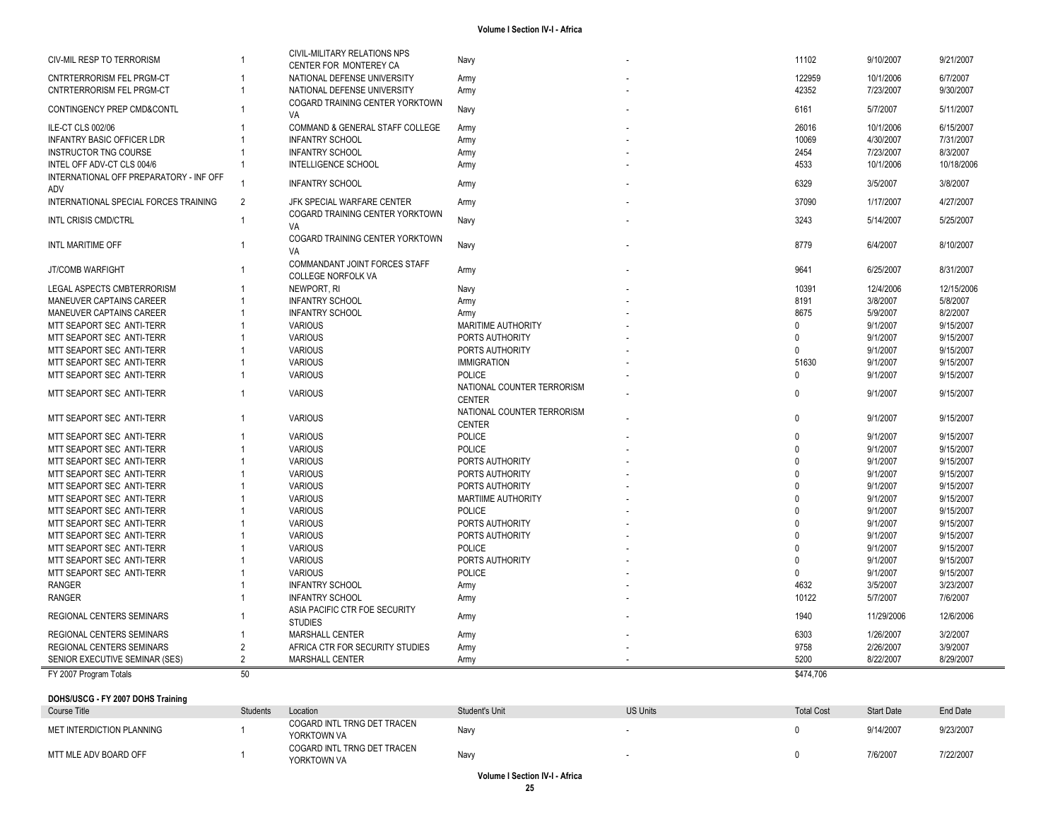| INTERNATIONAL SPECIAL FORCES TRAINING | 2               | JFK SPECIAL WARFARE CENTER                                 | Army                                        |                 | 37090             | 1/17/2007         | 4/27/2007  |
|---------------------------------------|-----------------|------------------------------------------------------------|---------------------------------------------|-----------------|-------------------|-------------------|------------|
| <b>INTL CRISIS CMD/CTRL</b>           |                 | COGARD TRAINING CENTER YORKTOWN<br>VA                      | Navy                                        |                 | 3243              | 5/14/2007         | 5/25/2007  |
| INTL MARITIME OFF                     | $\overline{1}$  | COGARD TRAINING CENTER YORKTOWN<br>VA                      | Navy                                        |                 | 8779              | 6/4/2007          | 8/10/2007  |
| <b>JT/COMB WARFIGHT</b>               |                 | COMMANDANT JOINT FORCES STAFF<br><b>COLLEGE NORFOLK VA</b> | Army                                        |                 | 9641              | 6/25/2007         | 8/31/2007  |
| LEGAL ASPECTS CMBTERRORISM            |                 | NEWPORT, RI                                                | Navy                                        |                 | 10391             | 12/4/2006         | 12/15/2006 |
| MANEUVER CAPTAINS CAREER              |                 | <b>INFANTRY SCHOOL</b>                                     | Army                                        |                 | 8191              | 3/8/2007          | 5/8/2007   |
| MANEUVER CAPTAINS CAREER              |                 | <b>INFANTRY SCHOOL</b>                                     | Army                                        |                 | 8675              | 5/9/2007          | 8/2/2007   |
| MTT SEAPORT SEC ANTI-TERR             |                 | <b>VARIOUS</b>                                             | <b>MARITIME AUTHORITY</b>                   |                 | $\Omega$          | 9/1/2007          | 9/15/2007  |
| MTT SEAPORT SEC ANTI-TERR             |                 | <b>VARIOUS</b>                                             | PORTS AUTHORITY                             |                 | <sup>n</sup>      | 9/1/2007          | 9/15/2007  |
| MTT SEAPORT SEC ANTI-TERR             |                 | <b>VARIOUS</b>                                             | PORTS AUTHORITY                             |                 | $\Omega$          | 9/1/2007          | 9/15/2007  |
| MTT SEAPORT SEC ANTI-TERR             |                 | <b>VARIOUS</b>                                             | <b>IMMIGRATION</b>                          |                 | 51630             | 9/1/2007          | 9/15/2007  |
| MTT SEAPORT SEC ANTI-TERR             |                 | <b>VARIOUS</b>                                             | <b>POLICE</b>                               |                 |                   | 9/1/2007          | 9/15/2007  |
| MTT SEAPORT SEC ANTI-TERR             | $\mathbf{1}$    | <b>VARIOUS</b>                                             | NATIONAL COUNTER TERRORISM                  |                 | $\Omega$          | 9/1/2007          | 9/15/2007  |
|                                       |                 |                                                            | <b>CENTER</b>                               |                 |                   |                   |            |
| MTT SEAPORT SEC ANTI-TERR             | $\overline{1}$  | <b>VARIOUS</b>                                             | NATIONAL COUNTER TERRORISM<br><b>CENTER</b> |                 | $\mathbf{0}$      | 9/1/2007          | 9/15/2007  |
| MTT SEAPORT SEC ANTI-TERR             |                 | <b>VARIOUS</b>                                             | <b>POLICE</b>                               |                 | $\Omega$          | 9/1/2007          | 9/15/2007  |
| MTT SEAPORT SEC ANTI-TERR             |                 | <b>VARIOUS</b>                                             | <b>POLICE</b>                               |                 | $\Omega$          | 9/1/2007          | 9/15/2007  |
| MTT SEAPORT SEC ANTI-TERR             |                 | <b>VARIOUS</b>                                             | PORTS AUTHORITY                             |                 |                   | 9/1/2007          | 9/15/2007  |
| MTT SEAPORT SEC ANTI-TERR             |                 | <b>VARIOUS</b>                                             | PORTS AUTHORITY                             |                 |                   | 9/1/2007          | 9/15/2007  |
| MTT SEAPORT SEC ANTI-TERR             |                 | <b>VARIOUS</b>                                             | PORTS AUTHORITY                             |                 |                   | 9/1/2007          | 9/15/2007  |
| MTT SEAPORT SEC ANTI-TERR             |                 | <b>VARIOUS</b>                                             | <b>MARTIIME AUTHORITY</b>                   |                 |                   | 9/1/2007          | 9/15/2007  |
| MTT SEAPORT SEC ANTI-TERR             |                 | <b>VARIOUS</b>                                             | <b>POLICE</b>                               |                 |                   | 9/1/2007          | 9/15/2007  |
| MTT SEAPORT SEC ANTI-TERR             |                 | <b>VARIOUS</b>                                             | PORTS AUTHORITY                             |                 |                   | 9/1/2007          | 9/15/2007  |
| MTT SEAPORT SEC ANTI-TERR             |                 | <b>VARIOUS</b>                                             | PORTS AUTHORITY                             |                 | $\Omega$          | 9/1/2007          | 9/15/2007  |
| MTT SEAPORT SEC ANTI-TERR             |                 | <b>VARIOUS</b>                                             | POLICE                                      |                 | $\Omega$          | 9/1/2007          | 9/15/2007  |
| MTT SEAPORT SEC ANTI-TERR             |                 | <b>VARIOUS</b>                                             | PORTS AUTHORITY                             |                 |                   | 9/1/2007          | 9/15/2007  |
| MTT SEAPORT SEC ANTI-TERR             |                 | <b>VARIOUS</b>                                             | <b>POLICE</b>                               |                 | $\Omega$          | 9/1/2007          | 9/15/2007  |
| <b>RANGER</b>                         |                 | <b>INFANTRY SCHOOL</b>                                     | Army                                        |                 | 4632              | 3/5/2007          | 3/23/2007  |
| <b>RANGER</b>                         |                 | <b>INFANTRY SCHOOL</b>                                     | Army                                        |                 | 10122             | 5/7/2007          | 7/6/2007   |
| REGIONAL CENTERS SEMINARS             |                 | ASIA PACIFIC CTR FOE SECURITY<br><b>STUDIES</b>            | Army                                        |                 | 1940              | 11/29/2006        | 12/6/2006  |
| <b>REGIONAL CENTERS SEMINARS</b>      |                 | <b>MARSHALL CENTER</b>                                     | Army                                        |                 | 6303              | 1/26/2007         | 3/2/2007   |
| <b>REGIONAL CENTERS SEMINARS</b>      | $\overline{2}$  | AFRICA CTR FOR SECURITY STUDIES                            | Army                                        |                 | 9758              | 2/26/2007         | 3/9/2007   |
| SENIOR EXECUTIVE SEMINAR (SES)        | $\overline{2}$  | <b>MARSHALL CENTER</b>                                     | Army                                        |                 | 5200              | 8/22/2007         | 8/29/2007  |
| FY 2007 Program Totals                | 50              |                                                            |                                             |                 | \$474,706         |                   |            |
|                                       |                 |                                                            |                                             |                 |                   |                   |            |
| DOHS/USCG - FY 2007 DOHS Training     |                 |                                                            |                                             |                 |                   |                   |            |
| Course Title                          | <b>Students</b> | Location                                                   | Student's Unit                              | <b>US Units</b> | <b>Total Cost</b> | <b>Start Date</b> | End Date   |
| MET INTERDICTION PLANNING             |                 | COGARD INTL TRNG DET TRACEN<br>YORKTOWN VA                 | Navy                                        |                 | $\mathbf 0$       | 9/14/2007         | 9/23/2007  |
| MTT MLE ADV BOARD OFF                 | 1               | COGARD INTL TRNG DET TRACEN<br>YORKTOWN VA                 | Navy                                        |                 | $\mathbf{0}$      | 7/6/2007          | 7/22/2007  |

CNTRTERRORISM FEL PRGM-CT 
<sup>1</sup> 1279507 10/1/2006 17/2007 12007 12007 12007 12007 122959 10/1/2006 6/7/2007 CNTRTERRORISM FEL PRGM-CT **1** NATIONAL DEFENSE UNIVERSITY Army **Army 2002 CONTRTERT ARMY 42352** 7/23/2007 9/30/2007

ILE-CT CLS 002/06 1 COMMAND & GENERAL STAFF COLLEGE Army - 26016 10/1/2006 6/15/2007 INFANTRY BASIC OFFICER LDR 1 INFANTRY SCHOOL Army 1990 10069 4/30/2007 7/31/2007 7/31/2007 INSTRUCTOR TNG COURSE 1 INFANTRY SCHOOL Army - 2454 7/23/2007 8/3/2007 INTEL OFF ADV-CT CLS 004/6 10/1/2006 10/18/2006 10/18/2006 10/18/2006 10/18/2006 10/18/2006 10/18/2006 10/18/2006 10/18/2006 10/18/2006 10/18/2006 10/18/2006 10/18/2006 10/18/2006 10/18/2006 10/18/2006 10/18/2006 10/18/200

ADV <sup>1</sup> INFANTRY SCHOOL Army - <sup>6329</sup> 3/5/2007 3/8/2007

CENTER FOR MONTEREY CAN Superintent CENTER STATES And May be a series of the control of the control of the series of the series of the series of the series of the series of the series of the series of the series of the ser

VA Navy - <sup>6161</sup> 5/7/2007 5/11/2007

CIVIL-MILITARY RELATIONS NPS

COGARD TRAINING CENTER YORKTOWN

CIV-MIL RESP TO TERRORISM 1

CONTINGENCY PREP CMD&CONTL 1

INTERNATIONAL OFF PREPARATORY - INF OFF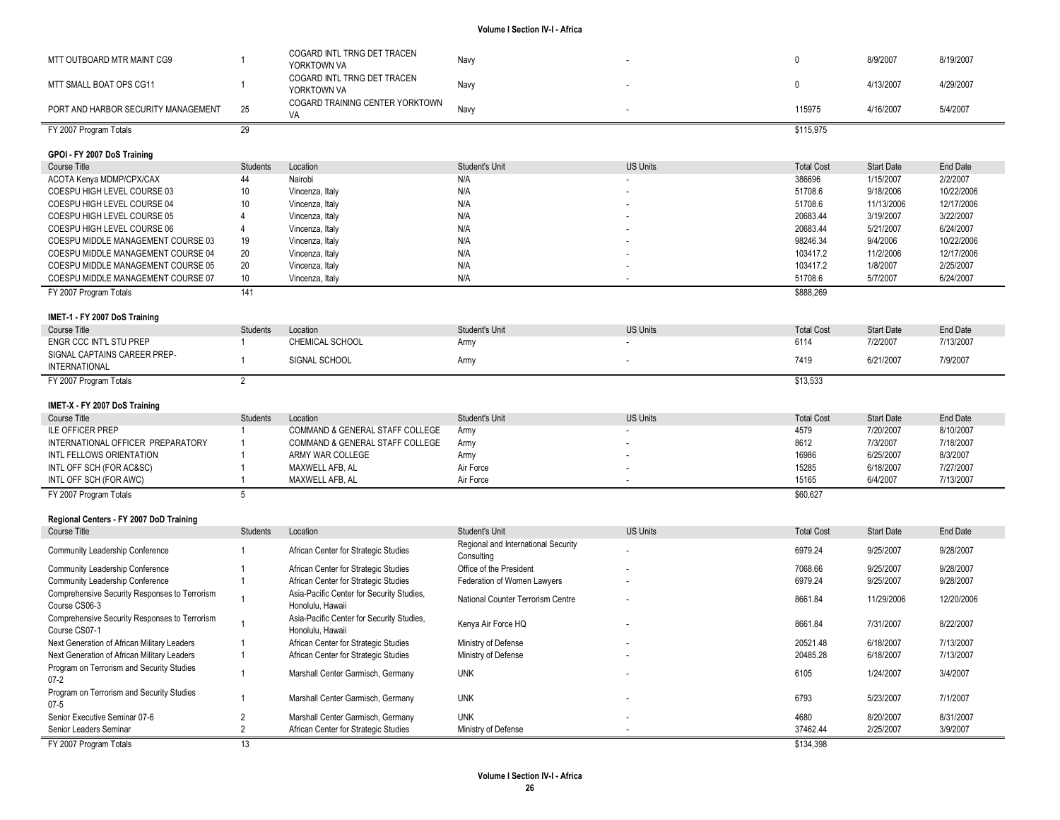| MTT OUTBOARD MTR MAINT CG9                                     | -1                   | COGARD INTL TRNG DET TRACEN<br>YORKTOWN VA                    | Navy                                  |                 | $\mathbf{0}$          | 8/9/2007          | 8/19/2007  |
|----------------------------------------------------------------|----------------------|---------------------------------------------------------------|---------------------------------------|-----------------|-----------------------|-------------------|------------|
| MTT SMALL BOAT OPS CG11                                        | $\mathbf{1}$         | COGARD INTL TRNG DET TRACEN<br>YORKTOWN VA                    | Navy                                  |                 | $\mathbf{0}$          | 4/13/2007         | 4/29/2007  |
| PORT AND HARBOR SECURITY MANAGEMENT                            | 25                   | COGARD TRAINING CENTER YORKTOWN<br>VA                         | Navy                                  |                 | 115975                | 4/16/2007         | 5/4/2007   |
| FY 2007 Program Totals                                         | 29                   |                                                               |                                       |                 | \$115,975             |                   |            |
| GPOI - FY 2007 DoS Training                                    |                      |                                                               |                                       |                 |                       |                   |            |
| <b>Course Title</b>                                            | <b>Students</b>      | Location                                                      | Student's Unit                        | <b>US Units</b> | <b>Total Cost</b>     | <b>Start Date</b> | End Date   |
| ACOTA Kenya MDMP/CPX/CAX                                       | 44                   | Nairobi                                                       | N/A                                   |                 | 386696                | 1/15/2007         | 2/2/2007   |
| COESPU HIGH LEVEL COURSE 03                                    | 10                   | Vincenza, Italy                                               | N/A                                   |                 | 51708.6               | 9/18/2006         | 10/22/2006 |
| COESPU HIGH LEVEL COURSE 04                                    | 10                   | Vincenza, Italy                                               | N/A                                   |                 | 51708.6               | 11/13/2006        | 12/17/2006 |
| COESPU HIGH LEVEL COURSE 05                                    | 4                    | Vincenza, Italy                                               | N/A                                   |                 | 20683.44              | 3/19/2007         | 3/22/2007  |
| COESPU HIGH LEVEL COURSE 06                                    | 4                    | Vincenza, Italy                                               | N/A                                   |                 | 20683.44              | 5/21/2007         | 6/24/2007  |
| COESPU MIDDLE MANAGEMENT COURSE 03                             | 19                   | Vincenza, Italy                                               | N/A                                   |                 | 98246.34              | 9/4/2006          | 10/22/2006 |
| COESPU MIDDLE MANAGEMENT COURSE 04                             | 20                   | Vincenza, Italy                                               | N/A                                   |                 | 103417.2              | 11/2/2006         | 12/17/2006 |
| COESPU MIDDLE MANAGEMENT COURSE 05                             | 20                   | Vincenza, Italy                                               | N/A                                   |                 | 103417.2              | 1/8/2007          | 2/25/2007  |
| COESPU MIDDLE MANAGEMENT COURSE 07                             | 10                   | Vincenza, Italy                                               | N/A                                   |                 | 51708.6               | 5/7/2007          | 6/24/2007  |
|                                                                |                      |                                                               |                                       |                 |                       |                   |            |
| FY 2007 Program Totals                                         | 141                  |                                                               |                                       |                 | \$888,269             |                   |            |
| IMET-1 - FY 2007 DoS Training                                  |                      |                                                               |                                       |                 |                       |                   |            |
| Course Title                                                   | <b>Students</b>      | Location                                                      | Student's Unit                        | <b>US Units</b> | <b>Total Cost</b>     | <b>Start Date</b> | End Date   |
| ENGR CCC INT'L STU PREP                                        | $\mathbf{1}$         | CHEMICAL SCHOOL                                               | Army                                  |                 | 6114                  | 7/2/2007          | 7/13/2007  |
| SIGNAL CAPTAINS CAREER PREP-                                   |                      |                                                               |                                       |                 |                       |                   |            |
| <b>INTERNATIONAL</b>                                           | $\mathbf{1}$         | SIGNAL SCHOOL                                                 | Army                                  |                 | 7419                  | 6/21/2007         | 7/9/2007   |
| FY 2007 Program Totals                                         | 2                    |                                                               |                                       |                 | \$13,533              |                   |            |
|                                                                |                      |                                                               |                                       |                 |                       |                   |            |
| IMET-X - FY 2007 DoS Training                                  |                      |                                                               |                                       |                 |                       |                   |            |
| Course Title                                                   | <b>Students</b>      | Location                                                      | Student's Unit                        | <b>US Units</b> | <b>Total Cost</b>     | <b>Start Date</b> | End Date   |
| <b>ILE OFFICER PREP</b>                                        | $\mathbf{1}$         | COMMAND & GENERAL STAFF COLLEGE                               | Army                                  |                 | 4579                  | 7/20/2007         | 8/10/2007  |
| INTERNATIONAL OFFICER PREPARATORY                              | $\mathbf{1}$         | COMMAND & GENERAL STAFF COLLEGE                               | Army                                  |                 | 8612                  | 7/3/2007          | 7/18/2007  |
| INTL FELLOWS ORIENTATION                                       | $\mathbf{1}$         | ARMY WAR COLLEGE                                              | Army                                  |                 | 16986                 | 6/25/2007         | 8/3/2007   |
| INTL OFF SCH (FOR AC&SC)                                       | $\mathbf{1}$         | MAXWELL AFB, AL                                               | Air Force                             |                 | 15285                 | 6/18/2007         | 7/27/2007  |
|                                                                | $\mathbf{1}$         |                                                               | Air Force                             |                 | 15165                 | 6/4/2007          | 7/13/2007  |
| INTL OFF SCH (FOR AWC)                                         |                      | MAXWELL AFB, AL                                               |                                       |                 |                       |                   |            |
| FY 2007 Program Totals                                         | 5                    |                                                               |                                       |                 | \$60,627              |                   |            |
| Regional Centers - FY 2007 DoD Training                        |                      |                                                               |                                       |                 |                       |                   |            |
| Course Title                                                   | <b>Students</b>      | Location                                                      | Student's Unit                        | <b>US Units</b> | <b>Total Cost</b>     | <b>Start Date</b> | End Date   |
|                                                                |                      |                                                               | Regional and International Security   |                 |                       |                   |            |
| Community Leadership Conference                                | $\mathbf{1}$         | African Center for Strategic Studies                          |                                       |                 | 6979.24               | 9/25/2007         | 9/28/2007  |
|                                                                | $\mathbf{1}$         |                                                               | Consulting<br>Office of the President |                 | 7068.66               | 9/25/2007         | 9/28/2007  |
| Community Leadership Conference                                |                      | African Center for Strategic Studies                          |                                       |                 |                       |                   |            |
| Community Leadership Conference                                | $\mathbf{1}$         | African Center for Strategic Studies                          | Federation of Women Lawyers           |                 | 6979.24               | 9/25/2007         | 9/28/2007  |
| Comprehensive Security Responses to Terrorism<br>Course CS06-3 | $\mathbf{1}$         | Asia-Pacific Center for Security Studies,<br>Honolulu, Hawaii | National Counter Terrorism Centre     |                 | 8661.84               | 11/29/2006        | 12/20/2006 |
| Comprehensive Security Responses to Terrorism                  | $\overline{1}$       | Asia-Pacific Center for Security Studies,                     |                                       |                 | 8661.84               |                   | 8/22/2007  |
| Course CS07-1                                                  |                      | Honolulu, Hawaii                                              | Kenya Air Force HQ                    |                 |                       | 7/31/2007         |            |
| Next Generation of African Military Leaders                    | $\mathbf{1}$         | African Center for Strategic Studies                          | Ministry of Defense                   |                 | 20521.48              | 6/18/2007         | 7/13/2007  |
| Next Generation of African Military Leaders                    |                      | African Center for Strategic Studies                          | Ministry of Defense                   |                 | 20485.28              | 6/18/2007         | 7/13/2007  |
| Program on Terrorism and Security Studies                      |                      |                                                               |                                       |                 |                       |                   |            |
| $07 - 2$                                                       | $\mathbf{1}$         |                                                               |                                       |                 |                       |                   |            |
|                                                                | $\mathbf{1}$         | Marshall Center Garmisch, Germany                             | <b>UNK</b>                            |                 | 6105                  | 1/24/2007         | 3/4/2007   |
|                                                                |                      |                                                               |                                       |                 |                       |                   |            |
| Program on Terrorism and Security Studies                      | $\overline{1}$       | Marshall Center Garmisch, Germany                             | <b>UNK</b>                            |                 | 6793                  | 5/23/2007         | 7/1/2007   |
| $07 - 5$                                                       |                      |                                                               |                                       |                 |                       |                   |            |
| Senior Executive Seminar 07-6                                  | $\overline{2}$       | Marshall Center Garmisch, Germany                             | <b>UNK</b>                            |                 | 4680                  | 8/20/2007         | 8/31/2007  |
| Senior Leaders Seminar<br>FY 2007 Program Totals               | $\overline{2}$<br>13 | African Center for Strategic Studies                          | Ministry of Defense                   |                 | 37462.44<br>\$134,398 | 2/25/2007         | 3/9/2007   |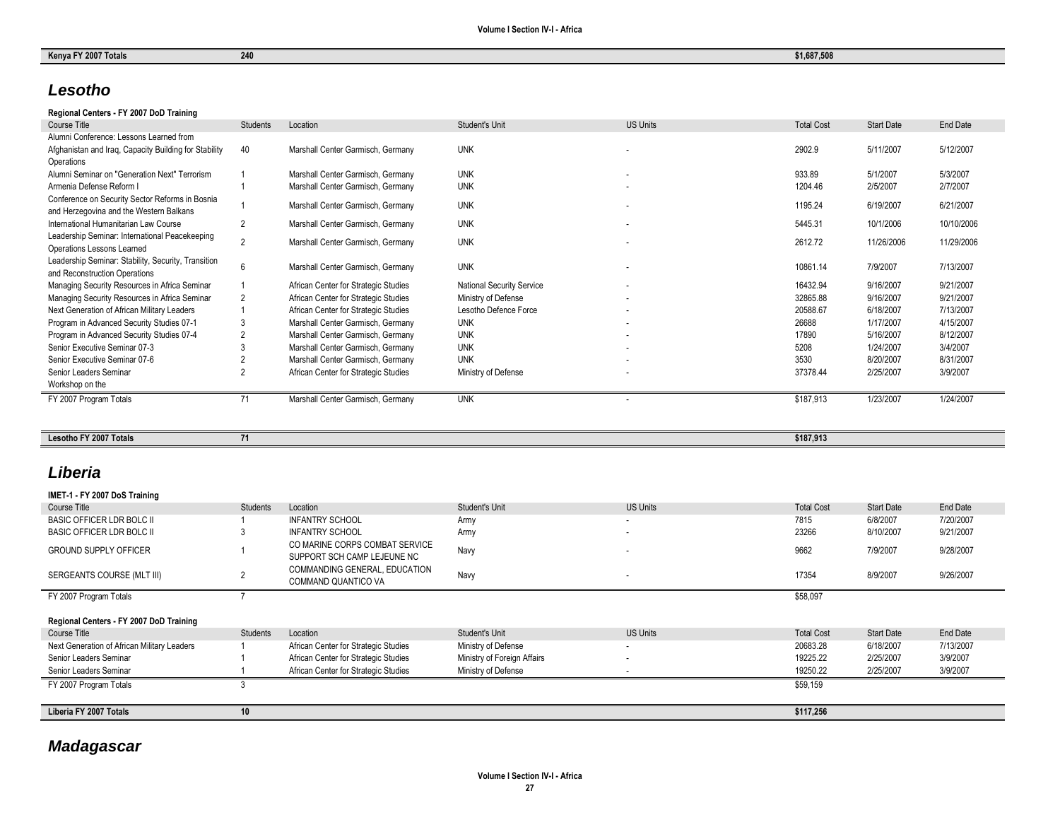## *Lesotho*

#### **Regional Centers - FY 2007 DoD Training**

| Course Title                                          | Students       | Location                             | <b>Student's Unit</b>            | <b>US Units</b>          | <b>Total Cost</b> | Start Date | End Date   |
|-------------------------------------------------------|----------------|--------------------------------------|----------------------------------|--------------------------|-------------------|------------|------------|
| Alumni Conference: Lessons Learned from               |                |                                      |                                  |                          |                   |            |            |
|                                                       |                |                                      |                                  |                          |                   |            |            |
| Afghanistan and Iraq, Capacity Building for Stability | 40             | Marshall Center Garmisch, Germany    | <b>UNK</b>                       |                          | 2902.9            | 5/11/2007  | 5/12/2007  |
| Operations                                            |                |                                      |                                  |                          |                   |            |            |
| Alumni Seminar on "Generation Next" Terrorism         |                | Marshall Center Garmisch, Germany    | <b>UNK</b>                       | $\overline{\phantom{a}}$ | 933.89            | 5/1/2007   | 5/3/2007   |
| Armenia Defense Reform I                              |                | Marshall Center Garmisch, Germany    | <b>UNK</b>                       |                          | 1204.46           | 2/5/2007   | 2/7/2007   |
| Conference on Security Sector Reforms in Bosnia       |                |                                      |                                  |                          |                   |            |            |
| and Herzegovina and the Western Balkans               |                | Marshall Center Garmisch, Germany    | <b>UNK</b>                       |                          | 1195.24           | 6/19/2007  | 6/21/2007  |
| International Humanitarian Law Course                 |                | Marshall Center Garmisch, Germany    | <b>UNK</b>                       |                          | 5445.31           | 10/1/2006  | 10/10/2006 |
| Leadership Seminar: International Peacekeeping        |                |                                      |                                  |                          |                   |            |            |
| Operations Lessons Learned                            | $\overline{2}$ | Marshall Center Garmisch, Germany    | <b>UNK</b>                       |                          | 2612.72           | 11/26/2006 | 11/29/2006 |
| Leadership Seminar: Stability, Security, Transition   |                |                                      |                                  |                          |                   |            |            |
| and Reconstruction Operations                         | 6              | Marshall Center Garmisch, Germany    | <b>UNK</b>                       |                          | 10861.14          | 7/9/2007   | 7/13/2007  |
| Managing Security Resources in Africa Seminar         |                | African Center for Strategic Studies | <b>National Security Service</b> | ٠                        | 16432.94          | 9/16/2007  | 9/21/2007  |
| Managing Security Resources in Africa Seminar         | $\overline{2}$ | African Center for Strategic Studies | Ministry of Defense              |                          | 32865.88          | 9/16/2007  | 9/21/2007  |
| Next Generation of African Military Leaders           |                | African Center for Strategic Studies | Lesotho Defence Force            | $\overline{\phantom{a}}$ | 20588.67          | 6/18/2007  | 7/13/2007  |
| Program in Advanced Security Studies 07-1             |                | Marshall Center Garmisch, Germany    | <b>UNK</b>                       | ۰.                       | 26688             | 1/17/2007  | 4/15/2007  |
| Program in Advanced Security Studies 07-4             |                | Marshall Center Garmisch, Germany    | <b>UNK</b>                       | ٠                        | 17890             | 5/16/2007  | 8/12/2007  |
| Senior Executive Seminar 07-3                         |                | Marshall Center Garmisch, Germany    | <b>UNK</b>                       | $\sim$                   | 5208              | 1/24/2007  | 3/4/2007   |
| Senior Executive Seminar 07-6                         |                | Marshall Center Garmisch, Germany    | <b>UNK</b>                       |                          | 3530              | 8/20/2007  | 8/31/2007  |
| Senior Leaders Seminar                                |                | African Center for Strategic Studies | Ministry of Defense              | ۰.                       | 37378.44          | 2/25/2007  | 3/9/2007   |
| Workshop on the                                       |                |                                      |                                  |                          |                   |            |            |
| FY 2007 Program Totals                                | 71             | Marshall Center Garmisch, Germany    | <b>UNK</b>                       |                          | \$187,913         | 1/23/2007  | 1/24/2007  |
|                                                       |                |                                      |                                  |                          |                   |            |            |

### **Lesotho FY 2007 Totals 71 \$187,913**

### *Liberia*

| IMET-1 - FY 2007 DoS Training               |          |                                                               |                             |                 |                   |                   |           |
|---------------------------------------------|----------|---------------------------------------------------------------|-----------------------------|-----------------|-------------------|-------------------|-----------|
| Course Title                                | Students | Location                                                      | Student's Unit              | <b>US Units</b> | <b>Total Cost</b> | <b>Start Date</b> | End Date  |
| <b>BASIC OFFICER LDR BOLC II</b>            |          | <b>INFANTRY SCHOOL</b>                                        | Army                        | $\sim$          | 7815              | 6/8/2007          | 7/20/2007 |
| <b>BASIC OFFICER LDR BOLC II</b>            |          | <b>INFANTRY SCHOOL</b>                                        | Army                        | <b>COL</b>      | 23266             | 8/10/2007         | 9/21/2007 |
| <b>GROUND SUPPLY OFFICER</b>                |          | CO MARINE CORPS COMBAT SERVICE<br>SUPPORT SCH CAMP LEJEUNE NC | Navy                        |                 | 9662              | 7/9/2007          | 9/28/2007 |
| SERGEANTS COURSE (MLT III)                  | c        | COMMANDING GENERAL, EDUCATION<br>COMMAND QUANTICO VA          | Navy                        |                 | 17354             | 8/9/2007          | 9/26/2007 |
| FY 2007 Program Totals                      |          |                                                               |                             |                 | \$58,097          |                   |           |
| Regional Centers - FY 2007 DoD Training     |          |                                                               |                             |                 |                   |                   |           |
| Course Title                                | Students | Location                                                      | Student's Unit              | <b>US Units</b> | <b>Total Cost</b> | <b>Start Date</b> | End Date  |
| Next Generation of African Military Leaders |          | African Center for Strategic Studies                          | Ministry of Defense         | $\sim$          | 20683.28          | 6/18/2007         | 7/13/2007 |
| Senior Leaders Seminar                      |          | African Center for Strategic Studies                          | Ministry of Foreign Affairs |                 | 19225.22          | 2/25/2007         | 3/9/2007  |
| Senior Leaders Seminar                      |          | African Center for Strategic Studies                          | Ministry of Defense         |                 | 19250.22          | 2/25/2007         | 3/9/2007  |
|                                             |          |                                                               |                             |                 |                   |                   |           |
| FY 2007 Program Totals                      |          |                                                               |                             |                 | \$59,159          |                   |           |
|                                             |          |                                                               |                             |                 |                   |                   |           |

# *Madagascar*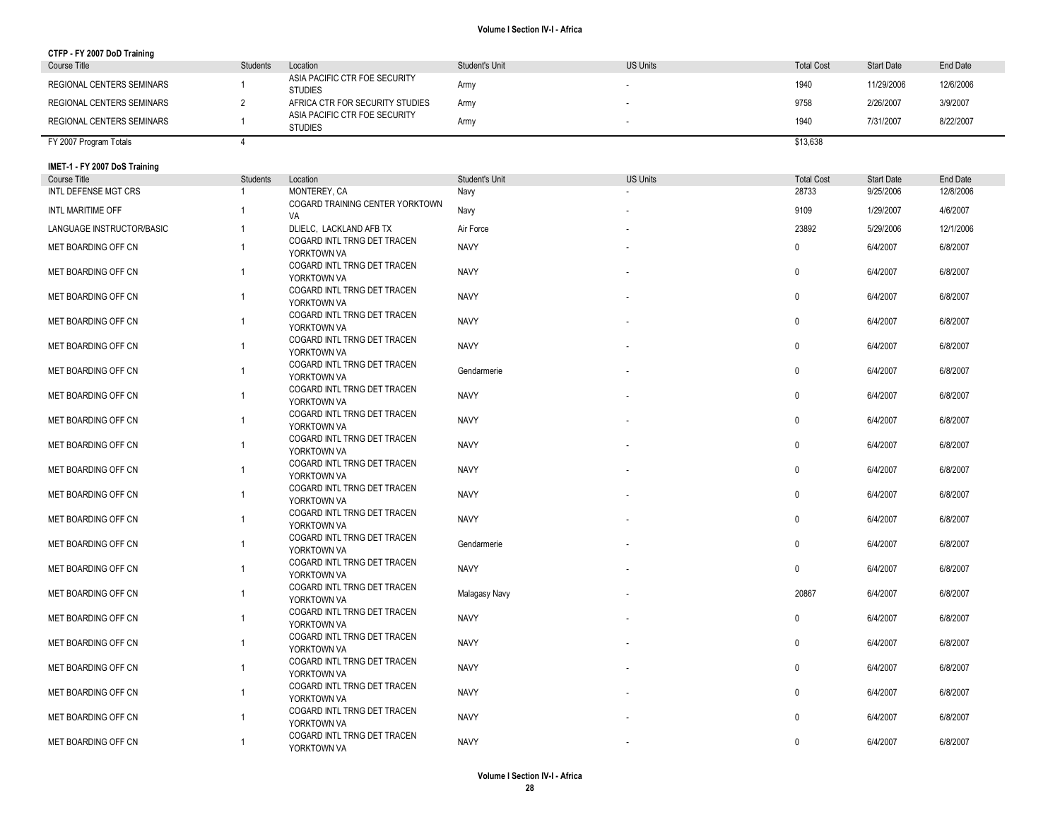| CTFP - FY 2007 DoD Training |  |
|-----------------------------|--|
|-----------------------------|--|

| Course Title              | Students | Location                                        | Student's Unit | <b>US Units</b> | <b>Total Cost</b> | <b>Start Date</b> | End Date  |
|---------------------------|----------|-------------------------------------------------|----------------|-----------------|-------------------|-------------------|-----------|
| REGIONAL CENTERS SEMINARS |          | ASIA PACIFIC CTR FOE SECURITY<br><b>STUDIES</b> | Army           |                 | 1940              | 11/29/2006        | 12/6/2006 |
| REGIONAL CENTERS SEMINARS |          | AFRICA CTR FOR SECURITY STUDIES                 | Army           |                 | 9758              | 2/26/2007         | 3/9/2007  |
| REGIONAL CENTERS SEMINARS |          | ASIA PACIFIC CTR FOE SECURITY<br><b>STUDIES</b> | Army           |                 | 1940              | 7/31/2007         | 8/22/2007 |
| FY 2007 Program Totals    |          |                                                 |                |                 | \$13,638          |                   |           |

#### **IMET -1 - FY 2007 DoS Training**

| <b>Course Title</b>         | Students       | Location                                   | Student's Unit | <b>US Units</b> | <b>Total Cost</b> | <b>Start Date</b> | End Date  |
|-----------------------------|----------------|--------------------------------------------|----------------|-----------------|-------------------|-------------------|-----------|
| <b>INTL DEFENSE MGT CRS</b> |                | MONTEREY, CA                               | Navy           |                 | 28733             | 9/25/2006         | 12/8/2006 |
| INTL MARITIME OFF           |                | COGARD TRAINING CENTER YORKTOWN<br>VA      | Navy           |                 | 9109              | 1/29/2007         | 4/6/2007  |
| LANGUAGE INSTRUCTOR/BASIC   | $\overline{1}$ | DLIELC, LACKLAND AFB TX                    | Air Force      |                 | 23892             | 5/29/2006         | 12/1/2006 |
| MET BOARDING OFF CN         | $\overline{1}$ | COGARD INTL TRNG DET TRACEN<br>YORKTOWN VA | <b>NAVY</b>    |                 | 0                 | 6/4/2007          | 6/8/2007  |
| MET BOARDING OFF CN         | $\overline{1}$ | COGARD INTL TRNG DET TRACEN<br>YORKTOWN VA | <b>NAVY</b>    |                 | 0                 | 6/4/2007          | 6/8/2007  |
| MET BOARDING OFF CN         | $\overline{1}$ | COGARD INTL TRNG DET TRACEN<br>YORKTOWN VA | <b>NAVY</b>    |                 | 0                 | 6/4/2007          | 6/8/2007  |
| MET BOARDING OFF CN         | $\overline{1}$ | COGARD INTL TRNG DET TRACEN<br>YORKTOWN VA | <b>NAVY</b>    |                 | $\mathbf 0$       | 6/4/2007          | 6/8/2007  |
| MET BOARDING OFF CN         | -1             | COGARD INTL TRNG DET TRACEN<br>YORKTOWN VA | <b>NAVY</b>    |                 | $\mathbf 0$       | 6/4/2007          | 6/8/2007  |
| MET BOARDING OFF CN         | $\overline{1}$ | COGARD INTL TRNG DET TRACEN<br>YORKTOWN VA | Gendarmerie    |                 | 0                 | 6/4/2007          | 6/8/2007  |
| MET BOARDING OFF CN         | $\overline{1}$ | COGARD INTL TRNG DET TRACEN<br>YORKTOWN VA | <b>NAVY</b>    |                 | $\mathbf 0$       | 6/4/2007          | 6/8/2007  |
| MET BOARDING OFF CN         | $\overline{1}$ | COGARD INTL TRNG DET TRACEN<br>YORKTOWN VA | <b>NAVY</b>    |                 | 0                 | 6/4/2007          | 6/8/2007  |
| MET BOARDING OFF CN         | $\overline{1}$ | COGARD INTL TRNG DET TRACEN<br>YORKTOWN VA | <b>NAVY</b>    |                 | $\mathbf 0$       | 6/4/2007          | 6/8/2007  |
| MET BOARDING OFF CN         | $\overline{1}$ | COGARD INTL TRNG DET TRACEN<br>YORKTOWN VA | <b>NAVY</b>    |                 | $\mathbf 0$       | 6/4/2007          | 6/8/2007  |
| MET BOARDING OFF CN         | $\overline{1}$ | COGARD INTL TRNG DET TRACEN<br>YORKTOWN VA | <b>NAVY</b>    |                 | 0                 | 6/4/2007          | 6/8/2007  |
| MET BOARDING OFF CN         | $\overline{1}$ | COGARD INTL TRNG DET TRACEN<br>YORKTOWN VA | <b>NAVY</b>    |                 | 0                 | 6/4/2007          | 6/8/2007  |
| MET BOARDING OFF CN         | $\overline{1}$ | COGARD INTL TRNG DET TRACEN<br>YORKTOWN VA | Gendarmerie    |                 | 0                 | 6/4/2007          | 6/8/2007  |
| MET BOARDING OFF CN         | $\overline{1}$ | COGARD INTL TRNG DET TRACEN<br>YORKTOWN VA | <b>NAVY</b>    |                 | $\mathbf 0$       | 6/4/2007          | 6/8/2007  |
| MET BOARDING OFF CN         | $\overline{1}$ | COGARD INTL TRNG DET TRACEN<br>YORKTOWN VA | Malagasy Navy  |                 | 20867             | 6/4/2007          | 6/8/2007  |
| MET BOARDING OFF CN         | $\overline{1}$ | COGARD INTL TRNG DET TRACEN<br>YORKTOWN VA | <b>NAVY</b>    |                 | 0                 | 6/4/2007          | 6/8/2007  |
| MET BOARDING OFF CN         | $\overline{1}$ | COGARD INTL TRNG DET TRACEN<br>YORKTOWN VA | <b>NAVY</b>    |                 | 0                 | 6/4/2007          | 6/8/2007  |
| MET BOARDING OFF CN         | $\overline{1}$ | COGARD INTL TRNG DET TRACEN<br>YORKTOWN VA | <b>NAVY</b>    |                 | 0                 | 6/4/2007          | 6/8/2007  |
| MET BOARDING OFF CN         | $\overline{1}$ | COGARD INTL TRNG DET TRACEN<br>YORKTOWN VA | <b>NAVY</b>    |                 | $\mathbf{0}$      | 6/4/2007          | 6/8/2007  |
| MET BOARDING OFF CN         | $\overline{1}$ | COGARD INTL TRNG DET TRACEN<br>YORKTOWN VA | <b>NAVY</b>    |                 | $\mathbf 0$       | 6/4/2007          | 6/8/2007  |
| MET BOARDING OFF CN         | $\overline{1}$ | COGARD INTL TRNG DET TRACEN<br>YORKTOWN VA | <b>NAVY</b>    |                 | 0                 | 6/4/2007          | 6/8/2007  |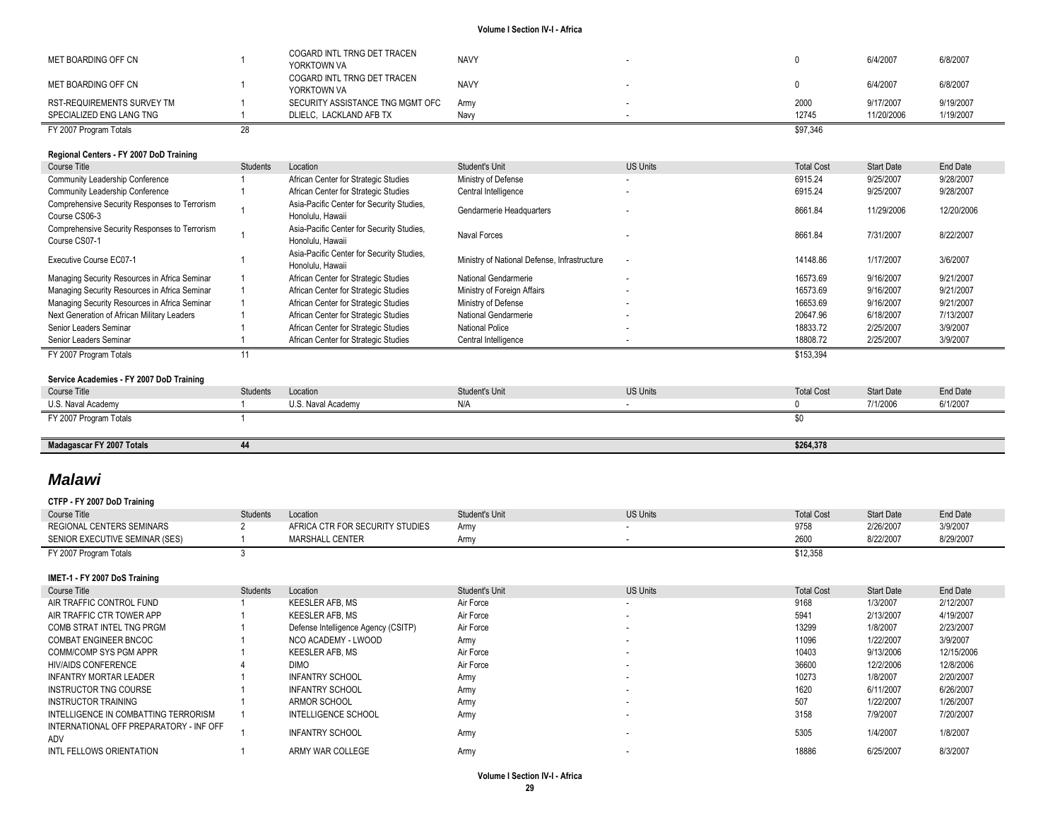| FY 2007 Program Totals     | 20. |                                            |             | \$97,346 |            |           |
|----------------------------|-----|--------------------------------------------|-------------|----------|------------|-----------|
| SPECIALIZED ENG LANG TNG   |     | DLIELC. LACKLAND AFB TX                    | Navy        | 12745    | 11/20/2006 | 1/19/2007 |
| RST-REQUIREMENTS SURVEY TM |     | SECURITY ASSISTANCE TNG MGMT OFC           | Army        | 2000     | 9/17/2007  | 9/19/2007 |
| MET BOARDING OFF CN        |     | COGARD INTL TRNG DET TRACEN<br>YORKTOWN VA | <b>NAVY</b> |          | 6/4/2007   | 6/8/2007  |
| MET BOARDING OFF CN        |     | COGARD INTL TRNG DET TRACEN<br>YORKTOWN VA | <b>NAVY</b> |          | 6/4/2007   | 6/8/2007  |

#### **Regional Centers - FY 2007 DoD Training**

| Course Title                                                   | Students | Location                                                      | Student's Unit                               | <b>US Units</b>          | <b>Total Cost</b> | Start Date        | End Date   |
|----------------------------------------------------------------|----------|---------------------------------------------------------------|----------------------------------------------|--------------------------|-------------------|-------------------|------------|
| Community Leadership Conference                                |          | African Center for Strategic Studies                          | Ministry of Defense                          |                          | 6915.24           | 9/25/2007         | 9/28/2007  |
| Community Leadership Conference                                |          | African Center for Strategic Studies                          | Central Intelligence                         | ٠                        | 6915.24           | 9/25/2007         | 9/28/2007  |
| Comprehensive Security Responses to Terrorism<br>Course CS06-3 |          | Asia-Pacific Center for Security Studies,<br>Honolulu, Hawaii | Gendarmerie Headquarters                     |                          | 8661.84           | 11/29/2006        | 12/20/2006 |
| Comprehensive Security Responses to Terrorism<br>Course CS07-1 |          | Asia-Pacific Center for Security Studies,<br>Honolulu, Hawaii | Naval Forces                                 |                          | 8661.84           | 7/31/2007         | 8/22/2007  |
| Executive Course EC07-1                                        |          | Asia-Pacific Center for Security Studies,<br>Honolulu, Hawaii | Ministry of National Defense, Infrastructure | $\overline{\phantom{a}}$ | 14148.86          | 1/17/2007         | 3/6/2007   |
| Managing Security Resources in Africa Seminar                  |          | African Center for Strategic Studies                          | National Gendarmerie                         | ۰                        | 16573.69          | 9/16/2007         | 9/21/2007  |
| Managing Security Resources in Africa Seminar                  |          | African Center for Strategic Studies                          | Ministry of Foreign Affairs                  |                          | 16573.69          | 9/16/2007         | 9/21/2007  |
| Managing Security Resources in Africa Seminar                  |          | African Center for Strategic Studies                          | Ministry of Defense                          |                          | 16653.69          | 9/16/2007         | 9/21/2007  |
| Next Generation of African Military Leaders                    |          | African Center for Strategic Studies                          | National Gendarmerie                         |                          | 20647.96          | 6/18/2007         | 7/13/2007  |
| Senior Leaders Seminar                                         |          | African Center for Strategic Studies                          | National Police                              |                          | 18833.72          | 2/25/2007         | 3/9/2007   |
| Senior Leaders Seminar                                         |          | African Center for Strategic Studies                          | Central Intelligence                         |                          | 18808.72          | 2/25/2007         | 3/9/2007   |
| FY 2007 Program Totals                                         |          |                                                               |                                              |                          | \$153,394         |                   |            |
|                                                                |          |                                                               |                                              |                          |                   |                   |            |
| Service Academies - FY 2007 DoD Training                       |          |                                                               |                                              |                          |                   |                   |            |
| Course Title                                                   | Students | Location                                                      | Student's Unit                               | <b>US Units</b>          | <b>Total Cost</b> | <b>Start Date</b> | End Date   |
| U.S. Naval Academy                                             |          | U.S. Naval Academy                                            | N/A                                          |                          |                   | 7/1/2006          | 6/1/2007   |
| FY 2007 Program Totals                                         |          |                                                               |                                              |                          | \$0               |                   |            |
|                                                                |          |                                                               |                                              |                          |                   |                   |            |
| Madagascar FY 2007 Totals                                      | 44       |                                                               |                                              |                          | \$264,378         |                   |            |

### *Malawi*

### **CTFP - FY 2007 DoD Training**

| Course Title                   | Students | Location                        | Student's Unit | <b>JS Units</b> | <b>Total Cost</b> | <b>Start Date</b> | End Date  |
|--------------------------------|----------|---------------------------------|----------------|-----------------|-------------------|-------------------|-----------|
| REGIONAL CENTERS SEMINARS      |          | AFRICA CTR FOR SECURITY STUDIES | Armv           |                 | 9758              | 2/26/2007         | 3/9/2007  |
| SENIOR EXECUTIVE SEMINAR (SES) |          | <b>MARSHALL CENTER</b>          | Arm            |                 | 2600              | 8/22/2007         | 8/29/2007 |
| FY 2007 Program Totals         |          |                                 |                |                 | \$12,358          |                   |           |

#### **IMET-1 - FY 2007 DoS Training**

| Course Title                                   | Students | Location                            | Student's Unit | <b>US Units</b> | <b>Total Cost</b> | <b>Start Date</b> | End Date   |
|------------------------------------------------|----------|-------------------------------------|----------------|-----------------|-------------------|-------------------|------------|
| AIR TRAFFIC CONTROL FUND                       |          | KEESLER AFB. MS                     | Air Force      | . .             | 9168              | 1/3/2007          | 2/12/2007  |
| AIR TRAFFIC CTR TOWER APP                      |          | KEESLER AFB. MS                     | Air Force      | . .             | 5941              | 2/13/2007         | 4/19/2007  |
| COMB STRAT INTEL TNG PRGM                      |          | Defense Intelligence Agency (CSITP) | Air Force      |                 | 13299             | 1/8/2007          | 2/23/2007  |
| COMBAT ENGINEER BNCOC                          |          | NCO ACADEMY - LWOOD                 | Army           |                 | 11096             | 1/22/2007         | 3/9/2007   |
| COMM/COMP SYS PGM APPR                         |          | KEESLER AFB. MS                     | Air Force      |                 | 10403             | 9/13/2006         | 12/15/2006 |
| <b>HIV/AIDS CONFERENCE</b>                     |          | <b>DIMO</b>                         | Air Force      |                 | 36600             | 12/2/2006         | 12/8/2006  |
| INFANTRY MORTAR LEADER                         |          | <b>INFANTRY SCHOOL</b>              | Army           |                 | 10273             | 1/8/2007          | 2/20/2007  |
| INSTRUCTOR TNG COURSE                          |          | <b>INFANTRY SCHOOL</b>              | Army           |                 | 1620              | 6/11/2007         | 6/26/2007  |
| INSTRUCTOR TRAINING                            |          | ARMOR SCHOOL                        | Army           |                 | 507               | 1/22/2007         | 1/26/2007  |
| INTELLIGENCE IN COMBATTING TERRORISM           |          | INTELLIGENCE SCHOOL                 | Army           |                 | 3158              | 7/9/2007          | 7/20/2007  |
| INTERNATIONAL OFF PREPARATORY - INF OFF<br>ADV |          | <b>INFANTRY SCHOOL</b>              | Army           |                 | 5305              | 1/4/2007          | 1/8/2007   |
| INTL FELLOWS ORIENTATION                       |          | ARMY WAR COLLEGE                    | Army           |                 | 18886             | 6/25/2007         | 8/3/2007   |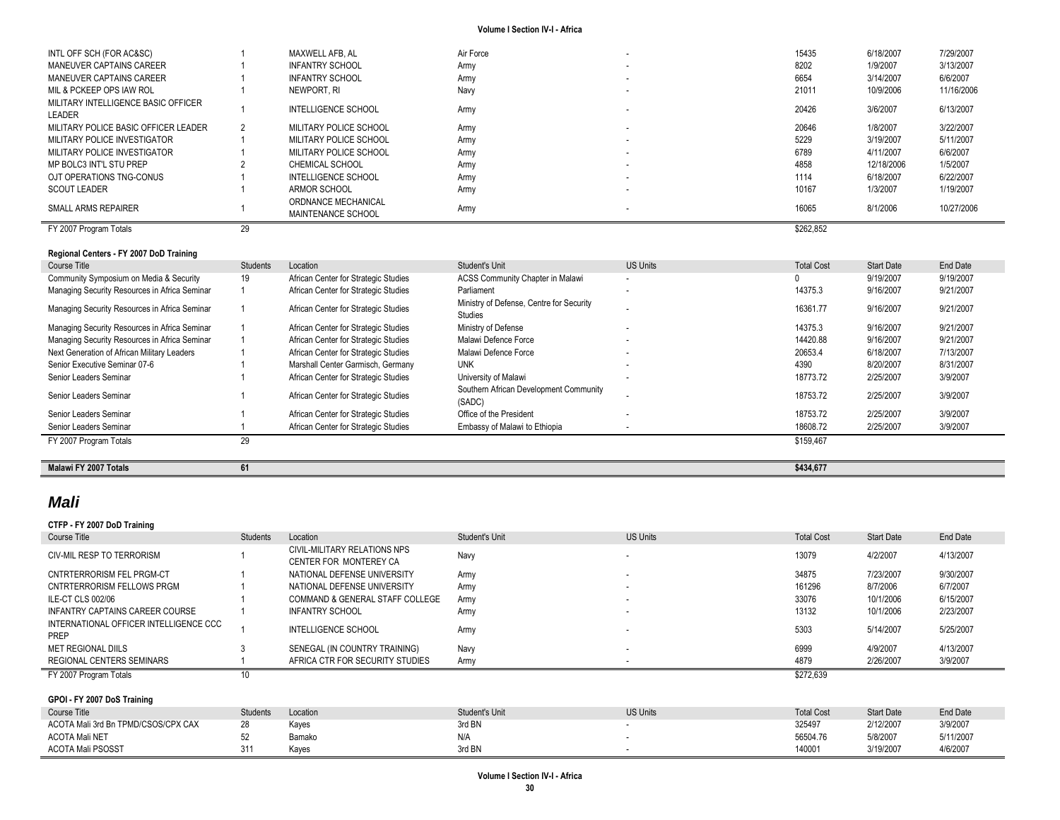| INTL OFF SCH (FOR AC&SC)                      |                 | MAXWELL AFB. AL                      | Air Force                                           |                 | 15435             | 6/18/2007         | 7/29/2007  |
|-----------------------------------------------|-----------------|--------------------------------------|-----------------------------------------------------|-----------------|-------------------|-------------------|------------|
| MANEUVER CAPTAINS CAREER                      |                 | <b>INFANTRY SCHOOL</b>               | Army                                                | ٠               | 8202              | 1/9/2007          | 3/13/2007  |
| MANEUVER CAPTAINS CAREER                      |                 | <b>INFANTRY SCHOOL</b>               | Army                                                | ٠               | 6654              | 3/14/2007         | 6/6/2007   |
| MIL & PCKEEP OPS IAW ROL                      |                 | NEWPORT, RI                          | Navy                                                |                 | 21011             | 10/9/2006         | 11/16/2006 |
| MILITARY INTELLIGENCE BASIC OFFICER<br>LEADER |                 | <b>INTELLIGENCE SCHOOL</b>           | Army                                                |                 | 20426             | 3/6/2007          | 6/13/2007  |
| MILITARY POLICE BASIC OFFICER LEADER          | $\overline{2}$  | MILITARY POLICE SCHOOL               | Army                                                | ٠               | 20646             | 1/8/2007          | 3/22/2007  |
| MILITARY POLICE INVESTIGATOR                  |                 | MILITARY POLICE SCHOOL               | Army                                                |                 | 5229              | 3/19/2007         | 5/11/2007  |
| MILITARY POLICE INVESTIGATOR                  |                 | MILITARY POLICE SCHOOL               | Army                                                |                 | 6789              | 4/11/2007         | 6/6/2007   |
| MP BOLC3 INT'L STU PREP                       |                 | <b>CHEMICAL SCHOOL</b>               | Army                                                |                 | 4858              | 12/18/2006        | 1/5/2007   |
| OJT OPERATIONS TNG-CONUS                      |                 | <b>INTELLIGENCE SCHOOL</b>           | Army                                                |                 | 1114              | 6/18/2007         | 6/22/2007  |
| <b>SCOUT LEADER</b>                           |                 | ARMOR SCHOOL                         | Army                                                |                 | 10167             | 1/3/2007          | 1/19/2007  |
| <b>SMALL ARMS REPAIRER</b>                    |                 | ORDNANCE MECHANICAL                  | Army                                                |                 | 16065             | 8/1/2006          | 10/27/2006 |
|                                               |                 | MAINTENANCE SCHOOL                   |                                                     |                 |                   |                   |            |
| FY 2007 Program Totals                        | 29              |                                      |                                                     |                 | \$262,852         |                   |            |
| Regional Centers - FY 2007 DoD Training       |                 |                                      |                                                     |                 |                   |                   |            |
| <b>Course Title</b>                           | <b>Students</b> | Location                             | Student's Unit                                      | <b>US Units</b> | <b>Total Cost</b> | <b>Start Date</b> | End Date   |
| Community Symposium on Media & Security       | 19              | African Center for Strategic Studies | ACSS Community Chapter in Malawi                    |                 |                   | 9/19/2007         | 9/19/2007  |
| Managing Security Resources in Africa Seminar |                 | African Center for Strategic Studies | Parliament                                          |                 | 14375.3           | 9/16/2007         | 9/21/2007  |
| Managing Security Resources in Africa Seminar |                 | African Center for Strategic Studies | Ministry of Defense, Centre for Security<br>Studies |                 | 16361.77          | 9/16/2007         | 9/21/2007  |
| Managing Security Resources in Africa Seminar |                 | African Center for Strategic Studies | Ministry of Defense                                 | ٠               | 14375.3           | 9/16/2007         | 9/21/2007  |
| Managing Security Resources in Africa Seminar |                 | African Center for Strategic Studies | Malawi Defence Force                                |                 | 14420.88          | 9/16/2007         | 9/21/2007  |
| Next Generation of African Military Leaders   |                 | African Center for Strategic Studies | Malawi Defence Force                                | ٠               | 20653.4           | 6/18/2007         | 7/13/2007  |
| Senior Executive Seminar 07-6                 |                 | Marshall Center Garmisch, Germany    | <b>UNK</b>                                          |                 | 4390              | 8/20/2007         | 8/31/2007  |

Senior Leaders Seminar 1 1 African Center for Strategic Studies Cffice of the President Christen Center for Strategic Studies Cffice of the President Christenia Center for Strategic Studies Cffice of the President Christen Senior Leaders Seminar 1 1 African Center for Strategic Studies Embassy of Malawi to Ethiopia - 18608.72 2/25/2007 3/9/2007

FY 2007 Program Totals 29 \$159,467

**Malawi FY 2007 Totals 61 \$434,677**

(SADC) - 18753.72 2/25/2007 3/9/2007

Senior Leaders Seminar 1 1 African Center for Strategic Studies Southern African Development Community<br>
(SADC)

### *Mali*

#### **CTFP - FY 2007 DoD Training**

| Course Title                                   | Students | Location                                               | Student's Unit        | <b>US Units</b>          | <b>Total Cost</b> | <b>Start Date</b> | End Date  |
|------------------------------------------------|----------|--------------------------------------------------------|-----------------------|--------------------------|-------------------|-------------------|-----------|
| CIV-MIL RESP TO TERRORISM                      |          | CIVIL-MILITARY RELATIONS NPS<br>CENTER FOR MONTEREY CA | Navy                  |                          | 13079             | 4/2/2007          | 4/13/2007 |
| CNTRTERRORISM FEL PRGM-CT                      |          | NATIONAL DEFENSE UNIVERSITY                            | Army                  | ۰.                       | 34875             | 7/23/2007         | 9/30/2007 |
| CNTRTERRORISM FELLOWS PRGM                     |          | NATIONAL DEFENSE UNIVERSITY                            | Army                  | $\overline{\phantom{a}}$ | 161296            | 8/7/2006          | 6/7/2007  |
| ILE-CT CLS 002/06                              |          | COMMAND & GENERAL STAFF COLLEGE                        | Army                  | . .                      | 33076             | 10/1/2006         | 6/15/2007 |
| INFANTRY CAPTAINS CAREER COURSE                |          | <b>INFANTRY SCHOOL</b>                                 | Army                  |                          | 13132             | 10/1/2006         | 2/23/2007 |
| INTERNATIONAL OFFICER INTELLIGENCE CCC<br>PREP |          | <b>INTELLIGENCE SCHOOL</b>                             | Army                  | ۰.                       | 5303              | 5/14/2007         | 5/25/2007 |
| <b>MET REGIONAL DIILS</b>                      |          | SENEGAL (IN COUNTRY TRAINING)                          | Navy                  | $\sim$                   | 6999              | 4/9/2007          | 4/13/2007 |
| REGIONAL CENTERS SEMINARS                      |          | AFRICA CTR FOR SECURITY STUDIES                        | Army                  | ۰.                       | 4879              | 2/26/2007         | 3/9/2007  |
| FY 2007 Program Totals                         | 10       |                                                        |                       |                          | \$272.639         |                   |           |
| GPOI - FY 2007 DoS Training                    |          |                                                        |                       |                          |                   |                   |           |
| Course Title                                   | Students | Location                                               | <b>Student's Unit</b> | <b>US Units</b>          | <b>Total Cost</b> | <b>Start Date</b> | End Date  |

### ية ACOTA Mali 3rd Bn TPMD/CSOS/CPX CAX 28 Kayes و ACOTA Mali 3rd Bn 2/12/2007 3/9/2007<br>ACOTA Mali NET 5/8/2007 5/11/2007 5/3/92007 5/11/2007 5/11/2007 5/11/2007 5/11/2007 ACOTA Mali NET 52 Bamako N/A - 56504.76 5/8/2007 5/11/2007 ACOTA Mali PSOSST 311 Kayes 3rd BN - 140001 3/19/2007 4/6/2007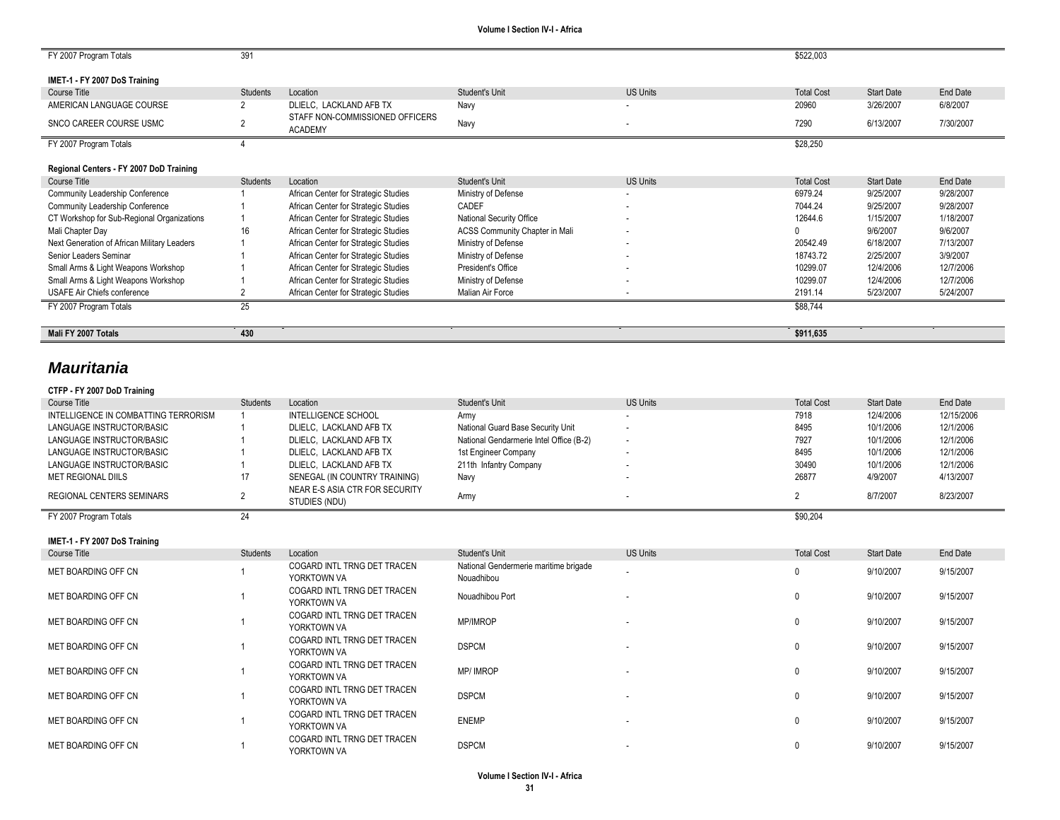| FY 2007 Program Totals                      | 391      |                                                   |                                |                          | \$522,003         |                   |           |
|---------------------------------------------|----------|---------------------------------------------------|--------------------------------|--------------------------|-------------------|-------------------|-----------|
| IMET-1 - FY 2007 DoS Training               |          |                                                   |                                |                          |                   |                   |           |
| Course Title                                | Students | Location                                          | Student's Unit                 | <b>US Units</b>          | <b>Total Cost</b> | <b>Start Date</b> | End Date  |
| AMERICAN LANGUAGE COURSE                    |          | DLIELC, LACKLAND AFB TX                           | Navy                           |                          | 20960             | 3/26/2007         | 6/8/2007  |
| SNCO CAREER COURSE USMC                     |          | STAFF NON-COMMISSIONED OFFICERS<br><b>ACADEMY</b> | Navy                           |                          | 7290              | 6/13/2007         | 7/30/2007 |
| FY 2007 Program Totals                      |          |                                                   |                                |                          | \$28,250          |                   |           |
| Regional Centers - FY 2007 DoD Training     |          |                                                   |                                |                          |                   |                   |           |
| Course Title                                | Students | Location                                          | <b>Student's Unit</b>          | <b>US Units</b>          | <b>Total Cost</b> | <b>Start Date</b> | End Date  |
| Community Leadership Conference             |          | African Center for Strategic Studies              | Ministry of Defense            |                          | 6979.24           | 9/25/2007         | 9/28/2007 |
| Community Leadership Conference             |          | African Center for Strategic Studies              | CADEF                          | ۰                        | 7044.24           | 9/25/2007         | 9/28/2007 |
| CT Workshop for Sub-Regional Organizations  |          | African Center for Strategic Studies              | National Security Office       | ۰                        | 12644.6           | 1/15/2007         | 1/18/2007 |
| Mali Chapter Day                            | 16       | African Center for Strategic Studies              | ACSS Community Chapter in Mali | $\overline{\phantom{a}}$ |                   | 9/6/2007          | 9/6/2007  |
| Next Generation of African Military Leaders |          | African Center for Strategic Studies              | Ministry of Defense            |                          | 20542.49          | 6/18/2007         | 7/13/2007 |
| Senior Leaders Seminar                      |          | African Center for Strategic Studies              | Ministry of Defense            | ٠                        | 18743.72          | 2/25/2007         | 3/9/2007  |
| Small Arms & Light Weapons Workshop         |          | African Center for Strategic Studies              | President's Office             |                          | 10299.07          | 12/4/2006         | 12/7/2006 |
| Small Arms & Light Weapons Workshop         |          | African Center for Strategic Studies              | Ministry of Defense            |                          | 10299.07          | 12/4/2006         | 12/7/2006 |
| USAFE Air Chiefs conference                 |          | African Center for Strategic Studies              | Malian Air Force               | ۰                        | 2191.14           | 5/23/2007         | 5/24/2007 |
| FY 2007 Program Totals                      | 25       |                                                   |                                |                          | \$88,744          |                   |           |
|                                             |          |                                                   |                                |                          |                   |                   |           |
| Mali FY 2007 Totals                         | 430      |                                                   |                                |                          | \$911,635         |                   |           |

## *Mauritania*

### **CTFP - FY 2007 DoD Training**

| Course Title                         | <b>Students</b> | Location                                        | Student's Unit                          | <b>US Units</b> | <b>Total Cost</b> | <b>Start Date</b> | End Date   |
|--------------------------------------|-----------------|-------------------------------------------------|-----------------------------------------|-----------------|-------------------|-------------------|------------|
| INTELLIGENCE IN COMBATTING TERRORISM |                 | INTELLIGENCE SCHOOL                             | Army                                    |                 | 7918              | 12/4/2006         | 12/15/2006 |
| LANGUAGE INSTRUCTOR/BASIC            |                 | DLIELC. LACKLAND AFB TX                         | National Guard Base Security Unit       |                 | 8495              | 10/1/2006         | 12/1/2006  |
| LANGUAGE INSTRUCTOR/BASIC            |                 | DLIELC, LACKLAND AFB TX                         | National Gendarmerie Intel Office (B-2) | ۰.              | 7927              | 10/1/2006         | 12/1/2006  |
| LANGUAGE INSTRUCTOR/BASIC            |                 | DLIELC. LACKLAND AFB TX                         | 1st Engineer Company                    |                 | 8495              | 10/1/2006         | 12/1/2006  |
| LANGUAGE INSTRUCTOR/BASIC            |                 | DLIELC. LACKLAND AFB TX                         | 211th Infantry Company                  |                 | 30490             | 10/1/2006         | 12/1/2006  |
| <b>MET REGIONAL DIILS</b>            |                 | SENEGAL (IN COUNTRY TRAINING)                   | Navv                                    |                 | 26877             | 4/9/2007          | 4/13/2007  |
| REGIONAL CENTERS SEMINARS            |                 | NEAR E-S ASIA CTR FOR SECURITY<br>STUDIES (NDU) | Army                                    |                 |                   | 8/7/2007          | 8/23/2007  |
| FY 2007 Program Totals               |                 |                                                 |                                         |                 | \$90,204          |                   |            |

### **IMET-1 - FY 2007 DoS Training**

| Course Title        | Students | Location                                   | Student's Unit                                      | <b>US Units</b>          | <b>Total Cost</b> | <b>Start Date</b> | End Date  |
|---------------------|----------|--------------------------------------------|-----------------------------------------------------|--------------------------|-------------------|-------------------|-----------|
| MET BOARDING OFF CN |          | COGARD INTL TRNG DET TRACEN<br>YORKTOWN VA | National Gendermerie maritime brigade<br>Nouadhibou |                          | $\mathbf{0}$      | 9/10/2007         | 9/15/2007 |
| MET BOARDING OFF CN |          | COGARD INTL TRNG DET TRACEN<br>YORKTOWN VA | Nouadhibou Port                                     | ۰.                       | 0                 | 9/10/2007         | 9/15/2007 |
| MET BOARDING OFF CN |          | COGARD INTL TRNG DET TRACEN<br>YORKTOWN VA | MP/IMROP                                            |                          | 0                 | 9/10/2007         | 9/15/2007 |
| MET BOARDING OFF CN |          | COGARD INTL TRNG DET TRACEN<br>YORKTOWN VA | <b>DSPCM</b>                                        | $\overline{\phantom{a}}$ | 0                 | 9/10/2007         | 9/15/2007 |
| MET BOARDING OFF CN |          | COGARD INTL TRNG DET TRACEN<br>YORKTOWN VA | <b>MP/IMROP</b>                                     |                          | $\mathbf{0}$      | 9/10/2007         | 9/15/2007 |
| MET BOARDING OFF CN |          | COGARD INTL TRNG DET TRACEN<br>YORKTOWN VA | <b>DSPCM</b>                                        |                          | 0                 | 9/10/2007         | 9/15/2007 |
| MET BOARDING OFF CN |          | COGARD INTL TRNG DET TRACEN<br>YORKTOWN VA | <b>ENEMP</b>                                        | $\overline{\phantom{a}}$ | $\mathbf{0}$      | 9/10/2007         | 9/15/2007 |
| MET BOARDING OFF CN |          | COGARD INTL TRNG DET TRACEN<br>YORKTOWN VA | <b>DSPCM</b>                                        | . .                      | 0                 | 9/10/2007         | 9/15/2007 |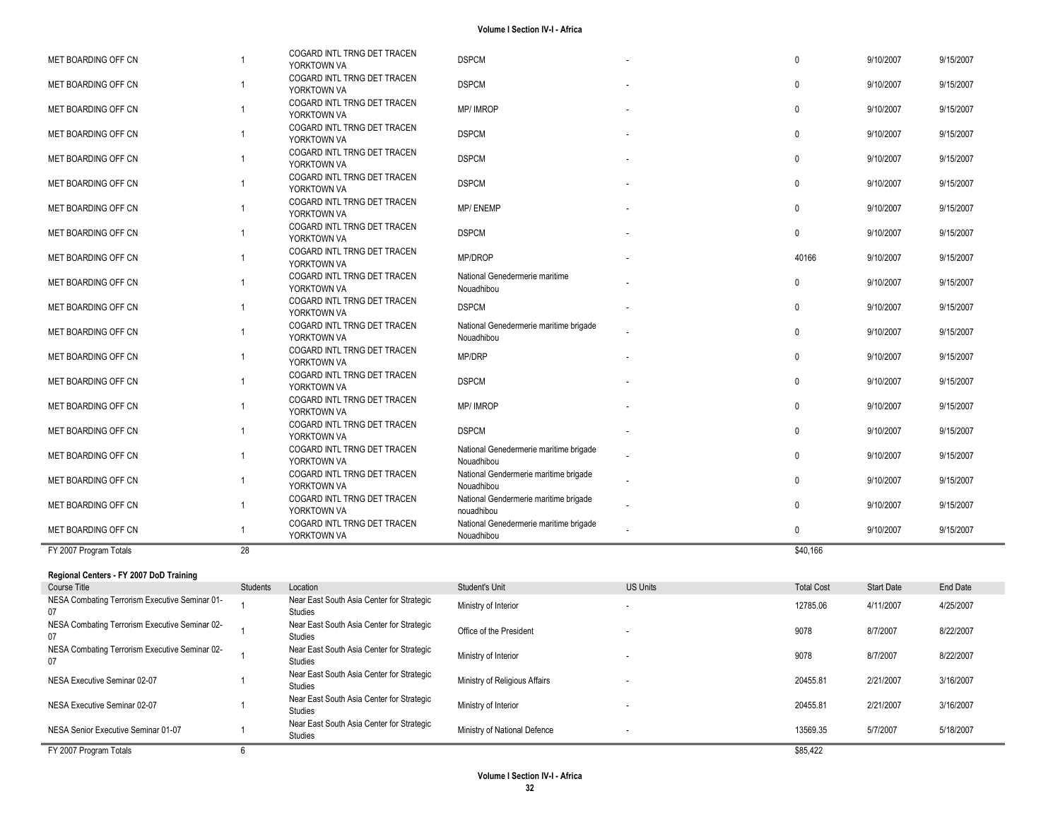|  | Volume I Section IV-I - Africa |  |  |
|--|--------------------------------|--|--|
|--|--------------------------------|--|--|

| MET BOARDING OFF CN    |    | COGARD INTL TRNG DET TRACEN<br>YORKTOWN VA | <b>DSPCM</b>                                         | $\mathbf 0$  | 9/10/2007 | 9/15/2007 |
|------------------------|----|--------------------------------------------|------------------------------------------------------|--------------|-----------|-----------|
| MET BOARDING OFF CN    |    | COGARD INTL TRNG DET TRACEN<br>YORKTOWN VA | <b>DSPCM</b>                                         | $\mathbf 0$  | 9/10/2007 | 9/15/2007 |
| MET BOARDING OFF CN    |    | COGARD INTL TRNG DET TRACEN<br>YORKTOWN VA | <b>MP/IMROP</b>                                      | $\mathbf 0$  | 9/10/2007 | 9/15/2007 |
| MET BOARDING OFF CN    |    | COGARD INTL TRNG DET TRACEN<br>YORKTOWN VA | <b>DSPCM</b>                                         | $\mathbf 0$  | 9/10/2007 | 9/15/2007 |
| MET BOARDING OFF CN    |    | COGARD INTL TRNG DET TRACEN<br>YORKTOWN VA | <b>DSPCM</b>                                         | $\mathbf{0}$ | 9/10/2007 | 9/15/2007 |
| MET BOARDING OFF CN    |    | COGARD INTL TRNG DET TRACEN<br>YORKTOWN VA | <b>DSPCM</b>                                         | $\mathbf 0$  | 9/10/2007 | 9/15/2007 |
| MET BOARDING OFF CN    |    | COGARD INTL TRNG DET TRACEN<br>YORKTOWN VA | MP/ENEMP                                             | $\mathbf 0$  | 9/10/2007 | 9/15/2007 |
| MET BOARDING OFF CN    |    | COGARD INTL TRNG DET TRACEN<br>YORKTOWN VA | <b>DSPCM</b>                                         | $\mathbf 0$  | 9/10/2007 | 9/15/2007 |
| MET BOARDING OFF CN    |    | COGARD INTL TRNG DET TRACEN<br>YORKTOWN VA | MP/DROP                                              | 40166        | 9/10/2007 | 9/15/2007 |
| MET BOARDING OFF CN    |    | COGARD INTL TRNG DET TRACEN<br>YORKTOWN VA | National Genedermerie maritime<br>Nouadhibou         | 0            | 9/10/2007 | 9/15/2007 |
| MET BOARDING OFF CN    |    | COGARD INTL TRNG DET TRACEN<br>YORKTOWN VA | <b>DSPCM</b>                                         | $\mathbf 0$  | 9/10/2007 | 9/15/2007 |
| MET BOARDING OFF CN    |    | COGARD INTL TRNG DET TRACEN<br>YORKTOWN VA | National Genedermerie maritime brigade<br>Nouadhibou | $\mathbf{0}$ | 9/10/2007 | 9/15/2007 |
| MET BOARDING OFF CN    |    | COGARD INTL TRNG DET TRACEN<br>YORKTOWN VA | MP/DRP                                               | $\mathbf{0}$ | 9/10/2007 | 9/15/2007 |
| MET BOARDING OFF CN    |    | COGARD INTL TRNG DET TRACEN<br>YORKTOWN VA | <b>DSPCM</b>                                         | $\mathbf{0}$ | 9/10/2007 | 9/15/2007 |
| MET BOARDING OFF CN    |    | COGARD INTL TRNG DET TRACEN<br>YORKTOWN VA | <b>MP/IMROP</b>                                      | $\mathbf{0}$ | 9/10/2007 | 9/15/2007 |
| MET BOARDING OFF CN    |    | COGARD INTL TRNG DET TRACEN<br>YORKTOWN VA | <b>DSPCM</b>                                         | $\mathbf 0$  | 9/10/2007 | 9/15/2007 |
| MET BOARDING OFF CN    |    | COGARD INTL TRNG DET TRACEN<br>YORKTOWN VA | National Genedermerie maritime brigade<br>Nouadhibou | 0            | 9/10/2007 | 9/15/2007 |
| MET BOARDING OFF CN    |    | COGARD INTL TRNG DET TRACEN<br>YORKTOWN VA | National Gendermerie maritime brigade<br>Nouadhibou  | $\mathbf{0}$ | 9/10/2007 | 9/15/2007 |
| MET BOARDING OFF CN    |    | COGARD INTL TRNG DET TRACEN<br>YORKTOWN VA | National Gendermerie maritime brigade<br>nouadhibou  | $\mathbf{0}$ | 9/10/2007 | 9/15/2007 |
| MET BOARDING OFF CN    |    | COGARD INTL TRNG DET TRACEN<br>YORKTOWN VA | National Genedermerie maritime brigade<br>Nouadhibou | 0            | 9/10/2007 | 9/15/2007 |
| FY 2007 Program Totals | 28 |                                            |                                                      | \$40.166     |           |           |

#### **Regional Centers - FY 2007 DoD Training**

| Course Title                                         | <b>Students</b> | Location                                                    | <b>Student's Unit</b>         | <b>US Units</b>          | <b>Total Cost</b> | <b>Start Date</b> | End Date  |
|------------------------------------------------------|-----------------|-------------------------------------------------------------|-------------------------------|--------------------------|-------------------|-------------------|-----------|
| NESA Combating Terrorism Executive Seminar 01-<br>07 |                 | Near East South Asia Center for Strategic<br><b>Studies</b> | Ministry of Interior          |                          | 12785.06          | 4/11/2007         | 4/25/2007 |
| NESA Combating Terrorism Executive Seminar 02-<br>07 |                 | Near East South Asia Center for Strategic<br>Studies        | Office of the President       |                          | 9078              | 8/7/2007          | 8/22/2007 |
| NESA Combating Terrorism Executive Seminar 02-<br>07 |                 | Near East South Asia Center for Strategic<br><b>Studies</b> | Ministry of Interior          |                          | 9078              | 8/7/2007          | 8/22/2007 |
| NESA Executive Seminar 02-07                         |                 | Near East South Asia Center for Strategic<br><b>Studies</b> | Ministry of Religious Affairs |                          | 20455.81          | 2/21/2007         | 3/16/2007 |
| NESA Executive Seminar 02-07                         |                 | Near East South Asia Center for Strategic<br>Studies        | Ministry of Interior          | ۰.                       | 20455.81          | 2/21/2007         | 3/16/2007 |
| NESA Senior Executive Seminar 01-07                  |                 | Near East South Asia Center for Strategic<br>Studies        | Ministry of National Defence  | $\overline{\phantom{a}}$ | 13569.35          | 5/7/2007          | 5/18/2007 |
| FY 2007 Program Totals                               |                 |                                                             |                               |                          | \$85.422          |                   |           |

۰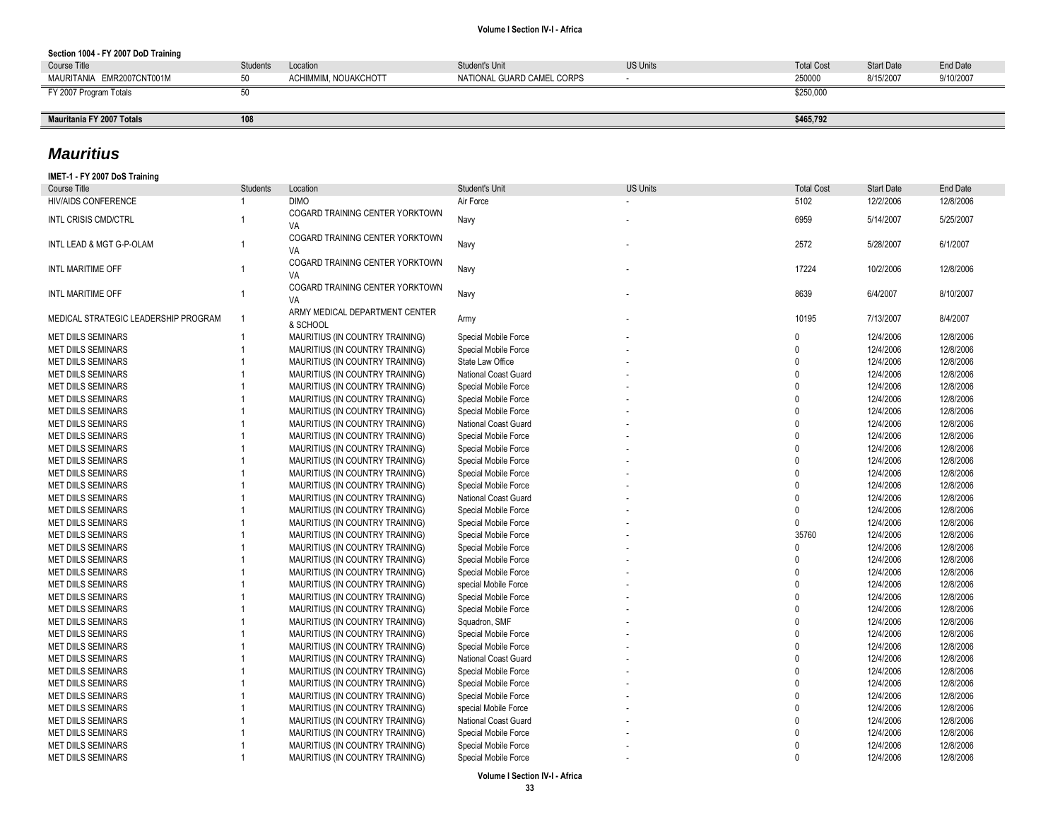### **Section 1004 - FY 2007 DoD Training**

| Course Title              | Students | Location             | Student's Unit             | <b>US Units</b> | <b>Total Cost</b> | <b>Start Date</b> | End Date  |
|---------------------------|----------|----------------------|----------------------------|-----------------|-------------------|-------------------|-----------|
| MAURITANIA EMR2007CNT001M |          | ACHIMMIM. NOUAKCHOTT | NATIONAL GUARD CAMEL CORPS |                 | 250000            | 8/15/2007         | 9/10/2007 |
| FY 2007 Program Totals    |          |                      |                            |                 | \$250,000         |                   |           |
|                           |          |                      |                            |                 |                   |                   |           |
| Mauritania FY 2007 Totals | 108      |                      |                            |                 | \$465,792         |                   |           |

## *Mauritius*

### **IMET-1 - FY 2007 DoS Training**

| Course Title                         | <b>Students</b> | Location                                   | Student's Unit       | <b>US Units</b> | <b>Total Cost</b> | <b>Start Date</b> | End Date  |
|--------------------------------------|-----------------|--------------------------------------------|----------------------|-----------------|-------------------|-------------------|-----------|
| <b>HIV/AIDS CONFERENCE</b>           | 1               | <b>DIMO</b>                                | Air Force            |                 | 5102              | 12/2/2006         | 12/8/2006 |
| <b>INTL CRISIS CMD/CTRL</b>          | 1               | COGARD TRAINING CENTER YORKTOWN<br>VA      | Navy                 |                 | 6959              | 5/14/2007         | 5/25/2007 |
| INTL LEAD & MGT G-P-OLAM             | $\mathbf{1}$    | COGARD TRAINING CENTER YORKTOWN<br>VA      | Navy                 |                 | 2572              | 5/28/2007         | 6/1/2007  |
| INTL MARITIME OFF                    | 1               | COGARD TRAINING CENTER YORKTOWN<br>VA      | Navy                 |                 | 17224             | 10/2/2006         | 12/8/2006 |
| INTL MARITIME OFF                    | 1               | COGARD TRAINING CENTER YORKTOWN<br>VA      | Navy                 |                 | 8639              | 6/4/2007          | 8/10/2007 |
| MEDICAL STRATEGIC LEADERSHIP PROGRAM | $\overline{1}$  | ARMY MEDICAL DEPARTMENT CENTER<br>& SCHOOL | Army                 |                 | 10195             | 7/13/2007         | 8/4/2007  |
| MET DIILS SEMINARS                   | 1               | MAURITIUS (IN COUNTRY TRAINING)            | Special Mobile Force |                 | $\Omega$          | 12/4/2006         | 12/8/2006 |
| <b>MET DIILS SEMINARS</b>            |                 | MAURITIUS (IN COUNTRY TRAINING)            | Special Mobile Force |                 | $\Omega$          | 12/4/2006         | 12/8/2006 |
| <b>MET DIILS SEMINARS</b>            |                 | MAURITIUS (IN COUNTRY TRAINING)            | State Law Office     |                 | $\Omega$          | 12/4/2006         | 12/8/2006 |
| <b>MET DIILS SEMINARS</b>            |                 | MAURITIUS (IN COUNTRY TRAINING)            | National Coast Guard |                 | $\Omega$          | 12/4/2006         | 12/8/2006 |
| <b>MET DIILS SEMINARS</b>            |                 | MAURITIUS (IN COUNTRY TRAINING)            | Special Mobile Force |                 | $\Omega$          | 12/4/2006         | 12/8/2006 |
| <b>MET DIILS SEMINARS</b>            |                 | MAURITIUS (IN COUNTRY TRAINING)            | Special Mobile Force |                 | $\Omega$          | 12/4/2006         | 12/8/2006 |
| <b>MET DIILS SEMINARS</b>            |                 | MAURITIUS (IN COUNTRY TRAINING)            | Special Mobile Force |                 | $\Omega$          | 12/4/2006         | 12/8/2006 |
| <b>MET DIILS SEMINARS</b>            |                 | MAURITIUS (IN COUNTRY TRAINING)            | National Coast Guard |                 | $\Omega$          | 12/4/2006         | 12/8/2006 |
| <b>MET DIILS SEMINARS</b>            |                 | MAURITIUS (IN COUNTRY TRAINING)            | Special Mobile Force |                 | $\Omega$          | 12/4/2006         | 12/8/2006 |
| <b>MET DIILS SEMINARS</b>            |                 | MAURITIUS (IN COUNTRY TRAINING)            | Special Mobile Force |                 | $\Omega$          | 12/4/2006         | 12/8/2006 |
| <b>MET DIILS SEMINARS</b>            |                 | MAURITIUS (IN COUNTRY TRAINING)            | Special Mobile Force |                 | $\Omega$          | 12/4/2006         | 12/8/2006 |
| <b>MET DIILS SEMINARS</b>            |                 | MAURITIUS (IN COUNTRY TRAINING)            | Special Mobile Force |                 | $\Omega$          | 12/4/2006         | 12/8/2006 |
| <b>MET DIILS SEMINARS</b>            |                 | MAURITIUS (IN COUNTRY TRAINING)            | Special Mobile Force |                 | $\Omega$          | 12/4/2006         | 12/8/2006 |
| <b>MET DIILS SEMINARS</b>            |                 | MAURITIUS (IN COUNTRY TRAINING)            | National Coast Guard |                 | $\Omega$          | 12/4/2006         | 12/8/2006 |
| <b>MET DIILS SEMINARS</b>            |                 | MAURITIUS (IN COUNTRY TRAINING)            | Special Mobile Force |                 | $\Omega$          | 12/4/2006         | 12/8/2006 |
| <b>MET DIILS SEMINARS</b>            |                 | MAURITIUS (IN COUNTRY TRAINING)            | Special Mobile Force |                 | $\Omega$          | 12/4/2006         | 12/8/2006 |
| <b>MET DIILS SEMINARS</b>            |                 | MAURITIUS (IN COUNTRY TRAINING)            | Special Mobile Force |                 | 35760             | 12/4/2006         | 12/8/2006 |
| <b>MET DIILS SEMINARS</b>            |                 | MAURITIUS (IN COUNTRY TRAINING)            | Special Mobile Force |                 | U                 | 12/4/2006         | 12/8/2006 |
| <b>MET DIILS SEMINARS</b>            |                 | MAURITIUS (IN COUNTRY TRAINING)            | Special Mobile Force |                 | U                 | 12/4/2006         | 12/8/2006 |
| <b>MET DIILS SEMINARS</b>            |                 | MAURITIUS (IN COUNTRY TRAINING)            | Special Mobile Force |                 | $\Omega$          | 12/4/2006         | 12/8/2006 |
| <b>MET DIILS SEMINARS</b>            |                 | MAURITIUS (IN COUNTRY TRAINING)            | special Mobile Force |                 | $\Omega$          | 12/4/2006         | 12/8/2006 |
| <b>MET DIILS SEMINARS</b>            |                 | MAURITIUS (IN COUNTRY TRAINING)            | Special Mobile Force |                 | $\Omega$          | 12/4/2006         | 12/8/2006 |
| <b>MET DIILS SEMINARS</b>            |                 | MAURITIUS (IN COUNTRY TRAINING)            | Special Mobile Force |                 | $\Omega$          | 12/4/2006         | 12/8/2006 |
| <b>MET DIILS SEMINARS</b>            |                 | MAURITIUS (IN COUNTRY TRAINING)            | Squadron, SMF        |                 | $\Omega$          | 12/4/2006         | 12/8/2006 |
| <b>MET DIILS SEMINARS</b>            |                 | MAURITIUS (IN COUNTRY TRAINING)            | Special Mobile Force |                 | $\Omega$          | 12/4/2006         | 12/8/2006 |
| <b>MET DIILS SEMINARS</b>            |                 | MAURITIUS (IN COUNTRY TRAINING)            | Special Mobile Force |                 | $\Omega$          | 12/4/2006         | 12/8/2006 |
| <b>MET DIILS SEMINARS</b>            |                 | MAURITIUS (IN COUNTRY TRAINING)            | National Coast Guard |                 | $\Omega$          | 12/4/2006         | 12/8/2006 |
| <b>MET DIILS SEMINARS</b>            |                 | MAURITIUS (IN COUNTRY TRAINING)            | Special Mobile Force |                 | $\Omega$          | 12/4/2006         | 12/8/2006 |
| <b>MET DIILS SEMINARS</b>            |                 | MAURITIUS (IN COUNTRY TRAINING)            | Special Mobile Force |                 | $\Omega$          | 12/4/2006         | 12/8/2006 |
| <b>MET DIILS SEMINARS</b>            |                 | MAURITIUS (IN COUNTRY TRAINING)            | Special Mobile Force |                 | $\Omega$          | 12/4/2006         | 12/8/2006 |
| <b>MET DIILS SEMINARS</b>            |                 | MAURITIUS (IN COUNTRY TRAINING)            | special Mobile Force |                 | $\Omega$          | 12/4/2006         | 12/8/2006 |
| <b>MET DIILS SEMINARS</b>            |                 | MAURITIUS (IN COUNTRY TRAINING)            | National Coast Guard |                 | U                 | 12/4/2006         | 12/8/2006 |
| <b>MET DIILS SEMINARS</b>            |                 | MAURITIUS (IN COUNTRY TRAINING)            | Special Mobile Force |                 |                   | 12/4/2006         | 12/8/2006 |
| <b>MET DIILS SEMINARS</b>            |                 | MAURITIUS (IN COUNTRY TRAINING)            | Special Mobile Force |                 |                   | 12/4/2006         | 12/8/2006 |
| <b>MET DIILS SEMINARS</b>            | 1               | MAURITIUS (IN COUNTRY TRAINING)            | Special Mobile Force |                 | $\Omega$          | 12/4/2006         | 12/8/2006 |
|                                      |                 |                                            |                      |                 |                   |                   |           |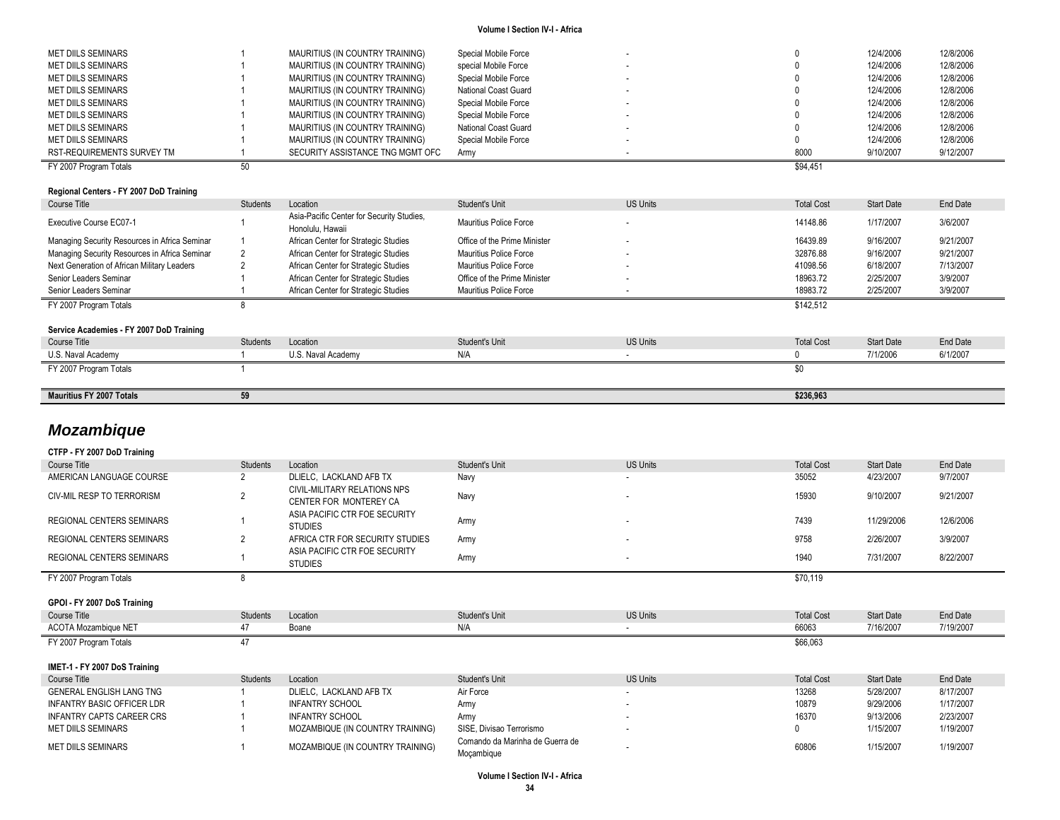| MET DIILS SEMINARS         | MAURITIUS (IN COUNTRY TRAINING)  | Special Mobile Force |          | 12/4/2006 | 12/8/2006 |
|----------------------------|----------------------------------|----------------------|----------|-----------|-----------|
| MET DIILS SEMINARS         | MAURITIUS (IN COUNTRY TRAINING)  | special Mobile Force |          | 12/4/2006 | 12/8/2006 |
| MET DIILS SEMINARS         | MAURITIUS (IN COUNTRY TRAINING)  | Special Mobile Force |          | 12/4/2006 | 12/8/2006 |
| MET DIILS SEMINARS         | MAURITIUS (IN COUNTRY TRAINING)  | National Coast Guard |          | 12/4/2006 | 12/8/2006 |
| MET DIILS SEMINARS         | MAURITIUS (IN COUNTRY TRAINING)  | Special Mobile Force |          | 12/4/2006 | 12/8/2006 |
| <b>MET DIILS SEMINARS</b>  | MAURITIUS (IN COUNTRY TRAINING)  | Special Mobile Force |          | 12/4/2006 | 12/8/2006 |
| MET DIILS SEMINARS         | MAURITIUS (IN COUNTRY TRAINING)  | National Coast Guard |          | 12/4/2006 | 12/8/2006 |
| <b>MET DIILS SEMINARS</b>  | MAURITIUS (IN COUNTRY TRAINING)  | Special Mobile Force |          | 12/4/2006 | 12/8/2006 |
| RST-REQUIREMENTS SURVEY TM | SECURITY ASSISTANCE TNG MGMT OFC | Army                 | 8000     | 9/10/2007 | 9/12/2007 |
| FY 2007 Program Totals     |                                  |                      | \$94,451 |           |           |

#### **Regional Centers - FY 2007 DoD Training**

| Course Title                                  | <b>Students</b> | Location                                                      | Student's Unit                | <b>US Units</b> | <b>Total Cost</b> | <b>Start Date</b> | End Date  |
|-----------------------------------------------|-----------------|---------------------------------------------------------------|-------------------------------|-----------------|-------------------|-------------------|-----------|
| Executive Course EC07-1                       |                 | Asia-Pacific Center for Security Studies,<br>Honolulu, Hawaii | <b>Mauritius Police Force</b> | $\sim$          | 14148.86          | 1/17/2007         | 3/6/2007  |
| Managing Security Resources in Africa Seminar |                 | African Center for Strategic Studies                          | Office of the Prime Minister  | $\sim$          | 16439.89          | 9/16/2007         | 9/21/2007 |
| Managing Security Resources in Africa Seminar |                 | African Center for Strategic Studies                          | Mauritius Police Force        | $\sim$          | 32876.88          | 9/16/2007         | 9/21/2007 |
| Next Generation of African Military Leaders   |                 | African Center for Strategic Studies                          | <b>Mauritius Police Force</b> |                 | 41098.56          | 6/18/2007         | 7/13/2007 |
| Senior Leaders Seminar                        |                 | African Center for Strategic Studies                          | Office of the Prime Minister  | ۰.              | 18963.72          | 2/25/2007         | 3/9/2007  |
| Senior Leaders Seminar                        |                 | African Center for Strategic Studies                          | <b>Mauritius Police Force</b> |                 | 18983.72          | 2/25/2007         | 3/9/2007  |
| FY 2007 Program Totals                        |                 |                                                               |                               |                 | \$142,512         |                   |           |
| Service Academies - FY 2007 DoD Training      |                 |                                                               |                               |                 |                   |                   |           |
| Course Title                                  | <b>Students</b> | Location                                                      | Student's Unit                | <b>US Units</b> | <b>Total Cost</b> | <b>Start Date</b> | End Date  |
| U.S. Naval Academy                            |                 | U.S. Naval Academy                                            | N/A                           | $\sim$          |                   | 7/1/2006          | 6/1/2007  |
| FY 2007 Program Totals                        |                 |                                                               |                               |                 | \$0               |                   |           |
|                                               |                 |                                                               |                               |                 |                   |                   |           |

# *Mozambique*

#### **CTFP - FY 2007 DoD Training**

| Course Title                      | Students       | Location                                               | Student's Unit                                | <b>US Units</b>          | <b>Total Cost</b> | <b>Start Date</b> | End Date  |
|-----------------------------------|----------------|--------------------------------------------------------|-----------------------------------------------|--------------------------|-------------------|-------------------|-----------|
| AMERICAN LANGUAGE COURSE          |                | DLIELC, LACKLAND AFB TX                                | Navy                                          |                          | 35052             | 4/23/2007         | 9/7/2007  |
| <b>CIV-MIL RESP TO TERRORISM</b>  | $\overline{2}$ | CIVIL-MILITARY RELATIONS NPS<br>CENTER FOR MONTEREY CA | Navy                                          |                          | 15930             | 9/10/2007         | 9/21/2007 |
| <b>REGIONAL CENTERS SEMINARS</b>  |                | ASIA PACIFIC CTR FOE SECURITY<br><b>STUDIES</b>        | Army                                          |                          | 7439              | 11/29/2006        | 12/6/2006 |
| REGIONAL CENTERS SEMINARS         | 2              | AFRICA CTR FOR SECURITY STUDIES                        | Army                                          |                          | 9758              | 2/26/2007         | 3/9/2007  |
| <b>REGIONAL CENTERS SEMINARS</b>  |                | ASIA PACIFIC CTR FOE SECURITY<br><b>STUDIES</b>        | Army                                          |                          | 1940              | 7/31/2007         | 8/22/2007 |
| FY 2007 Program Totals            | 8              |                                                        |                                               |                          | \$70,119          |                   |           |
| GPOI - FY 2007 DoS Training       |                |                                                        |                                               |                          |                   |                   |           |
| Course Title                      | Students       | Location                                               | Student's Unit                                | <b>US Units</b>          | <b>Total Cost</b> | <b>Start Date</b> | End Date  |
| <b>ACOTA Mozambique NET</b>       | 47             | Boane                                                  | N/A                                           |                          | 66063             | 7/16/2007         | 7/19/2007 |
| FY 2007 Program Totals            | 47             |                                                        |                                               |                          | \$66,063          |                   |           |
|                                   |                |                                                        |                                               |                          |                   |                   |           |
| IMET-1 - FY 2007 DoS Training     |                |                                                        |                                               |                          |                   |                   |           |
| Course Title                      | Students       | Location                                               | Student's Unit                                | <b>US Units</b>          | <b>Total Cost</b> | <b>Start Date</b> | End Date  |
| <b>GENERAL ENGLISH LANG TNG</b>   |                | DLIELC, LACKLAND AFB TX                                | Air Force                                     |                          | 13268             | 5/28/2007         | 8/17/2007 |
| <b>INFANTRY BASIC OFFICER LDR</b> |                | <b>INFANTRY SCHOOL</b>                                 | Army                                          |                          | 10879             | 9/29/2006         | 1/17/2007 |
| <b>INFANTRY CAPTS CAREER CRS</b>  |                | <b>INFANTRY SCHOOL</b>                                 | Army                                          | $\overline{\phantom{a}}$ | 16370             | 9/13/2006         | 2/23/2007 |
| <b>MET DIILS SEMINARS</b>         |                | MOZAMBIQUE (IN COUNTRY TRAINING)                       | SISE, Divisao Terrorismo                      |                          |                   | 1/15/2007         | 1/19/2007 |
| <b>MET DIILS SEMINARS</b>         |                | MOZAMBIQUE (IN COUNTRY TRAINING)                       | Comando da Marinha de Guerra de<br>Moçambique |                          | 60806             | 1/15/2007         | 1/19/2007 |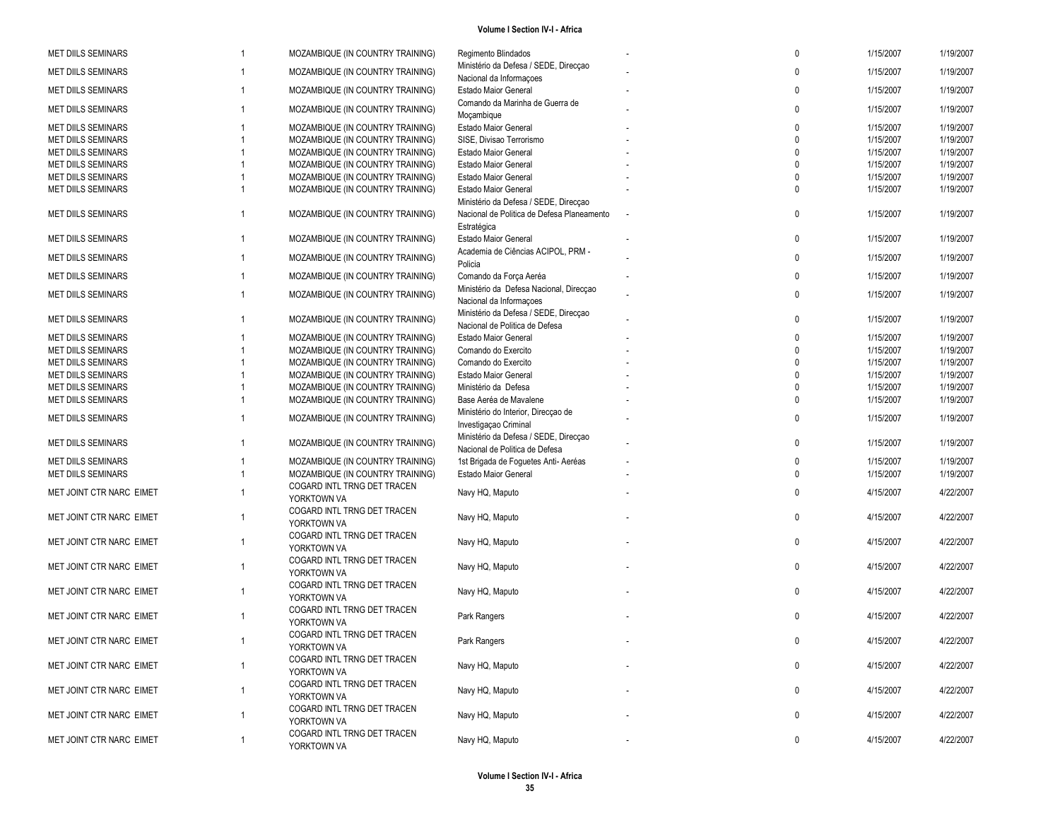| <b>MET DIILS SEMINARS</b> | -1 | MOZAMBIQUE (IN COUNTRY TRAINING)           | Regimento Blindados                                                     | $\mathbf 0$  | 1/15/2007 | 1/19/2007 |
|---------------------------|----|--------------------------------------------|-------------------------------------------------------------------------|--------------|-----------|-----------|
| <b>MET DIILS SEMINARS</b> |    | MOZAMBIQUE (IN COUNTRY TRAINING)           | Ministério da Defesa / SEDE, Direcçao<br>Nacional da Informações        | $\Omega$     | 1/15/2007 | 1/19/2007 |
| <b>MET DIILS SEMINARS</b> |    | MOZAMBIQUE (IN COUNTRY TRAINING)           | <b>Estado Maior General</b>                                             | $\Omega$     | 1/15/2007 | 1/19/2007 |
| <b>MET DIILS SEMINARS</b> |    | MOZAMBIQUE (IN COUNTRY TRAINING)           | Comando da Marinha de Guerra de<br>Mocambique                           | $\mathbf{0}$ | 1/15/2007 | 1/19/2007 |
| <b>MET DIILS SEMINARS</b> |    | MOZAMBIQUE (IN COUNTRY TRAINING)           | <b>Estado Maior General</b>                                             | $\Omega$     | 1/15/2007 | 1/19/2007 |
| <b>MET DIILS SEMINARS</b> |    | MOZAMBIQUE (IN COUNTRY TRAINING)           | SISE, Divisao Terrorismo                                                | $\Omega$     | 1/15/2007 | 1/19/2007 |
| <b>MET DIILS SEMINARS</b> |    | MOZAMBIQUE (IN COUNTRY TRAINING)           | Estado Maior General                                                    | $\Omega$     | 1/15/2007 | 1/19/2007 |
|                           |    |                                            |                                                                         | $\Omega$     |           |           |
| <b>MET DIILS SEMINARS</b> |    | MOZAMBIQUE (IN COUNTRY TRAINING)           | Estado Maior General                                                    |              | 1/15/2007 | 1/19/2007 |
| <b>MET DIILS SEMINARS</b> |    | MOZAMBIQUE (IN COUNTRY TRAINING)           | Estado Maior General                                                    | $\Omega$     | 1/15/2007 | 1/19/2007 |
| <b>MET DIILS SEMINARS</b> |    | MOZAMBIQUE (IN COUNTRY TRAINING)           | Estado Maior General                                                    | $\mathbf{0}$ | 1/15/2007 | 1/19/2007 |
|                           |    |                                            | Ministério da Defesa / SEDE, Direccao                                   |              |           |           |
| <b>MET DIILS SEMINARS</b> | 1  | MOZAMBIQUE (IN COUNTRY TRAINING)           | Nacional de Politica de Defesa Planeamento<br>Estratégica               | 0            | 1/15/2007 | 1/19/2007 |
| <b>MET DIILS SEMINARS</b> | 1  | MOZAMBIQUE (IN COUNTRY TRAINING)           | Estado Maior General                                                    | $\mathbf 0$  | 1/15/2007 | 1/19/2007 |
| <b>MET DIILS SEMINARS</b> |    | MOZAMBIQUE (IN COUNTRY TRAINING)           | Academia de Ciências ACIPOL, PRM -<br>Policia                           | $\mathbf 0$  | 1/15/2007 | 1/19/2007 |
| <b>MET DIILS SEMINARS</b> |    | MOZAMBIQUE (IN COUNTRY TRAINING)           | Comando da Força Aeréa                                                  | 0            | 1/15/2007 | 1/19/2007 |
|                           |    |                                            | Ministério da Defesa Nacional, Direcçao                                 |              |           |           |
| <b>MET DIILS SEMINARS</b> | 1  | MOZAMBIQUE (IN COUNTRY TRAINING)           | Nacional da Informações                                                 | $\mathbf 0$  | 1/15/2007 | 1/19/2007 |
|                           |    |                                            | Ministério da Defesa / SEDE, Direccao                                   |              |           |           |
| <b>MET DIILS SEMINARS</b> |    | MOZAMBIQUE (IN COUNTRY TRAINING)           |                                                                         | $\mathbf 0$  | 1/15/2007 | 1/19/2007 |
|                           |    |                                            | Nacional de Politica de Defesa                                          |              |           |           |
| <b>MET DIILS SEMINARS</b> |    | MOZAMBIQUE (IN COUNTRY TRAINING)           | Estado Maior General                                                    | $\Omega$     | 1/15/2007 | 1/19/2007 |
| <b>MET DIILS SEMINARS</b> |    | MOZAMBIQUE (IN COUNTRY TRAINING)           | Comando do Exercito                                                     | $\Omega$     | 1/15/2007 | 1/19/2007 |
| <b>MET DIILS SEMINARS</b> |    | MOZAMBIQUE (IN COUNTRY TRAINING)           | Comando do Exercito                                                     | $\Omega$     | 1/15/2007 | 1/19/2007 |
| <b>MET DIILS SEMINARS</b> |    | MOZAMBIQUE (IN COUNTRY TRAINING)           | Estado Maior General                                                    | $\Omega$     | 1/15/2007 | 1/19/2007 |
| <b>MET DIILS SEMINARS</b> |    | MOZAMBIQUE (IN COUNTRY TRAINING)           | Ministério da Defesa                                                    | $\Omega$     | 1/15/2007 | 1/19/2007 |
| <b>MET DIILS SEMINARS</b> |    | MOZAMBIQUE (IN COUNTRY TRAINING)           | Base Aeréa de Mavalene                                                  | $\Omega$     | 1/15/2007 | 1/19/2007 |
|                           |    |                                            |                                                                         |              |           |           |
| <b>MET DIILS SEMINARS</b> |    | MOZAMBIQUE (IN COUNTRY TRAINING)           | Ministério do Interior, Direcçao de<br>Investigação Criminal            | $\mathbf 0$  | 1/15/2007 | 1/19/2007 |
| <b>MET DIILS SEMINARS</b> |    | MOZAMBIQUE (IN COUNTRY TRAINING)           | Ministério da Defesa / SEDE, Direcçao<br>Nacional de Politica de Defesa | 0            | 1/15/2007 | 1/19/2007 |
| <b>MET DIILS SEMINARS</b> |    | MOZAMBIQUE (IN COUNTRY TRAINING)           | 1st Brigada de Foguetes Anti-Aeréas                                     | 0            | 1/15/2007 | 1/19/2007 |
| <b>MET DIILS SEMINARS</b> | 1  | MOZAMBIQUE (IN COUNTRY TRAINING)           | <b>Estado Maior General</b>                                             | $\mathbf{0}$ | 1/15/2007 | 1/19/2007 |
|                           |    |                                            |                                                                         |              |           |           |
| MET JOINT CTR NARC EIMET  |    | COGARD INTL TRNG DET TRACEN<br>YORKTOWN VA | Navy HQ, Maputo                                                         | $\mathbf 0$  | 4/15/2007 | 4/22/2007 |
|                           |    | COGARD INTL TRNG DET TRACEN                |                                                                         |              |           |           |
| MET JOINT CTR NARC EIMET  |    | YORKTOWN VA                                | Navy HQ, Maputo                                                         | $\mathbf 0$  | 4/15/2007 | 4/22/2007 |
| MET JOINT CTR NARC EIMET  | 1  | COGARD INTL TRNG DET TRACEN                | Navy HQ, Maputo                                                         | 0            | 4/15/2007 | 4/22/2007 |
|                           |    | YORKTOWN VA                                |                                                                         |              |           |           |
|                           |    | COGARD INTL TRNG DET TRACEN                |                                                                         |              |           |           |
| MET JOINT CTR NARC EIMET  | 1  | YORKTOWN VA                                | Navy HQ, Maputo                                                         | $\pmb{0}$    | 4/15/2007 | 4/22/2007 |
| MET JOINT CTR NARC EIMET  |    | COGARD INTL TRNG DET TRACEN<br>YORKTOWN VA | Navy HQ, Maputo                                                         | $\mathbf 0$  | 4/15/2007 | 4/22/2007 |
|                           |    | COGARD INTL TRNG DET TRACEN                |                                                                         |              |           |           |
| MET JOINT CTR NARC EIMET  | 1  | YORKTOWN VA                                | Park Rangers                                                            | $\mathbf 0$  | 4/15/2007 | 4/22/2007 |
|                           |    | COGARD INTL TRNG DET TRACEN                |                                                                         | $\mathbf 0$  |           |           |
| MET JOINT CTR NARC EIMET  | -1 | YORKTOWN VA                                | Park Rangers                                                            |              | 4/15/2007 | 4/22/2007 |
|                           |    | COGARD INTL TRNG DET TRACEN                |                                                                         |              |           |           |
| MET JOINT CTR NARC EIMET  |    | YORKTOWN VA                                | Navy HQ, Maputo                                                         | 0            | 4/15/2007 | 4/22/2007 |
|                           |    | COGARD INTL TRNG DET TRACEN                |                                                                         |              |           |           |
| MET JOINT CTR NARC EIMET  | 1  |                                            | Navy HQ, Maputo                                                         | 0            | 4/15/2007 | 4/22/2007 |
|                           |    | YORKTOWN VA                                |                                                                         |              |           |           |
| MET JOINT CTR NARC EIMET  | 1  | COGARD INTL TRNG DET TRACEN                | Navy HQ, Maputo                                                         | 0            | 4/15/2007 | 4/22/2007 |
|                           |    | YORKTOWN VA                                |                                                                         |              |           |           |
| MET JOINT CTR NARC EIMET  | 1  | COGARD INTL TRNG DET TRACEN                | Navy HQ, Maputo                                                         | 0            | 4/15/2007 | 4/22/2007 |
|                           |    | YORKTOWN VA                                |                                                                         |              |           |           |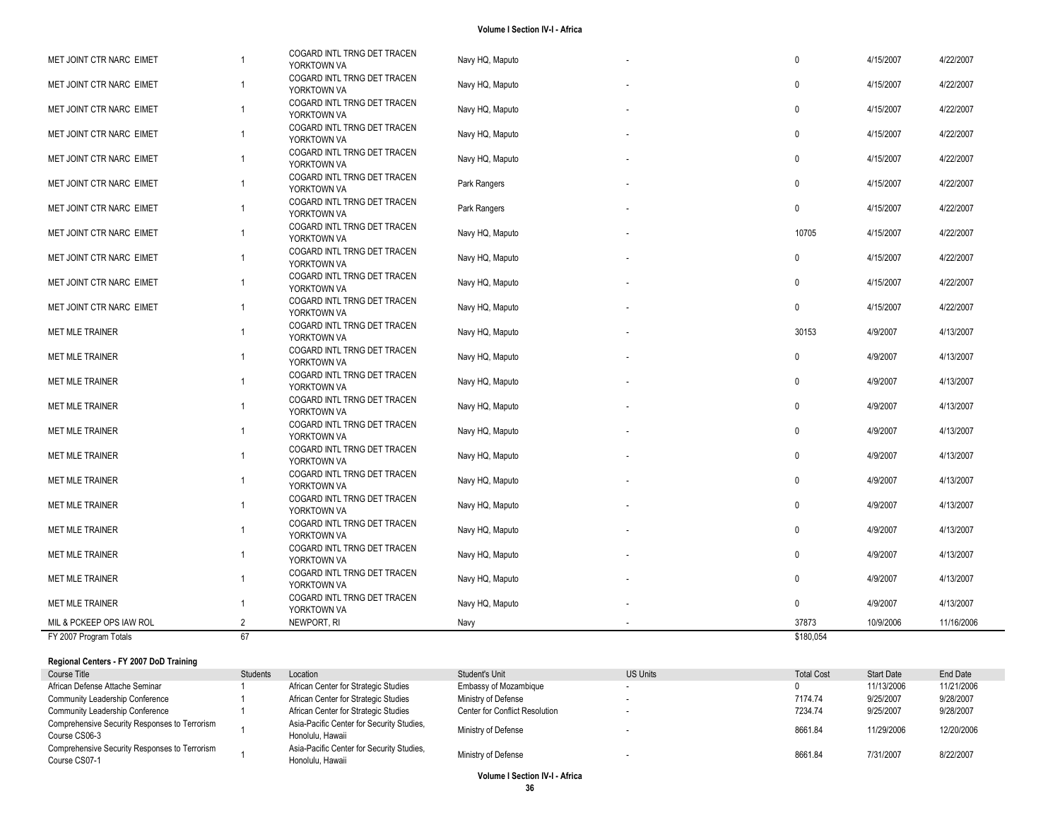| MET JOINT CTR NARC EIMET |    | COGARD INTL TRNG DET TRACEN<br>YORKTOWN VA                                | Navy HQ, Maputo | $\mathbf{0}$ | 4/15/2007 | 4/22/2007  |
|--------------------------|----|---------------------------------------------------------------------------|-----------------|--------------|-----------|------------|
| MET JOINT CTR NARC EIMET |    | COGARD INTL TRNG DET TRACEN<br>YORKTOWN VA                                | Navy HQ, Maputo | $\mathbf{0}$ | 4/15/2007 | 4/22/2007  |
| MET JOINT CTR NARC EIMET |    | COGARD INTL TRNG DET TRACEN<br>YORKTOWN VA                                | Navy HQ, Maputo | $\mathbf{0}$ | 4/15/2007 | 4/22/2007  |
| MET JOINT CTR NARC EIMET |    | COGARD INTL TRNG DET TRACEN<br>YORKTOWN VA                                | Navy HQ, Maputo | $\mathbf 0$  | 4/15/2007 | 4/22/2007  |
| MET JOINT CTR NARC EIMET |    | COGARD INTL TRNG DET TRACEN<br>YORKTOWN VA                                | Navy HQ, Maputo | $\mathbf 0$  | 4/15/2007 | 4/22/2007  |
| MET JOINT CTR NARC EIMET |    | COGARD INTL TRNG DET TRACEN<br>YORKTOWN VA                                | Park Rangers    | $\mathbf 0$  | 4/15/2007 | 4/22/2007  |
| MET JOINT CTR NARC EIMET |    | COGARD INTL TRNG DET TRACEN<br>YORKTOWN VA                                | Park Rangers    | $\mathbf 0$  | 4/15/2007 | 4/22/2007  |
| MET JOINT CTR NARC EIMET |    | COGARD INTL TRNG DET TRACEN<br>YORKTOWN VA                                | Navy HQ, Maputo | 10705        | 4/15/2007 | 4/22/2007  |
| MET JOINT CTR NARC EIMET |    | COGARD INTL TRNG DET TRACEN<br>YORKTOWN VA                                | Navy HQ, Maputo | $\mathbf{0}$ | 4/15/2007 | 4/22/2007  |
| MET JOINT CTR NARC EIMET |    | COGARD INTL TRNG DET TRACEN<br>YORKTOWN VA                                | Navy HQ, Maputo | $\mathbf{0}$ | 4/15/2007 | 4/22/2007  |
| MET JOINT CTR NARC EIMET |    | COGARD INTL TRNG DET TRACEN<br>YORKTOWN VA                                | Navy HQ, Maputo | $\mathbf{0}$ | 4/15/2007 | 4/22/2007  |
| <b>MET MLE TRAINER</b>   |    | COGARD INTL TRNG DET TRACEN<br>YORKTOWN VA                                | Navy HQ, Maputo | 30153        | 4/9/2007  | 4/13/2007  |
| <b>MET MLE TRAINER</b>   |    | COGARD INTL TRNG DET TRACEN<br>YORKTOWN VA                                | Navy HQ, Maputo | $\mathbf{0}$ | 4/9/2007  | 4/13/2007  |
| MET MLE TRAINER          |    | COGARD INTL TRNG DET TRACEN<br>YORKTOWN VA                                | Navy HQ, Maputo | $\mathbf{0}$ | 4/9/2007  | 4/13/2007  |
| <b>MET MLE TRAINER</b>   |    | COGARD INTL TRNG DET TRACEN<br>YORKTOWN VA<br>COGARD INTL TRNG DET TRACEN | Navy HQ, Maputo | $\mathbf{0}$ | 4/9/2007  | 4/13/2007  |
| <b>MET MLE TRAINER</b>   |    | YORKTOWN VA                                                               | Navy HQ, Maputo | $\mathbf 0$  | 4/9/2007  | 4/13/2007  |
| <b>MET MLE TRAINER</b>   |    | COGARD INTL TRNG DET TRACEN<br>YORKTOWN VA<br>COGARD INTL TRNG DET TRACEN | Navy HQ, Maputo | $\mathbf 0$  | 4/9/2007  | 4/13/2007  |
| <b>MET MLE TRAINER</b>   |    | YORKTOWN VA<br>COGARD INTL TRNG DET TRACEN                                | Navy HQ, Maputo | $\mathbf{0}$ | 4/9/2007  | 4/13/2007  |
| <b>MET MLE TRAINER</b>   |    | YORKTOWN VA<br>COGARD INTL TRNG DET TRACEN                                | Navy HQ, Maputo | $\mathbf{0}$ | 4/9/2007  | 4/13/2007  |
| <b>MET MLE TRAINER</b>   |    | YORKTOWN VA<br>COGARD INTL TRNG DET TRACEN                                | Navy HQ, Maputo | $\mathbf{0}$ | 4/9/2007  | 4/13/2007  |
| <b>MET MLE TRAINER</b>   |    | YORKTOWN VA<br>COGARD INTL TRNG DET TRACEN                                | Navy HQ, Maputo | $\mathbf{0}$ | 4/9/2007  | 4/13/2007  |
| <b>MET MLE TRAINER</b>   |    | YORKTOWN VA<br>COGARD INTL TRNG DET TRACEN                                | Navy HQ, Maputo | $\mathbf{0}$ | 4/9/2007  | 4/13/2007  |
| <b>MET MLE TRAINER</b>   |    | YORKTOWN VA                                                               | Navy HQ, Maputo | $\mathbf{0}$ | 4/9/2007  | 4/13/2007  |
| MIL & PCKEEP OPS IAW ROL | 2  | NEWPORT, RI                                                               | Navy            | 37873        | 10/9/2006 | 11/16/2006 |
| FY 2007 Program Totals   | 67 |                                                                           |                 | \$180,054    |           |            |

#### **Regional Centers - FY 2007 DoD Training**

| Course Title                                                   | <b>Students</b> | Location                                                      | Student's Unit                 | <b>US Units</b> | <b>Total Cost</b> | <b>Start Date</b> | End Date   |
|----------------------------------------------------------------|-----------------|---------------------------------------------------------------|--------------------------------|-----------------|-------------------|-------------------|------------|
| African Defense Attache Seminar                                |                 | African Center for Strategic Studies                          | Embassy of Mozambique          |                 |                   | 11/13/2006        | 11/21/2006 |
| Community Leadership Conference                                |                 | African Center for Strategic Studies                          | Ministry of Defense            |                 | 7174.74           | 9/25/2007         | 9/28/2007  |
| Community Leadership Conference                                |                 | African Center for Strategic Studies                          | Center for Conflict Resolution |                 | 7234.74           | 9/25/2007         | 9/28/2007  |
| Comprehensive Security Responses to Terrorism<br>Course CS06-3 |                 | Asia-Pacific Center for Security Studies,<br>Honolulu, Hawaii | Ministry of Defense            |                 | 8661.84           | 11/29/2006        | 12/20/2006 |
| Comprehensive Security Responses to Terrorism<br>Course CS07-1 |                 | Asia-Pacific Center for Security Studies,<br>Honolulu, Hawaii | Ministry of Defense            |                 | 8661.84           | 7/31/2007         | 8/22/2007  |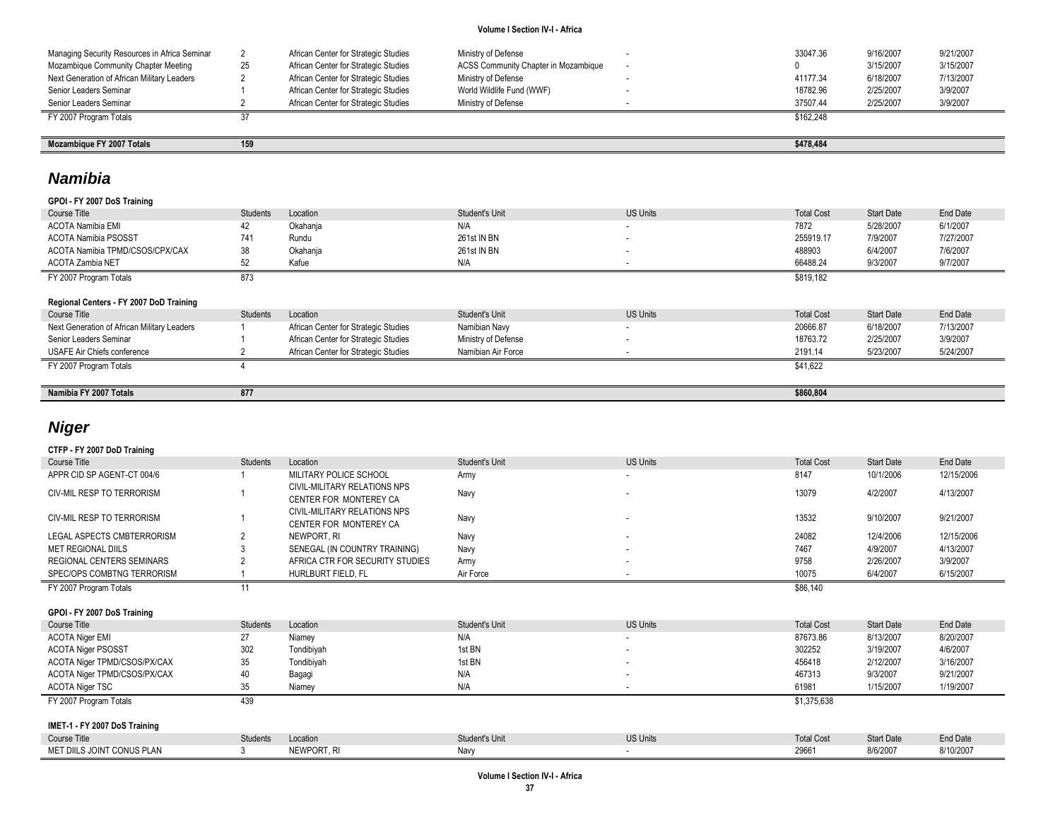| Managing Security Resources in Africa Seminar |    | African Center for Strategic Studies | Ministry of Defense                         | 33047.36  | 9/16/2007 | 9/21/2007 |
|-----------------------------------------------|----|--------------------------------------|---------------------------------------------|-----------|-----------|-----------|
| Mozambique Community Chapter Meeting          | 25 | African Center for Strategic Studies | <b>ACSS Community Chapter in Mozambique</b> |           | 3/15/2007 | 3/15/2007 |
| Next Generation of African Military Leaders   |    | African Center for Strategic Studies | Ministry of Defense                         | 41177.34  | 6/18/2007 | 7/13/2007 |
| Senior Leaders Seminar                        |    | African Center for Strategic Studies | World Wildlife Fund (WWF)                   | 18782.96  | 2/25/2007 | 3/9/2007  |
| Senior Leaders Seminar                        |    | African Center for Strategic Studies | Ministry of Defense                         | 37507.44  | 2/25/2007 | 3/9/2007  |
| FY 2007 Program Totals                        |    |                                      |                                             | \$162,248 |           |           |

| <b>Moz</b><br>2007<br>Totals<br>mbique F. | 159 |  | 40 <sup>7</sup><br>\$47k<br>,,,,,<br>,,,,,, |
|-------------------------------------------|-----|--|---------------------------------------------|

## *Namibia*

| GPOI - FY 2007 DoS Training                 |                 |                                      |                     |                          |                   |                   |           |
|---------------------------------------------|-----------------|--------------------------------------|---------------------|--------------------------|-------------------|-------------------|-----------|
| Course Title                                | <b>Students</b> | Location                             | Student's Unit      | <b>US Units</b>          | <b>Total Cost</b> | <b>Start Date</b> | End Date  |
| <b>ACOTA Namibia EMI</b>                    | 42              | Okahanja                             | N/A                 | ۰.                       | 7872              | 5/28/2007         | 6/1/2007  |
| <b>ACOTA Namibia PSOSST</b>                 | 741             | Rundu                                | 261st IN BN         | $\overline{\phantom{a}}$ | 255919.17         | 7/9/2007          | 7/27/2007 |
| ACOTA Namibia TPMD/CSOS/CPX/CAX             | 38              | Okahanja                             | 261st IN BN         | ٠                        | 488903            | 6/4/2007          | 7/6/2007  |
| <b>ACOTA Zambia NET</b>                     | 52              | Kafue                                | N/A                 | $\overline{\phantom{a}}$ | 66488.24          | 9/3/2007          | 9/7/2007  |
| FY 2007 Program Totals                      | 873             |                                      |                     |                          | \$819,182         |                   |           |
|                                             |                 |                                      |                     |                          |                   |                   |           |
| Regional Centers - FY 2007 DoD Training     |                 |                                      |                     |                          |                   |                   |           |
| Course Title                                | <b>Students</b> | Location                             | Student's Unit      | <b>US Units</b>          | <b>Total Cost</b> | <b>Start Date</b> | End Date  |
| Next Generation of African Military Leaders |                 | African Center for Strategic Studies | Namibian Navy       | ٠                        | 20666.87          | 6/18/2007         | 7/13/2007 |
| Senior Leaders Seminar                      |                 | African Center for Strategic Studies | Ministry of Defense | $\overline{\phantom{a}}$ | 18763.72          | 2/25/2007         | 3/9/2007  |
| USAFE Air Chiefs conference                 |                 | African Center for Strategic Studies | Namibian Air Force  | $\overline{\phantom{a}}$ | 2191.14           | 5/23/2007         | 5/24/2007 |
| FY 2007 Program Totals                      |                 |                                      |                     |                          | \$41,622          |                   |           |
|                                             |                 |                                      |                     |                          |                   |                   |           |
| Namibia FY 2007 Totals                      | 877             |                                      |                     |                          | \$860,804         |                   |           |
|                                             |                 |                                      |                     |                          |                   |                   |           |

## *Niger*

### **CTFP - FY 2007 DoD Training**

| Course Title                     | Students | Location                                               | Student's Unit | <b>US Units</b> | <b>Total Cost</b> | Start Date | End Date   |
|----------------------------------|----------|--------------------------------------------------------|----------------|-----------------|-------------------|------------|------------|
| APPR CID SP AGENT-CT 004/6       |          | MILITARY POLICE SCHOOL                                 | Army           |                 | 8147              | 10/1/2006  | 12/15/2006 |
| CIV-MIL RESP TO TERRORISM        |          | CIVIL-MILITARY RELATIONS NPS<br>CENTER FOR MONTEREY CA | Navy           | ٠               | 13079             | 4/2/2007   | 4/13/2007  |
| CIV-MIL RESP TO TERRORISM        |          | CIVIL-MILITARY RELATIONS NPS<br>CENTER FOR MONTEREY CA | Navy           |                 | 13532             | 9/10/2007  | 9/21/2007  |
| LEGAL ASPECTS CMBTERRORISM       |          | NEWPORT, RI                                            | Navy           |                 | 24082             | 12/4/2006  | 12/15/2006 |
| <b>MET REGIONAL DIILS</b>        |          | SENEGAL (IN COUNTRY TRAINING)                          | Navy           | ۰               | 7467              | 4/9/2007   | 4/13/2007  |
| <b>REGIONAL CENTERS SEMINARS</b> |          | AFRICA CTR FOR SECURITY STUDIES                        | Army           |                 | 9758              | 2/26/2007  | 3/9/2007   |
| SPEC/OPS COMBTNG TERRORISM       |          | HURLBURT FIELD, FL                                     | Air Force      |                 | 10075             | 6/4/2007   | 6/15/2007  |
| FY 2007 Program Totals           | 11       |                                                        |                |                 | \$86,140          |            |            |
|                                  |          |                                                        |                |                 |                   |            |            |
| GPOI - FY 2007 DoS Training      |          |                                                        |                |                 |                   |            |            |
| Course Title                     | Students | Location                                               | Student's Unit | <b>US Units</b> | <b>Total Cost</b> | Start Date | End Date   |
| <b>ACOTA Niger EMI</b>           | 27       | Niamey                                                 | N/A            | ٠               | 87673.86          | 8/13/2007  | 8/20/2007  |
| ACOTA Niger PSOSST               | 302      | Tondibiyah                                             | 1st BN         |                 | 302252            | 3/19/2007  | 4/6/2007   |
| ACOTA Niger TPMD/CSOS/PX/CAX     | 35       | Tondibiyah                                             | 1st BN         | ۰               | 456418            | 2/12/2007  | 3/16/2007  |
| ACOTA Niger TPMD/CSOS/PX/CAX     | 40       | Bagagi                                                 | N/A            |                 | 467313            | 9/3/2007   | 9/21/2007  |
| ACOTA Niger TSC                  | 35       | Niamey                                                 | N/A            |                 | 61981             | 1/15/2007  | 1/19/2007  |
| FY 2007 Program Totals           | 439      |                                                        |                |                 | \$1,375,638       |            |            |
|                                  |          |                                                        |                |                 |                   |            |            |
| IMET-1 - FY 2007 DoS Training    |          |                                                        |                |                 |                   |            |            |
| Course Title                     | Students | Location                                               | Student's Unit | <b>US Units</b> | <b>Total Cost</b> | Start Date | End Date   |
| MET DIILS JOINT CONUS PLAN       |          | Newport, Ri                                            | Navy           |                 | 29661             | 8/6/2007   | 8/10/2007  |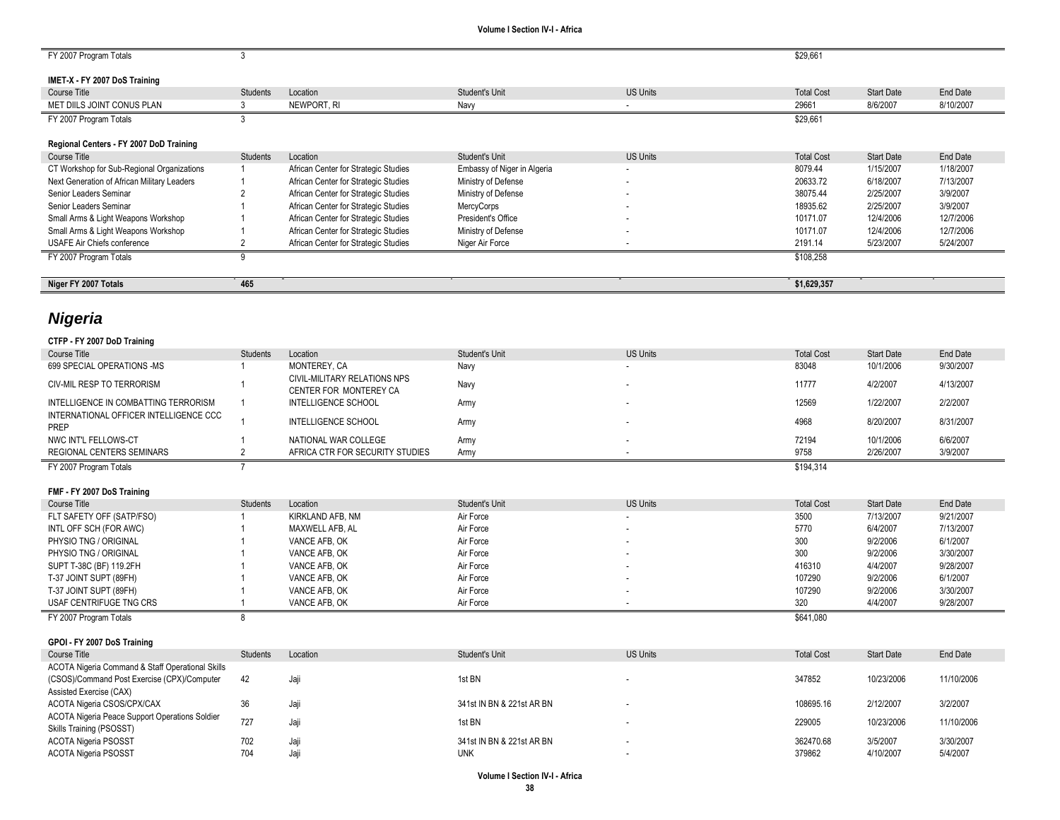| FY 2007 Program Totals                           | 3               |                                      |                             |                 | \$29,661          |                   |            |
|--------------------------------------------------|-----------------|--------------------------------------|-----------------------------|-----------------|-------------------|-------------------|------------|
|                                                  |                 |                                      |                             |                 |                   |                   |            |
| IMET-X - FY 2007 DoS Training                    |                 |                                      |                             |                 |                   |                   |            |
| <b>Course Title</b>                              | <b>Students</b> | Location                             | Student's Unit              | <b>US Units</b> | <b>Total Cost</b> | <b>Start Date</b> | End Date   |
| MET DIILS JOINT CONUS PLAN                       | 3               | NEWPORT, RI                          | Navy                        | $\sim$          | 29661             | 8/6/2007          | 8/10/2007  |
| FY 2007 Program Totals                           | 3               |                                      |                             |                 | \$29,661          |                   |            |
|                                                  |                 |                                      |                             |                 |                   |                   |            |
| Regional Centers - FY 2007 DoD Training          |                 |                                      |                             |                 |                   |                   |            |
| <b>Course Title</b>                              | Students        | Location                             | Student's Unit              | <b>US Units</b> | <b>Total Cost</b> | <b>Start Date</b> | End Date   |
| CT Workshop for Sub-Regional Organizations       | -1              | African Center for Strategic Studies | Embassy of Niger in Algeria |                 | 8079.44           | 1/15/2007         | 1/18/2007  |
| Next Generation of African Military Leaders      | $\overline{1}$  | African Center for Strategic Studies | Ministry of Defense         |                 | 20633.72          | 6/18/2007         | 7/13/2007  |
| Senior Leaders Seminar                           | $\overline{2}$  | African Center for Strategic Studies | Ministry of Defense         |                 | 38075.44          | 2/25/2007         | 3/9/2007   |
| Senior Leaders Seminar                           | $\overline{1}$  | African Center for Strategic Studies | <b>MercyCorps</b>           |                 | 18935.62          | 2/25/2007         | 3/9/2007   |
| Small Arms & Light Weapons Workshop              | $\overline{1}$  | African Center for Strategic Studies | President's Office          |                 | 10171.07          | 12/4/2006         | 12/7/2006  |
| Small Arms & Light Weapons Workshop              | $\overline{1}$  | African Center for Strategic Studies | Ministry of Defense         |                 | 10171.07          | 12/4/2006         | 12/7/2006  |
| USAFE Air Chiefs conference                      | $\overline{2}$  | African Center for Strategic Studies | Niger Air Force             |                 | 2191.14           | 5/23/2007         | 5/24/2007  |
| FY 2007 Program Totals                           | 9               |                                      |                             |                 | \$108,258         |                   |            |
|                                                  |                 |                                      |                             |                 |                   |                   |            |
| Niger FY 2007 Totals                             | 465             |                                      |                             |                 | \$1,629,357       |                   |            |
|                                                  |                 |                                      |                             |                 |                   |                   |            |
|                                                  |                 |                                      |                             |                 |                   |                   |            |
| <b>Nigeria</b>                                   |                 |                                      |                             |                 |                   |                   |            |
|                                                  |                 |                                      |                             |                 |                   |                   |            |
| CTFP - FY 2007 DoD Training                      |                 |                                      |                             |                 |                   |                   |            |
| <b>Course Title</b>                              | <b>Students</b> | Location                             | Student's Unit              | <b>US Units</b> | <b>Total Cost</b> | <b>Start Date</b> | End Date   |
| 699 SPECIAL OPERATIONS -MS                       | -1              | MONTEREY, CA                         | Navy                        |                 | 83048             | 10/1/2006         | 9/30/2007  |
|                                                  |                 | CIVIL-MILITARY RELATIONS NPS         |                             |                 |                   |                   |            |
| CIV-MIL RESP TO TERRORISM                        | -1              | CENTER FOR MONTEREY CA               | Navy                        |                 | 11777             | 4/2/2007          | 4/13/2007  |
| INTELLIGENCE IN COMBATTING TERRORISM             | $\overline{1}$  | <b>INTELLIGENCE SCHOOL</b>           | Army                        |                 | 12569             | 1/22/2007         | 2/2/2007   |
| INTERNATIONAL OFFICER INTELLIGENCE CCC           |                 |                                      |                             |                 |                   |                   |            |
| <b>PREP</b>                                      | $\overline{1}$  | <b>INTELLIGENCE SCHOOL</b>           | Army                        |                 | 4968              | 8/20/2007         | 8/31/2007  |
| NWC INT'L FELLOWS-CT                             | -1              | NATIONAL WAR COLLEGE                 | Army                        |                 | 72194             | 10/1/2006         | 6/6/2007   |
| REGIONAL CENTERS SEMINARS                        | $\overline{2}$  | AFRICA CTR FOR SECURITY STUDIES      | Army                        |                 | 9758              | 2/26/2007         | 3/9/2007   |
|                                                  | $\overline{7}$  |                                      |                             |                 | \$194,314         |                   |            |
| FY 2007 Program Totals                           |                 |                                      |                             |                 |                   |                   |            |
|                                                  |                 |                                      |                             |                 |                   |                   |            |
| FMF - FY 2007 DoS Training                       |                 |                                      |                             |                 |                   |                   |            |
| <b>Course Title</b>                              | <b>Students</b> | Location                             | Student's Unit              | <b>US Units</b> | <b>Total Cost</b> | <b>Start Date</b> | End Date   |
| FLT SAFETY OFF (SATP/FSO)                        | $\overline{1}$  | KIRKLAND AFB, NM                     | Air Force                   |                 | 3500              | 7/13/2007         | 9/21/2007  |
| INTL OFF SCH (FOR AWC)                           |                 | MAXWELL AFB, AL                      | Air Force                   |                 | 5770              | 6/4/2007          | 7/13/2007  |
| PHYSIO TNG / ORIGINAL                            |                 | VANCE AFB, OK                        | Air Force                   |                 | 300               | 9/2/2006          | 6/1/2007   |
| PHYSIO TNG / ORIGINAL                            |                 | VANCE AFB, OK                        | Air Force                   |                 | 300               | 9/2/2006          | 3/30/2007  |
| SUPT T-38C (BF) 119.2FH                          |                 | VANCE AFB, OK                        | Air Force                   |                 | 416310            | 4/4/2007          | 9/28/2007  |
| T-37 JOINT SUPT (89FH)                           |                 | VANCE AFB, OK                        | Air Force                   |                 | 107290            | 9/2/2006          | 6/1/2007   |
| T-37 JOINT SUPT (89FH)                           |                 | VANCE AFB, OK                        | Air Force                   |                 | 107290            | 9/2/2006          | 3/30/2007  |
| USAF CENTRIFUGE TNG CRS                          |                 | VANCE AFB, OK                        | Air Force                   |                 | 320               | 4/4/2007          | 9/28/2007  |
| FY 2007 Program Totals                           | 8               |                                      |                             |                 | \$641,080         |                   |            |
|                                                  |                 |                                      |                             |                 |                   |                   |            |
| GPOI - FY 2007 DoS Training                      |                 |                                      |                             |                 |                   |                   |            |
| Course Title                                     | Students        | Location                             | Student's Unit              | US Units        | <b>Total Cost</b> | <b>Start Date</b> | End Date   |
| ACOTA Nigeria Command & Staff Operational Skills |                 |                                      |                             |                 |                   |                   |            |
| (CSOS)/Command Post Exercise (CPX)/Computer      | 42              | Jaji                                 | 1st BN                      |                 | 347852            | 10/23/2006        | 11/10/2006 |
| Assisted Exercise (CAX)                          |                 |                                      |                             |                 |                   |                   |            |
| ACOTA Nigeria CSOS/CPX/CAX                       | 36              | Jaji                                 | 341st IN BN & 221st AR BN   |                 | 108695.16         | 2/12/2007         | 3/2/2007   |
| ACOTA Nigeria Peace Support Operations Soldier   |                 |                                      |                             |                 |                   |                   |            |
| Skills Training (PSOSST)                         | 727             | Jaji                                 | 1st BN                      |                 | 229005            | 10/23/2006        | 11/10/2006 |
| <b>ACOTA Nigeria PSOSST</b>                      | 702             | Jaji                                 | 341st IN BN & 221st AR BN   |                 | 362470.68         | 3/5/2007          | 3/30/2007  |
| ACOTA Nigeria PSOSST                             | 704             | Jaji                                 | <b>UNK</b>                  |                 | 379862            | 4/10/2007         | 5/4/2007   |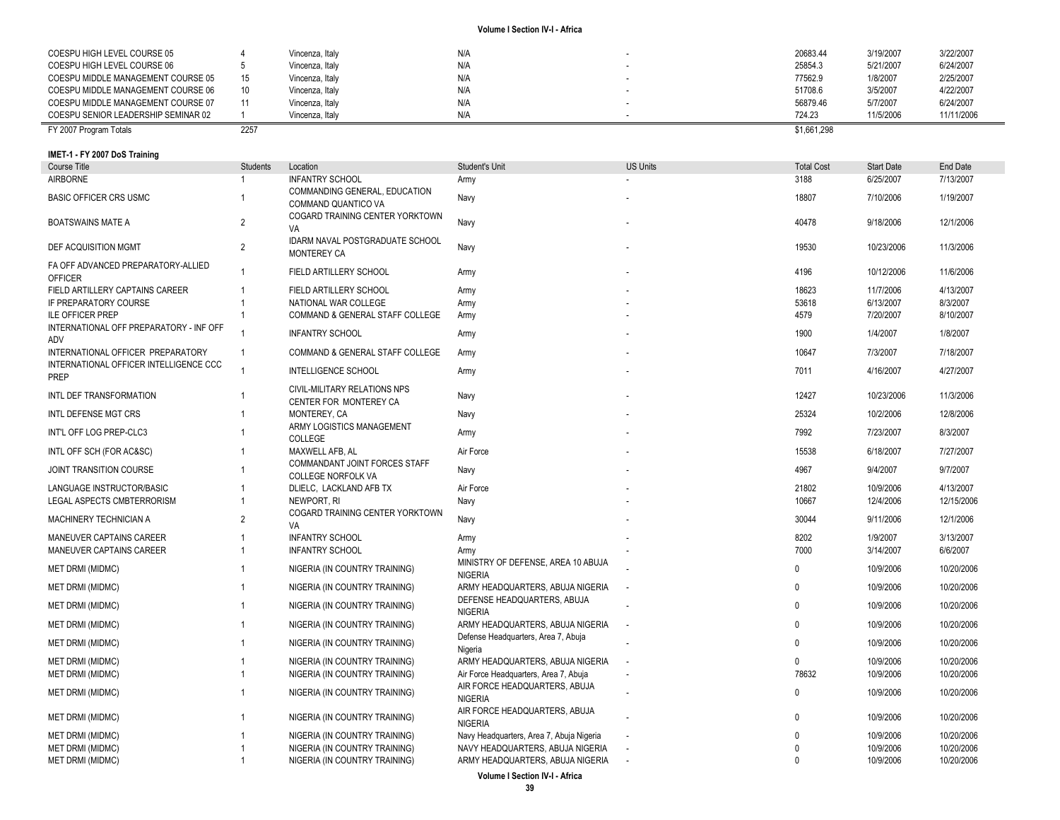| COESPU HIGH LEVEL COURSE 05         |      | Vincenza, Italy | N/A | 20683.44    | 3/19/2007 | 3/22/2007  |
|-------------------------------------|------|-----------------|-----|-------------|-----------|------------|
| COESPU HIGH LEVEL COURSE 06         |      | Vincenza, Italy | N/A | 25854.3     | 5/21/2007 | 6/24/2007  |
| COESPU MIDDLE MANAGEMENT COURSE 05  |      | Vincenza, Italy | N/A | 77562.9     | 1/8/2007  | 2/25/2007  |
| COESPU MIDDLE MANAGEMENT COURSE 06  | 10   | Vincenza, Italy | N/A | 51708.6     | 3/5/2007  | 4/22/2007  |
| COESPU MIDDLE MANAGEMENT COURSE 07  |      | Vincenza, Italy | N/A | 56879.46    | 5/7/2007  | 6/24/2007  |
| COESPU SENIOR LEADERSHIP SEMINAR 02 |      | Vincenza, Italv | N/A | 724.23      | 11/5/2006 | 11/11/2006 |
| FY 2007 Program Totals              | 2257 |                 |     | \$1.661.298 |           |            |

**IMET -1 - FY 2007 DoS Training**

| Course Title                                          | <b>Students</b> | Location                                                   | Student's Unit                                       | <b>US Units</b>          | <b>Total Cost</b> | <b>Start Date</b> | End Date   |
|-------------------------------------------------------|-----------------|------------------------------------------------------------|------------------------------------------------------|--------------------------|-------------------|-------------------|------------|
| <b>AIRBORNE</b>                                       |                 | <b>INFANTRY SCHOOL</b>                                     | Army                                                 |                          | 3188              | 6/25/2007         | 7/13/2007  |
| <b>BASIC OFFICER CRS USMC</b>                         |                 | COMMANDING GENERAL, EDUCATION<br>COMMAND QUANTICO VA       | Navy                                                 |                          | 18807             | 7/10/2006         | 1/19/2007  |
| <b>BOATSWAINS MATE A</b>                              | $\overline{2}$  | COGARD TRAINING CENTER YORKTOWN<br>VA                      | Navy                                                 |                          | 40478             | 9/18/2006         | 12/1/2006  |
| <b>DEF ACQUISITION MGMT</b>                           | $\overline{2}$  | IDARM NAVAL POSTGRADUATE SCHOOL<br>MONTEREY CA             | Navy                                                 |                          | 19530             | 10/23/2006        | 11/3/2006  |
| FA OFF ADVANCED PREPARATORY-ALLIED<br><b>OFFICER</b>  | -1              | FIELD ARTILLERY SCHOOL                                     | Army                                                 |                          | 4196              | 10/12/2006        | 11/6/2006  |
| FIELD ARTILLERY CAPTAINS CAREER                       | -1              | FIELD ARTILLERY SCHOOL                                     | Army                                                 |                          | 18623             | 11/7/2006         | 4/13/2007  |
| IF PREPARATORY COURSE                                 | $\overline{1}$  | NATIONAL WAR COLLEGE                                       | Army                                                 |                          | 53618             | 6/13/2007         | 8/3/2007   |
| <b>ILE OFFICER PREP</b>                               | $\overline{1}$  | COMMAND & GENERAL STAFF COLLEGE                            | Army                                                 |                          | 4579              | 7/20/2007         | 8/10/2007  |
| INTERNATIONAL OFF PREPARATORY - INF OFF<br>ADV        |                 | <b>INFANTRY SCHOOL</b>                                     | Army                                                 |                          | 1900              | 1/4/2007          | 1/8/2007   |
| INTERNATIONAL OFFICER PREPARATORY                     | $\overline{1}$  | COMMAND & GENERAL STAFF COLLEGE                            | Army                                                 |                          | 10647             | 7/3/2007          | 7/18/2007  |
| INTERNATIONAL OFFICER INTELLIGENCE CCC<br><b>PREP</b> |                 | <b>INTELLIGENCE SCHOOL</b>                                 | Army                                                 |                          | 7011              | 4/16/2007         | 4/27/2007  |
| INTL DEF TRANSFORMATION                               |                 | CIVIL-MILITARY RELATIONS NPS<br>CENTER FOR MONTEREY CA     | Navy                                                 |                          | 12427             | 10/23/2006        | 11/3/2006  |
| INTL DEFENSE MGT CRS                                  | -1              | MONTEREY, CA                                               | Navy                                                 |                          | 25324             | 10/2/2006         | 12/8/2006  |
| INT'L OFF LOG PREP-CLC3                               |                 | ARMY LOGISTICS MANAGEMENT<br>COLLEGE                       | Army                                                 |                          | 7992              | 7/23/2007         | 8/3/2007   |
| INTL OFF SCH (FOR AC&SC)                              |                 | MAXWELL AFB, AL                                            | Air Force                                            |                          | 15538             | 6/18/2007         | 7/27/2007  |
| JOINT TRANSITION COURSE                               |                 | COMMANDANT JOINT FORCES STAFF<br><b>COLLEGE NORFOLK VA</b> | Navy                                                 |                          | 4967              | 9/4/2007          | 9/7/2007   |
| LANGUAGE INSTRUCTOR/BASIC                             |                 | DLIELC, LACKLAND AFB TX                                    | Air Force                                            |                          | 21802             | 10/9/2006         | 4/13/2007  |
| LEGAL ASPECTS CMBTERRORISM                            |                 | NEWPORT, RI                                                | Navy                                                 |                          | 10667             | 12/4/2006         | 12/15/2006 |
| MACHINERY TECHNICIAN A                                | $\overline{2}$  | COGARD TRAINING CENTER YORKTOWN<br>VA                      | Navy                                                 |                          | 30044             | 9/11/2006         | 12/1/2006  |
| MANEUVER CAPTAINS CAREER                              |                 | <b>INFANTRY SCHOOL</b>                                     | Army                                                 |                          | 8202              | 1/9/2007          | 3/13/2007  |
| MANEUVER CAPTAINS CAREER                              | $\overline{1}$  | <b>INFANTRY SCHOOL</b>                                     | Army                                                 |                          | 7000              | 3/14/2007         | 6/6/2007   |
| <b>MET DRMI (MIDMC)</b>                               | $\overline{1}$  | NIGERIA (IN COUNTRY TRAINING)                              | MINISTRY OF DEFENSE, AREA 10 ABUJA<br><b>NIGERIA</b> |                          | $\Omega$          | 10/9/2006         | 10/20/2006 |
| <b>MET DRMI (MIDMC)</b>                               | $\overline{1}$  | NIGERIA (IN COUNTRY TRAINING)                              | ARMY HEADQUARTERS, ABUJA NIGERIA                     | $\overline{\phantom{a}}$ | $\Omega$          | 10/9/2006         | 10/20/2006 |
| <b>MET DRMI (MIDMC)</b>                               | -1              | NIGERIA (IN COUNTRY TRAINING)                              | DEFENSE HEADQUARTERS, ABUJA<br><b>NIGERIA</b>        |                          | $\Omega$          | 10/9/2006         | 10/20/2006 |
| <b>MET DRMI (MIDMC)</b>                               | $\overline{1}$  | NIGERIA (IN COUNTRY TRAINING)                              | ARMY HEADQUARTERS, ABUJA NIGERIA                     | ۰.                       | $\Omega$          | 10/9/2006         | 10/20/2006 |
| <b>MET DRMI (MIDMC)</b>                               | -1              | NIGERIA (IN COUNTRY TRAINING)                              | Defense Headquarters, Area 7, Abuja<br>Nigeria       |                          | $\Omega$          | 10/9/2006         | 10/20/2006 |
| <b>MET DRMI (MIDMC)</b>                               |                 | NIGERIA (IN COUNTRY TRAINING)                              | ARMY HEADQUARTERS, ABUJA NIGERIA                     | $\overline{\phantom{a}}$ | $\Omega$          | 10/9/2006         | 10/20/2006 |
| MET DRMI (MIDMC)                                      | $\overline{1}$  | NIGERIA (IN COUNTRY TRAINING)                              | Air Force Headquarters, Area 7, Abuja                | $\overline{\phantom{a}}$ | 78632             | 10/9/2006         | 10/20/2006 |
| <b>MET DRMI (MIDMC)</b>                               |                 | NIGERIA (IN COUNTRY TRAINING)                              | AIR FORCE HEADQUARTERS, ABUJA<br><b>NIGERIA</b>      |                          | $\Omega$          | 10/9/2006         | 10/20/2006 |
| <b>MET DRMI (MIDMC)</b>                               |                 | NIGERIA (IN COUNTRY TRAINING)                              | AIR FORCE HEADQUARTERS, ABUJA<br><b>NIGERIA</b>      |                          | $\mathbf{0}$      | 10/9/2006         | 10/20/2006 |
| <b>MET DRMI (MIDMC)</b>                               |                 | NIGERIA (IN COUNTRY TRAINING)                              | Navy Headquarters, Area 7, Abuja Nigeria             |                          |                   | 10/9/2006         | 10/20/2006 |
| <b>MET DRMI (MIDMC)</b>                               |                 | NIGERIA (IN COUNTRY TRAINING)                              | NAVY HEADQUARTERS, ABUJA NIGERIA                     |                          |                   | 10/9/2006         | 10/20/2006 |
| MET DRMI (MIDMC)                                      | $\overline{1}$  | NIGERIA (IN COUNTRY TRAINING)                              | ARMY HEADQUARTERS, ABUJA NIGERIA                     |                          | $\Omega$          | 10/9/2006         | 10/20/2006 |
|                                                       |                 |                                                            |                                                      |                          |                   |                   |            |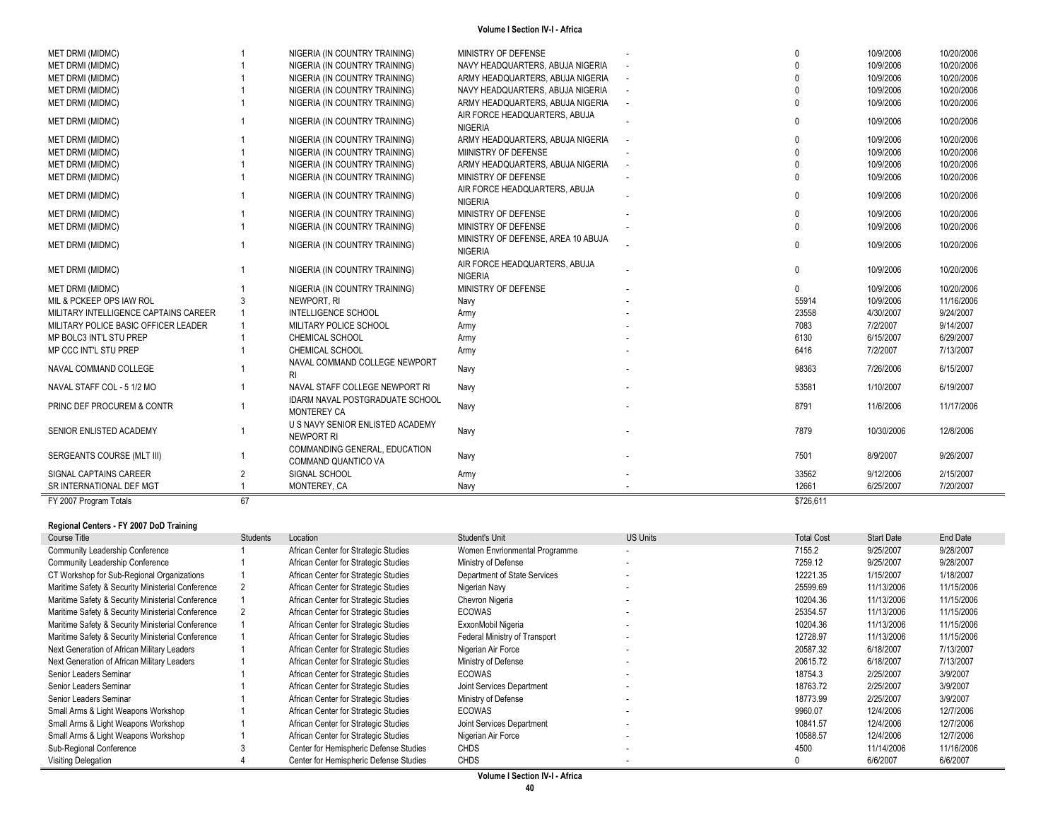| <b>MET DRMI (MIDMC)</b>               |    | NIGERIA (IN COUNTRY TRAINING)                         | MINISTRY OF DEFENSE                                  |           | 10/9/2006  | 10/20/2006 |
|---------------------------------------|----|-------------------------------------------------------|------------------------------------------------------|-----------|------------|------------|
| MET DRMI (MIDMC)                      |    | NIGERIA (IN COUNTRY TRAINING)                         | NAVY HEADQUARTERS, ABUJA NIGERIA                     |           | 10/9/2006  | 10/20/2006 |
| MET DRMI (MIDMC)                      |    | NIGERIA (IN COUNTRY TRAINING)                         | ARMY HEADQUARTERS, ABUJA NIGERIA                     |           | 10/9/2006  | 10/20/2006 |
| <b>MET DRMI (MIDMC)</b>               |    | NIGERIA (IN COUNTRY TRAINING)                         | NAVY HEADQUARTERS, ABUJA NIGERIA                     |           | 10/9/2006  | 10/20/2006 |
| <b>MET DRMI (MIDMC)</b>               |    | NIGERIA (IN COUNTRY TRAINING)                         | ARMY HEADQUARTERS, ABUJA NIGERIA                     |           | 10/9/2006  | 10/20/2006 |
| <b>MET DRMI (MIDMC)</b>               |    | NIGERIA (IN COUNTRY TRAINING)                         | AIR FORCE HEADQUARTERS, ABUJA<br><b>NIGERIA</b>      |           | 10/9/2006  | 10/20/2006 |
| MET DRMI (MIDMC)                      |    | NIGERIA (IN COUNTRY TRAINING)                         | ARMY HEADQUARTERS, ABUJA NIGERIA                     |           | 10/9/2006  | 10/20/2006 |
| <b>MET DRMI (MIDMC)</b>               |    | NIGERIA (IN COUNTRY TRAINING)                         | MIINISTRY OF DEFENSE                                 |           | 10/9/2006  | 10/20/2006 |
| <b>MET DRMI (MIDMC)</b>               |    | NIGERIA (IN COUNTRY TRAINING)                         | ARMY HEADQUARTERS, ABUJA NIGERIA                     |           | 10/9/2006  | 10/20/2006 |
| MET DRMI (MIDMC)                      |    | NIGERIA (IN COUNTRY TRAINING)                         | MINISTRY OF DEFENSE                                  |           | 10/9/2006  | 10/20/2006 |
| MET DRMI (MIDMC)                      |    | NIGERIA (IN COUNTRY TRAINING)                         | AIR FORCE HEADQUARTERS, ABUJA<br><b>NIGERIA</b>      |           | 10/9/2006  | 10/20/2006 |
| <b>MET DRMI (MIDMC)</b>               |    | NIGERIA (IN COUNTRY TRAINING)                         | MINISTRY OF DEFENSE                                  |           | 10/9/2006  | 10/20/2006 |
| <b>MET DRMI (MIDMC)</b>               |    | NIGERIA (IN COUNTRY TRAINING)                         | MINISTRY OF DEFENSE                                  |           | 10/9/2006  | 10/20/2006 |
| <b>MET DRMI (MIDMC)</b>               |    | NIGERIA (IN COUNTRY TRAINING)                         | MINISTRY OF DEFENSE, AREA 10 ABUJA<br><b>NIGERIA</b> |           | 10/9/2006  | 10/20/2006 |
| <b>MET DRMI (MIDMC)</b>               |    | NIGERIA (IN COUNTRY TRAINING)                         | AIR FORCE HEADQUARTERS, ABUJA<br><b>NIGERIA</b>      | $\Omega$  | 10/9/2006  | 10/20/2006 |
| <b>MET DRMI (MIDMC)</b>               |    | NIGERIA (IN COUNTRY TRAINING)                         | MINISTRY OF DEFENSE                                  |           | 10/9/2006  | 10/20/2006 |
| MIL & PCKEEP OPS IAW ROL              |    | NEWPORT, RI                                           | Navy                                                 | 55914     | 10/9/2006  | 11/16/2006 |
| MILITARY INTELLIGENCE CAPTAINS CAREER |    | <b>INTELLIGENCE SCHOOL</b>                            | Army                                                 | 23558     | 4/30/2007  | 9/24/2007  |
| MILITARY POLICE BASIC OFFICER LEADER  |    | MILITARY POLICE SCHOOL                                | Army                                                 | 7083      | 7/2/2007   | 9/14/2007  |
| MP BOLC3 INT'L STU PREP               |    | <b>CHEMICAL SCHOOL</b>                                | Army                                                 | 6130      | 6/15/2007  | 6/29/2007  |
| MP CCC INT'L STU PREP                 |    | CHEMICAL SCHOOL                                       | Army                                                 | 6416      | 7/2/2007   | 7/13/2007  |
| NAVAL COMMAND COLLEGE                 |    | NAVAL COMMAND COLLEGE NEWPORT<br><b>RI</b>            | Navy                                                 | 98363     | 7/26/2006  | 6/15/2007  |
| NAVAL STAFF COL - 5 1/2 MO            |    | NAVAL STAFF COLLEGE NEWPORT RI                        | Navy                                                 | 53581     | 1/10/2007  | 6/19/2007  |
| PRINC DEF PROCUREM & CONTR            |    | IDARM NAVAL POSTGRADUATE SCHOOL<br><b>MONTEREY CA</b> | Navy                                                 | 8791      | 11/6/2006  | 11/17/2006 |
| SENIOR ENLISTED ACADEMY               |    | U S NAVY SENIOR ENLISTED ACADEMY<br><b>NEWPORT RI</b> | Navy                                                 | 7879      | 10/30/2006 | 12/8/2006  |
| SERGEANTS COURSE (MLT III)            |    | COMMANDING GENERAL, EDUCATION<br>COMMAND QUANTICO VA  | Navy                                                 | 7501      | 8/9/2007   | 9/26/2007  |
| SIGNAL CAPTAINS CAREER                | 2  | SIGNAL SCHOOL                                         | Army                                                 | 33562     | 9/12/2006  | 2/15/2007  |
| SR INTERNATIONAL DEF MGT              |    | MONTEREY, CA                                          | Navy                                                 | 12661     | 6/25/2007  | 7/20/2007  |
| FY 2007 Program Totals                | 67 |                                                       |                                                      | \$726.611 |            |            |

#### **Regional Centers - FY 2007 DoD Training**

| Course Title                                      | <b>Students</b> | Location                               | Student's Unit                | <b>US Units</b>          | <b>Total Cost</b> | Start Date | End Date   |
|---------------------------------------------------|-----------------|----------------------------------------|-------------------------------|--------------------------|-------------------|------------|------------|
| Community Leadership Conference                   |                 | African Center for Strategic Studies   | Women Envrionmental Programme | $\sim$                   | 7155.2            | 9/25/2007  | 9/28/2007  |
| Community Leadership Conference                   |                 | African Center for Strategic Studies   | Ministry of Defense           | $\overline{\phantom{a}}$ | 7259.12           | 9/25/2007  | 9/28/2007  |
| CT Workshop for Sub-Regional Organizations        |                 | African Center for Strategic Studies   | Department of State Services  | $\sim$                   | 12221.35          | 1/15/2007  | 1/18/2007  |
| Maritime Safety & Security Ministerial Conference | 2               | African Center for Strategic Studies   | Nigerian Navy                 | $\sim$                   | 25599.69          | 11/13/2006 | 11/15/2006 |
| Maritime Safety & Security Ministerial Conference |                 | African Center for Strategic Studies   | Chevron Nigeria               | $\sim$                   | 10204.36          | 11/13/2006 | 11/15/2006 |
| Maritime Safety & Security Ministerial Conference | $\overline{2}$  | African Center for Strategic Studies   | <b>ECOWAS</b>                 | $\overline{\phantom{a}}$ | 25354.57          | 11/13/2006 | 11/15/2006 |
| Maritime Safety & Security Ministerial Conference |                 | African Center for Strategic Studies   | ExxonMobil Nigeria            | $\sim$                   | 10204.36          | 11/13/2006 | 11/15/2006 |
| Maritime Safety & Security Ministerial Conference |                 | African Center for Strategic Studies   | Federal Ministry of Transport |                          | 12728.97          | 11/13/2006 | 11/15/2006 |
| Next Generation of African Military Leaders       |                 | African Center for Strategic Studies   | Nigerian Air Force            | ۰.                       | 20587.32          | 6/18/2007  | 7/13/2007  |
| Next Generation of African Military Leaders       |                 | African Center for Strategic Studies   | Ministry of Defense           |                          | 20615.72          | 6/18/2007  | 7/13/2007  |
| Senior Leaders Seminar                            |                 | African Center for Strategic Studies   | ECOWAS                        | $\sim$                   | 18754.3           | 2/25/2007  | 3/9/2007   |
| Senior Leaders Seminar                            |                 | African Center for Strategic Studies   | Joint Services Department     |                          | 18763.72          | 2/25/2007  | 3/9/2007   |
| Senior Leaders Seminar                            |                 | African Center for Strategic Studies   | Ministry of Defense           |                          | 18773.99          | 2/25/2007  | 3/9/2007   |
| Small Arms & Light Weapons Workshop               |                 | African Center for Strategic Studies   | <b>ECOWAS</b>                 | $\sim$                   | 9960.07           | 12/4/2006  | 12/7/2006  |
| Small Arms & Light Weapons Workshop               |                 | African Center for Strategic Studies   | Joint Services Department     | $\overline{\phantom{a}}$ | 10841.57          | 12/4/2006  | 12/7/2006  |
| Small Arms & Light Weapons Workshop               |                 | African Center for Strategic Studies   | Nigerian Air Force            | $\overline{\phantom{a}}$ | 10588.57          | 12/4/2006  | 12/7/2006  |
| Sub-Regional Conference                           |                 | Center for Hemispheric Defense Studies | <b>CHDS</b>                   |                          | 4500              | 11/14/2006 | 11/16/2006 |
| Visiting Delegation                               |                 | Center for Hemispheric Defense Studies | <b>CHDS</b>                   |                          |                   | 6/6/2007   | 6/6/2007   |

÷.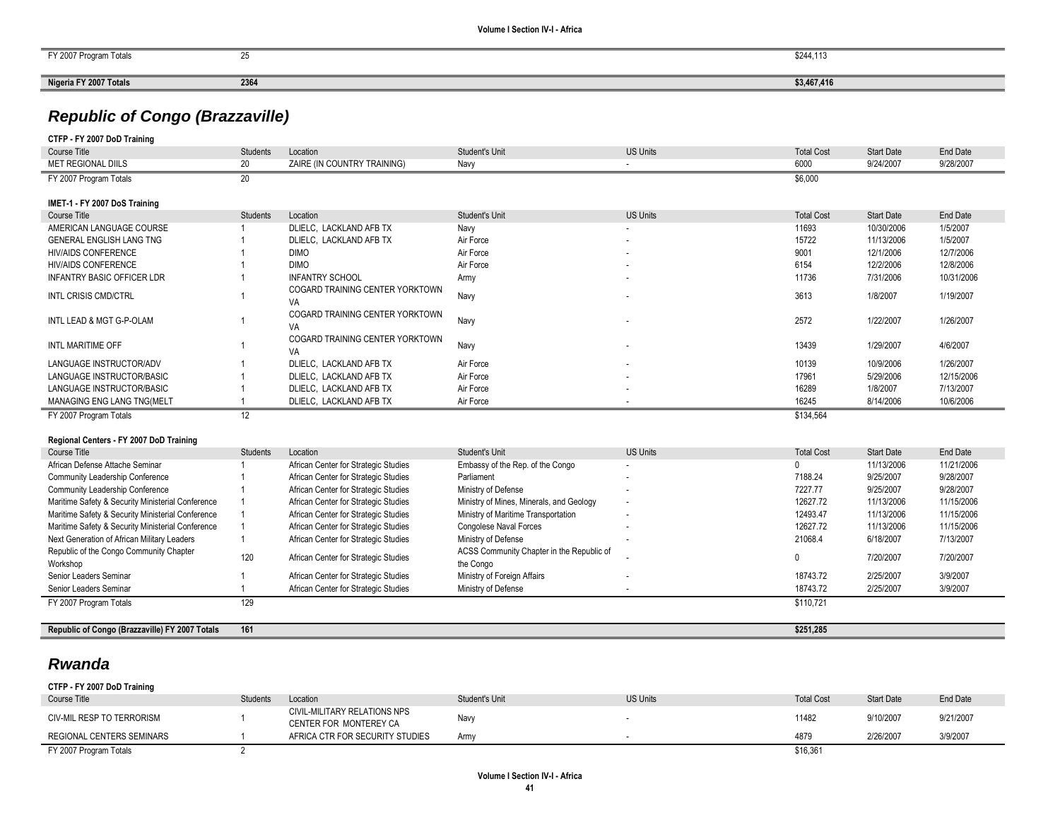| FY 2007 Program Totals |      | \$244,113<br>the contract of the contract of |
|------------------------|------|----------------------------------------------|
|                        |      |                                              |
| Nigeria FY 2007 Totals | 2364 | \$3,467,416                                  |

# *Republic of Congo (Brazzaville)*

### **CTFP - FY 2007 DoD Training**

| Course Title                      | <b>Students</b> | Location                              | Student's Unit | <b>US Units</b>          | <b>Total Cost</b> | <b>Start Date</b> | End Date   |
|-----------------------------------|-----------------|---------------------------------------|----------------|--------------------------|-------------------|-------------------|------------|
| <b>MET REGIONAL DIILS</b>         | 20              | ZAIRE (IN COUNTRY TRAINING)           | Navy           |                          | 6000              | 9/24/2007         | 9/28/2007  |
| FY 2007 Program Totals            | 20              |                                       |                |                          | \$6,000           |                   |            |
| IMET-1 - FY 2007 DoS Training     |                 |                                       |                |                          |                   |                   |            |
| Course Title                      | Students        | Location                              | Student's Unit | <b>US Units</b>          | <b>Total Cost</b> | <b>Start Date</b> | End Date   |
| AMERICAN LANGUAGE COURSE          |                 | DLIELC, LACKLAND AFB TX               | Navy           | $\overline{\phantom{a}}$ | 11693             | 10/30/2006        | 1/5/2007   |
| <b>GENERAL ENGLISH LANG TNG</b>   |                 | DLIELC, LACKLAND AFB TX               | Air Force      |                          | 15722             | 11/13/2006        | 1/5/2007   |
| <b>HIV/AIDS CONFERENCE</b>        |                 | <b>DIMO</b>                           | Air Force      | $\sim$                   | 9001              | 12/1/2006         | 12/7/2006  |
| <b>HIV/AIDS CONFERENCE</b>        |                 | <b>DIMO</b>                           | Air Force      | $\overline{\phantom{a}}$ | 6154              | 12/2/2006         | 12/8/2006  |
| <b>INFANTRY BASIC OFFICER LDR</b> |                 | <b>INFANTRY SCHOOL</b>                | Army           | $\overline{\phantom{a}}$ | 11736             | 7/31/2006         | 10/31/2006 |
| INTL CRISIS CMD/CTRL              |                 | COGARD TRAINING CENTER YORKTOWN<br>VA | Navy           | $\overline{\phantom{a}}$ | 3613              | 1/8/2007          | 1/19/2007  |
| INTL LEAD & MGT G-P-OLAM          |                 | COGARD TRAINING CENTER YORKTOWN<br>VA | Navy           | $\overline{\phantom{a}}$ | 2572              | 1/22/2007         | 1/26/2007  |
| INTL MARITIME OFF                 |                 | COGARD TRAINING CENTER YORKTOWN<br>VA | Navy           | $\overline{\phantom{a}}$ | 13439             | 1/29/2007         | 4/6/2007   |
| LANGUAGE INSTRUCTOR/ADV           |                 | DLIELC, LACKLAND AFB TX               | Air Force      | $\sim$                   | 10139             | 10/9/2006         | 1/26/2007  |
| LANGUAGE INSTRUCTOR/BASIC         |                 | DLIELC, LACKLAND AFB TX               | Air Force      | $\sim$                   | 17961             | 5/29/2006         | 12/15/2006 |
| LANGUAGE INSTRUCTOR/BASIC         |                 | DLIELC, LACKLAND AFB TX               | Air Force      | $\sim$                   | 16289             | 1/8/2007          | 7/13/2007  |
| MANAGING ENG LANG TNG(MELT        |                 | DLIELC, LACKLAND AFB TX               | Air Force      | $\overline{\phantom{a}}$ | 16245             | 8/14/2006         | 10/6/2006  |
| FY 2007 Program Totals            | 12              |                                       |                |                          | \$134.564         |                   |            |

#### **Regional Centers - FY 2007 DoD Training**

| Course Title                                      | <b>Students</b> | Location                             | <b>Student's Unit</b>                     | <b>US Units</b>          | <b>Total Cost</b> | <b>Start Date</b> | End Date   |
|---------------------------------------------------|-----------------|--------------------------------------|-------------------------------------------|--------------------------|-------------------|-------------------|------------|
| African Defense Attache Seminar                   |                 | African Center for Strategic Studies | Embassy of the Rep. of the Congo          | $\overline{\phantom{a}}$ |                   | 11/13/2006        | 11/21/2006 |
| Community Leadership Conference                   |                 | African Center for Strategic Studies | Parliament                                |                          | 7188.24           | 9/25/2007         | 9/28/2007  |
| Community Leadership Conference                   |                 | African Center for Strategic Studies | Ministry of Defense                       |                          | 7227.77           | 9/25/2007         | 9/28/2007  |
| Maritime Safety & Security Ministerial Conference |                 | African Center for Strategic Studies | Ministry of Mines, Minerals, and Geology  | $\overline{\phantom{a}}$ | 12627.72          | 11/13/2006        | 11/15/2006 |
| Maritime Safety & Security Ministerial Conference |                 | African Center for Strategic Studies | Ministry of Maritime Transportation       |                          | 12493.47          | 11/13/2006        | 11/15/2006 |
| Maritime Safety & Security Ministerial Conference |                 | African Center for Strategic Studies | Congolese Naval Forces                    |                          | 12627.72          | 11/13/2006        | 11/15/2006 |
| Next Generation of African Military Leaders       |                 | African Center for Strategic Studies | Ministry of Defense                       |                          | 21068.4           | 6/18/2007         | 7/13/2007  |
| Republic of the Congo Community Chapter           | 120             | African Center for Strategic Studies | ACSS Community Chapter in the Republic of |                          |                   | 7/20/2007         | 7/20/2007  |
| Workshop                                          |                 |                                      | the Congo                                 |                          |                   |                   |            |
| Senior Leaders Seminar                            |                 | African Center for Strategic Studies | Ministry of Foreign Affairs               |                          | 18743.72          | 2/25/2007         | 3/9/2007   |
| Senior Leaders Seminar                            |                 | African Center for Strategic Studies | Ministry of Defense                       |                          | 18743.72          | 2/25/2007         | 3/9/2007   |
| FY 2007 Program Totals                            | 129             |                                      |                                           |                          | \$110.721         |                   |            |
|                                                   |                 |                                      |                                           |                          |                   |                   |            |
| Republic of Congo (Brazzaville) FY 2007 Totals    | 161             |                                      |                                           |                          | \$251.285         |                   |            |

## *Rwanda*

| CTFP - FY 2007 DoD Training |          |                                                        |                |                 |                   |                   |           |
|-----------------------------|----------|--------------------------------------------------------|----------------|-----------------|-------------------|-------------------|-----------|
| Course Title                | Students | Location                                               | Student's Unit | <b>US Units</b> | <b>Total Cost</b> | <b>Start Date</b> | End Date  |
| CIV-MIL RESP TO TERRORISM   |          | CIVIL-MILITARY RELATIONS NPS<br>CENTER FOR MONTEREY CA | Nav            |                 | 11482             | 9/10/2007         | 9/21/2007 |
| REGIONAL CENTERS SEMINARS   |          | AFRICA CTR FOR SECURITY STUDIES                        | Army           |                 | 4879              | 2/26/2007         | 3/9/2007  |
| FY 2007 Program Totals      |          |                                                        |                |                 | \$16,361          |                   |           |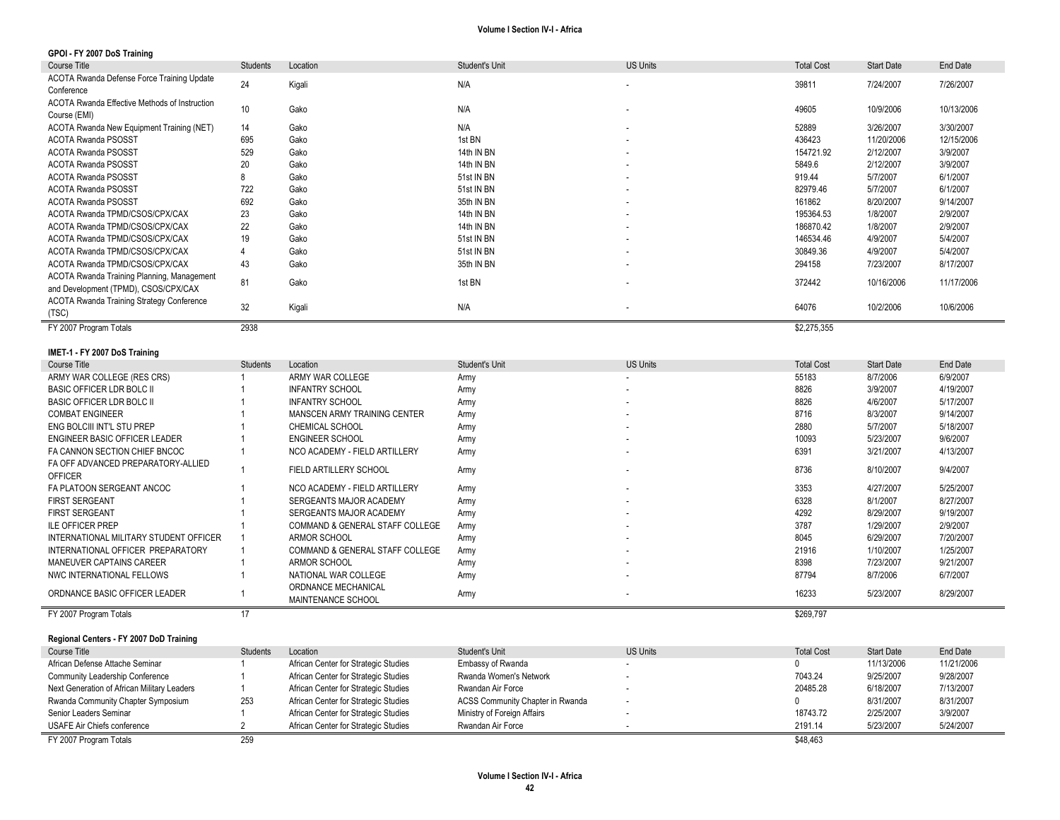### **GPOI - FY 2007 DoS Training**

| Course Title                                                                       | Students | Location | Student's Unit | <b>US Units</b>          | <b>Total Cost</b> | Start Date | End Date   |
|------------------------------------------------------------------------------------|----------|----------|----------------|--------------------------|-------------------|------------|------------|
| ACOTA Rwanda Defense Force Training Update<br>Conference                           | 24       | Kigali   | N/A            | $\sim$                   | 39811             | 7/24/2007  | 7/26/2007  |
| ACOTA Rwanda Effective Methods of Instruction<br>Course (EMI)                      | 10       | Gako     | N/A            | $\sim$                   | 49605             | 10/9/2006  | 10/13/2006 |
| ACOTA Rwanda New Equipment Training (NET)                                          | 14       | Gako     | N/A            | $\overline{\phantom{a}}$ | 52889             | 3/26/2007  | 3/30/2007  |
| <b>ACOTA Rwanda PSOSST</b>                                                         | 695      | Gako     | 1st BN         | $\overline{\phantom{a}}$ | 436423            | 11/20/2006 | 12/15/2006 |
| <b>ACOTA Rwanda PSOSST</b>                                                         | 529      | Gako     | 14th IN BN     | $\sim$                   | 154721.92         | 2/12/2007  | 3/9/2007   |
| <b>ACOTA Rwanda PSOSST</b>                                                         | 20       | Gako     | 14th IN BN     | $\sim$                   | 5849.6            | 2/12/2007  | 3/9/2007   |
| <b>ACOTA Rwanda PSOSST</b>                                                         |          | Gako     | 51st IN BN     | $\overline{\phantom{a}}$ | 919.44            | 5/7/2007   | 6/1/2007   |
| <b>ACOTA Rwanda PSOSST</b>                                                         | 722      | Gako     | 51st IN BN     | $\sim$                   | 82979.46          | 5/7/2007   | 6/1/2007   |
| <b>ACOTA Rwanda PSOSST</b>                                                         | 692      | Gako     | 35th IN BN     | $\overline{\phantom{a}}$ | 161862            | 8/20/2007  | 9/14/2007  |
| ACOTA Rwanda TPMD/CSOS/CPX/CAX                                                     | 23       | Gako     | 14th IN BN     | $\overline{\phantom{a}}$ | 195364.53         | 1/8/2007   | 2/9/2007   |
| <b>ACOTA Rwanda TPMD/CSOS/CPX/CAX</b>                                              | 22       | Gako     | 14th IN BN     | $\sim$                   | 186870.42         | 1/8/2007   | 2/9/2007   |
| ACOTA Rwanda TPMD/CSOS/CPX/CAX                                                     | 19       | Gako     | 51st IN BN     | $\sim$                   | 146534.46         | 4/9/2007   | 5/4/2007   |
| <b>ACOTA Rwanda TPMD/CSOS/CPX/CAX</b>                                              |          | Gako     | 51st IN BN     | $\overline{\phantom{a}}$ | 30849.36          | 4/9/2007   | 5/4/2007   |
| <b>ACOTA Rwanda TPMD/CSOS/CPX/CAX</b>                                              | 43       | Gako     | 35th IN BN     | $\sim$                   | 294158            | 7/23/2007  | 8/17/2007  |
| ACOTA Rwanda Training Planning, Management<br>and Development (TPMD), CSOS/CPX/CAX | 81       | Gako     | 1st BN         | $\overline{\phantom{a}}$ | 372442            | 10/16/2006 | 11/17/2006 |
| <b>ACOTA Rwanda Training Strategy Conference</b><br>(TSC)                          | 32       | Kigali   | N/A            | $\overline{\phantom{a}}$ | 64076             | 10/2/2006  | 10/6/2006  |
| FY 2007 Program Totals                                                             | 2938     |          |                |                          | \$2,275,355       |            |            |

### **IMET-1 - FY 2007 DoS Training**

| Course Title                           | Students | Location                                  | Student's Unit | <b>US Units</b> | <b>Total Cost</b> | Start Date | End Date  |
|----------------------------------------|----------|-------------------------------------------|----------------|-----------------|-------------------|------------|-----------|
| ARMY WAR COLLEGE (RES CRS)             |          | ARMY WAR COLLEGE                          | Army           |                 | 55183             | 8/7/2006   | 6/9/2007  |
| BASIC OFFICER LDR BOLC II              |          | <b>INFANTRY SCHOOL</b>                    | Army           | $\sim$          | 8826              | 3/9/2007   | 4/19/2007 |
| BASIC OFFICER LDR BOLC II              |          | <b>INFANTRY SCHOOL</b>                    | Army           |                 | 8826              | 4/6/2007   | 5/17/2007 |
| <b>COMBAT ENGINEER</b>                 |          | MANSCEN ARMY TRAINING CENTER              | Army           |                 | 8716              | 8/3/2007   | 9/14/2007 |
| ENG BOLCIII INT'L STU PREP             |          | <b>CHEMICAL SCHOOL</b>                    | Army           | $\sim$          | 2880              | 5/7/2007   | 5/18/2007 |
| ENGINEER BASIC OFFICER LEADER          |          | <b>ENGINEER SCHOOL</b>                    | Army           |                 | 10093             | 5/23/2007  | 9/6/2007  |
| FA CANNON SECTION CHIEF BNCOC          |          | NCO ACADEMY - FIELD ARTILLERY             | Army           |                 | 6391              | 3/21/2007  | 4/13/2007 |
| FA OFF ADVANCED PREPARATORY-ALLIED     |          | FIELD ARTILLERY SCHOOL                    | Army           |                 | 8736              | 8/10/2007  | 9/4/2007  |
| <b>OFFICER</b>                         |          |                                           |                |                 |                   |            |           |
| FA PLATOON SERGEANT ANCOC              |          | NCO ACADEMY - FIELD ARTILLERY             | Army           | $\sim$          | 3353              | 4/27/2007  | 5/25/2007 |
| <b>FIRST SERGEANT</b>                  |          | SERGEANTS MAJOR ACADEMY                   | Army           |                 | 6328              | 8/1/2007   | 8/27/2007 |
| <b>FIRST SERGEANT</b>                  |          | SERGEANTS MAJOR ACADEMY                   | Army           | $\sim$          | 4292              | 8/29/2007  | 9/19/2007 |
| <b>ILE OFFICER PREP</b>                |          | COMMAND & GENERAL STAFF COLLEGE           | Army           |                 | 3787              | 1/29/2007  | 2/9/2007  |
| INTERNATIONAL MILITARY STUDENT OFFICER |          | ARMOR SCHOOL                              | Army           |                 | 8045              | 6/29/2007  | 7/20/2007 |
| INTERNATIONAL OFFICER PREPARATORY      |          | COMMAND & GENERAL STAFF COLLEGE           | Army           |                 | 21916             | 1/10/2007  | 1/25/2007 |
| MANEUVER CAPTAINS CAREER               |          | ARMOR SCHOOL                              | Army           |                 | 8398              | 7/23/2007  | 9/21/2007 |
| NWC INTERNATIONAL FELLOWS              |          | NATIONAL WAR COLLEGE                      | Army           |                 | 87794             | 8/7/2006   | 6/7/2007  |
| ORDNANCE BASIC OFFICER LEADER          |          | ORDNANCE MECHANICAL<br>MAINTENANCE SCHOOL | Army           |                 | 16233             | 5/23/2007  | 8/29/2007 |
| FY 2007 Program Totals                 |          |                                           |                |                 | \$269,797         |            |           |

#### **Regional Centers - FY 2007 DoD Training**

| Course Title                                | Students | Location                             | Student's Unit                   | <b>US Units</b> | <b>Total Cost</b> | <b>Start Date</b> | <b>End Date</b> |
|---------------------------------------------|----------|--------------------------------------|----------------------------------|-----------------|-------------------|-------------------|-----------------|
| African Defense Attache Seminar             |          | African Center for Strategic Studies | Embassy of Rwanda                |                 |                   | 11/13/2006        | 11/21/2006      |
| Community Leadership Conference             |          | African Center for Strategic Studies | Rwanda Women's Network           |                 | 7043.24           | 9/25/2007         | 9/28/2007       |
| Next Generation of African Military Leaders |          | African Center for Strategic Studies | Rwandan Air Force                |                 | 20485.28          | 6/18/2007         | 7/13/2007       |
| Rwanda Community Chapter Symposium          | 253      | African Center for Strategic Studies | ACSS Community Chapter in Rwanda |                 |                   | 8/31/2007         | 8/31/2007       |
| Senior Leaders Seminar                      |          | African Center for Strategic Studies | Ministry of Foreign Affairs      |                 | 18743.72          | 2/25/2007         | 3/9/2007        |
| USAFE Air Chiefs conference                 |          | African Center for Strategic Studies | Rwandan Air Force                |                 | 2191.14           | 5/23/2007         | 5/24/2007       |
| FY 2007 Program Totals                      | 259      |                                      |                                  |                 | \$48,463          |                   |                 |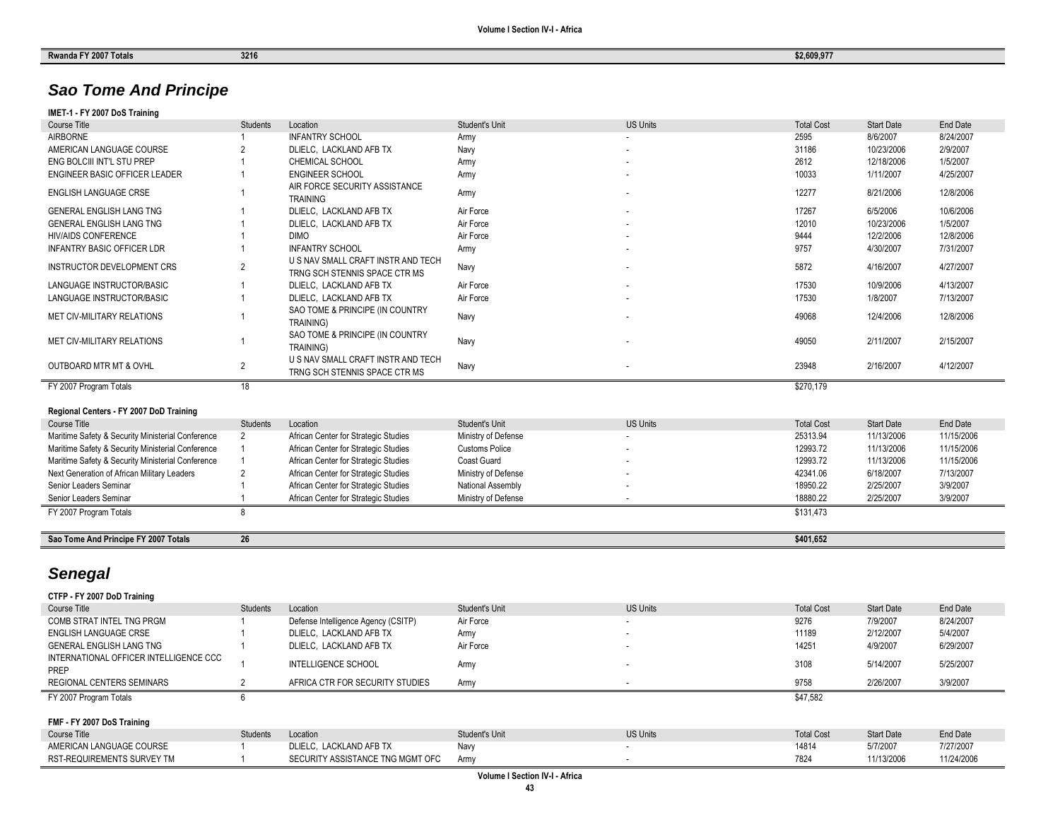| Rwanda<br>. zvo <i>r</i><br><b>TOTALS</b> | 3216 | \$2,609,977 |
|-------------------------------------------|------|-------------|
|                                           |      |             |

## *Sao Tome And Principe*

### **IMET-1 - FY 2007 DoS Training**

| Course Title                                      | <b>Students</b> | Location                                                            | Student's Unit        | <b>US Units</b> | <b>Total Cost</b> | <b>Start Date</b> | End Date   |
|---------------------------------------------------|-----------------|---------------------------------------------------------------------|-----------------------|-----------------|-------------------|-------------------|------------|
| <b>AIRBORNE</b>                                   |                 | <b>INFANTRY SCHOOL</b>                                              | Army                  |                 | 2595              | 8/6/2007          | 8/24/2007  |
| AMERICAN LANGUAGE COURSE                          |                 | DLIELC, LACKLAND AFB TX                                             | Navy                  |                 | 31186             | 10/23/2006        | 2/9/2007   |
| ENG BOLCIII INT'L STU PREP                        |                 | <b>CHEMICAL SCHOOL</b>                                              | Army                  |                 | 2612              | 12/18/2006        | 1/5/2007   |
| <b>ENGINEER BASIC OFFICER LEADER</b>              |                 | <b>ENGINEER SCHOOL</b>                                              | Army                  |                 | 10033             | 1/11/2007         | 4/25/2007  |
| ENGLISH LANGUAGE CRSE                             |                 | AIR FORCE SECURITY ASSISTANCE<br><b>TRAINING</b>                    | Army                  |                 | 12277             | 8/21/2006         | 12/8/2006  |
| <b>GENERAL ENGLISH LANG TNG</b>                   |                 | DLIELC, LACKLAND AFB TX                                             | Air Force             |                 | 17267             | 6/5/2006          | 10/6/2006  |
| <b>GENERAL ENGLISH LANG TNG</b>                   |                 | DLIELC, LACKLAND AFB TX                                             | Air Force             |                 | 12010             | 10/23/2006        | 1/5/2007   |
| <b>HIV/AIDS CONFERENCE</b>                        |                 | <b>DIMO</b>                                                         | Air Force             |                 | 9444              | 12/2/2006         | 12/8/2006  |
| <b>INFANTRY BASIC OFFICER LDR</b>                 |                 | <b>INFANTRY SCHOOL</b>                                              | Army                  |                 | 9757              | 4/30/2007         | 7/31/2007  |
| INSTRUCTOR DEVELOPMENT CRS                        | $\overline{2}$  | U S NAV SMALL CRAFT INSTR AND TECH<br>TRNG SCH STENNIS SPACE CTR MS | Navy                  |                 | 5872              | 4/16/2007         | 4/27/2007  |
| LANGUAGE INSTRUCTOR/BASIC                         |                 | DLIELC, LACKLAND AFB TX                                             | Air Force             |                 | 17530             | 10/9/2006         | 4/13/2007  |
| LANGUAGE INSTRUCTOR/BASIC                         |                 | DLIELC, LACKLAND AFB TX                                             | Air Force             |                 | 17530             | 1/8/2007          | 7/13/2007  |
| MET CIV-MILITARY RELATIONS                        |                 | SAO TOME & PRINCIPE (IN COUNTRY<br>TRAINING)                        | Navy                  |                 | 49068             | 12/4/2006         | 12/8/2006  |
| MET CIV-MILITARY RELATIONS                        |                 | SAO TOME & PRINCIPE (IN COUNTRY<br>TRAINING)                        | Navy                  |                 | 49050             | 2/11/2007         | 2/15/2007  |
| <b>OUTBOARD MTR MT &amp; OVHL</b>                 | $\overline{2}$  | U S NAV SMALL CRAFT INSTR AND TECH<br>TRNG SCH STENNIS SPACE CTR MS | Navy                  |                 | 23948             | 2/16/2007         | 4/12/2007  |
| FY 2007 Program Totals                            | 18              |                                                                     |                       |                 | \$270,179         |                   |            |
| Regional Centers - FY 2007 DoD Training           |                 |                                                                     |                       |                 |                   |                   |            |
| Course Title                                      | <b>Students</b> | Location                                                            | Student's Unit        | <b>US Units</b> | <b>Total Cost</b> | <b>Start Date</b> | End Date   |
| Maritime Safety & Security Ministerial Conference | $\overline{2}$  | African Center for Strategic Studies                                | Ministry of Defense   |                 | 25313.94          | 11/13/2006        | 11/15/2006 |
| Maritime Safety & Security Ministerial Conference |                 | African Center for Strategic Studies                                | <b>Customs Police</b> |                 | 12993.72          | 11/13/2006        | 11/15/2006 |
| Maritime Safety & Security Ministerial Conference |                 | African Center for Strategic Studies                                | Coast Guard           |                 | 12993.72          | 11/13/2006        | 11/15/2006 |
| Next Generation of African Military Leaders       | $\overline{2}$  | African Center for Strategic Studies                                | Ministry of Defense   |                 | 42341.06          | 6/18/2007         | 7/13/2007  |
| Senior Leaders Seminar                            |                 | African Center for Strategic Studies                                | National Assembly     |                 | 18950.22          | 2/25/2007         | 3/9/2007   |
| Senior Leaders Seminar                            |                 | African Center for Strategic Studies                                | Ministry of Defense   |                 | 18880.22          | 2/25/2007         | 3/9/2007   |
| FY 2007 Program Totals                            | 8               |                                                                     |                       |                 | \$131.473         |                   |            |
| Sao Tome And Principe FY 2007 Totals              | 26              |                                                                     |                       |                 | \$401.652         |                   |            |
|                                                   |                 |                                                                     |                       |                 |                   |                   |            |

## *Senegal*

**CTFP - FY 2007 DoD Training**

| Course Title                                   | <b>Students</b> | Location                            | <b>Student's Unit</b> | <b>US Units</b> | <b>Total Cost</b> | <b>Start Date</b> | End Date   |
|------------------------------------------------|-----------------|-------------------------------------|-----------------------|-----------------|-------------------|-------------------|------------|
| COMB STRAT INTEL TNG PRGM                      |                 | Defense Intelligence Agency (CSITP) | Air Force             |                 | 9276              | 7/9/2007          | 8/24/2007  |
| ENGLISH LANGUAGE CRSE                          |                 | DLIELC. LACKLAND AFB TX             | Army                  |                 | 11189             | 2/12/2007         | 5/4/2007   |
| GENERAL ENGLISH LANG TNG                       |                 | DLIELC. LACKLAND AFB TX             | Air Force             |                 | 14251             | 4/9/2007          | 6/29/2007  |
| INTERNATIONAL OFFICER INTELLIGENCE CCC<br>PREP |                 | INTELLIGENCE SCHOOL                 | Army                  |                 | 3108              | 5/14/2007         | 5/25/2007  |
| REGIONAL CENTERS SEMINARS                      |                 | AFRICA CTR FOR SECURITY STUDIES     | Army                  |                 | 9758              | 2/26/2007         | 3/9/2007   |
| FY 2007 Program Totals                         |                 |                                     |                       |                 | \$47,582          |                   |            |
|                                                |                 |                                     |                       |                 |                   |                   |            |
| FMF - FY 2007 DoS Training                     |                 |                                     |                       |                 |                   |                   |            |
| Course Title                                   | <b>Students</b> | Location                            | <b>Student's Unit</b> | <b>US Units</b> | <b>Total Cost</b> | <b>Start Date</b> | End Date   |
| AMERICAN LANGUAGE COURSE                       |                 | DLIELC. LACKLAND AFB TX             | Navv                  |                 | 14814             | 5/7/2007          | 7/27/2007  |
| RST-REQUIREMENTS SURVEY TM                     |                 | SECURITY ASSISTANCE TNG MGMT OFC    | Army                  |                 | 7824              | 11/13/2006        | 11/24/2006 |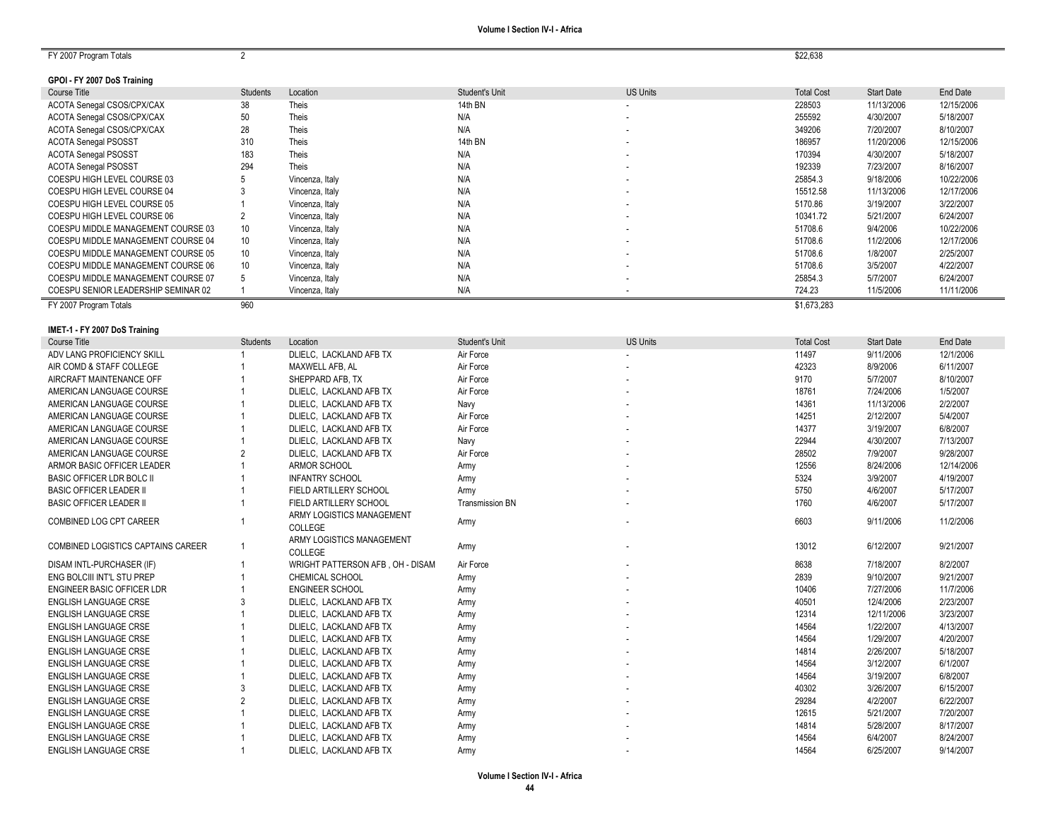| FY 2007 Program Totals |  |
|------------------------|--|
|------------------------|--|

#### **GPOI - FY 2007 DoS Training**

| Course Title                        | Students        | Location        | Student's Unit | <b>US Units</b>          | <b>Total Cost</b> | <b>Start Date</b> | End Date   |
|-------------------------------------|-----------------|-----------------|----------------|--------------------------|-------------------|-------------------|------------|
| ACOTA Senegal CSOS/CPX/CAX          | 38              | Theis           | 14th BN        | $\overline{\phantom{a}}$ | 228503            | 11/13/2006        | 12/15/2006 |
| <b>ACOTA Senegal CSOS/CPX/CAX</b>   | 50              | Theis           | N/A            | $\overline{\phantom{a}}$ | 255592            | 4/30/2007         | 5/18/2007  |
| ACOTA Senegal CSOS/CPX/CAX          | 28              | Theis           | N/A            | $\sim$                   | 349206            | 7/20/2007         | 8/10/2007  |
| <b>ACOTA Senegal PSOSST</b>         | 310             | Theis           | 14th BN        | $\sim$                   | 186957            | 11/20/2006        | 12/15/2006 |
| <b>ACOTA Senegal PSOSST</b>         | 183             | Theis           | N/A            |                          | 170394            | 4/30/2007         | 5/18/2007  |
| <b>ACOTA Senegal PSOSST</b>         | 294             | Theis           | N/A            | ۰.                       | 192339            | 7/23/2007         | 8/16/2007  |
| COESPU HIGH LEVEL COURSE 03         |                 | Vincenza, Italy | N/A            |                          | 25854.3           | 9/18/2006         | 10/22/2006 |
| COESPU HIGH LEVEL COURSE 04         |                 | Vincenza, Italy | N/A            |                          | 15512.58          | 11/13/2006        | 12/17/2006 |
| COESPU HIGH LEVEL COURSE 05         |                 | Vincenza, Italy | N/A            |                          | 5170.86           | 3/19/2007         | 3/22/2007  |
| COESPU HIGH LEVEL COURSE 06         |                 | Vincenza, Italy | N/A            |                          | 10341.72          | 5/21/2007         | 6/24/2007  |
| COESPU MIDDLE MANAGEMENT COURSE 03  | 10 <sup>°</sup> | Vincenza, Italy | N/A            | $\sim$                   | 51708.6           | 9/4/2006          | 10/22/2006 |
| COESPU MIDDLE MANAGEMENT COURSE 04  | 10 <sup>1</sup> | Vincenza, Italy | N/A            |                          | 51708.6           | 11/2/2006         | 12/17/2006 |
| COESPU MIDDLE MANAGEMENT COURSE 05  | 10 <sup>1</sup> | Vincenza, Italy | N/A            |                          | 51708.6           | 1/8/2007          | 2/25/2007  |
| COESPU MIDDLE MANAGEMENT COURSE 06  | 10 <sup>1</sup> | Vincenza, Italy | N/A            | $\sim$                   | 51708.6           | 3/5/2007          | 4/22/2007  |
| COESPU MIDDLE MANAGEMENT COURSE 07  |                 | Vincenza, Italy | N/A            | ۰.                       | 25854.3           | 5/7/2007          | 6/24/2007  |
| COESPU SENIOR LEADERSHIP SEMINAR 02 |                 | Vincenza, Italy | N/A            |                          | 724.23            | 11/5/2006         | 11/11/2006 |
| FY 2007 Program Totals              | 960             |                 |                |                          | \$1,673,283       |                   |            |

#### **IMET -1 - FY 2007 DoS Training**

| <b>Course Title</b>                | Students | Location                             | <b>Student's Unit</b>  | <b>US Units</b> | <b>Total Cost</b> | <b>Start Date</b> | End Date   |
|------------------------------------|----------|--------------------------------------|------------------------|-----------------|-------------------|-------------------|------------|
| ADV LANG PROFICIENCY SKILL         |          | DLIELC, LACKLAND AFB TX              | Air Force              |                 | 11497             | 9/11/2006         | 12/1/2006  |
| AIR COMD & STAFF COLLEGE           |          | MAXWELL AFB, AL                      | Air Force              |                 | 42323             | 8/9/2006          | 6/11/2007  |
| AIRCRAFT MAINTENANCE OFF           |          | SHEPPARD AFB. TX                     | Air Force              |                 | 9170              | 5/7/2007          | 8/10/2007  |
| AMERICAN LANGUAGE COURSE           |          | DLIELC, LACKLAND AFB TX              | Air Force              |                 | 18761             | 7/24/2006         | 1/5/2007   |
| AMERICAN LANGUAGE COURSE           |          | DLIELC, LACKLAND AFB TX              | Navy                   |                 | 14361             | 11/13/2006        | 2/2/2007   |
| AMERICAN LANGUAGE COURSE           |          | DLIELC, LACKLAND AFB TX              | Air Force              |                 | 14251             | 2/12/2007         | 5/4/2007   |
| AMERICAN LANGUAGE COURSE           |          | DLIELC, LACKLAND AFB TX              | Air Force              |                 | 14377             | 3/19/2007         | 6/8/2007   |
| AMERICAN LANGUAGE COURSE           |          | DLIELC, LACKLAND AFB TX              | Navy                   |                 | 22944             | 4/30/2007         | 7/13/2007  |
| AMERICAN LANGUAGE COURSE           |          | DLIELC. LACKLAND AFB TX              | Air Force              |                 | 28502             | 7/9/2007          | 9/28/2007  |
| ARMOR BASIC OFFICER LEADER         |          | ARMOR SCHOOL                         | Army                   |                 | 12556             | 8/24/2006         | 12/14/2006 |
| <b>BASIC OFFICER LDR BOLC II</b>   |          | <b>INFANTRY SCHOOL</b>               | Army                   |                 | 5324              | 3/9/2007          | 4/19/2007  |
| <b>BASIC OFFICER LEADER II</b>     |          | FIELD ARTILLERY SCHOOL               | Army                   |                 | 5750              | 4/6/2007          | 5/17/2007  |
| <b>BASIC OFFICER LEADER II</b>     |          | FIELD ARTILLERY SCHOOL               | <b>Transmission BN</b> |                 | 1760              | 4/6/2007          | 5/17/2007  |
| COMBINED LOG CPT CAREER            |          | ARMY LOGISTICS MANAGEMENT<br>COLLEGE | Army                   |                 | 6603              | 9/11/2006         | 11/2/2006  |
| COMBINED LOGISTICS CAPTAINS CAREER |          | ARMY LOGISTICS MANAGEMENT<br>COLLEGE | Army                   |                 | 13012             | 6/12/2007         | 9/21/2007  |
| DISAM INTL-PURCHASER (IF)          |          | WRIGHT PATTERSON AFB, OH - DISAM     | Air Force              |                 | 8638              | 7/18/2007         | 8/2/2007   |
| ENG BOLCIII INT'L STU PREP         |          | <b>CHEMICAL SCHOOL</b>               | Army                   |                 | 2839              | 9/10/2007         | 9/21/2007  |
| ENGINEER BASIC OFFICER LDR         |          | <b>ENGINEER SCHOOL</b>               | Army                   |                 | 10406             | 7/27/2006         | 11/7/2006  |
| <b>ENGLISH LANGUAGE CRSE</b>       |          | DLIELC, LACKLAND AFB TX              | Army                   |                 | 40501             | 12/4/2006         | 2/23/2007  |
| <b>ENGLISH LANGUAGE CRSE</b>       |          | DLIELC, LACKLAND AFB TX              | Army                   |                 | 12314             | 12/11/2006        | 3/23/2007  |
| <b>ENGLISH LANGUAGE CRSE</b>       |          | DLIELC, LACKLAND AFB TX              | Army                   |                 | 14564             | 1/22/2007         | 4/13/2007  |
| <b>ENGLISH LANGUAGE CRSE</b>       |          | DLIELC, LACKLAND AFB TX              | Army                   |                 | 14564             | 1/29/2007         | 4/20/2007  |
| <b>ENGLISH LANGUAGE CRSE</b>       |          | DLIELC, LACKLAND AFB TX              | Army                   |                 | 14814             | 2/26/2007         | 5/18/2007  |
| <b>ENGLISH LANGUAGE CRSE</b>       |          | DLIELC, LACKLAND AFB TX              | Army                   |                 | 14564             | 3/12/2007         | 6/1/2007   |
| <b>ENGLISH LANGUAGE CRSE</b>       |          | DLIELC, LACKLAND AFB TX              | Army                   |                 | 14564             | 3/19/2007         | 6/8/2007   |
| <b>ENGLISH LANGUAGE CRSE</b>       |          | DLIELC. LACKLAND AFB TX              | Army                   |                 | 40302             | 3/26/2007         | 6/15/2007  |
| <b>ENGLISH LANGUAGE CRSE</b>       |          | DLIELC, LACKLAND AFB TX              | Army                   |                 | 29284             | 4/2/2007          | 6/22/2007  |
| <b>ENGLISH LANGUAGE CRSE</b>       |          | DLIELC. LACKLAND AFB TX              | Army                   |                 | 12615             | 5/21/2007         | 7/20/2007  |
| <b>ENGLISH LANGUAGE CRSE</b>       |          | DLIELC. LACKLAND AFB TX              | Army                   |                 | 14814             | 5/28/2007         | 8/17/2007  |
| <b>ENGLISH LANGUAGE CRSE</b>       |          | DLIELC. LACKLAND AFB TX              | Army                   |                 | 14564             | 6/4/2007          | 8/24/2007  |
| <b>ENGLISH LANGUAGE CRSE</b>       |          | DLIELC. LACKLAND AFB TX              | Army                   |                 | 14564             | 6/25/2007         | 9/14/2007  |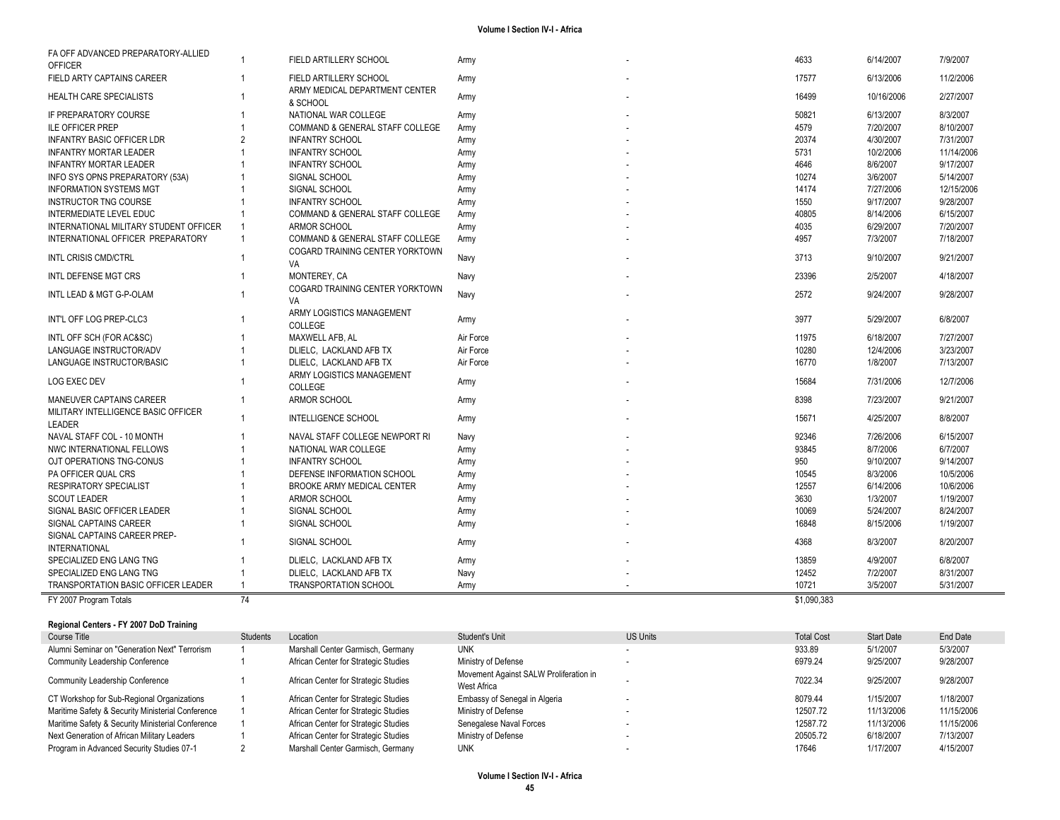| FA OFF ADVANCED PREPARATORY-ALLIED<br><b>OFFICER</b> |    | FIELD ARTILLERY SCHOOL                     | Army      | 4633        | 6/14/2007  | 7/9/2007   |
|------------------------------------------------------|----|--------------------------------------------|-----------|-------------|------------|------------|
| FIELD ARTY CAPTAINS CAREER                           |    | FIELD ARTILLERY SCHOOL                     | Army      | 17577       | 6/13/2006  | 11/2/2006  |
| <b>HEALTH CARE SPECIALISTS</b>                       |    | ARMY MEDICAL DEPARTMENT CENTER<br>& SCHOOL | Army      | 16499       | 10/16/2006 | 2/27/2007  |
| IF PREPARATORY COURSE                                |    | NATIONAL WAR COLLEGE                       | Army      | 50821       | 6/13/2007  | 8/3/2007   |
| <b>ILE OFFICER PREP</b>                              |    | COMMAND & GENERAL STAFF COLLEGE            | Army      | 4579        | 7/20/2007  | 8/10/2007  |
| <b>INFANTRY BASIC OFFICER LDR</b>                    |    | <b>INFANTRY SCHOOL</b>                     | Army      | 20374       | 4/30/2007  | 7/31/2007  |
| <b>INFANTRY MORTAR LEADER</b>                        |    | <b>INFANTRY SCHOOL</b>                     | Army      | 5731        | 10/2/2006  | 11/14/2006 |
| <b>INFANTRY MORTAR LEADER</b>                        |    | <b>INFANTRY SCHOOL</b>                     | Army      | 4646        | 8/6/2007   | 9/17/2007  |
| INFO SYS OPNS PREPARATORY (53A)                      |    | SIGNAL SCHOOL                              | Army      | 10274       | 3/6/2007   | 5/14/2007  |
| <b>INFORMATION SYSTEMS MGT</b>                       |    | SIGNAL SCHOOL                              | Army      | 14174       | 7/27/2006  | 12/15/2006 |
| <b>INSTRUCTOR TNG COURSE</b>                         |    | <b>INFANTRY SCHOOL</b>                     | Army      | 1550        | 9/17/2007  | 9/28/2007  |
| INTERMEDIATE LEVEL EDUC                              |    | COMMAND & GENERAL STAFF COLLEGE            | Army      | 40805       | 8/14/2006  | 6/15/2007  |
| INTERNATIONAL MILITARY STUDENT OFFICER               |    | ARMOR SCHOOL                               | Army      | 4035        | 6/29/2007  | 7/20/2007  |
| INTERNATIONAL OFFICER PREPARATORY                    |    | <b>COMMAND &amp; GENERAL STAFF COLLEGE</b> | Army      | 4957        | 7/3/2007   | 7/18/2007  |
| <b>INTL CRISIS CMD/CTRL</b>                          |    | COGARD TRAINING CENTER YORKTOWN<br>VA      | Navy      | 3713        | 9/10/2007  | 9/21/2007  |
| INTL DEFENSE MGT CRS                                 |    | <b>MONTEREY, CA</b>                        | Navy      | 23396       | 2/5/2007   | 4/18/2007  |
| INTL LEAD & MGT G-P-OLAM                             |    | COGARD TRAINING CENTER YORKTOWN<br>VA      | Navy      | 2572        | 9/24/2007  | 9/28/2007  |
| INT'L OFF LOG PREP-CLC3                              |    | ARMY LOGISTICS MANAGEMENT<br>COLLEGE       | Army      | 3977        | 5/29/2007  | 6/8/2007   |
| INTL OFF SCH (FOR AC&SC)                             |    | MAXWELL AFB. AL                            | Air Force | 11975       | 6/18/2007  | 7/27/2007  |
| LANGUAGE INSTRUCTOR/ADV                              |    | DLIELC, LACKLAND AFB TX                    | Air Force | 10280       | 12/4/2006  | 3/23/2007  |
| LANGUAGE INSTRUCTOR/BASIC                            |    | DLIELC, LACKLAND AFB TX                    | Air Force | 16770       | 1/8/2007   | 7/13/2007  |
| LOG EXEC DEV                                         |    | ARMY LOGISTICS MANAGEMENT<br>COLLEGE       | Army      | 15684       | 7/31/2006  | 12/7/2006  |
| MANEUVER CAPTAINS CAREER                             |    | ARMOR SCHOOL                               | Army      | 8398        | 7/23/2007  | 9/21/2007  |
| MILITARY INTELLIGENCE BASIC OFFICER<br><b>LEADER</b> |    | <b>INTELLIGENCE SCHOOL</b>                 | Army      | 15671       | 4/25/2007  | 8/8/2007   |
| NAVAL STAFF COL - 10 MONTH                           |    | NAVAL STAFF COLLEGE NEWPORT RI             | Navy      | 92346       | 7/26/2006  | 6/15/2007  |
| NWC INTERNATIONAL FELLOWS                            |    | NATIONAL WAR COLLEGE                       | Army      | 93845       | 8/7/2006   | 6/7/2007   |
| OJT OPERATIONS TNG-CONUS                             |    | <b>INFANTRY SCHOOL</b>                     | Army      | 950         | 9/10/2007  | 9/14/2007  |
| PA OFFICER QUAL CRS                                  |    | DEFENSE INFORMATION SCHOOL                 | Army      | 10545       | 8/3/2006   | 10/5/2006  |
| <b>RESPIRATORY SPECIALIST</b>                        |    | BROOKE ARMY MEDICAL CENTER                 | Army      | 12557       | 6/14/2006  | 10/6/2006  |
| <b>SCOUT LEADER</b>                                  |    | ARMOR SCHOOL                               | Army      | 3630        | 1/3/2007   | 1/19/2007  |
| SIGNAL BASIC OFFICER LEADER                          |    | SIGNAL SCHOOL                              | Army      | 10069       | 5/24/2007  | 8/24/2007  |
| SIGNAL CAPTAINS CAREER                               |    | SIGNAL SCHOOL                              | Army      | 16848       | 8/15/2006  | 1/19/2007  |
| SIGNAL CAPTAINS CAREER PREP-                         |    | SIGNAL SCHOOL                              |           | 4368        | 8/3/2007   | 8/20/2007  |
| <b>INTERNATIONAL</b>                                 |    |                                            | Army      |             |            |            |
| SPECIALIZED ENG LANG TNG                             |    | DLIELC. LACKLAND AFB TX                    | Army      | 13859       | 4/9/2007   | 6/8/2007   |
| SPECIALIZED ENG LANG TNG                             |    | DLIELC. LACKLAND AFB TX                    | Navy      | 12452       | 7/2/2007   | 8/31/2007  |
| TRANSPORTATION BASIC OFFICER LEADER                  |    | <b>TRANSPORTATION SCHOOL</b>               | Army      | 10721       | 3/5/2007   | 5/31/2007  |
| FY 2007 Program Totals                               | 74 |                                            |           | \$1.090.383 |            |            |

#### **Regional Centers - FY 2007 DoD Training**

| Course Title                                      | Students | Location                             | Student's Unit                                        | <b>US Units</b> | <b>Total Cost</b> | <b>Start Date</b> | End Date   |
|---------------------------------------------------|----------|--------------------------------------|-------------------------------------------------------|-----------------|-------------------|-------------------|------------|
| Alumni Seminar on "Generation Next" Terrorism     |          | Marshall Center Garmisch, Germany    | UNK                                                   |                 | 933.89            | 5/1/2007          | 5/3/2007   |
| Community Leadership Conference                   |          | African Center for Strategic Studies | Ministry of Defense                                   |                 | 6979.24           | 9/25/2007         | 9/28/2007  |
| Community Leadership Conference                   |          | African Center for Strategic Studies | Movement Against SALW Proliferation in<br>West Africa |                 | 7022.34           | 9/25/2007         | 9/28/2007  |
| CT Workshop for Sub-Regional Organizations        |          | African Center for Strategic Studies | Embassy of Senegal in Algeria                         |                 | 8079.44           | 1/15/2007         | 1/18/2007  |
| Maritime Safety & Security Ministerial Conference |          | African Center for Strategic Studies | Ministry of Defense                                   |                 | 12507.72          | 11/13/2006        | 11/15/2006 |
| Maritime Safety & Security Ministerial Conference |          | African Center for Strategic Studies | Senegalese Naval Forces                               |                 | 12587.72          | 11/13/2006        | 11/15/2006 |
| Next Generation of African Military Leaders       |          | African Center for Strategic Studies | Ministry of Defense                                   |                 | 20505.72          | 6/18/2007         | 7/13/2007  |
| Program in Advanced Security Studies 07-1         |          | Marshall Center Garmisch, Germany    | <b>UNK</b>                                            |                 | 17646             | 1/17/2007         | 4/15/2007  |

 $\overline{\phantom{0}}$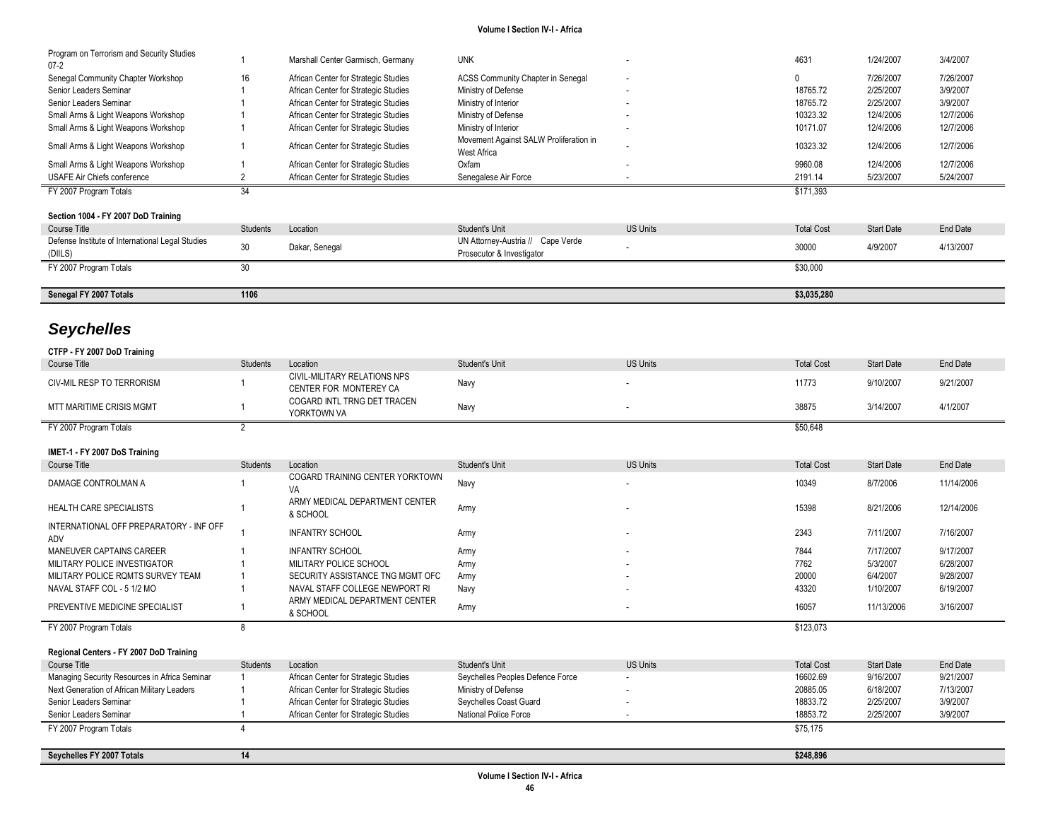| Program on Terrorism and Security Studies<br>$07 - 2$             | $\mathbf{1}$    | Marshall Center Garmisch, Germany                          | <b>UNK</b>                                            |                 | 4631              | 1/24/2007             | 3/4/2007               |
|-------------------------------------------------------------------|-----------------|------------------------------------------------------------|-------------------------------------------------------|-----------------|-------------------|-----------------------|------------------------|
| Senegal Community Chapter Workshop                                | 16              | African Center for Strategic Studies                       | <b>ACSS Community Chapter in Senegal</b>              |                 | $\Omega$          | 7/26/2007             | 7/26/2007              |
| Senior Leaders Seminar                                            |                 | African Center for Strategic Studies                       | Ministry of Defense                                   |                 | 18765.72          | 2/25/2007             | 3/9/2007               |
| Senior Leaders Seminar                                            | $\overline{1}$  | African Center for Strategic Studies                       | Ministry of Interior                                  |                 | 18765.72          | 2/25/2007             | 3/9/2007               |
| Small Arms & Light Weapons Workshop                               |                 | African Center for Strategic Studies                       | Ministry of Defense                                   |                 | 10323.32          | 12/4/2006             | 12/7/2006              |
| Small Arms & Light Weapons Workshop                               | $\mathbf{1}$    | African Center for Strategic Studies                       | Ministry of Interior                                  |                 | 10171.07          | 12/4/2006             | 12/7/2006              |
| Small Arms & Light Weapons Workshop                               | $\overline{1}$  | African Center for Strategic Studies                       | Movement Against SALW Proliferation in<br>West Africa |                 | 10323.32          | 12/4/2006             | 12/7/2006              |
| Small Arms & Light Weapons Workshop                               | 1               | African Center for Strategic Studies                       | Oxfam                                                 |                 | 9960.08           | 12/4/2006             | 12/7/2006              |
| USAFE Air Chiefs conference                                       | $\overline{2}$  | African Center for Strategic Studies                       | Senegalese Air Force                                  |                 | 2191.14           | 5/23/2007             | 5/24/2007              |
| FY 2007 Program Totals                                            | 34              |                                                            |                                                       |                 | \$171,393         |                       |                        |
| Section 1004 - FY 2007 DoD Training                               |                 |                                                            |                                                       |                 |                   |                       |                        |
| Course Title                                                      | <b>Students</b> | Location                                                   | Student's Unit                                        | <b>US Units</b> | <b>Total Cost</b> | <b>Start Date</b>     | <b>End Date</b>        |
| Defense Institute of International Legal Studies                  | 30              | Dakar, Senegal                                             | UN Attorney-Austria // Cape Verde                     |                 | 30000             | 4/9/2007              | 4/13/2007              |
| (DIILS)                                                           |                 |                                                            | Prosecutor & Investigator                             |                 |                   |                       |                        |
| FY 2007 Program Totals                                            | 30              |                                                            |                                                       |                 | \$30,000          |                       |                        |
| Senegal FY 2007 Totals                                            | 1106            |                                                            |                                                       |                 | \$3,035,280       |                       |                        |
|                                                                   |                 |                                                            |                                                       |                 |                   |                       |                        |
| <b>Seychelles</b>                                                 |                 |                                                            |                                                       |                 |                   |                       |                        |
|                                                                   |                 |                                                            |                                                       |                 |                   |                       |                        |
| CTFP - FY 2007 DoD Training<br>Course Title                       | <b>Students</b> | Location                                                   | Student's Unit                                        | <b>US Units</b> | <b>Total Cost</b> | <b>Start Date</b>     | End Date               |
|                                                                   |                 | CIVIL-MILITARY RELATIONS NPS                               |                                                       |                 |                   |                       |                        |
| CIV-MIL RESP TO TERRORISM                                         | -1              | CENTER FOR MONTEREY CA                                     | Navy                                                  |                 | 11773             | 9/10/2007             | 9/21/2007              |
| MTT MARITIME CRISIS MGMT                                          | -1              | COGARD INTL TRNG DET TRACEN                                | Navy                                                  |                 | 38875             | 3/14/2007             | 4/1/2007               |
| FY 2007 Program Totals                                            | $\overline{2}$  | YORKTOWN VA                                                |                                                       |                 | \$50,648          |                       |                        |
|                                                                   |                 |                                                            |                                                       |                 |                   |                       |                        |
| IMET-1 - FY 2007 DoS Training                                     |                 |                                                            |                                                       |                 |                   |                       |                        |
| <b>Course Title</b>                                               | <b>Students</b> | Location                                                   | Student's Unit                                        | <b>US Units</b> | <b>Total Cost</b> | <b>Start Date</b>     | End Date               |
| DAMAGE CONTROLMAN A                                               |                 | COGARD TRAINING CENTER YORKTOWN                            | Navy                                                  |                 | 10349             | 8/7/2006              | 11/14/2006             |
|                                                                   |                 | VA<br>ARMY MEDICAL DEPARTMENT CENTER                       |                                                       |                 |                   |                       |                        |
| HEALTH CARE SPECIALISTS                                           |                 | & SCHOOL                                                   | Army                                                  |                 | 15398             | 8/21/2006             | 12/14/2006             |
| INTERNATIONAL OFF PREPARATORY - INF OFF                           | -1              | <b>INFANTRY SCHOOL</b>                                     | Army                                                  |                 | 2343              | 7/11/2007             | 7/16/2007              |
| ADV                                                               |                 |                                                            |                                                       |                 |                   |                       |                        |
| MANEUVER CAPTAINS CAREER                                          | 1               | <b>INFANTRY SCHOOL</b>                                     | Army                                                  |                 | 7844<br>7762      | 7/17/2007<br>5/3/2007 | 9/17/2007<br>6/28/2007 |
| MILITARY POLICE INVESTIGATOR<br>MILITARY POLICE ROMTS SURVEY TEAM | $\mathbf{1}$    | MILITARY POLICE SCHOOL<br>SECURITY ASSISTANCE TNG MGMT OFC | Army<br>Army                                          |                 | 20000             | 6/4/2007              | 9/28/2007              |
| NAVAL STAFF COL - 5 1/2 MO                                        | 1               | NAVAL STAFF COLLEGE NEWPORT RI                             | Navy                                                  |                 | 43320             | 1/10/2007             | 6/19/2007              |
|                                                                   |                 | ARMY MEDICAL DEPARTMENT CENTER                             |                                                       |                 |                   |                       |                        |
| PREVENTIVE MEDICINE SPECIALIST                                    | 1               | & SCHOOL                                                   | Army                                                  |                 | 16057             | 11/13/2006            | 3/16/2007              |
| FY 2007 Program Totals                                            | 8               |                                                            |                                                       |                 | \$123,073         |                       |                        |
| Regional Centers - FY 2007 DoD Training                           |                 |                                                            |                                                       |                 |                   |                       |                        |
| Course Title                                                      | <b>Students</b> | Location                                                   | Student's Unit                                        | <b>US Units</b> | <b>Total Cost</b> | <b>Start Date</b>     | End Date               |
| Managing Security Resources in Africa Seminar                     |                 | African Center for Strategic Studies                       | Seychelles Peoples Defence Force                      |                 | 16602.69          | 9/16/2007             | 9/21/2007              |
| Next Generation of African Military Leaders                       |                 | African Center for Strategic Studies                       | Ministry of Defense                                   |                 | 20885.05          | 6/18/2007             | 7/13/2007              |
| Senior Leaders Seminar                                            |                 | African Center for Strategic Studies                       | Seychelles Coast Guard                                |                 | 18833.72          | 2/25/2007             | 3/9/2007               |
| Senior Leaders Seminar                                            |                 | African Center for Strategic Studies                       | National Police Force                                 |                 | 18853.72          | 2/25/2007             | 3/9/2007               |
| FY 2007 Program Totals                                            | 4               |                                                            |                                                       |                 | \$75,175          |                       |                        |
|                                                                   |                 |                                                            |                                                       |                 |                   |                       |                        |
| Seychelles FY 2007 Totals                                         | 14              |                                                            |                                                       |                 | \$248,896         |                       |                        |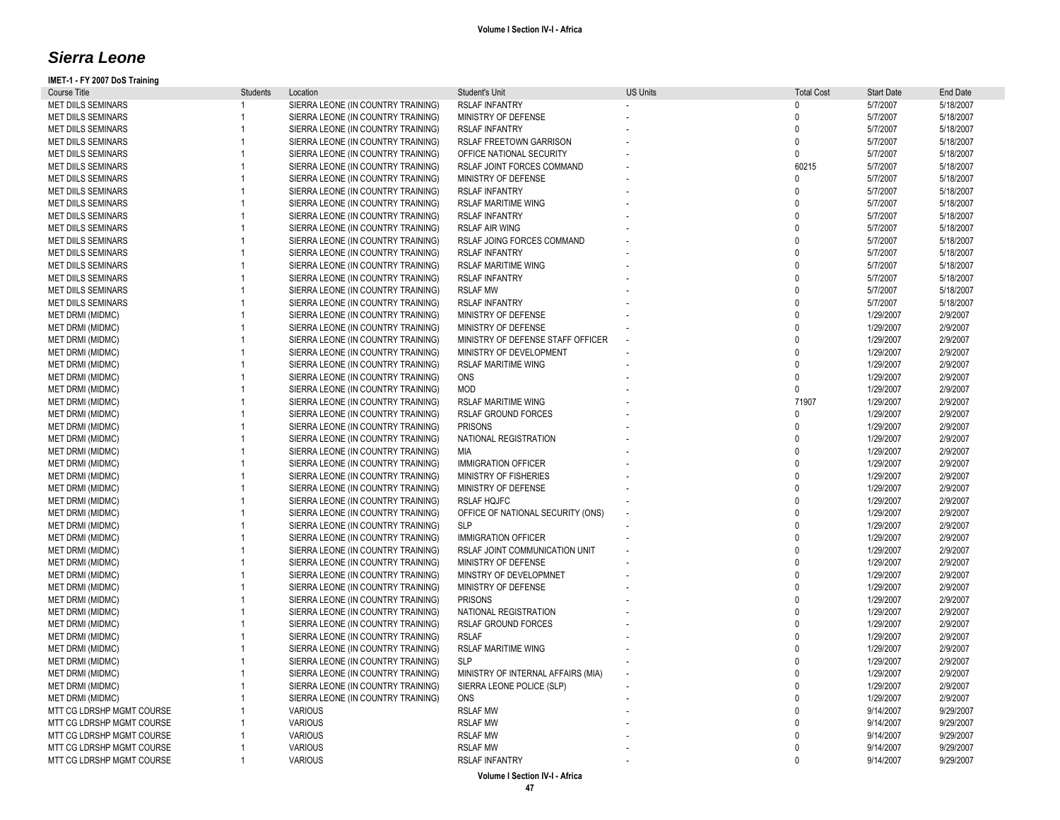## *Sierra Leone*

#### **IMET -1 - FY 2007 DoS Training**

| <b>Course Title</b>       | Students | Location                           | Student's Unit                     | <b>US Units</b> | <b>Total Cost</b> | <b>Start Date</b> | End Date             |
|---------------------------|----------|------------------------------------|------------------------------------|-----------------|-------------------|-------------------|----------------------|
| <b>MET DIILS SEMINARS</b> |          | SIERRA LEONE (IN COUNTRY TRAINING) | <b>RSLAF INFANTRY</b>              |                 | 0                 | 5/7/2007          | 5/18/2007            |
| <b>MET DIILS SEMINARS</b> |          | SIERRA LEONE (IN COUNTRY TRAINING) | MINISTRY OF DEFENSE                |                 | $\Omega$          | 5/7/2007          | 5/18/2007            |
| <b>MET DIILS SEMINARS</b> |          | SIERRA LEONE (IN COUNTRY TRAINING) | <b>RSLAF INFANTRY</b>              |                 | 0                 | 5/7/2007          | 5/18/2007            |
| <b>MET DIILS SEMINARS</b> |          | SIERRA LEONE (IN COUNTRY TRAINING) | RSLAF FREETOWN GARRISON            |                 | 0                 | 5/7/2007          | 5/18/2007            |
| <b>MET DIILS SEMINARS</b> |          | SIERRA LEONE (IN COUNTRY TRAINING) | OFFICE NATIONAL SECURITY           |                 | 0                 | 5/7/2007          | 5/18/2007            |
| <b>MET DIILS SEMINARS</b> |          | SIERRA LEONE (IN COUNTRY TRAINING) | RSLAF JOINT FORCES COMMAND         |                 | 60215             | 5/7/2007          | 5/18/2007            |
| <b>MET DIILS SEMINARS</b> |          | SIERRA LEONE (IN COUNTRY TRAINING) | MINISTRY OF DEFENSE                |                 | U                 | 5/7/2007          | 5/18/2007            |
| <b>MET DIILS SEMINARS</b> |          | SIERRA LEONE (IN COUNTRY TRAINING) | <b>RSLAF INFANTRY</b>              |                 | 0                 | 5/7/2007          | 5/18/2007            |
| MET DIILS SEMINARS        |          | SIERRA LEONE (IN COUNTRY TRAINING) | <b>RSLAF MARITIME WING</b>         |                 | U                 | 5/7/2007          | 5/18/2007            |
| <b>MET DIILS SEMINARS</b> |          | SIERRA LEONE (IN COUNTRY TRAINING) | <b>RSLAF INFANTRY</b>              |                 | 0                 | 5/7/2007          | 5/18/2007            |
| <b>MET DIILS SEMINARS</b> |          | SIERRA LEONE (IN COUNTRY TRAINING) | <b>RSLAF AIR WING</b>              |                 | 0                 | 5/7/2007          | 5/18/2007            |
| <b>MET DIILS SEMINARS</b> |          | SIERRA LEONE (IN COUNTRY TRAINING) | RSLAF JOING FORCES COMMAND         |                 | U                 | 5/7/2007          | 5/18/2007            |
| <b>MET DIILS SEMINARS</b> |          | SIERRA LEONE (IN COUNTRY TRAINING) | <b>RSLAF INFANTRY</b>              |                 | $\Omega$          | 5/7/2007          | 5/18/2007            |
| <b>MET DIILS SEMINARS</b> |          | SIERRA LEONE (IN COUNTRY TRAINING) | <b>RSLAF MARITIME WING</b>         |                 | U                 | 5/7/2007          | 5/18/2007            |
| <b>MET DIILS SEMINARS</b> |          | SIERRA LEONE (IN COUNTRY TRAINING) | <b>RSLAF INFANTRY</b>              |                 | U                 | 5/7/2007          | 5/18/2007            |
| <b>MET DIILS SEMINARS</b> |          | SIERRA LEONE (IN COUNTRY TRAINING) | <b>RSLAF MW</b>                    |                 | U                 | 5/7/2007          | 5/18/2007            |
| <b>MET DIILS SEMINARS</b> |          | SIERRA LEONE (IN COUNTRY TRAINING) | <b>RSLAF INFANTRY</b>              |                 | $\Omega$          | 5/7/2007          | 5/18/2007            |
| MET DRMI (MIDMC)          |          | SIERRA LEONE (IN COUNTRY TRAINING) | MINISTRY OF DEFENSE                |                 | $\Omega$          | 1/29/2007         | 2/9/2007             |
| <b>MET DRMI (MIDMC)</b>   |          | SIERRA LEONE (IN COUNTRY TRAINING) | MINISTRY OF DEFENSE                |                 | $\Omega$          | 1/29/2007         | 2/9/2007             |
| <b>MET DRMI (MIDMC)</b>   |          | SIERRA LEONE (IN COUNTRY TRAINING) | MINISTRY OF DEFENSE STAFF OFFICER  |                 | $\Omega$          | 1/29/2007         | 2/9/2007             |
| <b>MET DRMI (MIDMC)</b>   |          | SIERRA LEONE (IN COUNTRY TRAINING) | MINISTRY OF DEVELOPMENT            |                 | U                 | 1/29/2007         | 2/9/2007             |
| <b>MET DRMI (MIDMC)</b>   |          | SIERRA LEONE (IN COUNTRY TRAINING) | <b>RSLAF MARITIME WING</b>         |                 | U                 | 1/29/2007         | 2/9/2007             |
| <b>MET DRMI (MIDMC)</b>   |          | SIERRA LEONE (IN COUNTRY TRAINING) | ONS                                |                 | $\Omega$          | 1/29/2007         | 2/9/2007             |
| MET DRMI (MIDMC)          |          | SIERRA LEONE (IN COUNTRY TRAINING) | <b>MOD</b>                         |                 | $\Omega$          | 1/29/2007         | 2/9/2007             |
| <b>MET DRMI (MIDMC)</b>   |          | SIERRA LEONE (IN COUNTRY TRAINING) | <b>RSLAF MARITIME WING</b>         |                 | 71907             | 1/29/2007         | 2/9/2007             |
| <b>MET DRMI (MIDMC)</b>   |          | SIERRA LEONE (IN COUNTRY TRAINING) | <b>RSLAF GROUND FORCES</b>         |                 | 0                 | 1/29/2007         | 2/9/2007             |
| <b>MET DRMI (MIDMC)</b>   |          | SIERRA LEONE (IN COUNTRY TRAINING) | <b>PRISONS</b>                     |                 | $\Omega$          | 1/29/2007         | 2/9/2007             |
| <b>MET DRMI (MIDMC)</b>   |          | SIERRA LEONE (IN COUNTRY TRAINING) | NATIONAL REGISTRATION              |                 | $\Omega$          | 1/29/2007         | 2/9/2007             |
| <b>MET DRMI (MIDMC)</b>   |          | SIERRA LEONE (IN COUNTRY TRAINING) | MIA                                |                 | U                 | 1/29/2007         | 2/9/2007             |
| MET DRMI (MIDMC)          |          | SIERRA LEONE (IN COUNTRY TRAINING) | <b>IMMIGRATION OFFICER</b>         |                 | $\Omega$          | 1/29/2007         | 2/9/2007             |
| MET DRMI (MIDMC)          |          | SIERRA LEONE (IN COUNTRY TRAINING) | MINISTRY OF FISHERIES              |                 | $\Omega$          | 1/29/2007         | 2/9/2007             |
| <b>MET DRMI (MIDMC)</b>   |          | SIERRA LEONE (IN COUNTRY TRAINING) | MINISTRY OF DEFENSE                |                 | U                 | 1/29/2007         | 2/9/2007             |
| <b>MET DRMI (MIDMC)</b>   |          | SIERRA LEONE (IN COUNTRY TRAINING) | <b>RSLAF HQJFC</b>                 |                 | $\Omega$          | 1/29/2007         | 2/9/2007             |
| <b>MET DRMI (MIDMC)</b>   |          | SIERRA LEONE (IN COUNTRY TRAINING) | OFFICE OF NATIONAL SECURITY (ONS)  |                 | $\Omega$          | 1/29/2007         | 2/9/2007             |
| <b>MET DRMI (MIDMC)</b>   |          | SIERRA LEONE (IN COUNTRY TRAINING) | <b>SLP</b>                         |                 | $\Omega$          | 1/29/2007         | 2/9/2007             |
| <b>MET DRMI (MIDMC)</b>   |          | SIERRA LEONE (IN COUNTRY TRAINING) | <b>IMMIGRATION OFFICER</b>         |                 | U                 | 1/29/2007         | 2/9/2007             |
| <b>MET DRMI (MIDMC)</b>   |          | SIERRA LEONE (IN COUNTRY TRAINING) | RSLAF JOINT COMMUNICATION UNIT     |                 | $\mathbf{0}$      | 1/29/2007         | 2/9/2007             |
| <b>MET DRMI (MIDMC)</b>   |          | SIERRA LEONE (IN COUNTRY TRAINING) | MINISTRY OF DEFENSE                |                 | U                 | 1/29/2007         | 2/9/2007             |
| MET DRMI (MIDMC)          |          | SIERRA LEONE (IN COUNTRY TRAINING) | MINSTRY OF DEVELOPMNET             |                 | $\Omega$          | 1/29/2007         | 2/9/2007             |
| <b>MET DRMI (MIDMC)</b>   |          |                                    | MINISTRY OF DEFENSE                |                 | $\Omega$          | 1/29/2007         | 2/9/2007             |
| MET DRMI (MIDMC)          |          | SIERRA LEONE (IN COUNTRY TRAINING) | <b>PRISONS</b>                     |                 | U                 | 1/29/2007         |                      |
| <b>MET DRMI (MIDMC)</b>   |          | SIERRA LEONE (IN COUNTRY TRAINING) | NATIONAL REGISTRATION              |                 | $\Omega$          | 1/29/2007         | 2/9/2007<br>2/9/2007 |
| <b>MET DRMI (MIDMC)</b>   |          | SIERRA LEONE (IN COUNTRY TRAINING) | RSLAF GROUND FORCES                |                 | $\Omega$          | 1/29/2007         | 2/9/2007             |
|                           |          | SIERRA LEONE (IN COUNTRY TRAINING) |                                    |                 | $\Omega$          |                   |                      |
| <b>MET DRMI (MIDMC)</b>   |          | SIERRA LEONE (IN COUNTRY TRAINING) | <b>RSLAF</b>                       |                 | $\Omega$          | 1/29/2007         | 2/9/2007             |
| <b>MET DRMI (MIDMC)</b>   |          | SIERRA LEONE (IN COUNTRY TRAINING) | <b>RSLAF MARITIME WING</b>         |                 | $\Omega$          | 1/29/2007         | 2/9/2007             |
| <b>MET DRMI (MIDMC)</b>   |          | SIERRA LEONE (IN COUNTRY TRAINING) | <b>SLP</b>                         |                 |                   | 1/29/2007         | 2/9/2007             |
| <b>MET DRMI (MIDMC)</b>   |          | SIERRA LEONE (IN COUNTRY TRAINING) | MINISTRY OF INTERNAL AFFAIRS (MIA) |                 | $\mathbf{0}$<br>U | 1/29/2007         | 2/9/2007             |
| MET DRMI (MIDMC)          |          | SIERRA LEONE (IN COUNTRY TRAINING) | SIERRA LEONE POLICE (SLP)          |                 | $\Omega$          | 1/29/2007         | 2/9/2007             |
| <b>MET DRMI (MIDMC)</b>   |          | SIERRA LEONE (IN COUNTRY TRAINING) | ONS                                |                 |                   | 1/29/2007         | 2/9/2007             |
| MTT CG LDRSHP MGMT COURSE |          | <b>VARIOUS</b>                     | <b>RSLAF MW</b>                    |                 |                   | 9/14/2007         | 9/29/2007            |
| MTT CG LDRSHP MGMT COURSE |          | <b>VARIOUS</b>                     | <b>RSLAF MW</b>                    |                 | 0                 | 9/14/2007         | 9/29/2007            |
| MTT CG LDRSHP MGMT COURSE |          | <b>VARIOUS</b>                     | <b>RSLAF MW</b>                    |                 |                   | 9/14/2007         | 9/29/2007            |
| MTT CG LDRSHP MGMT COURSE |          | <b>VARIOUS</b>                     | <b>RSLAF MW</b>                    |                 |                   | 9/14/2007         | 9/29/2007            |
| MTT CG LDRSHP MGMT COURSE |          | <b>VARIOUS</b>                     | <b>RSLAF INFANTRY</b>              |                 | $\Omega$          | 9/14/2007         | 9/29/2007            |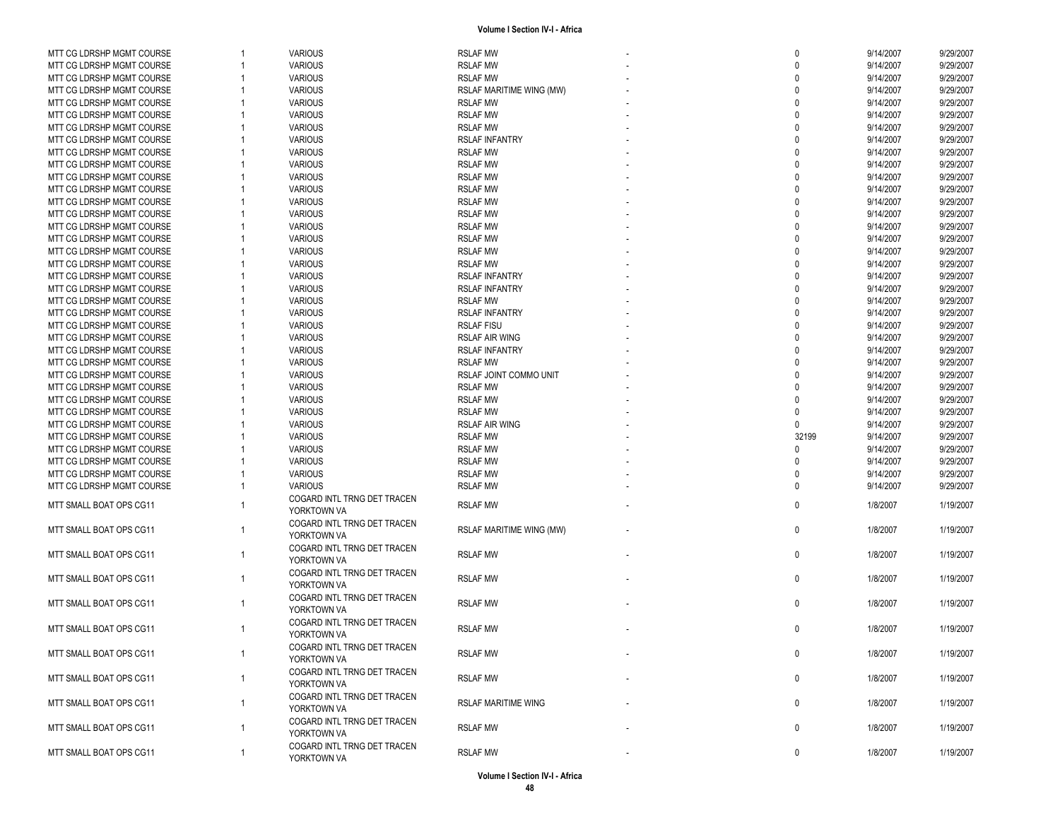| MTT CG LDRSHP MGMT COURSE |              | <b>VARIOUS</b>              | <b>RSLAF MW</b>            | $\mathbf{0}$ | 9/14/2007 | 9/29/2007 |
|---------------------------|--------------|-----------------------------|----------------------------|--------------|-----------|-----------|
| MTT CG LDRSHP MGMT COURSE |              | <b>VARIOUS</b>              | <b>RSLAF MW</b>            | $\Omega$     | 9/14/2007 | 9/29/2007 |
| MTT CG LDRSHP MGMT COURSE |              | <b>VARIOUS</b>              | <b>RSLAF MW</b>            | $\Omega$     | 9/14/2007 | 9/29/2007 |
| MTT CG LDRSHP MGMT COURSE |              | <b>VARIOUS</b>              | RSLAF MARITIME WING (MW)   | $\Omega$     | 9/14/2007 | 9/29/2007 |
| MTT CG LDRSHP MGMT COURSE |              | <b>VARIOUS</b>              | <b>RSLAF MW</b>            |              | 9/14/2007 | 9/29/2007 |
| MTT CG LDRSHP MGMT COURSE |              | <b>VARIOUS</b>              | <b>RSLAF MW</b>            |              | 9/14/2007 | 9/29/2007 |
| MTT CG LDRSHP MGMT COURSE |              | <b>VARIOUS</b>              | <b>RSLAF MW</b>            | $\Omega$     | 9/14/2007 | 9/29/2007 |
| MTT CG LDRSHP MGMT COURSE |              | <b>VARIOUS</b>              | <b>RSLAF INFANTRY</b>      | $\Omega$     | 9/14/2007 | 9/29/2007 |
| MTT CG LDRSHP MGMT COURSE |              | <b>VARIOUS</b>              | <b>RSLAF MW</b>            | $\Omega$     | 9/14/2007 | 9/29/2007 |
| MTT CG LDRSHP MGMT COURSE |              | <b>VARIOUS</b>              | <b>RSLAF MW</b>            |              | 9/14/2007 | 9/29/2007 |
| MTT CG LDRSHP MGMT COURSE |              | <b>VARIOUS</b>              | <b>RSLAF MW</b>            |              | 9/14/2007 | 9/29/2007 |
| MTT CG LDRSHP MGMT COURSE |              | <b>VARIOUS</b>              | <b>RSLAF MW</b>            |              | 9/14/2007 | 9/29/2007 |
| MTT CG LDRSHP MGMT COURSE |              | <b>VARIOUS</b>              | <b>RSLAF MW</b>            |              | 9/14/2007 | 9/29/2007 |
| MTT CG LDRSHP MGMT COURSE |              | <b>VARIOUS</b>              | <b>RSLAF MW</b>            |              | 9/14/2007 | 9/29/2007 |
| MTT CG LDRSHP MGMT COURSE |              | <b>VARIOUS</b>              | <b>RSLAF MW</b>            | $\Omega$     | 9/14/2007 | 9/29/2007 |
| MTT CG LDRSHP MGMT COURSE |              | <b>VARIOUS</b>              | <b>RSLAF MW</b>            |              | 9/14/2007 | 9/29/2007 |
| MTT CG LDRSHP MGMT COURSE |              | <b>VARIOUS</b>              | <b>RSLAF MW</b>            |              | 9/14/2007 | 9/29/2007 |
| MTT CG LDRSHP MGMT COURSE |              | <b>VARIOUS</b>              | <b>RSLAF MW</b>            |              | 9/14/2007 | 9/29/2007 |
| MTT CG LDRSHP MGMT COURSE |              | <b>VARIOUS</b>              | <b>RSLAF INFANTRY</b>      |              | 9/14/2007 | 9/29/2007 |
| MTT CG LDRSHP MGMT COURSE |              | <b>VARIOUS</b>              | <b>RSLAF INFANTRY</b>      | $\Omega$     | 9/14/2007 | 9/29/2007 |
| MTT CG LDRSHP MGMT COURSE |              | <b>VARIOUS</b>              | <b>RSLAF MW</b>            |              | 9/14/2007 | 9/29/2007 |
| MTT CG LDRSHP MGMT COURSE |              | <b>VARIOUS</b>              | <b>RSLAF INFANTRY</b>      | $\Omega$     | 9/14/2007 | 9/29/2007 |
| MTT CG LDRSHP MGMT COURSE |              | <b>VARIOUS</b>              | <b>RSLAF FISU</b>          |              | 9/14/2007 | 9/29/2007 |
| MTT CG LDRSHP MGMT COURSE |              | <b>VARIOUS</b>              | <b>RSLAF AIR WING</b>      |              | 9/14/2007 | 9/29/2007 |
| MTT CG LDRSHP MGMT COURSE |              | <b>VARIOUS</b>              | <b>RSLAF INFANTRY</b>      |              | 9/14/2007 | 9/29/2007 |
| MTT CG LDRSHP MGMT COURSE |              | <b>VARIOUS</b>              | <b>RSLAF MW</b>            | <sup>n</sup> | 9/14/2007 | 9/29/2007 |
| MTT CG LDRSHP MGMT COURSE |              | <b>VARIOUS</b>              | RSLAF JOINT COMMO UNIT     |              | 9/14/2007 | 9/29/2007 |
| MTT CG LDRSHP MGMT COURSE |              | <b>VARIOUS</b>              | <b>RSLAF MW</b>            | $\Omega$     | 9/14/2007 | 9/29/2007 |
| MTT CG LDRSHP MGMT COURSE |              | <b>VARIOUS</b>              | <b>RSLAF MW</b>            |              | 9/14/2007 | 9/29/2007 |
| MTT CG LDRSHP MGMT COURSE |              | <b>VARIOUS</b>              | <b>RSLAF MW</b>            |              | 9/14/2007 | 9/29/2007 |
| MTT CG LDRSHP MGMT COURSE |              | <b>VARIOUS</b>              | <b>RSLAF AIR WING</b>      | $\Omega$     | 9/14/2007 | 9/29/2007 |
| MTT CG LDRSHP MGMT COURSE |              | <b>VARIOUS</b>              | <b>RSLAF MW</b>            | 32199        | 9/14/2007 | 9/29/2007 |
| MTT CG LDRSHP MGMT COURSE |              | <b>VARIOUS</b>              | <b>RSLAF MW</b>            | $\Omega$     | 9/14/2007 | 9/29/2007 |
| MTT CG LDRSHP MGMT COURSE |              | <b>VARIOUS</b>              | <b>RSLAF MW</b>            | $\Omega$     | 9/14/2007 | 9/29/2007 |
| MTT CG LDRSHP MGMT COURSE |              | <b>VARIOUS</b>              | <b>RSLAF MW</b>            | $\Omega$     | 9/14/2007 | 9/29/2007 |
| MTT CG LDRSHP MGMT COURSE |              | <b>VARIOUS</b>              | <b>RSLAF MW</b>            | $\Omega$     | 9/14/2007 | 9/29/2007 |
|                           |              | COGARD INTL TRNG DET TRACEN |                            |              |           |           |
| MTT SMALL BOAT OPS CG11   |              | YORKTOWN VA                 | <b>RSLAF MW</b>            | $\mathbf{0}$ | 1/8/2007  | 1/19/2007 |
|                           |              | COGARD INTL TRNG DET TRACEN |                            |              |           |           |
| MTT SMALL BOAT OPS CG11   | 1            | YORKTOWN VA                 | RSLAF MARITIME WING (MW)   | $\mathbf 0$  | 1/8/2007  | 1/19/2007 |
|                           |              | COGARD INTL TRNG DET TRACEN |                            |              |           |           |
| MTT SMALL BOAT OPS CG11   |              | YORKTOWN VA                 | <b>RSLAF MW</b>            | 0            | 1/8/2007  | 1/19/2007 |
|                           |              | COGARD INTL TRNG DET TRACEN |                            |              |           |           |
| MTT SMALL BOAT OPS CG11   | 1            | YORKTOWN VA                 | <b>RSLAF MW</b>            | $\mathbf 0$  | 1/8/2007  | 1/19/2007 |
|                           |              | COGARD INTL TRNG DET TRACEN |                            |              |           |           |
| MTT SMALL BOAT OPS CG11   |              | YORKTOWN VA                 | <b>RSLAF MW</b>            | $\mathbf 0$  | 1/8/2007  | 1/19/2007 |
|                           |              | COGARD INTL TRNG DET TRACEN |                            |              |           |           |
| MTT SMALL BOAT OPS CG11   |              | YORKTOWN VA                 | <b>RSLAF MW</b>            | $\mathbf{0}$ | 1/8/2007  | 1/19/2007 |
|                           |              | COGARD INTL TRNG DET TRACEN |                            |              |           |           |
| MTT SMALL BOAT OPS CG11   | $\mathbf{1}$ | YORKTOWN VA                 | <b>RSLAF MW</b>            | 0            | 1/8/2007  | 1/19/2007 |
|                           |              | COGARD INTL TRNG DET TRACEN |                            |              |           |           |
| MTT SMALL BOAT OPS CG11   |              | YORKTOWN VA                 | <b>RSLAF MW</b>            | 0            | 1/8/2007  | 1/19/2007 |
|                           |              | COGARD INTL TRNG DET TRACEN |                            |              |           |           |
| MTT SMALL BOAT OPS CG11   | 1            | YORKTOWN VA                 | <b>RSLAF MARITIME WING</b> | 0            | 1/8/2007  | 1/19/2007 |
|                           |              | COGARD INTL TRNG DET TRACEN |                            |              |           |           |
| MTT SMALL BOAT OPS CG11   |              | YORKTOWN VA                 | <b>RSLAF MW</b>            | 0            | 1/8/2007  | 1/19/2007 |
|                           |              | COGARD INTL TRNG DET TRACEN |                            |              |           |           |
| MTT SMALL BOAT OPS CG11   |              | YORKTOWN VA                 | <b>RSLAF MW</b>            | 0            | 1/8/2007  | 1/19/2007 |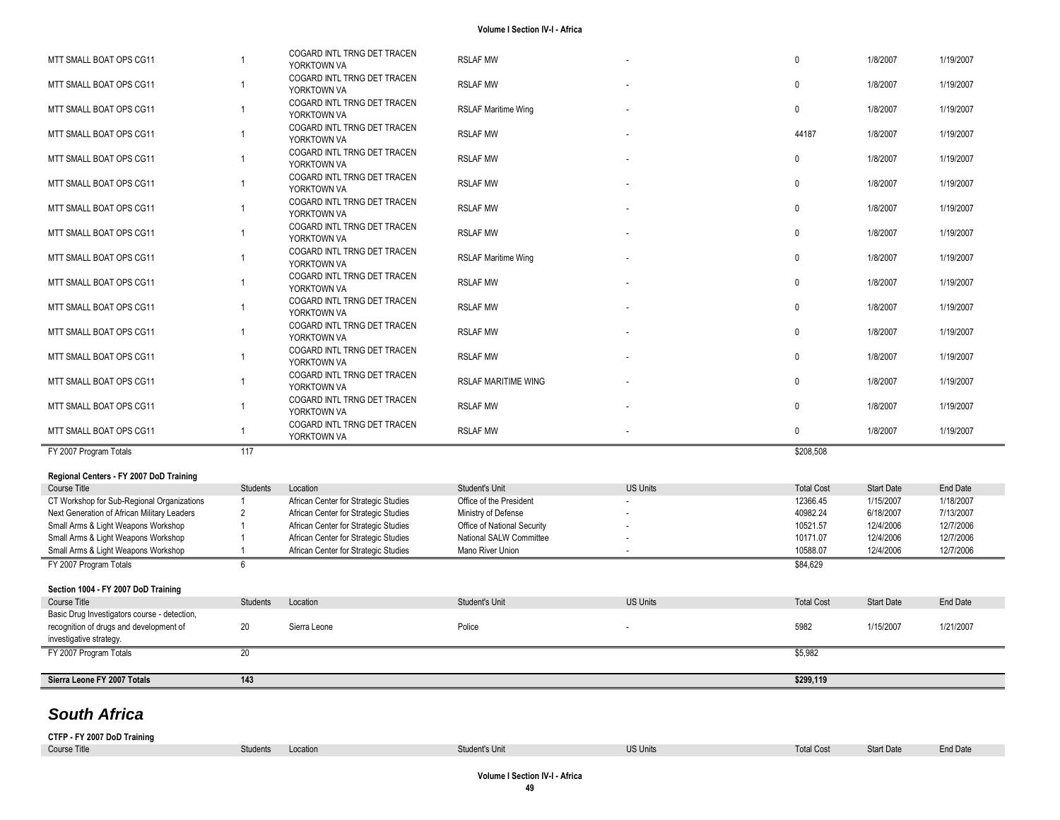| MTT SMALL BOAT OPS CG11                                            | $\mathbf{1}$                      | COGARD INTL TRNG DET TRACEN<br>YORKTOWN VA | <b>RSLAF MW</b>             |                          | $\Omega$             | 1/8/2007          | 1/19/2007 |
|--------------------------------------------------------------------|-----------------------------------|--------------------------------------------|-----------------------------|--------------------------|----------------------|-------------------|-----------|
| MTT SMALL BOAT OPS CG11                                            | $\mathbf{1}$                      | COGARD INTL TRNG DET TRACEN<br>YORKTOWN VA | <b>RSLAF MW</b>             |                          | $\Omega$             | 1/8/2007          | 1/19/2007 |
| MTT SMALL BOAT OPS CG11                                            | $\mathbf{1}$                      | COGARD INTL TRNG DET TRACEN<br>YORKTOWN VA | <b>RSLAF Maritime Wing</b>  |                          | $\Omega$             | 1/8/2007          | 1/19/2007 |
| MTT SMALL BOAT OPS CG11                                            | $\mathbf{1}$                      | COGARD INTL TRNG DET TRACEN<br>YORKTOWN VA | <b>RSLAF MW</b>             |                          | 44187                | 1/8/2007          | 1/19/2007 |
| MTT SMALL BOAT OPS CG11                                            | $\overline{1}$                    | COGARD INTL TRNG DET TRACEN<br>YORKTOWN VA | <b>RSLAF MW</b>             |                          | $\mathbf 0$          | 1/8/2007          | 1/19/2007 |
| MTT SMALL BOAT OPS CG11                                            | $\mathbf{1}$                      | COGARD INTL TRNG DET TRACEN<br>YORKTOWN VA | <b>RSLAF MW</b>             |                          | $\mathbf 0$          | 1/8/2007          | 1/19/2007 |
| MTT SMALL BOAT OPS CG11                                            | $\mathbf{1}$                      | COGARD INTL TRNG DET TRACEN<br>YORKTOWN VA | <b>RSLAF MW</b>             |                          | $\mathbf 0$          | 1/8/2007          | 1/19/2007 |
| MTT SMALL BOAT OPS CG11                                            | $\mathbf{1}$                      | COGARD INTL TRNG DET TRACEN<br>YORKTOWN VA | <b>RSLAF MW</b>             |                          | $\mathbf 0$          | 1/8/2007          | 1/19/2007 |
| MTT SMALL BOAT OPS CG11                                            | $\overline{1}$                    | COGARD INTL TRNG DET TRACEN<br>YORKTOWN VA | <b>RSLAF Maritime Wing</b>  |                          | $\pmb{0}$            | 1/8/2007          | 1/19/2007 |
| MTT SMALL BOAT OPS CG11                                            | $\mathbf{1}$                      | COGARD INTL TRNG DET TRACEN<br>YORKTOWN VA | <b>RSLAF MW</b>             |                          | $\mathbf 0$          | 1/8/2007          | 1/19/2007 |
| MTT SMALL BOAT OPS CG11                                            | $\mathbf{1}$                      | COGARD INTL TRNG DET TRACEN<br>YORKTOWN VA | <b>RSLAF MW</b>             |                          | $\mathbf 0$          | 1/8/2007          | 1/19/2007 |
| MTT SMALL BOAT OPS CG11                                            | $\mathbf{1}$                      | COGARD INTL TRNG DET TRACEN<br>YORKTOWN VA | <b>RSLAF MW</b>             |                          | $\mathbf 0$          | 1/8/2007          | 1/19/2007 |
| MTT SMALL BOAT OPS CG11                                            | $\overline{1}$                    | COGARD INTL TRNG DET TRACEN<br>YORKTOWN VA | <b>RSLAF MW</b>             |                          | $\mathbf 0$          | 1/8/2007          | 1/19/2007 |
| MTT SMALL BOAT OPS CG11                                            | $\mathbf{1}$                      | COGARD INTL TRNG DET TRACEN<br>YORKTOWN VA | <b>RSLAF MARITIME WING</b>  |                          | $\mathbf 0$          | 1/8/2007          | 1/19/2007 |
| MTT SMALL BOAT OPS CG11                                            | $\overline{1}$                    | COGARD INTL TRNG DET TRACEN<br>YORKTOWN VA | <b>RSLAF MW</b>             |                          | $\mathbf 0$          | 1/8/2007          | 1/19/2007 |
| MTT SMALL BOAT OPS CG11                                            | $\mathbf{1}$                      | COGARD INTL TRNG DET TRACEN<br>YORKTOWN VA | <b>RSLAF MW</b>             |                          | $\pmb{0}$            | 1/8/2007          | 1/19/2007 |
| FY 2007 Program Totals                                             | 117                               |                                            |                             |                          | \$208,508            |                   |           |
| Regional Centers - FY 2007 DoD Training                            |                                   |                                            |                             |                          |                      |                   |           |
| Course Title                                                       | <b>Students</b>                   | Location                                   | Student's Unit              | <b>US Units</b>          | <b>Total Cost</b>    | <b>Start Date</b> | End Date  |
| CT Workshop for Sub-Regional Organizations                         | $\overline{1}$                    | African Center for Strategic Studies       | Office of the President     |                          | 12366.45             | 1/15/2007         | 1/18/2007 |
| Next Generation of African Military Leaders                        | 2                                 | African Center for Strategic Studies       | Ministry of Defense         |                          | 40982.24             | 6/18/2007         | 7/13/2007 |
| Small Arms & Light Weapons Workshop                                | $\overline{1}$<br>$\mathbf{1}$    | African Center for Strategic Studies       | Office of National Security |                          | 10521.57             | 12/4/2006         | 12/7/2006 |
| Small Arms & Light Weapons Workshop                                |                                   | African Center for Strategic Studies       | National SALW Committee     |                          | 10171.07             | 12/4/2006         | 12/7/2006 |
| Small Arms & Light Weapons Workshop<br>FY 2007 Program Totals      | $\overline{1}$<br>$6\overline{6}$ | African Center for Strategic Studies       | Mano River Union            |                          | 10588.07<br>\$84.629 | 12/4/2006         | 12/7/2006 |
|                                                                    |                                   |                                            |                             |                          |                      |                   |           |
| Section 1004 - FY 2007 DoD Training                                |                                   |                                            |                             |                          |                      |                   |           |
| Course Title                                                       | <b>Students</b>                   | Location                                   | Student's Unit              | <b>US Units</b>          | <b>Total Cost</b>    | <b>Start Date</b> | End Date  |
| Basic Drug Investigators course - detection,                       |                                   |                                            |                             |                          |                      |                   |           |
| recognition of drugs and development of<br>investigative strategy. | 20                                | Sierra Leone                               | Police                      | $\overline{\phantom{a}}$ | 5982                 | 1/15/2007         | 1/21/2007 |
| FY 2007 Program Totals                                             | 20                                |                                            |                             |                          | \$5,982              |                   |           |
| Sierra Leone FY 2007 Totals                                        | 143                               |                                            |                             |                          | \$299,119            |                   |           |
| South Africa                                                       |                                   |                                            |                             |                          |                      |                   |           |

### *South Africa*

**CTFP - FY 2007 DoD Training**

Course Title Students Students Location Students Unit Student's Unit US Units Unit US Units Total Cost Start Date End Date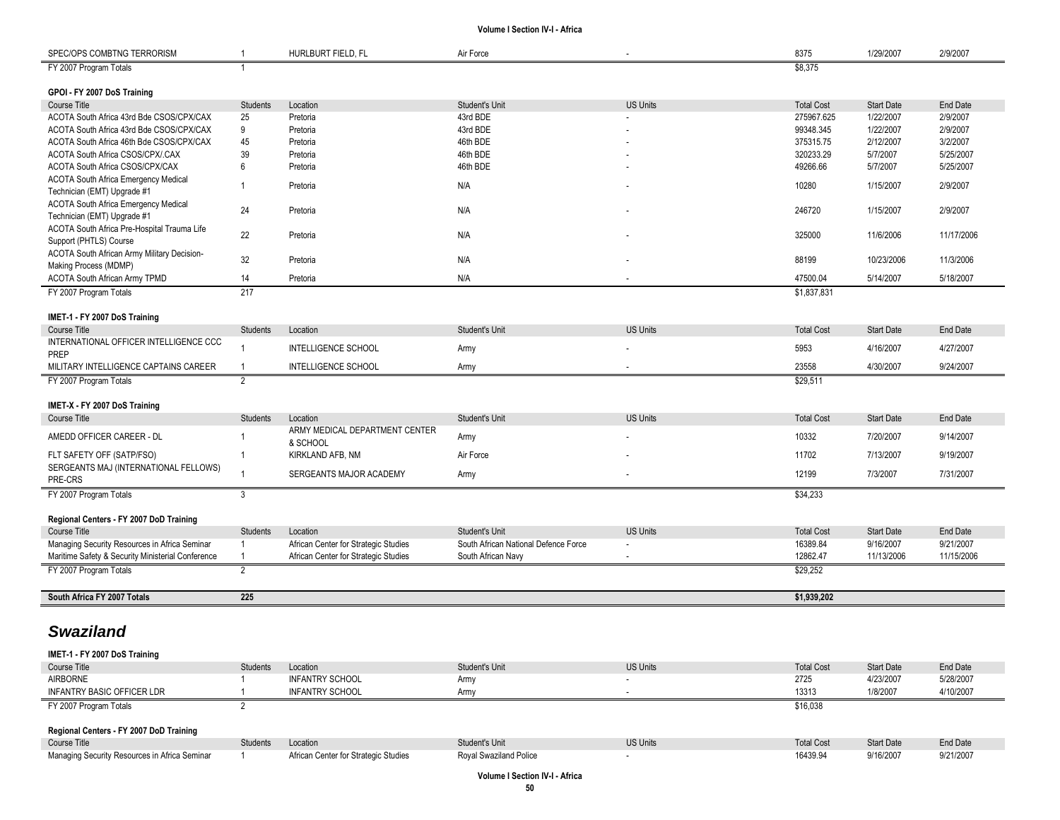| SPEC/OPS COMBTNG TERRORISM                                    |                          | HURLBURT FIELD, FL                               | Air Force                                |                           | 8375                          | 1/29/2007                      | 2/9/2007              |
|---------------------------------------------------------------|--------------------------|--------------------------------------------------|------------------------------------------|---------------------------|-------------------------------|--------------------------------|-----------------------|
| FY 2007 Program Totals                                        |                          |                                                  |                                          |                           | \$8,375                       |                                |                       |
|                                                               |                          |                                                  |                                          |                           |                               |                                |                       |
| GPOI - FY 2007 DoS Training                                   |                          |                                                  |                                          |                           |                               |                                |                       |
| Course Title                                                  | <b>Students</b>          | Location                                         | Student's Unit                           | <b>US Units</b>           | <b>Total Cost</b>             | <b>Start Date</b>              | End Date              |
| ACOTA South Africa 43rd Bde CSOS/CPX/CAX                      | 25                       | Pretoria                                         | 43rd BDE                                 |                           | 275967.625                    | 1/22/2007                      | 2/9/2007              |
| ACOTA South Africa 43rd Bde CSOS/CPX/CAX                      | 9                        | Pretoria                                         | 43rd BDE                                 |                           | 99348.345                     | 1/22/2007                      | 2/9/2007              |
| ACOTA South Africa 46th Bde CSOS/CPX/CAX                      | 45                       | Pretoria                                         | 46th BDE                                 |                           | 375315.75                     | 2/12/2007                      | 3/2/2007              |
| ACOTA South Africa CSOS/CPX/.CAX                              | 39                       | Pretoria                                         | 46th BDE                                 |                           | 320233.29                     | 5/7/2007                       | 5/25/2007             |
| ACOTA South Africa CSOS/CPX/CAX                               | 6                        | Pretoria                                         | 46th BDE                                 |                           | 49266.66                      | 5/7/2007                       | 5/25/2007             |
| <b>ACOTA South Africa Emergency Medical</b>                   |                          | Pretoria                                         | N/A                                      |                           | 10280                         | 1/15/2007                      | 2/9/2007              |
| Technician (EMT) Upgrade #1                                   |                          |                                                  |                                          |                           |                               |                                |                       |
| <b>ACOTA South Africa Emergency Medical</b>                   | 24                       | Pretoria                                         | N/A                                      |                           | 246720                        | 1/15/2007                      | 2/9/2007              |
| Technician (EMT) Upgrade #1                                   |                          |                                                  |                                          |                           |                               |                                |                       |
| ACOTA South Africa Pre-Hospital Trauma Life                   | 22                       | Pretoria                                         | N/A                                      |                           | 325000                        | 11/6/2006                      | 11/17/2006            |
| Support (PHTLS) Course                                        |                          |                                                  |                                          |                           |                               |                                |                       |
| ACOTA South African Army Military Decision-                   | 32                       | Pretoria                                         | N/A                                      |                           | 88199                         | 10/23/2006                     | 11/3/2006             |
| Making Process (MDMP)                                         |                          |                                                  |                                          |                           |                               |                                |                       |
| ACOTA South African Army TPMD                                 | 14                       | Pretoria                                         | N/A                                      |                           | 47500.04                      | 5/14/2007                      | 5/18/2007             |
| FY 2007 Program Totals                                        | 217                      |                                                  |                                          |                           | \$1,837,831                   |                                |                       |
|                                                               |                          |                                                  |                                          |                           |                               |                                |                       |
| IMET-1 - FY 2007 DoS Training                                 |                          |                                                  |                                          |                           |                               |                                |                       |
| Course Title                                                  | <b>Students</b>          | Location                                         | Student's Unit                           | <b>US Units</b>           | <b>Total Cost</b>             | <b>Start Date</b>              | End Date              |
| INTERNATIONAL OFFICER INTELLIGENCE CCC<br>PREP                |                          | <b>INTELLIGENCE SCHOOL</b>                       | Army                                     |                           | 5953                          | 4/16/2007                      | 4/27/2007             |
| MILITARY INTELLIGENCE CAPTAINS CAREER                         |                          | <b>INTELLIGENCE SCHOOL</b>                       | Army                                     |                           | 23558                         | 4/30/2007                      | 9/24/2007             |
|                                                               |                          |                                                  |                                          |                           |                               |                                |                       |
| FY 2007 Program Totals                                        | $\overline{2}$           |                                                  |                                          |                           | \$29,511                      |                                |                       |
| IMET-X - FY 2007 DoS Training                                 |                          |                                                  |                                          |                           |                               |                                |                       |
| Course Title                                                  | <b>Students</b>          | Location                                         | Student's Unit                           | <b>US Units</b>           | <b>Total Cost</b>             | <b>Start Date</b>              | End Date              |
|                                                               |                          | ARMY MEDICAL DEPARTMENT CENTER                   |                                          |                           |                               |                                |                       |
| AMEDD OFFICER CAREER - DL                                     |                          | & SCHOOL                                         | Army                                     |                           | 10332                         | 7/20/2007                      | 9/14/2007             |
| FLT SAFETY OFF (SATP/FSO)                                     | -1                       | KIRKLAND AFB, NM                                 | Air Force                                |                           | 11702                         | 7/13/2007                      | 9/19/2007             |
| SERGEANTS MAJ (INTERNATIONAL FELLOWS)                         |                          |                                                  |                                          |                           |                               |                                |                       |
| PRE-CRS                                                       |                          | SERGEANTS MAJOR ACADEMY                          | Army                                     |                           | 12199                         | 7/3/2007                       | 7/31/2007             |
| FY 2007 Program Totals                                        | 3                        |                                                  |                                          |                           | \$34,233                      |                                |                       |
|                                                               |                          |                                                  |                                          |                           |                               |                                |                       |
| Regional Centers - FY 2007 DoD Training                       |                          |                                                  |                                          |                           |                               |                                |                       |
| Course Title                                                  | <b>Students</b>          | Location                                         | Student's Unit                           | <b>US Units</b>           | <b>Total Cost</b>             | <b>Start Date</b>              | End Date              |
| Managing Security Resources in Africa Seminar                 | $\overline{1}$           | African Center for Strategic Studies             | South African National Defence Force     |                           | 16389.84                      | 9/16/2007                      | 9/21/2007             |
| Maritime Safety & Security Ministerial Conference             |                          | African Center for Strategic Studies             | South African Navy                       |                           | 12862.47                      | 11/13/2006                     | 11/15/2006            |
| FY 2007 Program Totals                                        | 2                        |                                                  |                                          |                           | \$29,252                      |                                |                       |
|                                                               |                          |                                                  |                                          |                           |                               |                                |                       |
| South Africa FY 2007 Totals                                   | 225                      |                                                  |                                          |                           | \$1,939,202                   |                                |                       |
|                                                               |                          |                                                  |                                          |                           |                               |                                |                       |
|                                                               |                          |                                                  |                                          |                           |                               |                                |                       |
| <b>Swaziland</b>                                              |                          |                                                  |                                          |                           |                               |                                |                       |
|                                                               |                          |                                                  |                                          |                           |                               |                                |                       |
| IMET-1 - FY 2007 DoS Training<br>Course Title                 | <b>Students</b>          | Location                                         | Student's Unit                           | <b>US Units</b>           | <b>Total Cost</b>             | <b>Start Date</b>              | End Date              |
| <b>AIRBORNE</b>                                               | -1                       | <b>INFANTRY SCHOOL</b>                           | Army                                     | ٠                         | 2725                          | 4/23/2007                      | 5/28/2007             |
| <b>INFANTRY BASIC OFFICER LDR</b>                             | $\mathbf{1}$             | <b>INFANTRY SCHOOL</b>                           | Army                                     | $\overline{\phantom{a}}$  | 13313                         | 1/8/2007                       | 4/10/2007             |
| FY 2007 Program Totals                                        | $\overline{2}$           |                                                  |                                          |                           | \$16,038                      |                                |                       |
|                                                               |                          |                                                  |                                          |                           |                               |                                |                       |
|                                                               |                          |                                                  |                                          |                           |                               |                                |                       |
|                                                               |                          |                                                  |                                          |                           |                               |                                |                       |
| Regional Centers - FY 2007 DoD Training                       |                          |                                                  |                                          |                           |                               |                                |                       |
| Course Title<br>Managing Security Resources in Africa Seminar | Students<br>$\mathbf{1}$ | Location<br>African Center for Strategic Studies | Student's Unit<br>Royal Swaziland Police | <b>US Units</b><br>$\sim$ | <b>Total Cost</b><br>16439.94 | <b>Start Date</b><br>9/16/2007 | End Date<br>9/21/2007 |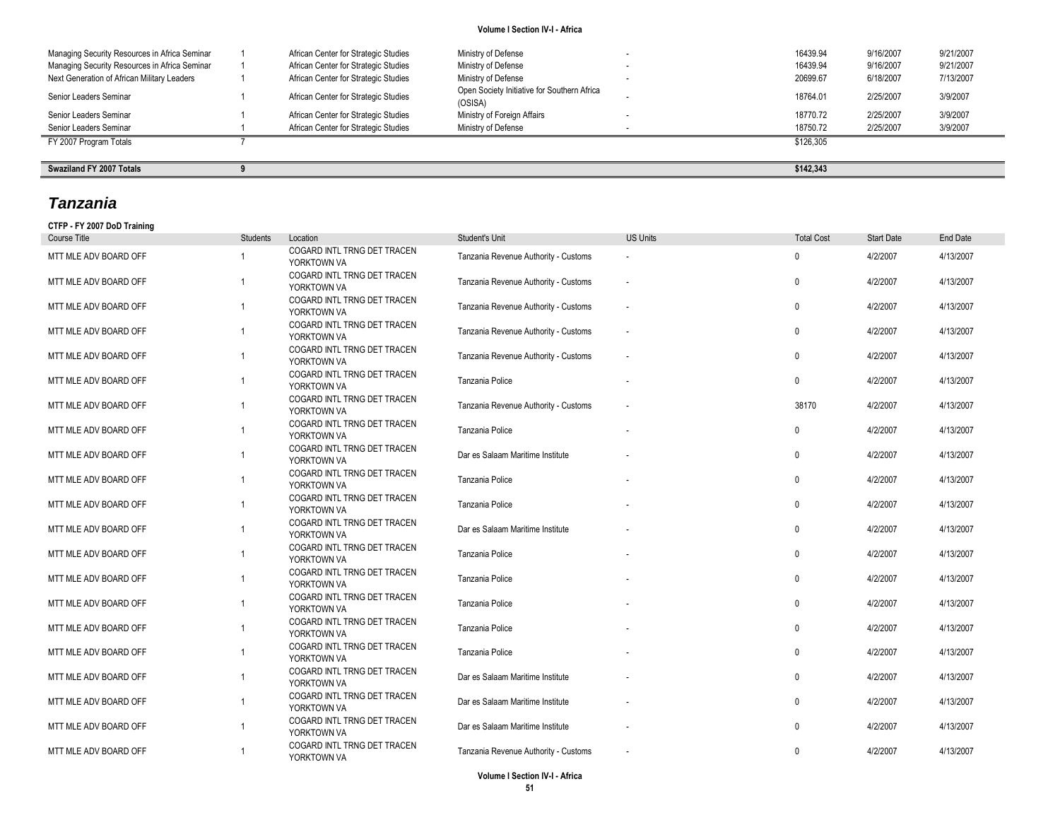| Managing Security Resources in Africa Seminar | African Center for Strategic Studies | Ministry of Defense                                    | 16439.94  | 9/16/2007 | 9/21/2007 |
|-----------------------------------------------|--------------------------------------|--------------------------------------------------------|-----------|-----------|-----------|
| Managing Security Resources in Africa Seminar | African Center for Strategic Studies | Ministry of Defense                                    | 16439.94  | 9/16/2007 | 9/21/2007 |
| Next Generation of African Military Leaders   | African Center for Strategic Studies | Ministry of Defense                                    | 20699.67  | 6/18/2007 | 7/13/2007 |
| Senior Leaders Seminar                        | African Center for Strategic Studies | Open Society Initiative for Southern Africa<br>(OSISA) | 18764.01  | 2/25/2007 | 3/9/2007  |
| Senior Leaders Seminar                        | African Center for Strategic Studies | Ministry of Foreign Affairs                            | 18770.72  | 2/25/2007 | 3/9/2007  |
| Senior Leaders Seminar                        | African Center for Strategic Studies | Ministry of Defense                                    | 18750.72  | 2/25/2007 | 3/9/2007  |
| FY 2007 Program Totals                        |                                      |                                                        | \$126,305 |           |           |
|                                               |                                      |                                                        |           |           |           |
| Swaziland FY 2007 Totals                      |                                      |                                                        | \$142,343 |           |           |

## *Tanzania*

#### **CTFP - FY 2007 DoD Training**

| Course Title          | Students       | Location                                   | Student's Unit                       | <b>US Units</b> | <b>Total Cost</b> | <b>Start Date</b> | End Date  |
|-----------------------|----------------|--------------------------------------------|--------------------------------------|-----------------|-------------------|-------------------|-----------|
| MTT MLE ADV BOARD OFF |                | COGARD INTL TRNG DET TRACEN<br>YORKTOWN VA | Tanzania Revenue Authority - Customs |                 | $\mathbf{0}$      | 4/2/2007          | 4/13/2007 |
| MTT MLE ADV BOARD OFF | $\overline{1}$ | COGARD INTL TRNG DET TRACEN<br>YORKTOWN VA | Tanzania Revenue Authority - Customs |                 | $\mathbf 0$       | 4/2/2007          | 4/13/2007 |
| MTT MLE ADV BOARD OFF |                | COGARD INTL TRNG DET TRACEN<br>YORKTOWN VA | Tanzania Revenue Authority - Customs |                 | $\mathbf{0}$      | 4/2/2007          | 4/13/2007 |
| MTT MLE ADV BOARD OFF | $\overline{1}$ | COGARD INTL TRNG DET TRACEN<br>YORKTOWN VA | Tanzania Revenue Authority - Customs |                 | 0                 | 4/2/2007          | 4/13/2007 |
| MTT MLE ADV BOARD OFF | $\overline{1}$ | COGARD INTL TRNG DET TRACEN<br>YORKTOWN VA | Tanzania Revenue Authority - Customs |                 | $\mathbf{0}$      | 4/2/2007          | 4/13/2007 |
| MTT MLE ADV BOARD OFF | $\overline{1}$ | COGARD INTL TRNG DET TRACEN<br>YORKTOWN VA | Tanzania Police                      |                 | $\mathbf{0}$      | 4/2/2007          | 4/13/2007 |
| MTT MLE ADV BOARD OFF | $\overline{1}$ | COGARD INTL TRNG DET TRACEN<br>YORKTOWN VA | Tanzania Revenue Authority - Customs |                 | 38170             | 4/2/2007          | 4/13/2007 |
| MTT MLE ADV BOARD OFF | $\overline{1}$ | COGARD INTL TRNG DET TRACEN<br>YORKTOWN VA | Tanzania Police                      |                 | $\mathbf{0}$      | 4/2/2007          | 4/13/2007 |
| MTT MLE ADV BOARD OFF | $\overline{1}$ | COGARD INTL TRNG DET TRACEN<br>YORKTOWN VA | Dar es Salaam Maritime Institute     |                 | $\mathbf{0}$      | 4/2/2007          | 4/13/2007 |
| MTT MLE ADV BOARD OFF | -1             | COGARD INTL TRNG DET TRACEN<br>YORKTOWN VA | Tanzania Police                      |                 | 0                 | 4/2/2007          | 4/13/2007 |
| MTT MLE ADV BOARD OFF | $\overline{1}$ | COGARD INTL TRNG DET TRACEN<br>YORKTOWN VA | Tanzania Police                      |                 | 0                 | 4/2/2007          | 4/13/2007 |
| MTT MLE ADV BOARD OFF | $\overline{1}$ | COGARD INTL TRNG DET TRACEN<br>YORKTOWN VA | Dar es Salaam Maritime Institute     |                 | 0                 | 4/2/2007          | 4/13/2007 |
| MTT MLE ADV BOARD OFF | $\overline{1}$ | COGARD INTL TRNG DET TRACEN<br>YORKTOWN VA | Tanzania Police                      |                 | $\mathbf{0}$      | 4/2/2007          | 4/13/2007 |
| MTT MLE ADV BOARD OFF | $\overline{1}$ | COGARD INTL TRNG DET TRACEN<br>YORKTOWN VA | Tanzania Police                      |                 | $\mathbf{0}$      | 4/2/2007          | 4/13/2007 |
| MTT MLE ADV BOARD OFF | $\overline{1}$ | COGARD INTL TRNG DET TRACEN<br>YORKTOWN VA | Tanzania Police                      |                 | 0                 | 4/2/2007          | 4/13/2007 |
| MTT MLE ADV BOARD OFF |                | COGARD INTL TRNG DET TRACEN<br>YORKTOWN VA | Tanzania Police                      |                 | $\mathbf{0}$      | 4/2/2007          | 4/13/2007 |
| MTT MLE ADV BOARD OFF | 1              | COGARD INTL TRNG DET TRACEN<br>YORKTOWN VA | Tanzania Police                      |                 | 0                 | 4/2/2007          | 4/13/2007 |
| MTT MLE ADV BOARD OFF |                | COGARD INTL TRNG DET TRACEN<br>YORKTOWN VA | Dar es Salaam Maritime Institute     |                 | $\mathbf{0}$      | 4/2/2007          | 4/13/2007 |
| MTT MLE ADV BOARD OFF | $\overline{1}$ | COGARD INTL TRNG DET TRACEN<br>YORKTOWN VA | Dar es Salaam Maritime Institute     |                 | 0                 | 4/2/2007          | 4/13/2007 |
| MTT MLE ADV BOARD OFF |                | COGARD INTL TRNG DET TRACEN<br>YORKTOWN VA | Dar es Salaam Maritime Institute     |                 | $\mathbf{0}$      | 4/2/2007          | 4/13/2007 |
| MTT MLE ADV BOARD OFF |                | COGARD INTL TRNG DET TRACEN<br>YORKTOWN VA | Tanzania Revenue Authority - Customs |                 | $\Omega$          | 4/2/2007          | 4/13/2007 |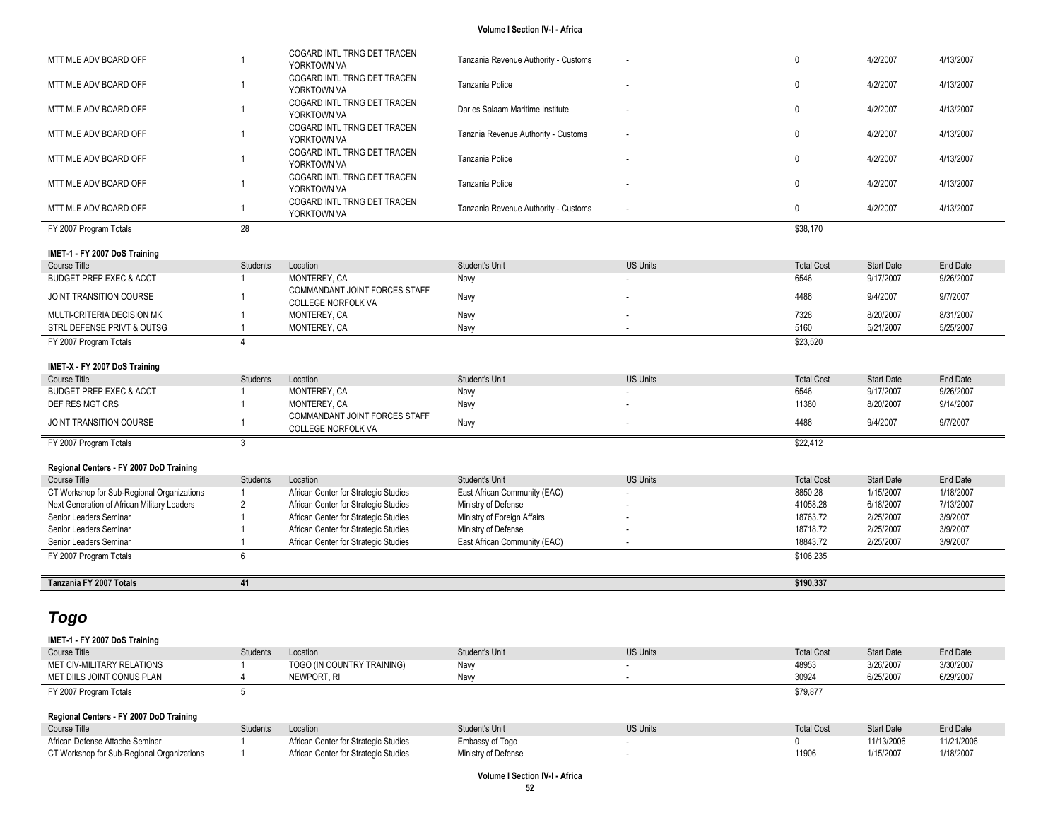| MTT MLE ADV BOARD OFF                            |                                   | COGARD INTL TRNG DET TRACEN<br>YORKTOWN VA          | Tanzania Revenue Authority - Customs |                 | $\Omega$              | 4/2/2007          | 4/13/2007       |
|--------------------------------------------------|-----------------------------------|-----------------------------------------------------|--------------------------------------|-----------------|-----------------------|-------------------|-----------------|
| MTT MLE ADV BOARD OFF                            | $\overline{1}$                    | COGARD INTL TRNG DET TRACEN<br>YORKTOWN VA          | Tanzania Police                      |                 | $\Omega$              | 4/2/2007          | 4/13/2007       |
| MTT MLE ADV BOARD OFF                            | $\overline{1}$                    | COGARD INTL TRNG DET TRACEN<br>YORKTOWN VA          | Dar es Salaam Maritime Institute     |                 | $\Omega$              | 4/2/2007          | 4/13/2007       |
| MTT MLE ADV BOARD OFF                            | $\overline{1}$                    | COGARD INTL TRNG DET TRACEN<br>YORKTOWN VA          | Tanznia Revenue Authority - Customs  |                 | $\Omega$              | 4/2/2007          | 4/13/2007       |
| MTT MLE ADV BOARD OFF                            | $\overline{1}$                    | COGARD INTL TRNG DET TRACEN<br>YORKTOWN VA          | Tanzania Police                      |                 | $\Omega$              | 4/2/2007          | 4/13/2007       |
| MTT MLE ADV BOARD OFF                            |                                   | COGARD INTL TRNG DET TRACEN<br>YORKTOWN VA          | Tanzania Police                      |                 | $\Omega$              | 4/2/2007          | 4/13/2007       |
| MTT MLE ADV BOARD OFF                            | $\overline{1}$                    | COGARD INTL TRNG DET TRACEN<br>YORKTOWN VA          | Tanzania Revenue Authority - Customs |                 | $\mathbf 0$           | 4/2/2007          | 4/13/2007       |
| FY 2007 Program Totals                           | $\overline{28}$                   |                                                     |                                      |                 | \$38,170              |                   |                 |
| IMET-1 - FY 2007 DoS Training                    |                                   |                                                     |                                      |                 |                       |                   |                 |
| Course Title                                     | <b>Students</b>                   | Location                                            | <b>Student's Unit</b>                | <b>US Units</b> | <b>Total Cost</b>     | <b>Start Date</b> | <b>End Date</b> |
| <b>BUDGET PREP EXEC &amp; ACCT</b>               | $\overline{1}$                    | MONTEREY, CA                                        | Navy                                 |                 | 6546                  | 9/17/2007         | 9/26/2007       |
| JOINT TRANSITION COURSE                          |                                   | COMMANDANT JOINT FORCES STAFF<br>COLLEGE NORFOLK VA | Navy                                 |                 | 4486                  | 9/4/2007          | 9/7/2007        |
| MULTI-CRITERIA DECISION MK                       |                                   | MONTEREY, CA                                        | Navy                                 |                 | 7328                  | 8/20/2007         | 8/31/2007       |
| STRL DEFENSE PRIVT & OUTSG                       | $\overline{1}$                    | MONTEREY, CA                                        | Navy                                 |                 | 5160                  | 5/21/2007         | 5/25/2007       |
|                                                  |                                   |                                                     |                                      |                 |                       |                   |                 |
| FY 2007 Program Totals                           | $\overline{4}$                    |                                                     |                                      |                 | \$23,520              |                   |                 |
|                                                  |                                   |                                                     |                                      |                 |                       |                   |                 |
| IMET-X - FY 2007 DoS Training                    |                                   |                                                     |                                      |                 |                       |                   |                 |
| Course Title                                     | <b>Students</b><br>$\overline{1}$ | Location                                            | <b>Student's Unit</b>                | <b>US Units</b> | <b>Total Cost</b>     | <b>Start Date</b> | End Date        |
| <b>BUDGET PREP EXEC &amp; ACCT</b>               |                                   | MONTEREY, CA                                        | Navy                                 |                 | 6546                  | 9/17/2007         | 9/26/2007       |
| DEF RES MGT CRS                                  | $\overline{1}$                    | MONTEREY, CA                                        | Navy                                 |                 | 11380                 | 8/20/2007         | 9/14/2007       |
| JOINT TRANSITION COURSE                          | $\overline{1}$                    | COMMANDANT JOINT FORCES STAFF<br>COLLEGE NORFOLK VA | Navy                                 |                 | 4486                  | 9/4/2007          | 9/7/2007        |
| FY 2007 Program Totals                           | 3                                 |                                                     |                                      |                 | \$22,412              |                   |                 |
|                                                  |                                   |                                                     |                                      |                 |                       |                   |                 |
| Regional Centers - FY 2007 DoD Training          |                                   |                                                     |                                      |                 |                       |                   |                 |
| Course Title                                     | Students<br>$\overline{1}$        | Location                                            | Student's Unit                       | <b>US Units</b> | <b>Total Cost</b>     | <b>Start Date</b> | End Date        |
| CT Workshop for Sub-Regional Organizations       |                                   | African Center for Strategic Studies                | East African Community (EAC)         |                 | 8850.28               | 1/15/2007         | 1/18/2007       |
| Next Generation of African Military Leaders      | $\overline{2}$                    | African Center for Strategic Studies                | Ministry of Defense                  |                 | 41058.28              | 6/18/2007         | 7/13/2007       |
| Senior Leaders Seminar                           |                                   | African Center for Strategic Studies                | Ministry of Foreign Affairs          |                 | 18763.72              | 2/25/2007         | 3/9/2007        |
| Senior Leaders Seminar                           | $\overline{1}$                    | African Center for Strategic Studies                | Ministry of Defense                  | ÷               | 18718.72              | 2/25/2007         | 3/9/2007        |
| Senior Leaders Seminar<br>FY 2007 Program Totals | 6                                 | African Center for Strategic Studies                | East African Community (EAC)         |                 | 18843.72<br>\$106,235 | 2/25/2007         | 3/9/2007        |
|                                                  |                                   |                                                     |                                      |                 |                       |                   |                 |
| Tanzania FY 2007 Totals                          | 41                                |                                                     |                                      |                 | \$190,337             |                   |                 |

### *Togo*

### **IMET-1 - FY 2007 DoS Training**

| <b>Course Title</b>        | <b>Students</b> | Location                   | Student's Unit | <b>US Units</b> | <b>Total Cost</b> | <b>Start Date</b> | <b>End Date</b> |
|----------------------------|-----------------|----------------------------|----------------|-----------------|-------------------|-------------------|-----------------|
| MET CIV-MILITARY RELATIONS |                 | TOGO (IN COUNTRY TRAINING) | Nav            |                 | 4895?             | 3/26/2007         | 3/30/2007       |
| MET DIILS JOINT CONUS PLAN |                 | <b>NEWPORT, R.</b>         | Nav            |                 | 30924             | 6/25/2007         | 6/29/2007       |
| FY 2007 Program Totals     |                 |                            |                |                 | \$79,877          |                   |                 |

#### **Regional Centers - FY 2007 DoD Training**

| Course Title                               | students | Location                             | Student's Unit      | <b>US Units</b> | <b>Total Cost</b> | <b>Start Date</b> | End Date   |
|--------------------------------------------|----------|--------------------------------------|---------------------|-----------------|-------------------|-------------------|------------|
| African Defense Attache Seminar            |          | African Center for Strategic Studies | Embassy of Togo     |                 |                   | 11/13/2006        | 11/21/2006 |
| CT Workshop for Sub-Regional Organizations |          | African Center for Strategic Studies | Ministry of Defense |                 | 11906             | 1/15/2007         | 1/18/2007  |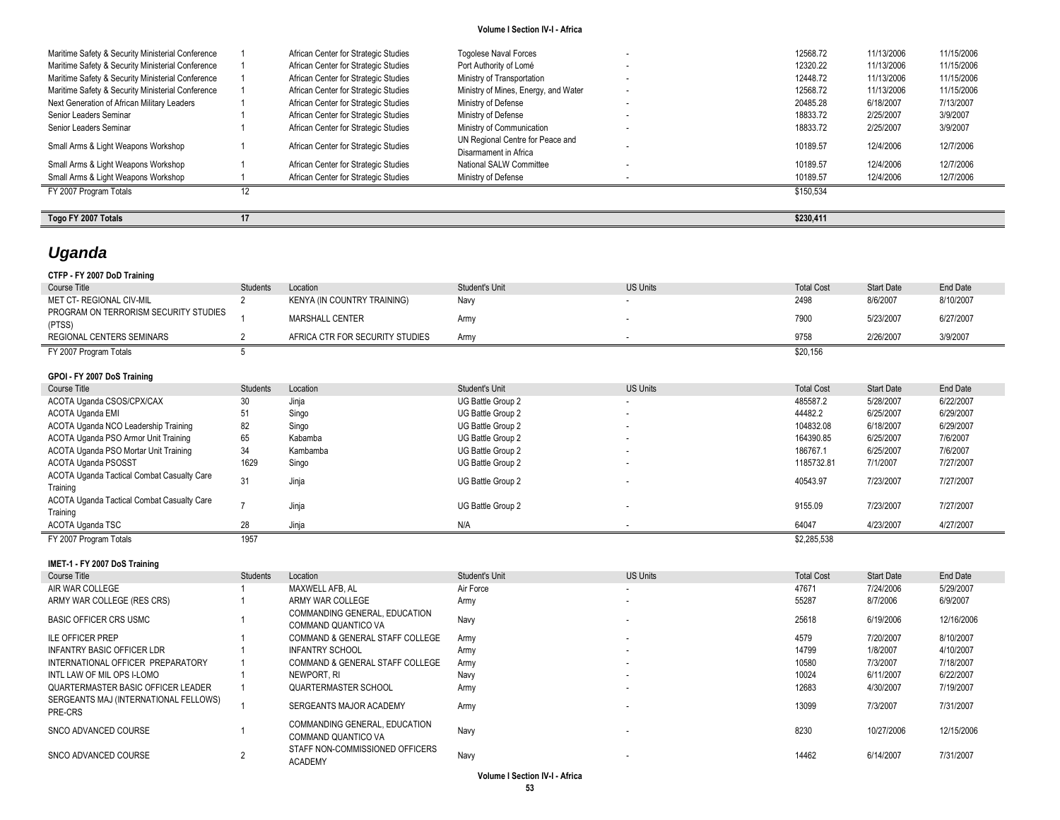| Togo FY 2007 Totals                               | 17 |                                      |                                      |     | \$230.411 |            |            |
|---------------------------------------------------|----|--------------------------------------|--------------------------------------|-----|-----------|------------|------------|
| FY 2007 Program Totals                            |    |                                      |                                      |     | \$150.534 |            |            |
| Small Arms & Light Weapons Workshop               |    | African Center for Strategic Studies | Ministry of Defense                  |     | 10189.57  | 12/4/2006  | 12/7/2006  |
| Small Arms & Light Weapons Workshop               |    | African Center for Strategic Studies | National SALW Committee              | . . | 10189.57  | 12/4/2006  | 12/7/2006  |
|                                                   |    |                                      | Disarmament in Africa                |     |           |            |            |
| Small Arms & Light Weapons Workshop               |    | African Center for Strategic Studies | UN Regional Centre for Peace and     |     | 10189.57  | 12/4/2006  | 12/7/2006  |
| Senior Leaders Seminar                            |    | African Center for Strategic Studies | Ministry of Communication            |     | 18833.72  | 2/25/2007  | 3/9/2007   |
| Senior Leaders Seminar                            |    | African Center for Strategic Studies | Ministry of Defense                  | . . | 18833.72  | 2/25/2007  | 3/9/2007   |
| Next Generation of African Military Leaders       |    | African Center for Strategic Studies | Ministry of Defense                  | . . | 20485.28  | 6/18/2007  | 7/13/2007  |
| Maritime Safety & Security Ministerial Conference |    | African Center for Strategic Studies | Ministry of Mines, Energy, and Water | . . | 12568.72  | 11/13/2006 | 11/15/2006 |
| Maritime Safety & Security Ministerial Conference |    | African Center for Strategic Studies | Ministry of Transportation           | . . | 12448.72  | 11/13/2006 | 11/15/2006 |
| Maritime Safety & Security Ministerial Conference |    | African Center for Strategic Studies | Port Authority of Lomé               |     | 12320.22  | 11/13/2006 | 11/15/2006 |
| Maritime Safety & Security Ministerial Conference |    | African Center for Strategic Studies | <b>Togolese Naval Forces</b>         | ۰.  | 12568.72  | 11/13/2006 | 11/15/2006 |
|                                                   |    |                                      |                                      |     |           |            |            |

# *Uganda*

| CTFP - FY 2007 DoD Training                                   |                 |                                 |                       |                 |                   |                   |           |
|---------------------------------------------------------------|-----------------|---------------------------------|-----------------------|-----------------|-------------------|-------------------|-----------|
| Course Title                                                  | <b>Students</b> | Location                        | <b>Student's Unit</b> | <b>US Units</b> | <b>Total Cost</b> | <b>Start Date</b> | End Date  |
| <b>MET CT- REGIONAL CIV-MIL</b>                               |                 | KENYA (IN COUNTRY TRAINING)     | Navy                  |                 | 2498              | 8/6/2007          | 8/10/2007 |
| PROGRAM ON TERRORISM SECURITY STUDIES<br>(PTSS)               |                 | <b>MARSHALL CENTER</b>          | Army                  |                 | 7900              | 5/23/2007         | 6/27/2007 |
| REGIONAL CENTERS SEMINARS                                     |                 | AFRICA CTR FOR SECURITY STUDIES | Army                  |                 | 9758              | 2/26/2007         | 3/9/2007  |
| FY 2007 Program Totals                                        |                 |                                 |                       |                 | \$20,156          |                   |           |
|                                                               |                 |                                 |                       |                 |                   |                   |           |
| GPOI - FY 2007 DoS Training                                   |                 |                                 |                       |                 |                   |                   |           |
| Course Title                                                  | <b>Students</b> | Location                        | Student's Unit        | <b>US Units</b> | <b>Total Cost</b> | <b>Start Date</b> | End Date  |
| ACOTA Uganda CSOS/CPX/CAX                                     | 30              | Jinja                           | UG Battle Group 2     | $\sim$          | 485587.2          | 5/28/2007         | 6/22/2007 |
| ACOTA Uganda EMI                                              | 51              | Singo                           | UG Battle Group 2     |                 | 44482.2           | 6/25/2007         | 6/29/2007 |
| ACOTA Uganda NCO Leadership Training                          | 82              | Singo                           | UG Battle Group 2     |                 | 104832.08         | 6/18/2007         | 6/29/2007 |
| ACOTA Uganda PSO Armor Unit Training                          | 65              | Kabamba                         | UG Battle Group 2     |                 | 164390.85         | 6/25/2007         | 7/6/2007  |
| ACOTA Uganda PSO Mortar Unit Training                         | 34              | Kambamba                        | UG Battle Group 2     |                 | 186767.1          | 6/25/2007         | 7/6/2007  |
| ACOTA Uganda PSOSST                                           | 1629            | Singo                           | UG Battle Group 2     |                 | 1185732.81        | 7/1/2007          | 7/27/2007 |
| ACOTA Uganda Tactical Combat Casualty Care<br>Training        | 31              | Jinja                           | UG Battle Group 2     |                 | 40543.97          | 7/23/2007         | 7/27/2007 |
| <b>ACOTA Uganda Tactical Combat Casualty Care</b><br>Training |                 | Jinja                           | UG Battle Group 2     |                 | 9155.09           | 7/23/2007         | 7/27/2007 |
| ACOTA Uganda TSC                                              | 28              | Jinja                           | N/A                   |                 | 64047             | 4/23/2007         | 4/27/2007 |
| FY 2007 Program Totals                                        | 1957            |                                 |                       |                 | \$2,285,538       |                   |           |

```
IMET-1 - FY 2007 DoS Training
```

| Course Title                                     | Students | Location                                             | Student's Unit | <b>US Units</b>          | <b>Total Cost</b> | <b>Start Date</b> | End Date   |
|--------------------------------------------------|----------|------------------------------------------------------|----------------|--------------------------|-------------------|-------------------|------------|
| AIR WAR COLLEGE                                  |          | MAXWELL AFB. AL                                      | Air Force      | ۰.                       | 47671             | 7/24/2006         | 5/29/2007  |
| ARMY WAR COLLEGE (RES CRS)                       |          | ARMY WAR COLLEGE                                     | Army           | $\overline{\phantom{a}}$ | 55287             | 8/7/2006          | 6/9/2007   |
| <b>BASIC OFFICER CRS USMC</b>                    |          | COMMANDING GENERAL, EDUCATION<br>COMMAND QUANTICO VA | Navy           | $\overline{\phantom{a}}$ | 25618             | 6/19/2006         | 12/16/2006 |
| <b>ILE OFFICER PREP</b>                          |          | COMMAND & GENERAL STAFF COLLEGE                      | Army           | $\overline{\phantom{a}}$ | 4579              | 7/20/2007         | 8/10/2007  |
| INFANTRY BASIC OFFICER LDR                       |          | INFANTRY SCHOOL                                      | Army           | ۰.                       | 14799             | 1/8/2007          | 4/10/2007  |
| INTERNATIONAL OFFICER PREPARATORY                |          | COMMAND & GENERAL STAFF COLLEGE                      | Army           | $\overline{\phantom{a}}$ | 10580             | 7/3/2007          | 7/18/2007  |
| INTL LAW OF MIL OPS I-LOMO                       |          | NEWPORT. RI                                          | Navy           | $\overline{\phantom{a}}$ | 10024             | 6/11/2007         | 6/22/2007  |
| QUARTERMASTER BASIC OFFICER LEADER               |          | QUARTERMASTER SCHOOL                                 | Army           | $\overline{\phantom{a}}$ | 12683             | 4/30/2007         | 7/19/2007  |
| SERGEANTS MAJ (INTERNATIONAL FELLOWS)<br>PRE-CRS |          | SERGEANTS MAJOR ACADEMY                              | Army           | $\overline{\phantom{a}}$ | 13099             | 7/3/2007          | 7/31/2007  |
| SNCO ADVANCED COURSE                             |          | COMMANDING GENERAL, EDUCATION<br>COMMAND QUANTICO VA | Navy           |                          | 8230              | 10/27/2006        | 12/15/2006 |
| SNCO ADVANCED COURSE                             |          | STAFF NON-COMMISSIONED OFFICERS<br><b>ACADEMY</b>    | Navy           |                          | 14462             | 6/14/2007         | 7/31/2007  |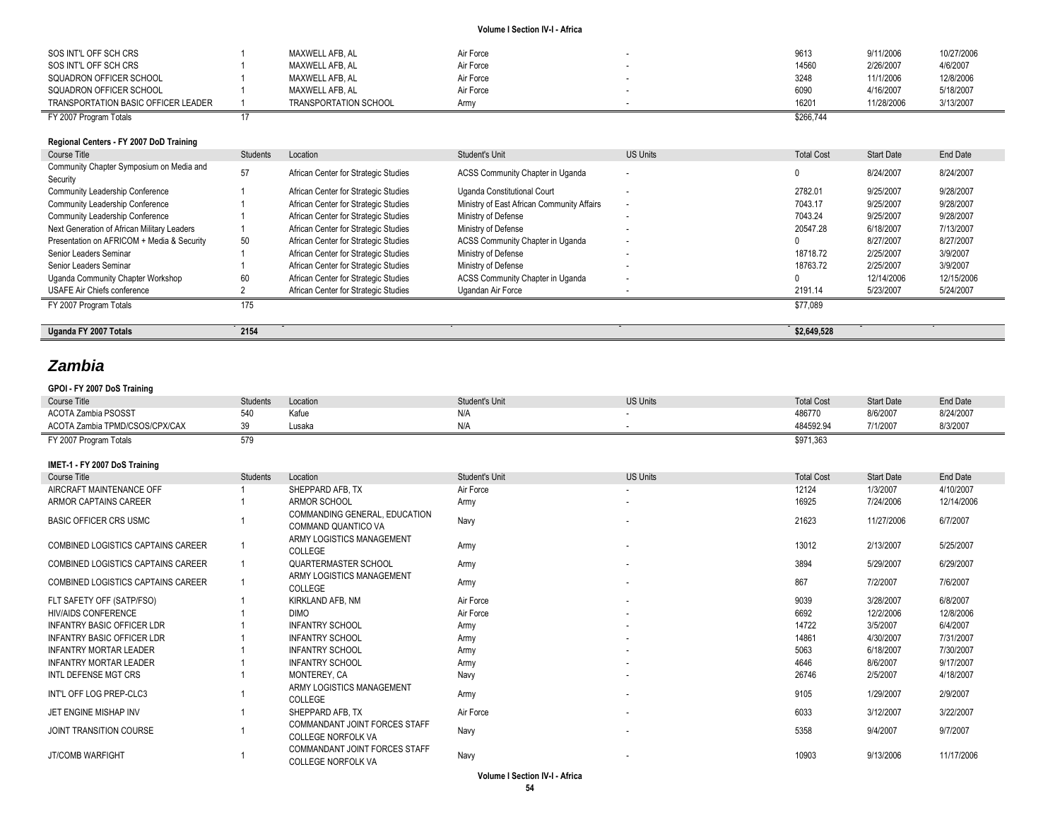| SOS INT'L OFF SCH CRS               | MAXWELL AFB. AL       | Air Force | 9613      | 9/11/2006  | 10/27/2006 |
|-------------------------------------|-----------------------|-----------|-----------|------------|------------|
| SOS INT'L OFF SCH CRS               | MAXWELL AFB. AL       | Air Force | 14560     | 2/26/2007  | 4/6/2007   |
| SQUADRON OFFICER SCHOOL             | MAXWELL AFB. AL       | Air Force | 3248      | 11/1/2006  | 12/8/2006  |
| SQUADRON OFFICER SCHOOL             | MAXWELL AFB. AL       | Air Force | 6090      | 4/16/2007  | 5/18/2007  |
| TRANSPORTATION BASIC OFFICER LEADER | TRANSPORTATION SCHOOL | Army      | 16201     | 11/28/2006 | 3/13/2007  |
| FY 2007 Program Totals              |                       |           | \$266,744 |            |            |

### **Regional Centers - FY 2007 DoD Training**

| Course Title                                         | <b>Students</b> | Location                             | Student's Unit                             | <b>US Units</b>          | <b>Total Cost</b> | <b>Start Date</b> | End Date   |
|------------------------------------------------------|-----------------|--------------------------------------|--------------------------------------------|--------------------------|-------------------|-------------------|------------|
| Community Chapter Symposium on Media and<br>Security | 57              | African Center for Strategic Studies | ACSS Community Chapter in Uganda           |                          |                   | 8/24/2007         | 8/24/2007  |
| Community Leadership Conference                      |                 | African Center for Strategic Studies | Uganda Constitutional Court                |                          | 2782.01           | 9/25/2007         | 9/28/2007  |
| Community Leadership Conference                      |                 | African Center for Strategic Studies | Ministry of East African Community Affairs | $\overline{\phantom{a}}$ | 7043.17           | 9/25/2007         | 9/28/2007  |
| Community Leadership Conference                      |                 | African Center for Strategic Studies | Ministry of Defense                        |                          | 7043.24           | 9/25/2007         | 9/28/2007  |
| Next Generation of African Military Leaders          |                 | African Center for Strategic Studies | Ministry of Defense                        |                          | 20547.28          | 6/18/2007         | 7/13/2007  |
| Presentation on AFRICOM + Media & Security           | 50              | African Center for Strategic Studies | ACSS Community Chapter in Uganda           | $\overline{\phantom{a}}$ |                   | 8/27/2007         | 8/27/2007  |
| Senior Leaders Seminar                               |                 | African Center for Strategic Studies | Ministry of Defense                        | $\overline{\phantom{a}}$ | 18718.72          | 2/25/2007         | 3/9/2007   |
| Senior Leaders Seminar                               |                 | African Center for Strategic Studies | Ministry of Defense                        |                          | 18763.72          | 2/25/2007         | 3/9/2007   |
| Uganda Community Chapter Workshop                    | 60              | African Center for Strategic Studies | ACSS Community Chapter in Uganda           | $\overline{\phantom{a}}$ |                   | 12/14/2006        | 12/15/2006 |
| USAFE Air Chiefs conference                          |                 | African Center for Strategic Studies | Ugandan Air Force                          |                          | 2191.14           | 5/23/2007         | 5/24/2007  |
| FY 2007 Program Totals                               | 175             |                                      |                                            |                          | \$77,089          |                   |            |
|                                                      |                 |                                      |                                            |                          |                   |                   |            |

**Uganda FY 2007 Totals 2154 \$2,649,528**

## *Zambia*

### **GPOI - FY 2007 DoS Training**

| Course Title                              | <b>Students</b> | Location                                                    | Student's Unit | <b>US Units</b> | <b>Total Cost</b> | <b>Start Date</b> | <b>End Date</b> |
|-------------------------------------------|-----------------|-------------------------------------------------------------|----------------|-----------------|-------------------|-------------------|-----------------|
| <b>ACOTA Zambia PSOSST</b>                | 540             | Kafue                                                       | N/A            |                 | 486770            | 8/6/2007          | 8/24/2007       |
| ACOTA Zambia TPMD/CSOS/CPX/CAX            | 39              | Lusaka                                                      | N/A            |                 | 484592.94         | 7/1/2007          | 8/3/2007        |
| FY 2007 Program Totals                    | 579             |                                                             |                |                 | \$971,363         |                   |                 |
|                                           |                 |                                                             |                |                 |                   |                   |                 |
| IMET-1 - FY 2007 DoS Training             |                 |                                                             |                |                 |                   |                   |                 |
| Course Title                              | <b>Students</b> | Location                                                    | Student's Unit | <b>US Units</b> | <b>Total Cost</b> | <b>Start Date</b> | <b>End Date</b> |
| AIRCRAFT MAINTENANCE OFF                  |                 | SHEPPARD AFB. TX                                            | Air Force      |                 | 12124             | 1/3/2007          | 4/10/2007       |
| ARMOR CAPTAINS CAREER                     |                 | ARMOR SCHOOL                                                | Army           |                 | 16925             | 7/24/2006         | 12/14/2006      |
| <b>BASIC OFFICER CRS USMC</b>             |                 | <b>COMMANDING GENERAL, EDUCATION</b><br>COMMAND QUANTICO VA | Navy           |                 | 21623             | 11/27/2006        | 6/7/2007        |
| <b>COMBINED LOGISTICS CAPTAINS CAREER</b> |                 | ARMY LOGISTICS MANAGEMENT<br>COLLEGE                        | Army           |                 | 13012             | 2/13/2007         | 5/25/2007       |
| <b>COMBINED LOGISTICS CAPTAINS CAREER</b> |                 | <b>QUARTERMASTER SCHOOL</b>                                 | Army           |                 | 3894              | 5/29/2007         | 6/29/2007       |
| <b>COMBINED LOGISTICS CAPTAINS CAREER</b> |                 | ARMY LOGISTICS MANAGEMENT<br>COLLEGE                        | Army           |                 | 867               | 7/2/2007          | 7/6/2007        |
| FLT SAFETY OFF (SATP/FSO)                 |                 | KIRKLAND AFB. NM                                            | Air Force      |                 | 9039              | 3/28/2007         | 6/8/2007        |
| <b>HIV/AIDS CONFERENCE</b>                |                 | <b>DIMO</b>                                                 | Air Force      |                 | 6692              | 12/2/2006         | 12/8/2006       |
| <b>INFANTRY BASIC OFFICER LDR</b>         |                 | <b>INFANTRY SCHOOL</b>                                      | Army           |                 | 14722             | 3/5/2007          | 6/4/2007        |
| <b>INFANTRY BASIC OFFICER LDR</b>         |                 | <b>INFANTRY SCHOOL</b>                                      | Army           |                 | 14861             | 4/30/2007         | 7/31/2007       |
| <b>INFANTRY MORTAR LEADER</b>             |                 | <b>INFANTRY SCHOOL</b>                                      | Army           |                 | 5063              | 6/18/2007         | 7/30/2007       |
| <b>INFANTRY MORTAR LEADER</b>             |                 | <b>INFANTRY SCHOOL</b>                                      | Army           |                 | 4646              | 8/6/2007          | 9/17/2007       |
| INTL DEFENSE MGT CRS                      |                 | MONTEREY, CA                                                | Navy           |                 | 26746             | 2/5/2007          | 4/18/2007       |
| INT'L OFF LOG PREP-CLC3                   |                 | ARMY LOGISTICS MANAGEMENT<br>COLLEGE                        | Army           |                 | 9105              | 1/29/2007         | 2/9/2007        |
| JET ENGINE MISHAP INV                     |                 | SHEPPARD AFB, TX                                            | Air Force      |                 | 6033              | 3/12/2007         | 3/22/2007       |
| JOINT TRANSITION COURSE                   |                 | COMMANDANT JOINT FORCES STAFF<br><b>COLLEGE NORFOLK VA</b>  | Navy           |                 | 5358              | 9/4/2007          | 9/7/2007        |
| <b>JT/COMB WARFIGHT</b>                   |                 | COMMANDANT JOINT FORCES STAFF<br><b>COLLEGE NORFOLK VA</b>  | Navy           |                 | 10903             | 9/13/2006         | 11/17/2006      |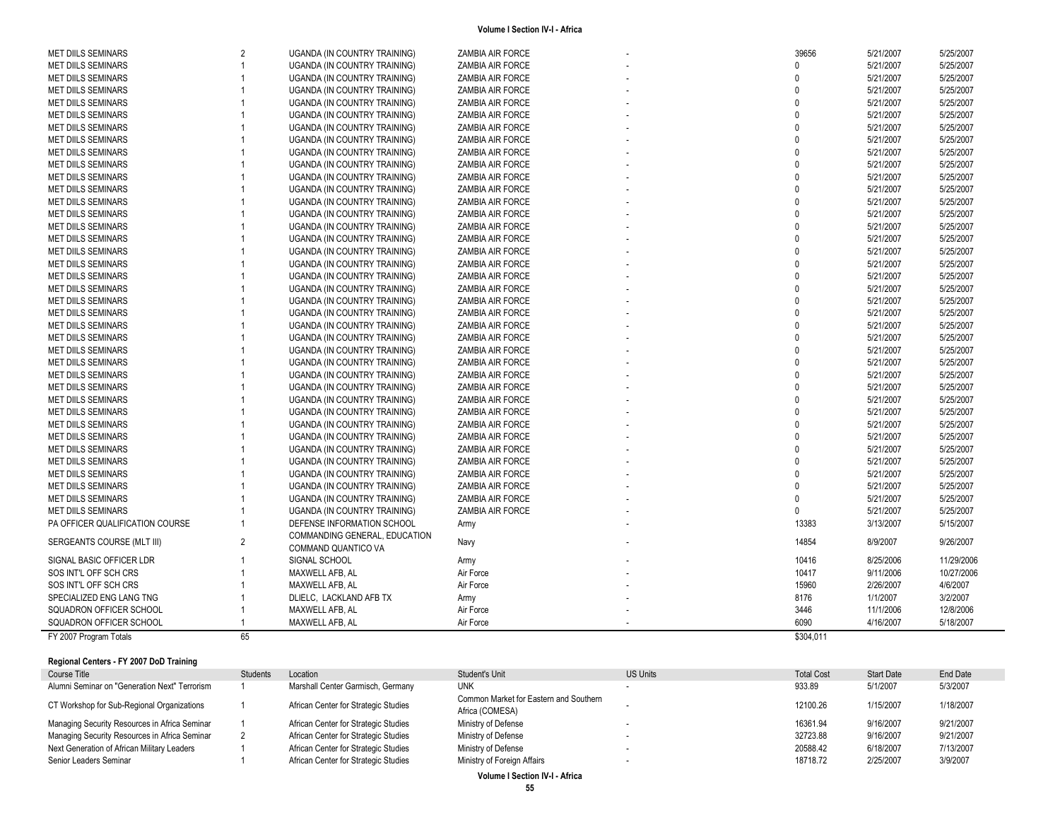| <b>MET DIILS SEMINARS</b><br><b>UGANDA (IN COUNTRY TRAINING)</b><br>ZAMBIA AIR FORCE<br>$\Omega$<br>5/21/2007<br>5/25/2007<br><b>MET DIILS SEMINARS</b><br><b>UGANDA (IN COUNTRY TRAINING)</b><br><b>ZAMBIA AIR FORCE</b><br>5/21/2007<br>5/25/2007<br>U<br><b>MET DIILS SEMINARS</b><br><b>UGANDA (IN COUNTRY TRAINING)</b><br>$\Omega$<br>5/21/2007<br>5/25/2007<br><b>ZAMBIA AIR FORCE</b><br>$\mathbf{0}$<br><b>MET DIILS SEMINARS</b><br>UGANDA (IN COUNTRY TRAINING)<br>5/21/2007<br>5/25/2007<br>ZAMBIA AIR FORCE<br>0<br>5/25/2007<br><b>MET DIILS SEMINARS</b><br>UGANDA (IN COUNTRY TRAINING)<br>ZAMBIA AIR FORCE<br>5/21/2007<br>$\Omega$<br>5/25/2007<br><b>MET DIILS SEMINARS</b><br><b>UGANDA (IN COUNTRY TRAINING)</b><br>ZAMBIA AIR FORCE<br>5/21/2007<br>$\Omega$<br>5/25/2007<br><b>MET DIILS SEMINARS</b><br><b>UGANDA (IN COUNTRY TRAINING)</b><br><b>ZAMBIA AIR FORCE</b><br>5/21/2007<br><b>MET DIILS SEMINARS</b><br>UGANDA (IN COUNTRY TRAINING)<br>ZAMBIA AIR FORCE<br>$\Omega$<br>5/21/2007<br>5/25/2007<br><b>MET DIILS SEMINARS</b><br>UGANDA (IN COUNTRY TRAINING)<br>ZAMBIA AIR FORCE<br>$\Omega$<br>5/21/2007<br>5/25/2007<br>$\Omega$<br>5/25/2007<br><b>MET DIILS SEMINARS</b><br>UGANDA (IN COUNTRY TRAINING)<br>ZAMBIA AIR FORCE<br>5/21/2007<br>$\Omega$<br><b>MET DIILS SEMINARS</b><br>UGANDA (IN COUNTRY TRAINING)<br><b>ZAMBIA AIR FORCE</b><br>5/21/2007<br>5/25/2007<br>$\Omega$<br><b>MET DIILS SEMINARS</b><br><b>UGANDA (IN COUNTRY TRAINING)</b><br><b>ZAMBIA AIR FORCE</b><br>5/21/2007<br>5/25/2007<br>$\Omega$<br>5/21/2007<br>5/25/2007<br><b>MET DIILS SEMINARS</b><br><b>UGANDA (IN COUNTRY TRAINING)</b><br><b>ZAMBIA AIR FORCE</b><br>$\mathbf{0}$<br>5/25/2007<br><b>MET DIILS SEMINARS</b><br>UGANDA (IN COUNTRY TRAINING)<br>5/21/2007<br><b>ZAMBIA AIR FORCE</b><br>$\Omega$<br>5/25/2007<br>5/21/2007<br><b>MET DIILS SEMINARS</b><br>UGANDA (IN COUNTRY TRAINING)<br>ZAMBIA AIR FORCE<br><b>MET DIILS SEMINARS</b><br>UGANDA (IN COUNTRY TRAINING)<br>$\Omega$<br>5/21/2007<br>5/25/2007<br><b>ZAMBIA AIR FORCE</b><br>$\Omega$<br>5/21/2007<br>5/25/2007<br><b>MET DIILS SEMINARS</b><br>UGANDA (IN COUNTRY TRAINING)<br>ZAMBIA AIR FORCE<br><b>MET DIILS SEMINARS</b><br><b>UGANDA (IN COUNTRY TRAINING)</b><br>$\Omega$<br>5/21/2007<br>5/25/2007<br><b>ZAMBIA AIR FORCE</b><br><b>UGANDA (IN COUNTRY TRAINING)</b><br>$\Omega$<br>5/21/2007<br>5/25/2007<br><b>MET DIILS SEMINARS</b><br>ZAMBIA AIR FORCE<br><b>MET DIILS SEMINARS</b><br>UGANDA (IN COUNTRY TRAINING)<br>ZAMBIA AIR FORCE<br>$\Omega$<br>5/21/2007<br>5/25/2007<br><b>MET DIILS SEMINARS</b><br><b>UGANDA (IN COUNTRY TRAINING)</b><br>ZAMBIA AIR FORCE<br>$\Omega$<br>5/21/2007<br>5/25/2007<br>UGANDA (IN COUNTRY TRAINING)<br>$\Omega$<br>5/21/2007<br>5/25/2007<br><b>MET DIILS SEMINARS</b><br>ZAMBIA AIR FORCE<br>$\mathbf{0}$<br>5/21/2007<br>5/25/2007<br><b>MET DIILS SEMINARS</b><br>UGANDA (IN COUNTRY TRAINING)<br><b>ZAMBIA AIR FORCE</b><br>$\Omega$<br>5/21/2007<br>5/25/2007<br><b>MET DIILS SEMINARS</b><br>UGANDA (IN COUNTRY TRAINING)<br><b>ZAMBIA AIR FORCE</b><br>$\Omega$<br>5/25/2007<br><b>MET DIILS SEMINARS</b><br><b>UGANDA (IN COUNTRY TRAINING)</b><br><b>ZAMBIA AIR FORCE</b><br>5/21/2007<br>$\Omega$<br>5/25/2007<br><b>MET DIILS SEMINARS</b><br>UGANDA (IN COUNTRY TRAINING)<br>ZAMBIA AIR FORCE<br>5/21/2007<br><b>MET DIILS SEMINARS</b><br>UGANDA (IN COUNTRY TRAINING)<br>$\Omega$<br>5/21/2007<br>5/25/2007<br>ZAMBIA AIR FORCE<br><b>MET DIILS SEMINARS</b><br>UGANDA (IN COUNTRY TRAINING)<br>ZAMBIA AIR FORCE<br>$\Omega$<br>5/21/2007<br>5/25/2007<br><b>MET DIILS SEMINARS</b><br>UGANDA (IN COUNTRY TRAINING)<br>$\Omega$<br>5/21/2007<br>5/25/2007<br>ZAMBIA AIR FORCE<br>$\Omega$<br>5/21/2007<br>5/25/2007<br><b>MET DIILS SEMINARS</b><br><b>UGANDA (IN COUNTRY TRAINING)</b><br>ZAMBIA AIR FORCE<br><b>MET DIILS SEMINARS</b><br><b>UGANDA (IN COUNTRY TRAINING)</b><br>ZAMBIA AIR FORCE<br>$\Omega$<br>5/21/2007<br>5/25/2007<br><b>MET DIILS SEMINARS</b><br><b>UGANDA (IN COUNTRY TRAINING)</b><br><b>ZAMBIA AIR FORCE</b><br>$\Omega$<br>5/21/2007<br>5/25/2007<br>UGANDA (IN COUNTRY TRAINING)<br>$\mathbf{0}$<br>5/21/2007<br>5/25/2007<br><b>MET DIILS SEMINARS</b><br><b>ZAMBIA AIR FORCE</b><br>$\mathbf{0}$<br>5/21/2007<br>5/25/2007<br><b>MET DIILS SEMINARS</b><br>UGANDA (IN COUNTRY TRAINING)<br>ZAMBIA AIR FORCE<br>0<br>5/25/2007<br><b>MET DIILS SEMINARS</b><br>UGANDA (IN COUNTRY TRAINING)<br>ZAMBIA AIR FORCE<br>5/21/2007<br>$\Omega$<br><b>MET DIILS SEMINARS</b><br><b>UGANDA (IN COUNTRY TRAINING)</b><br><b>ZAMBIA AIR FORCE</b><br>5/21/2007<br>5/25/2007<br>5/21/2007<br>5/25/2007<br><b>MET DIILS SEMINARS</b><br><b>UGANDA (IN COUNTRY TRAINING)</b><br><b>ZAMBIA AIR FORCE</b><br>$\Omega$<br>13383<br>PA OFFICER QUALIFICATION COURSE<br>DEFENSE INFORMATION SCHOOL<br>3/13/2007<br>5/15/2007<br>Army<br>COMMANDING GENERAL, EDUCATION<br>$\overline{2}$<br>14854<br>8/9/2007<br>9/26/2007<br>SERGEANTS COURSE (MLT III)<br>Navy<br>COMMAND QUANTICO VA<br>8/25/2006<br>11/29/2006<br>SIGNAL BASIC OFFICER LDR<br>SIGNAL SCHOOL<br>Army<br>10416<br>Air Force<br>10417<br>9/11/2006<br>10/27/2006<br>SOS INT'L OFF SCH CRS<br>MAXWELL AFB. AL<br>15960<br>2/26/2007<br>4/6/2007<br>SOS INT'L OFF SCH CRS<br>MAXWELL AFB. AL<br>Air Force<br>3/2/2007<br>DLIELC, LACKLAND AFB TX<br>8176<br>1/1/2007<br>SPECIALIZED ENG LANG TNG<br>Army<br>MAXWELL AFB, AL<br>3446<br>12/8/2006<br>SQUADRON OFFICER SCHOOL<br>Air Force<br>11/1/2006<br>SQUADRON OFFICER SCHOOL<br>MAXWELL AFB, AL<br>6090<br>4/16/2007<br>5/18/2007<br>Air Force<br>65<br>FY 2007 Program Totals<br>\$304,011 | <b>MET DIILS SEMINARS</b> | $\overline{2}$ | <b>UGANDA (IN COUNTRY TRAINING)</b> | ZAMBIA AIR FORCE | 39656 | 5/21/2007 | 5/25/2007 |
|-----------------------------------------------------------------------------------------------------------------------------------------------------------------------------------------------------------------------------------------------------------------------------------------------------------------------------------------------------------------------------------------------------------------------------------------------------------------------------------------------------------------------------------------------------------------------------------------------------------------------------------------------------------------------------------------------------------------------------------------------------------------------------------------------------------------------------------------------------------------------------------------------------------------------------------------------------------------------------------------------------------------------------------------------------------------------------------------------------------------------------------------------------------------------------------------------------------------------------------------------------------------------------------------------------------------------------------------------------------------------------------------------------------------------------------------------------------------------------------------------------------------------------------------------------------------------------------------------------------------------------------------------------------------------------------------------------------------------------------------------------------------------------------------------------------------------------------------------------------------------------------------------------------------------------------------------------------------------------------------------------------------------------------------------------------------------------------------------------------------------------------------------------------------------------------------------------------------------------------------------------------------------------------------------------------------------------------------------------------------------------------------------------------------------------------------------------------------------------------------------------------------------------------------------------------------------------------------------------------------------------------------------------------------------------------------------------------------------------------------------------------------------------------------------------------------------------------------------------------------------------------------------------------------------------------------------------------------------------------------------------------------------------------------------------------------------------------------------------------------------------------------------------------------------------------------------------------------------------------------------------------------------------------------------------------------------------------------------------------------------------------------------------------------------------------------------------------------------------------------------------------------------------------------------------------------------------------------------------------------------------------------------------------------------------------------------------------------------------------------------------------------------------------------------------------------------------------------------------------------------------------------------------------------------------------------------------------------------------------------------------------------------------------------------------------------------------------------------------------------------------------------------------------------------------------------------------------------------------------------------------------------------------------------------------------------------------------------------------------------------------------------------------------------------------------------------------------------------------------------------------------------------------------------------------------------------------------------------------------------------------------------------------------------------------------------------------------------------------------------------------------------------------------------------------------------------------------------------------------------------------------------------------------------------------------------------------------------------------------------------------------------------------------------------------------------------------------------------------------------------------------------------------------------------------------------------------------------------------------------------------------------------------------------------------------------------------------------------------------------------------------------------------------------------------------------------------------------------------------------------------------------------------------------------------------------------------------------------------------------------------------------------------------------------------------------------------|---------------------------|----------------|-------------------------------------|------------------|-------|-----------|-----------|
|                                                                                                                                                                                                                                                                                                                                                                                                                                                                                                                                                                                                                                                                                                                                                                                                                                                                                                                                                                                                                                                                                                                                                                                                                                                                                                                                                                                                                                                                                                                                                                                                                                                                                                                                                                                                                                                                                                                                                                                                                                                                                                                                                                                                                                                                                                                                                                                                                                                                                                                                                                                                                                                                                                                                                                                                                                                                                                                                                                                                                                                                                                                                                                                                                                                                                                                                                                                                                                                                                                                                                                                                                                                                                                                                                                                                                                                                                                                                                                                                                                                                                                                                                                                                                                                                                                                                                                                                                                                                                                                                                                                                                                                                                                                                                                                                                                                                                                                                                                                                                                                                                                                                                                                                                                                                                                                                                                                                                                                                                                                                                                                                                                                                                                     |                           |                |                                     |                  |       |           |           |
|                                                                                                                                                                                                                                                                                                                                                                                                                                                                                                                                                                                                                                                                                                                                                                                                                                                                                                                                                                                                                                                                                                                                                                                                                                                                                                                                                                                                                                                                                                                                                                                                                                                                                                                                                                                                                                                                                                                                                                                                                                                                                                                                                                                                                                                                                                                                                                                                                                                                                                                                                                                                                                                                                                                                                                                                                                                                                                                                                                                                                                                                                                                                                                                                                                                                                                                                                                                                                                                                                                                                                                                                                                                                                                                                                                                                                                                                                                                                                                                                                                                                                                                                                                                                                                                                                                                                                                                                                                                                                                                                                                                                                                                                                                                                                                                                                                                                                                                                                                                                                                                                                                                                                                                                                                                                                                                                                                                                                                                                                                                                                                                                                                                                                                     |                           |                |                                     |                  |       |           |           |
|                                                                                                                                                                                                                                                                                                                                                                                                                                                                                                                                                                                                                                                                                                                                                                                                                                                                                                                                                                                                                                                                                                                                                                                                                                                                                                                                                                                                                                                                                                                                                                                                                                                                                                                                                                                                                                                                                                                                                                                                                                                                                                                                                                                                                                                                                                                                                                                                                                                                                                                                                                                                                                                                                                                                                                                                                                                                                                                                                                                                                                                                                                                                                                                                                                                                                                                                                                                                                                                                                                                                                                                                                                                                                                                                                                                                                                                                                                                                                                                                                                                                                                                                                                                                                                                                                                                                                                                                                                                                                                                                                                                                                                                                                                                                                                                                                                                                                                                                                                                                                                                                                                                                                                                                                                                                                                                                                                                                                                                                                                                                                                                                                                                                                                     |                           |                |                                     |                  |       |           |           |
|                                                                                                                                                                                                                                                                                                                                                                                                                                                                                                                                                                                                                                                                                                                                                                                                                                                                                                                                                                                                                                                                                                                                                                                                                                                                                                                                                                                                                                                                                                                                                                                                                                                                                                                                                                                                                                                                                                                                                                                                                                                                                                                                                                                                                                                                                                                                                                                                                                                                                                                                                                                                                                                                                                                                                                                                                                                                                                                                                                                                                                                                                                                                                                                                                                                                                                                                                                                                                                                                                                                                                                                                                                                                                                                                                                                                                                                                                                                                                                                                                                                                                                                                                                                                                                                                                                                                                                                                                                                                                                                                                                                                                                                                                                                                                                                                                                                                                                                                                                                                                                                                                                                                                                                                                                                                                                                                                                                                                                                                                                                                                                                                                                                                                                     |                           |                |                                     |                  |       |           |           |
|                                                                                                                                                                                                                                                                                                                                                                                                                                                                                                                                                                                                                                                                                                                                                                                                                                                                                                                                                                                                                                                                                                                                                                                                                                                                                                                                                                                                                                                                                                                                                                                                                                                                                                                                                                                                                                                                                                                                                                                                                                                                                                                                                                                                                                                                                                                                                                                                                                                                                                                                                                                                                                                                                                                                                                                                                                                                                                                                                                                                                                                                                                                                                                                                                                                                                                                                                                                                                                                                                                                                                                                                                                                                                                                                                                                                                                                                                                                                                                                                                                                                                                                                                                                                                                                                                                                                                                                                                                                                                                                                                                                                                                                                                                                                                                                                                                                                                                                                                                                                                                                                                                                                                                                                                                                                                                                                                                                                                                                                                                                                                                                                                                                                                                     |                           |                |                                     |                  |       |           |           |
|                                                                                                                                                                                                                                                                                                                                                                                                                                                                                                                                                                                                                                                                                                                                                                                                                                                                                                                                                                                                                                                                                                                                                                                                                                                                                                                                                                                                                                                                                                                                                                                                                                                                                                                                                                                                                                                                                                                                                                                                                                                                                                                                                                                                                                                                                                                                                                                                                                                                                                                                                                                                                                                                                                                                                                                                                                                                                                                                                                                                                                                                                                                                                                                                                                                                                                                                                                                                                                                                                                                                                                                                                                                                                                                                                                                                                                                                                                                                                                                                                                                                                                                                                                                                                                                                                                                                                                                                                                                                                                                                                                                                                                                                                                                                                                                                                                                                                                                                                                                                                                                                                                                                                                                                                                                                                                                                                                                                                                                                                                                                                                                                                                                                                                     |                           |                |                                     |                  |       |           |           |
|                                                                                                                                                                                                                                                                                                                                                                                                                                                                                                                                                                                                                                                                                                                                                                                                                                                                                                                                                                                                                                                                                                                                                                                                                                                                                                                                                                                                                                                                                                                                                                                                                                                                                                                                                                                                                                                                                                                                                                                                                                                                                                                                                                                                                                                                                                                                                                                                                                                                                                                                                                                                                                                                                                                                                                                                                                                                                                                                                                                                                                                                                                                                                                                                                                                                                                                                                                                                                                                                                                                                                                                                                                                                                                                                                                                                                                                                                                                                                                                                                                                                                                                                                                                                                                                                                                                                                                                                                                                                                                                                                                                                                                                                                                                                                                                                                                                                                                                                                                                                                                                                                                                                                                                                                                                                                                                                                                                                                                                                                                                                                                                                                                                                                                     |                           |                |                                     |                  |       |           |           |
|                                                                                                                                                                                                                                                                                                                                                                                                                                                                                                                                                                                                                                                                                                                                                                                                                                                                                                                                                                                                                                                                                                                                                                                                                                                                                                                                                                                                                                                                                                                                                                                                                                                                                                                                                                                                                                                                                                                                                                                                                                                                                                                                                                                                                                                                                                                                                                                                                                                                                                                                                                                                                                                                                                                                                                                                                                                                                                                                                                                                                                                                                                                                                                                                                                                                                                                                                                                                                                                                                                                                                                                                                                                                                                                                                                                                                                                                                                                                                                                                                                                                                                                                                                                                                                                                                                                                                                                                                                                                                                                                                                                                                                                                                                                                                                                                                                                                                                                                                                                                                                                                                                                                                                                                                                                                                                                                                                                                                                                                                                                                                                                                                                                                                                     |                           |                |                                     |                  |       |           |           |
|                                                                                                                                                                                                                                                                                                                                                                                                                                                                                                                                                                                                                                                                                                                                                                                                                                                                                                                                                                                                                                                                                                                                                                                                                                                                                                                                                                                                                                                                                                                                                                                                                                                                                                                                                                                                                                                                                                                                                                                                                                                                                                                                                                                                                                                                                                                                                                                                                                                                                                                                                                                                                                                                                                                                                                                                                                                                                                                                                                                                                                                                                                                                                                                                                                                                                                                                                                                                                                                                                                                                                                                                                                                                                                                                                                                                                                                                                                                                                                                                                                                                                                                                                                                                                                                                                                                                                                                                                                                                                                                                                                                                                                                                                                                                                                                                                                                                                                                                                                                                                                                                                                                                                                                                                                                                                                                                                                                                                                                                                                                                                                                                                                                                                                     |                           |                |                                     |                  |       |           |           |
|                                                                                                                                                                                                                                                                                                                                                                                                                                                                                                                                                                                                                                                                                                                                                                                                                                                                                                                                                                                                                                                                                                                                                                                                                                                                                                                                                                                                                                                                                                                                                                                                                                                                                                                                                                                                                                                                                                                                                                                                                                                                                                                                                                                                                                                                                                                                                                                                                                                                                                                                                                                                                                                                                                                                                                                                                                                                                                                                                                                                                                                                                                                                                                                                                                                                                                                                                                                                                                                                                                                                                                                                                                                                                                                                                                                                                                                                                                                                                                                                                                                                                                                                                                                                                                                                                                                                                                                                                                                                                                                                                                                                                                                                                                                                                                                                                                                                                                                                                                                                                                                                                                                                                                                                                                                                                                                                                                                                                                                                                                                                                                                                                                                                                                     |                           |                |                                     |                  |       |           |           |
|                                                                                                                                                                                                                                                                                                                                                                                                                                                                                                                                                                                                                                                                                                                                                                                                                                                                                                                                                                                                                                                                                                                                                                                                                                                                                                                                                                                                                                                                                                                                                                                                                                                                                                                                                                                                                                                                                                                                                                                                                                                                                                                                                                                                                                                                                                                                                                                                                                                                                                                                                                                                                                                                                                                                                                                                                                                                                                                                                                                                                                                                                                                                                                                                                                                                                                                                                                                                                                                                                                                                                                                                                                                                                                                                                                                                                                                                                                                                                                                                                                                                                                                                                                                                                                                                                                                                                                                                                                                                                                                                                                                                                                                                                                                                                                                                                                                                                                                                                                                                                                                                                                                                                                                                                                                                                                                                                                                                                                                                                                                                                                                                                                                                                                     |                           |                |                                     |                  |       |           |           |
|                                                                                                                                                                                                                                                                                                                                                                                                                                                                                                                                                                                                                                                                                                                                                                                                                                                                                                                                                                                                                                                                                                                                                                                                                                                                                                                                                                                                                                                                                                                                                                                                                                                                                                                                                                                                                                                                                                                                                                                                                                                                                                                                                                                                                                                                                                                                                                                                                                                                                                                                                                                                                                                                                                                                                                                                                                                                                                                                                                                                                                                                                                                                                                                                                                                                                                                                                                                                                                                                                                                                                                                                                                                                                                                                                                                                                                                                                                                                                                                                                                                                                                                                                                                                                                                                                                                                                                                                                                                                                                                                                                                                                                                                                                                                                                                                                                                                                                                                                                                                                                                                                                                                                                                                                                                                                                                                                                                                                                                                                                                                                                                                                                                                                                     |                           |                |                                     |                  |       |           |           |
|                                                                                                                                                                                                                                                                                                                                                                                                                                                                                                                                                                                                                                                                                                                                                                                                                                                                                                                                                                                                                                                                                                                                                                                                                                                                                                                                                                                                                                                                                                                                                                                                                                                                                                                                                                                                                                                                                                                                                                                                                                                                                                                                                                                                                                                                                                                                                                                                                                                                                                                                                                                                                                                                                                                                                                                                                                                                                                                                                                                                                                                                                                                                                                                                                                                                                                                                                                                                                                                                                                                                                                                                                                                                                                                                                                                                                                                                                                                                                                                                                                                                                                                                                                                                                                                                                                                                                                                                                                                                                                                                                                                                                                                                                                                                                                                                                                                                                                                                                                                                                                                                                                                                                                                                                                                                                                                                                                                                                                                                                                                                                                                                                                                                                                     |                           |                |                                     |                  |       |           |           |
|                                                                                                                                                                                                                                                                                                                                                                                                                                                                                                                                                                                                                                                                                                                                                                                                                                                                                                                                                                                                                                                                                                                                                                                                                                                                                                                                                                                                                                                                                                                                                                                                                                                                                                                                                                                                                                                                                                                                                                                                                                                                                                                                                                                                                                                                                                                                                                                                                                                                                                                                                                                                                                                                                                                                                                                                                                                                                                                                                                                                                                                                                                                                                                                                                                                                                                                                                                                                                                                                                                                                                                                                                                                                                                                                                                                                                                                                                                                                                                                                                                                                                                                                                                                                                                                                                                                                                                                                                                                                                                                                                                                                                                                                                                                                                                                                                                                                                                                                                                                                                                                                                                                                                                                                                                                                                                                                                                                                                                                                                                                                                                                                                                                                                                     |                           |                |                                     |                  |       |           |           |
|                                                                                                                                                                                                                                                                                                                                                                                                                                                                                                                                                                                                                                                                                                                                                                                                                                                                                                                                                                                                                                                                                                                                                                                                                                                                                                                                                                                                                                                                                                                                                                                                                                                                                                                                                                                                                                                                                                                                                                                                                                                                                                                                                                                                                                                                                                                                                                                                                                                                                                                                                                                                                                                                                                                                                                                                                                                                                                                                                                                                                                                                                                                                                                                                                                                                                                                                                                                                                                                                                                                                                                                                                                                                                                                                                                                                                                                                                                                                                                                                                                                                                                                                                                                                                                                                                                                                                                                                                                                                                                                                                                                                                                                                                                                                                                                                                                                                                                                                                                                                                                                                                                                                                                                                                                                                                                                                                                                                                                                                                                                                                                                                                                                                                                     |                           |                |                                     |                  |       |           |           |
|                                                                                                                                                                                                                                                                                                                                                                                                                                                                                                                                                                                                                                                                                                                                                                                                                                                                                                                                                                                                                                                                                                                                                                                                                                                                                                                                                                                                                                                                                                                                                                                                                                                                                                                                                                                                                                                                                                                                                                                                                                                                                                                                                                                                                                                                                                                                                                                                                                                                                                                                                                                                                                                                                                                                                                                                                                                                                                                                                                                                                                                                                                                                                                                                                                                                                                                                                                                                                                                                                                                                                                                                                                                                                                                                                                                                                                                                                                                                                                                                                                                                                                                                                                                                                                                                                                                                                                                                                                                                                                                                                                                                                                                                                                                                                                                                                                                                                                                                                                                                                                                                                                                                                                                                                                                                                                                                                                                                                                                                                                                                                                                                                                                                                                     |                           |                |                                     |                  |       |           |           |
|                                                                                                                                                                                                                                                                                                                                                                                                                                                                                                                                                                                                                                                                                                                                                                                                                                                                                                                                                                                                                                                                                                                                                                                                                                                                                                                                                                                                                                                                                                                                                                                                                                                                                                                                                                                                                                                                                                                                                                                                                                                                                                                                                                                                                                                                                                                                                                                                                                                                                                                                                                                                                                                                                                                                                                                                                                                                                                                                                                                                                                                                                                                                                                                                                                                                                                                                                                                                                                                                                                                                                                                                                                                                                                                                                                                                                                                                                                                                                                                                                                                                                                                                                                                                                                                                                                                                                                                                                                                                                                                                                                                                                                                                                                                                                                                                                                                                                                                                                                                                                                                                                                                                                                                                                                                                                                                                                                                                                                                                                                                                                                                                                                                                                                     |                           |                |                                     |                  |       |           |           |
|                                                                                                                                                                                                                                                                                                                                                                                                                                                                                                                                                                                                                                                                                                                                                                                                                                                                                                                                                                                                                                                                                                                                                                                                                                                                                                                                                                                                                                                                                                                                                                                                                                                                                                                                                                                                                                                                                                                                                                                                                                                                                                                                                                                                                                                                                                                                                                                                                                                                                                                                                                                                                                                                                                                                                                                                                                                                                                                                                                                                                                                                                                                                                                                                                                                                                                                                                                                                                                                                                                                                                                                                                                                                                                                                                                                                                                                                                                                                                                                                                                                                                                                                                                                                                                                                                                                                                                                                                                                                                                                                                                                                                                                                                                                                                                                                                                                                                                                                                                                                                                                                                                                                                                                                                                                                                                                                                                                                                                                                                                                                                                                                                                                                                                     |                           |                |                                     |                  |       |           |           |
|                                                                                                                                                                                                                                                                                                                                                                                                                                                                                                                                                                                                                                                                                                                                                                                                                                                                                                                                                                                                                                                                                                                                                                                                                                                                                                                                                                                                                                                                                                                                                                                                                                                                                                                                                                                                                                                                                                                                                                                                                                                                                                                                                                                                                                                                                                                                                                                                                                                                                                                                                                                                                                                                                                                                                                                                                                                                                                                                                                                                                                                                                                                                                                                                                                                                                                                                                                                                                                                                                                                                                                                                                                                                                                                                                                                                                                                                                                                                                                                                                                                                                                                                                                                                                                                                                                                                                                                                                                                                                                                                                                                                                                                                                                                                                                                                                                                                                                                                                                                                                                                                                                                                                                                                                                                                                                                                                                                                                                                                                                                                                                                                                                                                                                     |                           |                |                                     |                  |       |           |           |
|                                                                                                                                                                                                                                                                                                                                                                                                                                                                                                                                                                                                                                                                                                                                                                                                                                                                                                                                                                                                                                                                                                                                                                                                                                                                                                                                                                                                                                                                                                                                                                                                                                                                                                                                                                                                                                                                                                                                                                                                                                                                                                                                                                                                                                                                                                                                                                                                                                                                                                                                                                                                                                                                                                                                                                                                                                                                                                                                                                                                                                                                                                                                                                                                                                                                                                                                                                                                                                                                                                                                                                                                                                                                                                                                                                                                                                                                                                                                                                                                                                                                                                                                                                                                                                                                                                                                                                                                                                                                                                                                                                                                                                                                                                                                                                                                                                                                                                                                                                                                                                                                                                                                                                                                                                                                                                                                                                                                                                                                                                                                                                                                                                                                                                     |                           |                |                                     |                  |       |           |           |
|                                                                                                                                                                                                                                                                                                                                                                                                                                                                                                                                                                                                                                                                                                                                                                                                                                                                                                                                                                                                                                                                                                                                                                                                                                                                                                                                                                                                                                                                                                                                                                                                                                                                                                                                                                                                                                                                                                                                                                                                                                                                                                                                                                                                                                                                                                                                                                                                                                                                                                                                                                                                                                                                                                                                                                                                                                                                                                                                                                                                                                                                                                                                                                                                                                                                                                                                                                                                                                                                                                                                                                                                                                                                                                                                                                                                                                                                                                                                                                                                                                                                                                                                                                                                                                                                                                                                                                                                                                                                                                                                                                                                                                                                                                                                                                                                                                                                                                                                                                                                                                                                                                                                                                                                                                                                                                                                                                                                                                                                                                                                                                                                                                                                                                     |                           |                |                                     |                  |       |           |           |
|                                                                                                                                                                                                                                                                                                                                                                                                                                                                                                                                                                                                                                                                                                                                                                                                                                                                                                                                                                                                                                                                                                                                                                                                                                                                                                                                                                                                                                                                                                                                                                                                                                                                                                                                                                                                                                                                                                                                                                                                                                                                                                                                                                                                                                                                                                                                                                                                                                                                                                                                                                                                                                                                                                                                                                                                                                                                                                                                                                                                                                                                                                                                                                                                                                                                                                                                                                                                                                                                                                                                                                                                                                                                                                                                                                                                                                                                                                                                                                                                                                                                                                                                                                                                                                                                                                                                                                                                                                                                                                                                                                                                                                                                                                                                                                                                                                                                                                                                                                                                                                                                                                                                                                                                                                                                                                                                                                                                                                                                                                                                                                                                                                                                                                     |                           |                |                                     |                  |       |           |           |
|                                                                                                                                                                                                                                                                                                                                                                                                                                                                                                                                                                                                                                                                                                                                                                                                                                                                                                                                                                                                                                                                                                                                                                                                                                                                                                                                                                                                                                                                                                                                                                                                                                                                                                                                                                                                                                                                                                                                                                                                                                                                                                                                                                                                                                                                                                                                                                                                                                                                                                                                                                                                                                                                                                                                                                                                                                                                                                                                                                                                                                                                                                                                                                                                                                                                                                                                                                                                                                                                                                                                                                                                                                                                                                                                                                                                                                                                                                                                                                                                                                                                                                                                                                                                                                                                                                                                                                                                                                                                                                                                                                                                                                                                                                                                                                                                                                                                                                                                                                                                                                                                                                                                                                                                                                                                                                                                                                                                                                                                                                                                                                                                                                                                                                     |                           |                |                                     |                  |       |           |           |
|                                                                                                                                                                                                                                                                                                                                                                                                                                                                                                                                                                                                                                                                                                                                                                                                                                                                                                                                                                                                                                                                                                                                                                                                                                                                                                                                                                                                                                                                                                                                                                                                                                                                                                                                                                                                                                                                                                                                                                                                                                                                                                                                                                                                                                                                                                                                                                                                                                                                                                                                                                                                                                                                                                                                                                                                                                                                                                                                                                                                                                                                                                                                                                                                                                                                                                                                                                                                                                                                                                                                                                                                                                                                                                                                                                                                                                                                                                                                                                                                                                                                                                                                                                                                                                                                                                                                                                                                                                                                                                                                                                                                                                                                                                                                                                                                                                                                                                                                                                                                                                                                                                                                                                                                                                                                                                                                                                                                                                                                                                                                                                                                                                                                                                     |                           |                |                                     |                  |       |           |           |
|                                                                                                                                                                                                                                                                                                                                                                                                                                                                                                                                                                                                                                                                                                                                                                                                                                                                                                                                                                                                                                                                                                                                                                                                                                                                                                                                                                                                                                                                                                                                                                                                                                                                                                                                                                                                                                                                                                                                                                                                                                                                                                                                                                                                                                                                                                                                                                                                                                                                                                                                                                                                                                                                                                                                                                                                                                                                                                                                                                                                                                                                                                                                                                                                                                                                                                                                                                                                                                                                                                                                                                                                                                                                                                                                                                                                                                                                                                                                                                                                                                                                                                                                                                                                                                                                                                                                                                                                                                                                                                                                                                                                                                                                                                                                                                                                                                                                                                                                                                                                                                                                                                                                                                                                                                                                                                                                                                                                                                                                                                                                                                                                                                                                                                     |                           |                |                                     |                  |       |           |           |
|                                                                                                                                                                                                                                                                                                                                                                                                                                                                                                                                                                                                                                                                                                                                                                                                                                                                                                                                                                                                                                                                                                                                                                                                                                                                                                                                                                                                                                                                                                                                                                                                                                                                                                                                                                                                                                                                                                                                                                                                                                                                                                                                                                                                                                                                                                                                                                                                                                                                                                                                                                                                                                                                                                                                                                                                                                                                                                                                                                                                                                                                                                                                                                                                                                                                                                                                                                                                                                                                                                                                                                                                                                                                                                                                                                                                                                                                                                                                                                                                                                                                                                                                                                                                                                                                                                                                                                                                                                                                                                                                                                                                                                                                                                                                                                                                                                                                                                                                                                                                                                                                                                                                                                                                                                                                                                                                                                                                                                                                                                                                                                                                                                                                                                     |                           |                |                                     |                  |       |           |           |
|                                                                                                                                                                                                                                                                                                                                                                                                                                                                                                                                                                                                                                                                                                                                                                                                                                                                                                                                                                                                                                                                                                                                                                                                                                                                                                                                                                                                                                                                                                                                                                                                                                                                                                                                                                                                                                                                                                                                                                                                                                                                                                                                                                                                                                                                                                                                                                                                                                                                                                                                                                                                                                                                                                                                                                                                                                                                                                                                                                                                                                                                                                                                                                                                                                                                                                                                                                                                                                                                                                                                                                                                                                                                                                                                                                                                                                                                                                                                                                                                                                                                                                                                                                                                                                                                                                                                                                                                                                                                                                                                                                                                                                                                                                                                                                                                                                                                                                                                                                                                                                                                                                                                                                                                                                                                                                                                                                                                                                                                                                                                                                                                                                                                                                     |                           |                |                                     |                  |       |           |           |
|                                                                                                                                                                                                                                                                                                                                                                                                                                                                                                                                                                                                                                                                                                                                                                                                                                                                                                                                                                                                                                                                                                                                                                                                                                                                                                                                                                                                                                                                                                                                                                                                                                                                                                                                                                                                                                                                                                                                                                                                                                                                                                                                                                                                                                                                                                                                                                                                                                                                                                                                                                                                                                                                                                                                                                                                                                                                                                                                                                                                                                                                                                                                                                                                                                                                                                                                                                                                                                                                                                                                                                                                                                                                                                                                                                                                                                                                                                                                                                                                                                                                                                                                                                                                                                                                                                                                                                                                                                                                                                                                                                                                                                                                                                                                                                                                                                                                                                                                                                                                                                                                                                                                                                                                                                                                                                                                                                                                                                                                                                                                                                                                                                                                                                     |                           |                |                                     |                  |       |           |           |
|                                                                                                                                                                                                                                                                                                                                                                                                                                                                                                                                                                                                                                                                                                                                                                                                                                                                                                                                                                                                                                                                                                                                                                                                                                                                                                                                                                                                                                                                                                                                                                                                                                                                                                                                                                                                                                                                                                                                                                                                                                                                                                                                                                                                                                                                                                                                                                                                                                                                                                                                                                                                                                                                                                                                                                                                                                                                                                                                                                                                                                                                                                                                                                                                                                                                                                                                                                                                                                                                                                                                                                                                                                                                                                                                                                                                                                                                                                                                                                                                                                                                                                                                                                                                                                                                                                                                                                                                                                                                                                                                                                                                                                                                                                                                                                                                                                                                                                                                                                                                                                                                                                                                                                                                                                                                                                                                                                                                                                                                                                                                                                                                                                                                                                     |                           |                |                                     |                  |       |           |           |
|                                                                                                                                                                                                                                                                                                                                                                                                                                                                                                                                                                                                                                                                                                                                                                                                                                                                                                                                                                                                                                                                                                                                                                                                                                                                                                                                                                                                                                                                                                                                                                                                                                                                                                                                                                                                                                                                                                                                                                                                                                                                                                                                                                                                                                                                                                                                                                                                                                                                                                                                                                                                                                                                                                                                                                                                                                                                                                                                                                                                                                                                                                                                                                                                                                                                                                                                                                                                                                                                                                                                                                                                                                                                                                                                                                                                                                                                                                                                                                                                                                                                                                                                                                                                                                                                                                                                                                                                                                                                                                                                                                                                                                                                                                                                                                                                                                                                                                                                                                                                                                                                                                                                                                                                                                                                                                                                                                                                                                                                                                                                                                                                                                                                                                     |                           |                |                                     |                  |       |           |           |
|                                                                                                                                                                                                                                                                                                                                                                                                                                                                                                                                                                                                                                                                                                                                                                                                                                                                                                                                                                                                                                                                                                                                                                                                                                                                                                                                                                                                                                                                                                                                                                                                                                                                                                                                                                                                                                                                                                                                                                                                                                                                                                                                                                                                                                                                                                                                                                                                                                                                                                                                                                                                                                                                                                                                                                                                                                                                                                                                                                                                                                                                                                                                                                                                                                                                                                                                                                                                                                                                                                                                                                                                                                                                                                                                                                                                                                                                                                                                                                                                                                                                                                                                                                                                                                                                                                                                                                                                                                                                                                                                                                                                                                                                                                                                                                                                                                                                                                                                                                                                                                                                                                                                                                                                                                                                                                                                                                                                                                                                                                                                                                                                                                                                                                     |                           |                |                                     |                  |       |           |           |
|                                                                                                                                                                                                                                                                                                                                                                                                                                                                                                                                                                                                                                                                                                                                                                                                                                                                                                                                                                                                                                                                                                                                                                                                                                                                                                                                                                                                                                                                                                                                                                                                                                                                                                                                                                                                                                                                                                                                                                                                                                                                                                                                                                                                                                                                                                                                                                                                                                                                                                                                                                                                                                                                                                                                                                                                                                                                                                                                                                                                                                                                                                                                                                                                                                                                                                                                                                                                                                                                                                                                                                                                                                                                                                                                                                                                                                                                                                                                                                                                                                                                                                                                                                                                                                                                                                                                                                                                                                                                                                                                                                                                                                                                                                                                                                                                                                                                                                                                                                                                                                                                                                                                                                                                                                                                                                                                                                                                                                                                                                                                                                                                                                                                                                     |                           |                |                                     |                  |       |           |           |
|                                                                                                                                                                                                                                                                                                                                                                                                                                                                                                                                                                                                                                                                                                                                                                                                                                                                                                                                                                                                                                                                                                                                                                                                                                                                                                                                                                                                                                                                                                                                                                                                                                                                                                                                                                                                                                                                                                                                                                                                                                                                                                                                                                                                                                                                                                                                                                                                                                                                                                                                                                                                                                                                                                                                                                                                                                                                                                                                                                                                                                                                                                                                                                                                                                                                                                                                                                                                                                                                                                                                                                                                                                                                                                                                                                                                                                                                                                                                                                                                                                                                                                                                                                                                                                                                                                                                                                                                                                                                                                                                                                                                                                                                                                                                                                                                                                                                                                                                                                                                                                                                                                                                                                                                                                                                                                                                                                                                                                                                                                                                                                                                                                                                                                     |                           |                |                                     |                  |       |           |           |
|                                                                                                                                                                                                                                                                                                                                                                                                                                                                                                                                                                                                                                                                                                                                                                                                                                                                                                                                                                                                                                                                                                                                                                                                                                                                                                                                                                                                                                                                                                                                                                                                                                                                                                                                                                                                                                                                                                                                                                                                                                                                                                                                                                                                                                                                                                                                                                                                                                                                                                                                                                                                                                                                                                                                                                                                                                                                                                                                                                                                                                                                                                                                                                                                                                                                                                                                                                                                                                                                                                                                                                                                                                                                                                                                                                                                                                                                                                                                                                                                                                                                                                                                                                                                                                                                                                                                                                                                                                                                                                                                                                                                                                                                                                                                                                                                                                                                                                                                                                                                                                                                                                                                                                                                                                                                                                                                                                                                                                                                                                                                                                                                                                                                                                     |                           |                |                                     |                  |       |           |           |
|                                                                                                                                                                                                                                                                                                                                                                                                                                                                                                                                                                                                                                                                                                                                                                                                                                                                                                                                                                                                                                                                                                                                                                                                                                                                                                                                                                                                                                                                                                                                                                                                                                                                                                                                                                                                                                                                                                                                                                                                                                                                                                                                                                                                                                                                                                                                                                                                                                                                                                                                                                                                                                                                                                                                                                                                                                                                                                                                                                                                                                                                                                                                                                                                                                                                                                                                                                                                                                                                                                                                                                                                                                                                                                                                                                                                                                                                                                                                                                                                                                                                                                                                                                                                                                                                                                                                                                                                                                                                                                                                                                                                                                                                                                                                                                                                                                                                                                                                                                                                                                                                                                                                                                                                                                                                                                                                                                                                                                                                                                                                                                                                                                                                                                     |                           |                |                                     |                  |       |           |           |
|                                                                                                                                                                                                                                                                                                                                                                                                                                                                                                                                                                                                                                                                                                                                                                                                                                                                                                                                                                                                                                                                                                                                                                                                                                                                                                                                                                                                                                                                                                                                                                                                                                                                                                                                                                                                                                                                                                                                                                                                                                                                                                                                                                                                                                                                                                                                                                                                                                                                                                                                                                                                                                                                                                                                                                                                                                                                                                                                                                                                                                                                                                                                                                                                                                                                                                                                                                                                                                                                                                                                                                                                                                                                                                                                                                                                                                                                                                                                                                                                                                                                                                                                                                                                                                                                                                                                                                                                                                                                                                                                                                                                                                                                                                                                                                                                                                                                                                                                                                                                                                                                                                                                                                                                                                                                                                                                                                                                                                                                                                                                                                                                                                                                                                     |                           |                |                                     |                  |       |           |           |
|                                                                                                                                                                                                                                                                                                                                                                                                                                                                                                                                                                                                                                                                                                                                                                                                                                                                                                                                                                                                                                                                                                                                                                                                                                                                                                                                                                                                                                                                                                                                                                                                                                                                                                                                                                                                                                                                                                                                                                                                                                                                                                                                                                                                                                                                                                                                                                                                                                                                                                                                                                                                                                                                                                                                                                                                                                                                                                                                                                                                                                                                                                                                                                                                                                                                                                                                                                                                                                                                                                                                                                                                                                                                                                                                                                                                                                                                                                                                                                                                                                                                                                                                                                                                                                                                                                                                                                                                                                                                                                                                                                                                                                                                                                                                                                                                                                                                                                                                                                                                                                                                                                                                                                                                                                                                                                                                                                                                                                                                                                                                                                                                                                                                                                     |                           |                |                                     |                  |       |           |           |
|                                                                                                                                                                                                                                                                                                                                                                                                                                                                                                                                                                                                                                                                                                                                                                                                                                                                                                                                                                                                                                                                                                                                                                                                                                                                                                                                                                                                                                                                                                                                                                                                                                                                                                                                                                                                                                                                                                                                                                                                                                                                                                                                                                                                                                                                                                                                                                                                                                                                                                                                                                                                                                                                                                                                                                                                                                                                                                                                                                                                                                                                                                                                                                                                                                                                                                                                                                                                                                                                                                                                                                                                                                                                                                                                                                                                                                                                                                                                                                                                                                                                                                                                                                                                                                                                                                                                                                                                                                                                                                                                                                                                                                                                                                                                                                                                                                                                                                                                                                                                                                                                                                                                                                                                                                                                                                                                                                                                                                                                                                                                                                                                                                                                                                     |                           |                |                                     |                  |       |           |           |
|                                                                                                                                                                                                                                                                                                                                                                                                                                                                                                                                                                                                                                                                                                                                                                                                                                                                                                                                                                                                                                                                                                                                                                                                                                                                                                                                                                                                                                                                                                                                                                                                                                                                                                                                                                                                                                                                                                                                                                                                                                                                                                                                                                                                                                                                                                                                                                                                                                                                                                                                                                                                                                                                                                                                                                                                                                                                                                                                                                                                                                                                                                                                                                                                                                                                                                                                                                                                                                                                                                                                                                                                                                                                                                                                                                                                                                                                                                                                                                                                                                                                                                                                                                                                                                                                                                                                                                                                                                                                                                                                                                                                                                                                                                                                                                                                                                                                                                                                                                                                                                                                                                                                                                                                                                                                                                                                                                                                                                                                                                                                                                                                                                                                                                     |                           |                |                                     |                  |       |           |           |
|                                                                                                                                                                                                                                                                                                                                                                                                                                                                                                                                                                                                                                                                                                                                                                                                                                                                                                                                                                                                                                                                                                                                                                                                                                                                                                                                                                                                                                                                                                                                                                                                                                                                                                                                                                                                                                                                                                                                                                                                                                                                                                                                                                                                                                                                                                                                                                                                                                                                                                                                                                                                                                                                                                                                                                                                                                                                                                                                                                                                                                                                                                                                                                                                                                                                                                                                                                                                                                                                                                                                                                                                                                                                                                                                                                                                                                                                                                                                                                                                                                                                                                                                                                                                                                                                                                                                                                                                                                                                                                                                                                                                                                                                                                                                                                                                                                                                                                                                                                                                                                                                                                                                                                                                                                                                                                                                                                                                                                                                                                                                                                                                                                                                                                     |                           |                |                                     |                  |       |           |           |
|                                                                                                                                                                                                                                                                                                                                                                                                                                                                                                                                                                                                                                                                                                                                                                                                                                                                                                                                                                                                                                                                                                                                                                                                                                                                                                                                                                                                                                                                                                                                                                                                                                                                                                                                                                                                                                                                                                                                                                                                                                                                                                                                                                                                                                                                                                                                                                                                                                                                                                                                                                                                                                                                                                                                                                                                                                                                                                                                                                                                                                                                                                                                                                                                                                                                                                                                                                                                                                                                                                                                                                                                                                                                                                                                                                                                                                                                                                                                                                                                                                                                                                                                                                                                                                                                                                                                                                                                                                                                                                                                                                                                                                                                                                                                                                                                                                                                                                                                                                                                                                                                                                                                                                                                                                                                                                                                                                                                                                                                                                                                                                                                                                                                                                     |                           |                |                                     |                  |       |           |           |
|                                                                                                                                                                                                                                                                                                                                                                                                                                                                                                                                                                                                                                                                                                                                                                                                                                                                                                                                                                                                                                                                                                                                                                                                                                                                                                                                                                                                                                                                                                                                                                                                                                                                                                                                                                                                                                                                                                                                                                                                                                                                                                                                                                                                                                                                                                                                                                                                                                                                                                                                                                                                                                                                                                                                                                                                                                                                                                                                                                                                                                                                                                                                                                                                                                                                                                                                                                                                                                                                                                                                                                                                                                                                                                                                                                                                                                                                                                                                                                                                                                                                                                                                                                                                                                                                                                                                                                                                                                                                                                                                                                                                                                                                                                                                                                                                                                                                                                                                                                                                                                                                                                                                                                                                                                                                                                                                                                                                                                                                                                                                                                                                                                                                                                     |                           |                |                                     |                  |       |           |           |
|                                                                                                                                                                                                                                                                                                                                                                                                                                                                                                                                                                                                                                                                                                                                                                                                                                                                                                                                                                                                                                                                                                                                                                                                                                                                                                                                                                                                                                                                                                                                                                                                                                                                                                                                                                                                                                                                                                                                                                                                                                                                                                                                                                                                                                                                                                                                                                                                                                                                                                                                                                                                                                                                                                                                                                                                                                                                                                                                                                                                                                                                                                                                                                                                                                                                                                                                                                                                                                                                                                                                                                                                                                                                                                                                                                                                                                                                                                                                                                                                                                                                                                                                                                                                                                                                                                                                                                                                                                                                                                                                                                                                                                                                                                                                                                                                                                                                                                                                                                                                                                                                                                                                                                                                                                                                                                                                                                                                                                                                                                                                                                                                                                                                                                     |                           |                |                                     |                  |       |           |           |
|                                                                                                                                                                                                                                                                                                                                                                                                                                                                                                                                                                                                                                                                                                                                                                                                                                                                                                                                                                                                                                                                                                                                                                                                                                                                                                                                                                                                                                                                                                                                                                                                                                                                                                                                                                                                                                                                                                                                                                                                                                                                                                                                                                                                                                                                                                                                                                                                                                                                                                                                                                                                                                                                                                                                                                                                                                                                                                                                                                                                                                                                                                                                                                                                                                                                                                                                                                                                                                                                                                                                                                                                                                                                                                                                                                                                                                                                                                                                                                                                                                                                                                                                                                                                                                                                                                                                                                                                                                                                                                                                                                                                                                                                                                                                                                                                                                                                                                                                                                                                                                                                                                                                                                                                                                                                                                                                                                                                                                                                                                                                                                                                                                                                                                     |                           |                |                                     |                  |       |           |           |
|                                                                                                                                                                                                                                                                                                                                                                                                                                                                                                                                                                                                                                                                                                                                                                                                                                                                                                                                                                                                                                                                                                                                                                                                                                                                                                                                                                                                                                                                                                                                                                                                                                                                                                                                                                                                                                                                                                                                                                                                                                                                                                                                                                                                                                                                                                                                                                                                                                                                                                                                                                                                                                                                                                                                                                                                                                                                                                                                                                                                                                                                                                                                                                                                                                                                                                                                                                                                                                                                                                                                                                                                                                                                                                                                                                                                                                                                                                                                                                                                                                                                                                                                                                                                                                                                                                                                                                                                                                                                                                                                                                                                                                                                                                                                                                                                                                                                                                                                                                                                                                                                                                                                                                                                                                                                                                                                                                                                                                                                                                                                                                                                                                                                                                     |                           |                |                                     |                  |       |           |           |
|                                                                                                                                                                                                                                                                                                                                                                                                                                                                                                                                                                                                                                                                                                                                                                                                                                                                                                                                                                                                                                                                                                                                                                                                                                                                                                                                                                                                                                                                                                                                                                                                                                                                                                                                                                                                                                                                                                                                                                                                                                                                                                                                                                                                                                                                                                                                                                                                                                                                                                                                                                                                                                                                                                                                                                                                                                                                                                                                                                                                                                                                                                                                                                                                                                                                                                                                                                                                                                                                                                                                                                                                                                                                                                                                                                                                                                                                                                                                                                                                                                                                                                                                                                                                                                                                                                                                                                                                                                                                                                                                                                                                                                                                                                                                                                                                                                                                                                                                                                                                                                                                                                                                                                                                                                                                                                                                                                                                                                                                                                                                                                                                                                                                                                     |                           |                |                                     |                  |       |           |           |
|                                                                                                                                                                                                                                                                                                                                                                                                                                                                                                                                                                                                                                                                                                                                                                                                                                                                                                                                                                                                                                                                                                                                                                                                                                                                                                                                                                                                                                                                                                                                                                                                                                                                                                                                                                                                                                                                                                                                                                                                                                                                                                                                                                                                                                                                                                                                                                                                                                                                                                                                                                                                                                                                                                                                                                                                                                                                                                                                                                                                                                                                                                                                                                                                                                                                                                                                                                                                                                                                                                                                                                                                                                                                                                                                                                                                                                                                                                                                                                                                                                                                                                                                                                                                                                                                                                                                                                                                                                                                                                                                                                                                                                                                                                                                                                                                                                                                                                                                                                                                                                                                                                                                                                                                                                                                                                                                                                                                                                                                                                                                                                                                                                                                                                     |                           |                |                                     |                  |       |           |           |

#### **Regional Centers - FY 2007 DoD Training**

| Course Title                                  | <b>Students</b> | Location                             | Student's Unit                                            | <b>US Units</b> | <b>Total Cost</b> | <b>Start Date</b> | End Date  |
|-----------------------------------------------|-----------------|--------------------------------------|-----------------------------------------------------------|-----------------|-------------------|-------------------|-----------|
| Alumni Seminar on "Generation Next" Terrorism |                 | Marshall Center Garmisch, Germany    | <b>UNK</b>                                                |                 | 933.89            | 5/1/2007          | 5/3/2007  |
| CT Workshop for Sub-Regional Organizations    |                 | African Center for Strategic Studies | Common Market for Eastern and Southern<br>Africa (COMESA) |                 | 12100.26          | 1/15/2007         | 1/18/2007 |
| Managing Security Resources in Africa Seminar |                 | African Center for Strategic Studies | Ministry of Defense                                       |                 | 16361.94          | 9/16/2007         | 9/21/2007 |
| Managing Security Resources in Africa Seminar |                 | African Center for Strategic Studies | Ministry of Defense                                       |                 | 32723.88          | 9/16/2007         | 9/21/2007 |
| Next Generation of African Military Leaders   |                 | African Center for Strategic Studies | Ministry of Defense                                       |                 | 20588.42          | 6/18/2007         | 7/13/2007 |
| Senior Leaders Seminar                        |                 | African Center for Strategic Studies | Ministry of Foreign Affairs                               |                 | 18718.72          | 2/25/2007         | 3/9/2007  |

**Volume I Section IV -I - Africa**

**55**